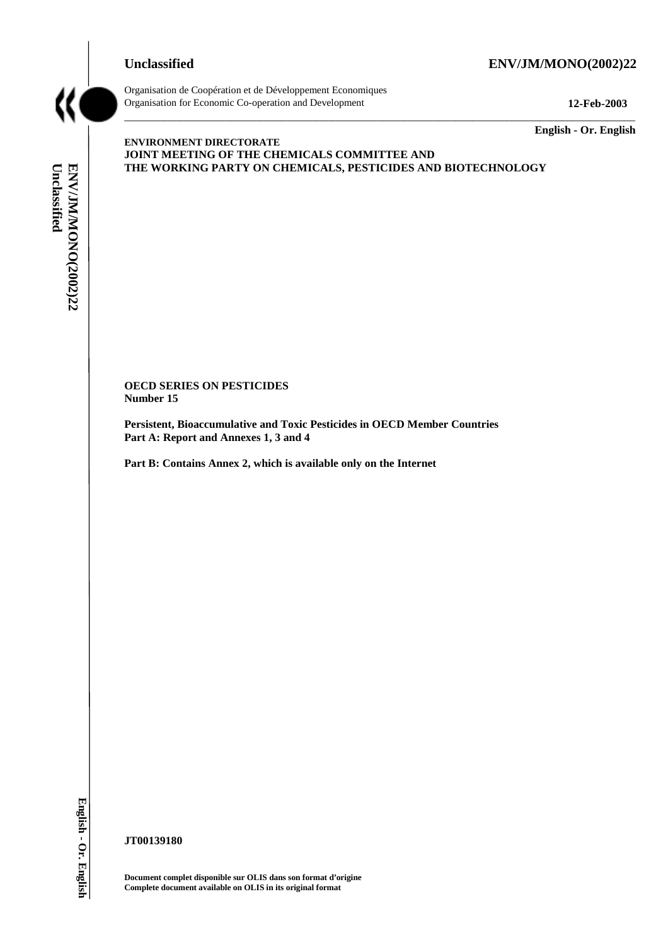#### **Unclassified ENV/JM/MONO(2002)22**



Organisation de Coopération et de Développement Economiques Organisation for Economic Co-operation and Development **12-Feb-2003**

**English - Or. English**

# Unclassified ENV/JM/MONO(2002)22 **Unclassified ENV/JM/MONO(2002)22**

#### **ENVIRONMENT DIRECTORATE JOINT MEETING OF THE CHEMICALS COMMITTEE AND THE WORKING PARTY ON CHEMICALS, PESTICIDES AND BIOTECHNOLOGY**

\_\_\_\_\_\_\_\_\_\_\_\_\_\_\_\_\_\_\_\_\_\_\_\_\_\_\_\_\_\_\_\_\_\_\_\_\_\_\_\_\_\_\_\_\_\_\_\_\_\_\_\_\_\_\_\_\_\_\_\_\_\_\_\_\_\_\_\_\_\_\_\_\_\_\_\_\_\_\_\_\_\_\_\_\_\_\_\_\_\_\_

**OECD SERIES ON PESTICIDES Number 15**

**Persistent, Bioaccumulative and Toxic Pesticides in OECD Member Countries Part A: Report and Annexes 1, 3 and 4**

**Part B: Contains Annex 2, which is available only on the Internet**

**JT00139180**

**Document complet disponible sur OLIS dans son format d'origine Complete document available on OLIS in its original format**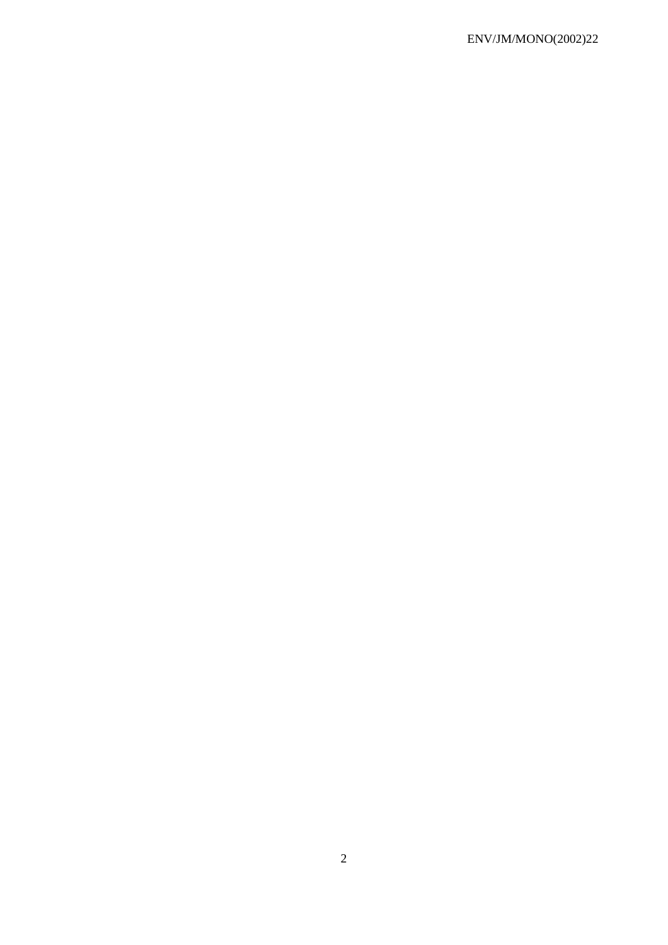#### ENV/JM/MONO(2002)22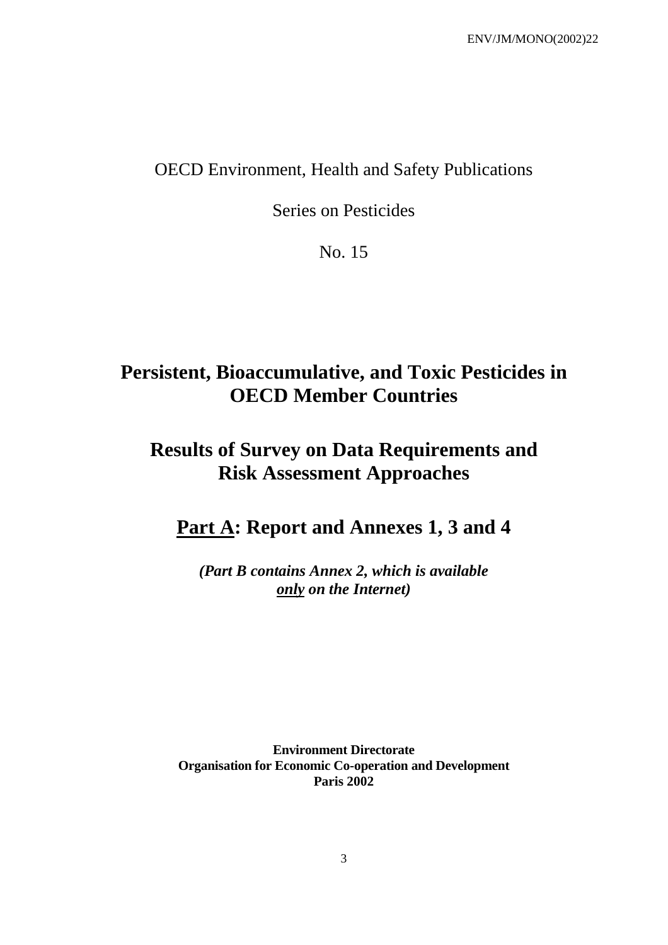### OECD Environment, Health and Safety Publications

Series on Pesticides

No. 15

## **Persistent, Bioaccumulative, and Toxic Pesticides in OECD Member Countries**

## **Results of Survey on Data Requirements and Risk Assessment Approaches**

### **Part A: Report and Annexes 1, 3 and 4**

*(Part B contains Annex 2, which is available only on the Internet)*

**Environment Directorate Organisation for Economic Co-operation and Development Paris 2002**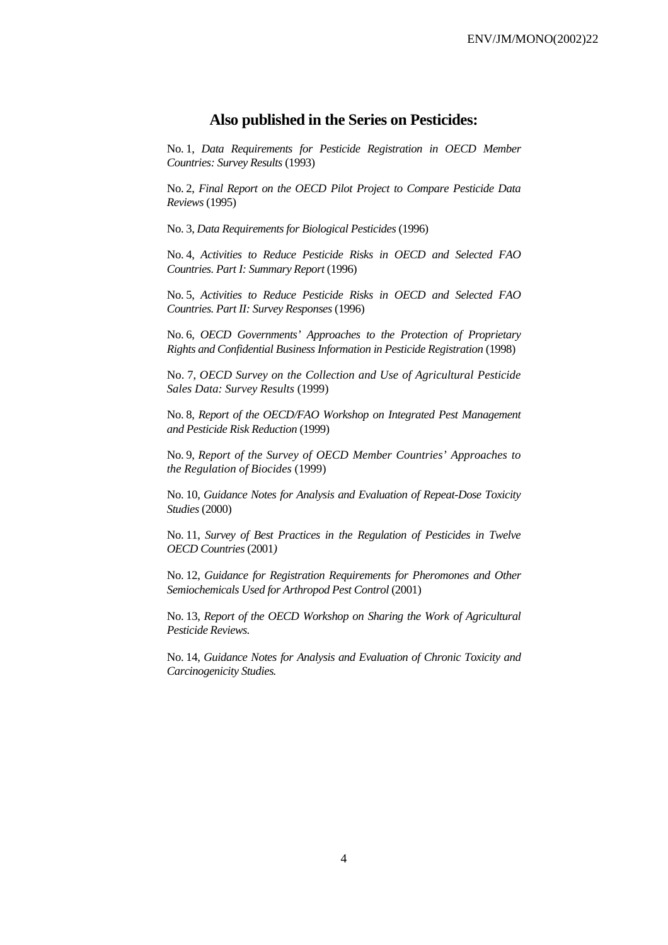#### **Also published in the Series on Pesticides:**

No. 1, *Data Requirements for Pesticide Registration in OECD Member Countries: Survey Results* (1993)

No. 2, *Final Report on the OECD Pilot Project to Compare Pesticide Data Reviews* (1995)

No. 3, *Data Requirements for Biological Pesticides* (1996)

No. 4, *Activities to Reduce Pesticide Risks in OECD and Selected FAO Countries. Part I: Summary Report* (1996)

No. 5, *Activities to Reduce Pesticide Risks in OECD and Selected FAO Countries. Part II: Survey Responses* (1996)

No. 6, *OECD Governments' Approaches to the Protection of Proprietary Rights and Confidential Business Information in Pesticide Registration* (1998)

No. 7, *OECD Survey on the Collection and Use of Agricultural Pesticide Sales Data: Survey Results* (1999)

No. 8, *Report of the OECD/FAO Workshop on Integrated Pest Management and Pesticide Risk Reduction* (1999)

No. 9, *Report of the Survey of OECD Member Countries' Approaches to the Regulation of Biocides* (1999)

No. 10, *Guidance Notes for Analysis and Evaluation of Repeat-Dose Toxicity Studies* (2000)

No. 11, *Survey of Best Practices in the Regulation of Pesticides in Twelve OECD Countries* (2001*)*

No. 12, *Guidance for Registration Requirements for Pheromones and Other Semiochemicals Used for Arthropod Pest Control* (2001)

No. 13, *Report of the OECD Workshop on Sharing the Work of Agricultural Pesticide Reviews.*

No. 14, *Guidance Notes for Analysis and Evaluation of Chronic Toxicity and Carcinogenicity Studies.*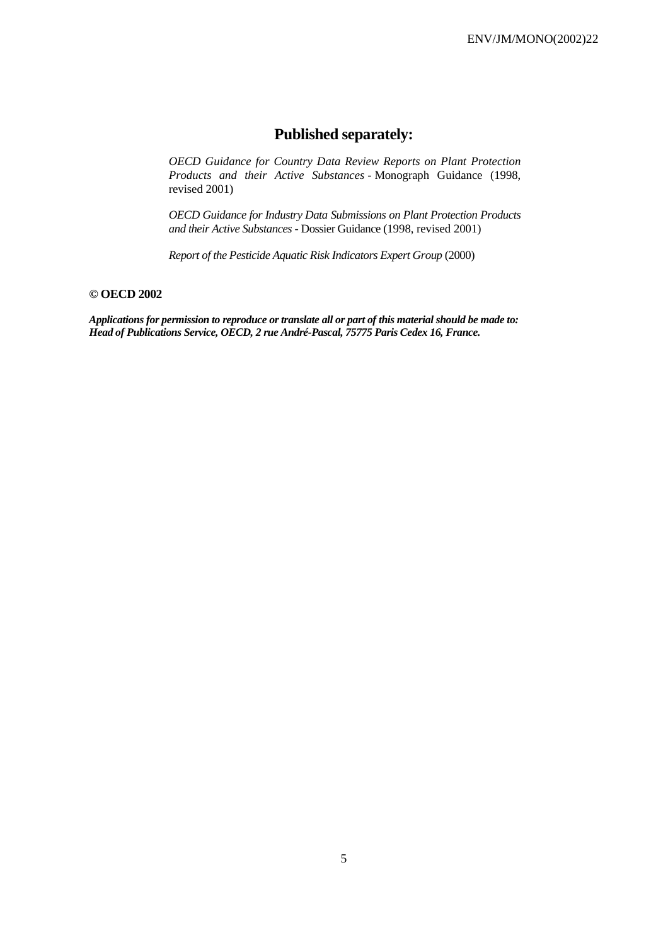### **Published separately:**

*OECD Guidance for Country Data Review Reports on Plant Protection Products and their Active Substances* - Monograph Guidance (1998, revised 2001)

*OECD Guidance for Industry Data Submissions on Plant Protection Products and their Active Substances* - Dossier Guidance (1998, revised 2001)

*Report of the Pesticide Aquatic Risk Indicators Expert Group* (2000)

#### **© OECD 2002**

*Applications for permission to reproduce or translate all or part of this material should be made to: Head of Publications Service, OECD, 2 rue André-Pascal, 75775 Paris Cedex 16, France.*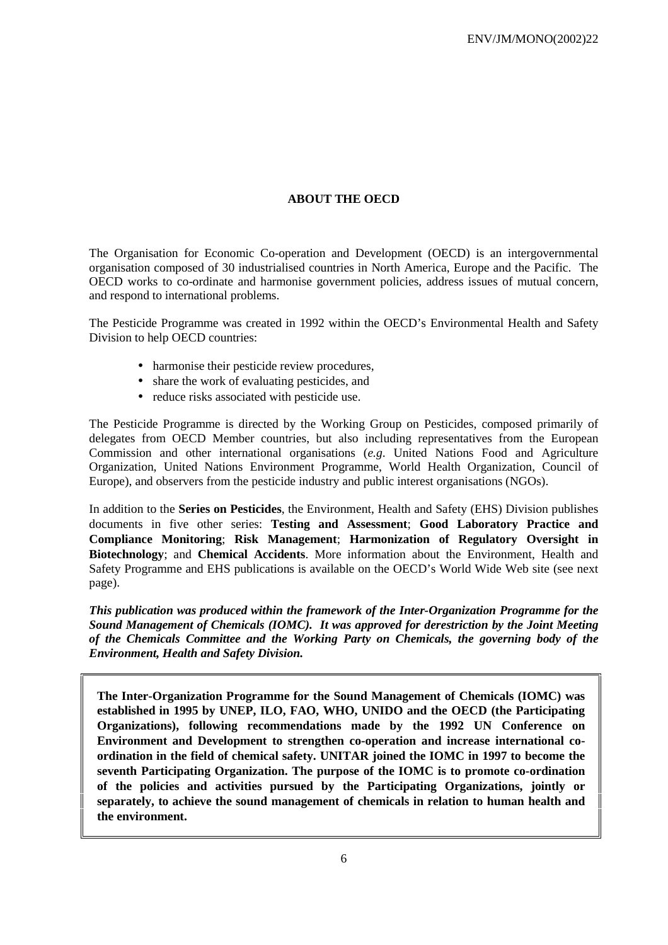#### **ABOUT THE OECD**

The Organisation for Economic Co-operation and Development (OECD) is an intergovernmental organisation composed of 30 industrialised countries in North America, Europe and the Pacific. The OECD works to co-ordinate and harmonise government policies, address issues of mutual concern, and respond to international problems.

The Pesticide Programme was created in 1992 within the OECD's Environmental Health and Safety Division to help OECD countries:

- harmonise their pesticide review procedures,
- share the work of evaluating pesticides, and
- reduce risks associated with pesticide use.

The Pesticide Programme is directed by the Working Group on Pesticides, composed primarily of delegates from OECD Member countries, but also including representatives from the European Commission and other international organisations (*e.g*. United Nations Food and Agriculture Organization, United Nations Environment Programme, World Health Organization, Council of Europe), and observers from the pesticide industry and public interest organisations (NGOs).

In addition to the **Series on Pesticides**, the Environment, Health and Safety (EHS) Division publishes documents in five other series: **Testing and Assessment**; **Good Laboratory Practice and Compliance Monitoring**; **Risk Management**; **Harmonization of Regulatory Oversight in Biotechnology**; and **Chemical Accidents**. More information about the Environment, Health and Safety Programme and EHS publications is available on the OECD's World Wide Web site (see next page).

*This publication was produced within the framework of the Inter-Organization Programme for the Sound Management of Chemicals (IOMC). It was approved for derestriction by the Joint Meeting of the Chemicals Committee and the Working Party on Chemicals, the governing body of the Environment, Health and Safety Division.*

**The Inter-Organization Programme for the Sound Management of Chemicals (IOMC) was established in 1995 by UNEP, ILO, FAO, WHO, UNIDO and the OECD (the Participating Organizations), following recommendations made by the 1992 UN Conference on Environment and Development to strengthen co-operation and increase international coordination in the field of chemical safety. UNITAR joined the IOMC in 1997 to become the seventh Participating Organization. The purpose of the IOMC is to promote co-ordination of the policies and activities pursued by the Participating Organizations, jointly or separately, to achieve the sound management of chemicals in relation to human health and the environment.**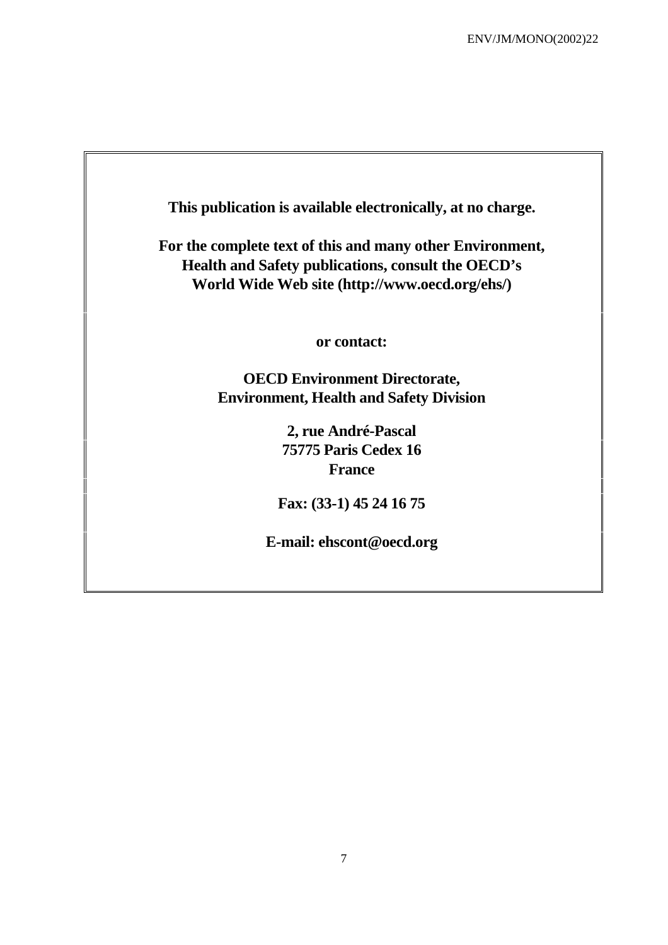| This publication is available electronically, at no charge. |
|-------------------------------------------------------------|
| For the complete text of this and many other Environment,   |
| Health and Safety publications, consult the OECD's          |
| World Wide Web site (http://www.oecd.org/ehs/)              |
| or contact:                                                 |
| <b>OECD Environment Directorate,</b>                        |
| <b>Environment, Health and Safety Division</b>              |
| 2, rue André-Pascal                                         |
| <b>75775 Paris Cedex 16</b>                                 |
| <b>France</b>                                               |

**E-mail: ehscont@oecd.org**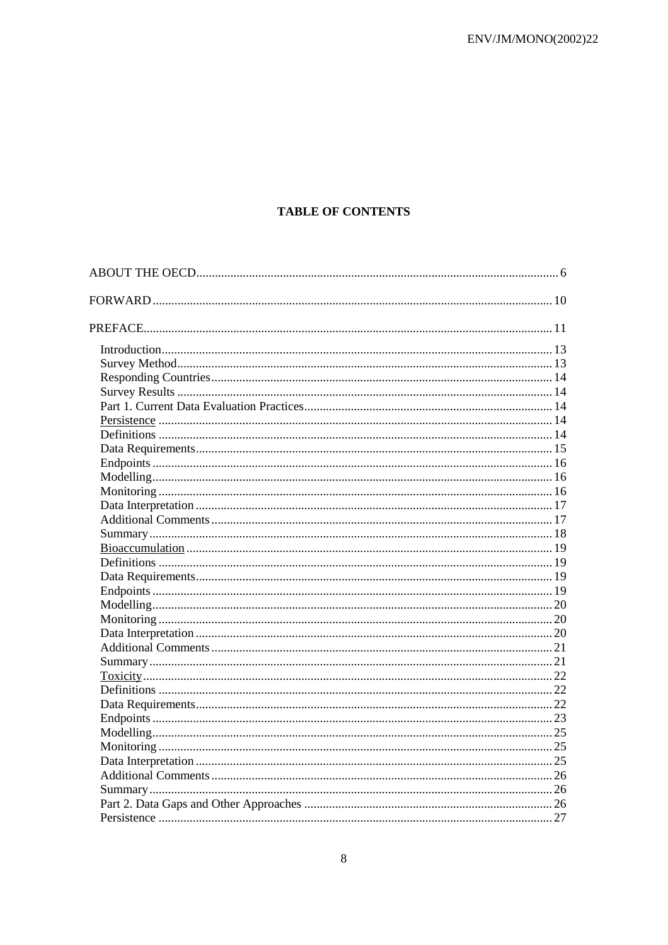#### **TABLE OF CONTENTS**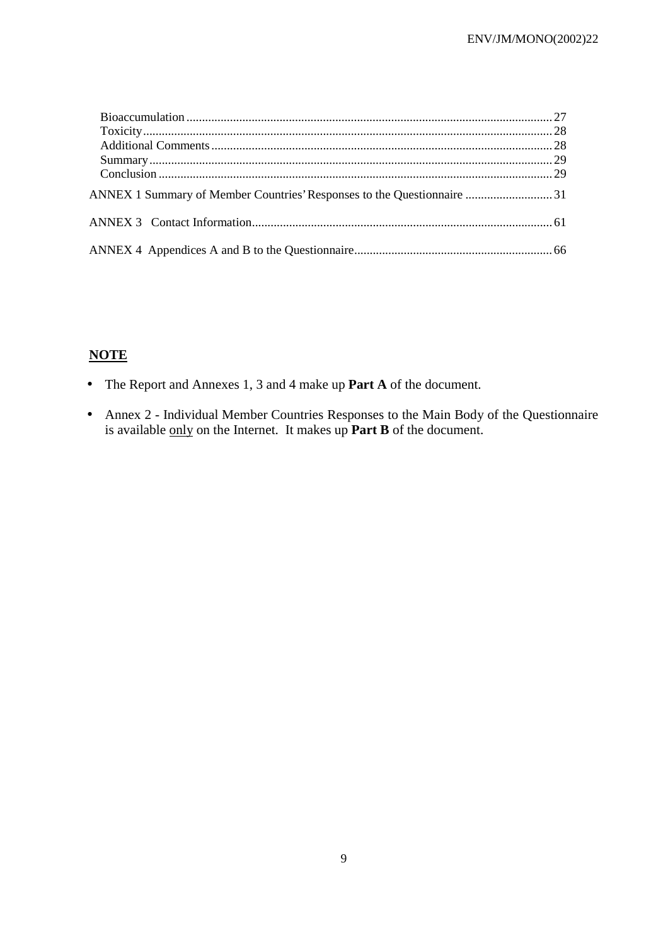### **NOTE**

- The Report and Annexes 1, 3 and 4 make up **Part A** of the document.
- Annex 2 Individual Member Countries Responses to the Main Body of the Questionnaire is available only on the Internet. It makes up **Part B** of the document.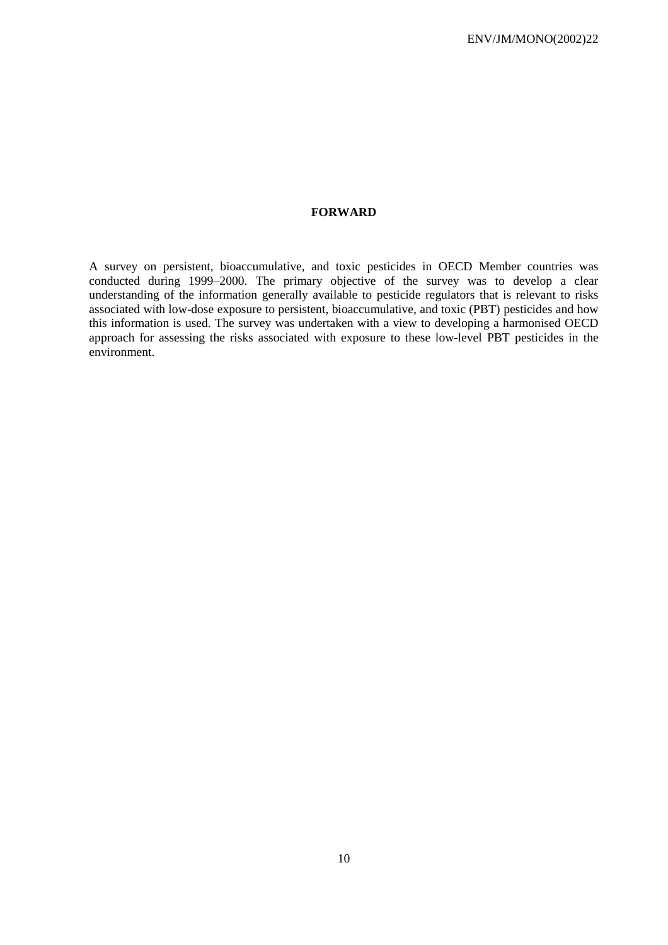#### **FORWARD**

A survey on persistent, bioaccumulative, and toxic pesticides in OECD Member countries was conducted during 1999–2000. The primary objective of the survey was to develop a clear understanding of the information generally available to pesticide regulators that is relevant to risks associated with low-dose exposure to persistent, bioaccumulative, and toxic (PBT) pesticides and how this information is used. The survey was undertaken with a view to developing a harmonised OECD approach for assessing the risks associated with exposure to these low-level PBT pesticides in the environment.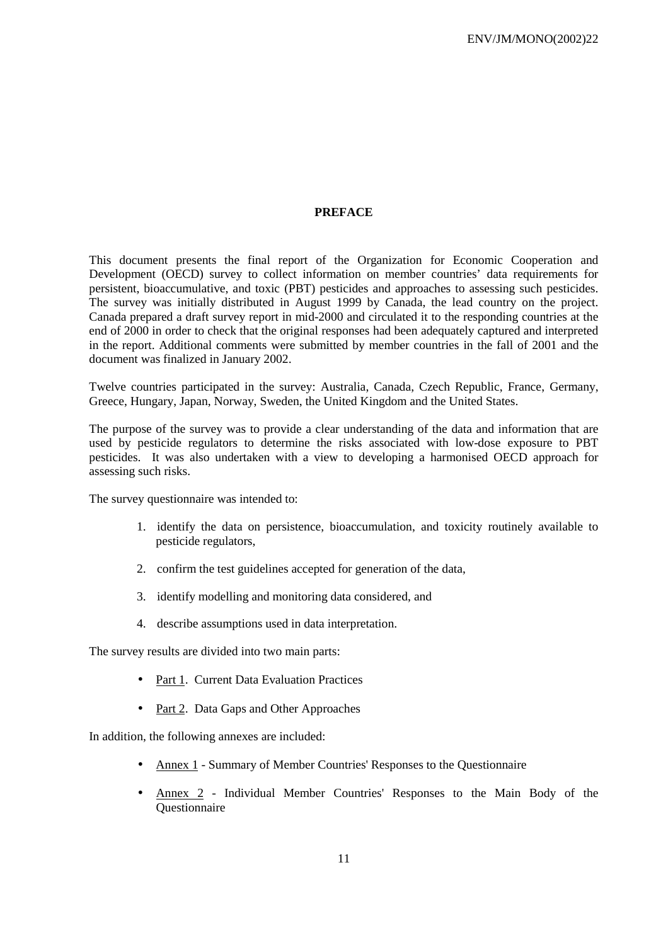#### **PREFACE**

This document presents the final report of the Organization for Economic Cooperation and Development (OECD) survey to collect information on member countries' data requirements for persistent, bioaccumulative, and toxic (PBT) pesticides and approaches to assessing such pesticides. The survey was initially distributed in August 1999 by Canada, the lead country on the project. Canada prepared a draft survey report in mid-2000 and circulated it to the responding countries at the end of 2000 in order to check that the original responses had been adequately captured and interpreted in the report. Additional comments were submitted by member countries in the fall of 2001 and the document was finalized in January 2002.

Twelve countries participated in the survey: Australia, Canada, Czech Republic, France, Germany, Greece, Hungary, Japan, Norway, Sweden, the United Kingdom and the United States.

The purpose of the survey was to provide a clear understanding of the data and information that are used by pesticide regulators to determine the risks associated with low-dose exposure to PBT pesticides. It was also undertaken with a view to developing a harmonised OECD approach for assessing such risks.

The survey questionnaire was intended to:

- 1. identify the data on persistence, bioaccumulation, and toxicity routinely available to pesticide regulators,
- 2. confirm the test guidelines accepted for generation of the data,
- 3. identify modelling and monitoring data considered, and
- 4. describe assumptions used in data interpretation.

The survey results are divided into two main parts:

- Part 1. Current Data Evaluation Practices
- Part 2. Data Gaps and Other Approaches

In addition, the following annexes are included:

- Annex 1 Summary of Member Countries' Responses to the Questionnaire
- Annex 2 Individual Member Countries' Responses to the Main Body of the Questionnaire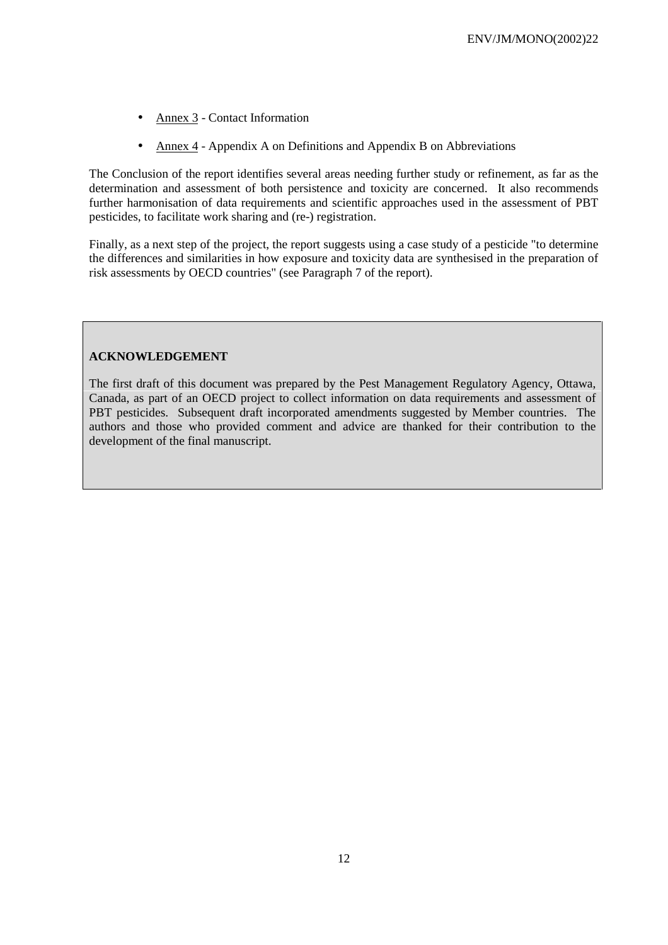- Annex 3 Contact Information
- Annex 4 Appendix A on Definitions and Appendix B on Abbreviations

The Conclusion of the report identifies several areas needing further study or refinement, as far as the determination and assessment of both persistence and toxicity are concerned. It also recommends further harmonisation of data requirements and scientific approaches used in the assessment of PBT pesticides, to facilitate work sharing and (re-) registration.

Finally, as a next step of the project, the report suggests using a case study of a pesticide "to determine the differences and similarities in how exposure and toxicity data are synthesised in the preparation of risk assessments by OECD countries" (see Paragraph 7 of the report).

#### **ACKNOWLEDGEMENT**

The first draft of this document was prepared by the Pest Management Regulatory Agency, Ottawa, Canada, as part of an OECD project to collect information on data requirements and assessment of PBT pesticides. Subsequent draft incorporated amendments suggested by Member countries. The authors and those who provided comment and advice are thanked for their contribution to the development of the final manuscript.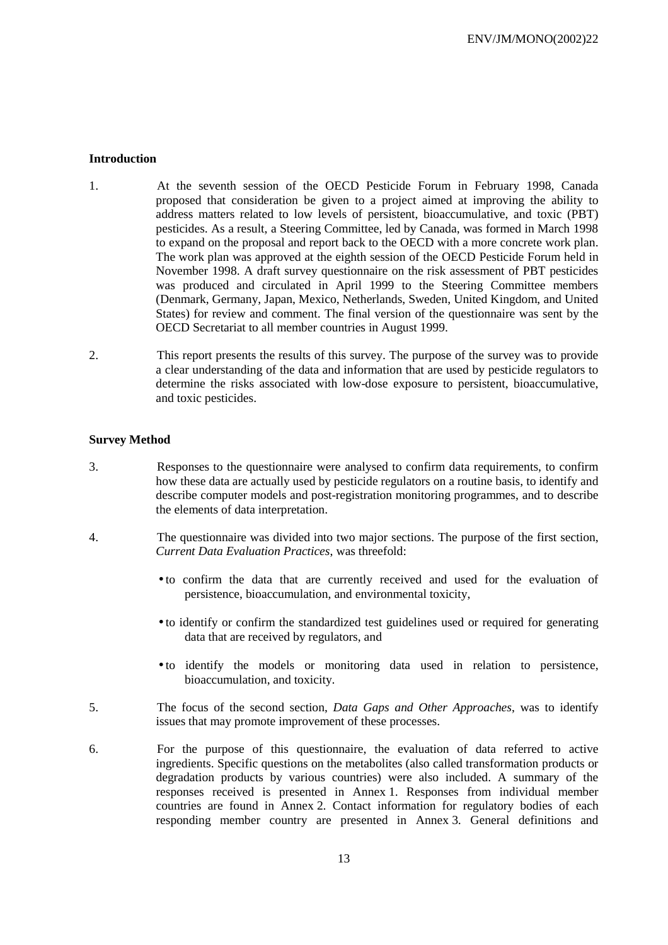#### **Introduction**

- 1. At the seventh session of the OECD Pesticide Forum in February 1998, Canada proposed that consideration be given to a project aimed at improving the ability to address matters related to low levels of persistent, bioaccumulative, and toxic (PBT) pesticides. As a result, a Steering Committee, led by Canada, was formed in March 1998 to expand on the proposal and report back to the OECD with a more concrete work plan. The work plan was approved at the eighth session of the OECD Pesticide Forum held in November 1998. A draft survey questionnaire on the risk assessment of PBT pesticides was produced and circulated in April 1999 to the Steering Committee members (Denmark, Germany, Japan, Mexico, Netherlands, Sweden, United Kingdom, and United States) for review and comment. The final version of the questionnaire was sent by the OECD Secretariat to all member countries in August 1999.
- 2. This report presents the results of this survey. The purpose of the survey was to provide a clear understanding of the data and information that are used by pesticide regulators to determine the risks associated with low-dose exposure to persistent, bioaccumulative, and toxic pesticides.

#### **Survey Method**

- 3. Responses to the questionnaire were analysed to confirm data requirements, to confirm how these data are actually used by pesticide regulators on a routine basis, to identify and describe computer models and post-registration monitoring programmes, and to describe the elements of data interpretation.
- 4. The questionnaire was divided into two major sections. The purpose of the first section, *Current Data Evaluation Practices*, was threefold:
	- to confirm the data that are currently received and used for the evaluation of persistence, bioaccumulation, and environmental toxicity,
	- to identify or confirm the standardized test guidelines used or required for generating data that are received by regulators, and
	- to identify the models or monitoring data used in relation to persistence, bioaccumulation, and toxicity.
- 5. The focus of the second section, *Data Gaps and Other Approaches*, was to identify issues that may promote improvement of these processes.
- 6. For the purpose of this questionnaire, the evaluation of data referred to active ingredients. Specific questions on the metabolites (also called transformation products or degradation products by various countries) were also included. A summary of the responses received is presented in Annex 1. Responses from individual member countries are found in Annex 2. Contact information for regulatory bodies of each responding member country are presented in Annex 3. General definitions and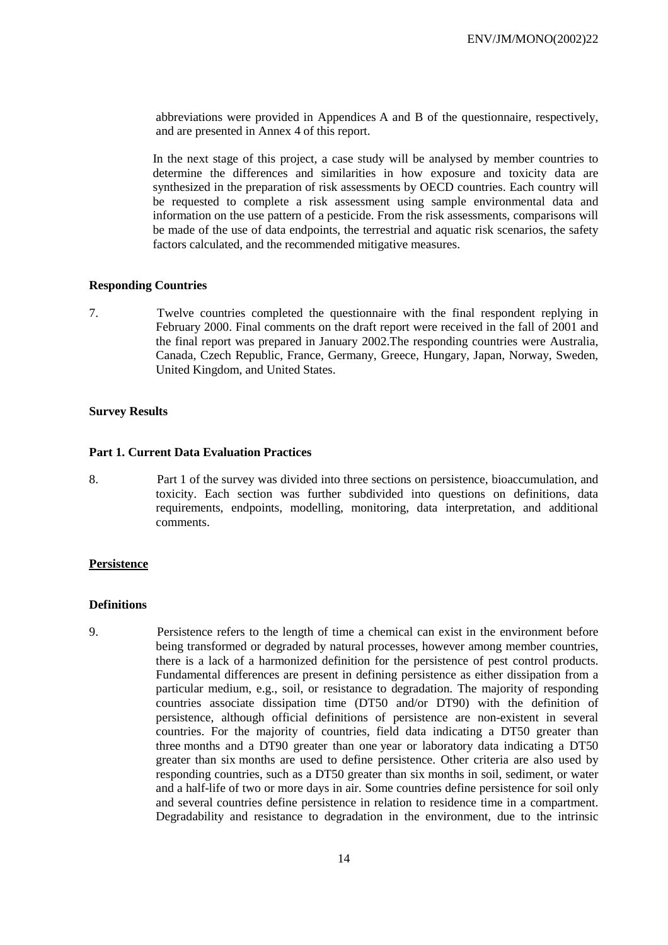abbreviations were provided in Appendices A and B of the questionnaire, respectively, and are presented in Annex 4 of this report.

In the next stage of this project, a case study will be analysed by member countries to determine the differences and similarities in how exposure and toxicity data are synthesized in the preparation of risk assessments by OECD countries. Each country will be requested to complete a risk assessment using sample environmental data and information on the use pattern of a pesticide. From the risk assessments, comparisons will be made of the use of data endpoints, the terrestrial and aquatic risk scenarios, the safety factors calculated, and the recommended mitigative measures.

#### **Responding Countries**

7. Twelve countries completed the questionnaire with the final respondent replying in February 2000. Final comments on the draft report were received in the fall of 2001 and the final report was prepared in January 2002.The responding countries were Australia, Canada, Czech Republic, France, Germany, Greece, Hungary, Japan, Norway, Sweden, United Kingdom, and United States.

#### **Survey Results**

#### **Part 1. Current Data Evaluation Practices**

8. Part 1 of the survey was divided into three sections on persistence, bioaccumulation, and toxicity. Each section was further subdivided into questions on definitions, data requirements, endpoints, modelling, monitoring, data interpretation, and additional comments.

#### **Persistence**

#### **Definitions**

9. Persistence refers to the length of time a chemical can exist in the environment before being transformed or degraded by natural processes, however among member countries, there is a lack of a harmonized definition for the persistence of pest control products. Fundamental differences are present in defining persistence as either dissipation from a particular medium, e.g., soil, or resistance to degradation. The majority of responding countries associate dissipation time (DT50 and/or DT90) with the definition of persistence, although official definitions of persistence are non-existent in several countries. For the majority of countries, field data indicating a DT50 greater than three months and a DT90 greater than one year or laboratory data indicating a DT50 greater than six months are used to define persistence. Other criteria are also used by responding countries, such as a DT50 greater than six months in soil, sediment, or water and a half-life of two or more days in air. Some countries define persistence for soil only and several countries define persistence in relation to residence time in a compartment. Degradability and resistance to degradation in the environment, due to the intrinsic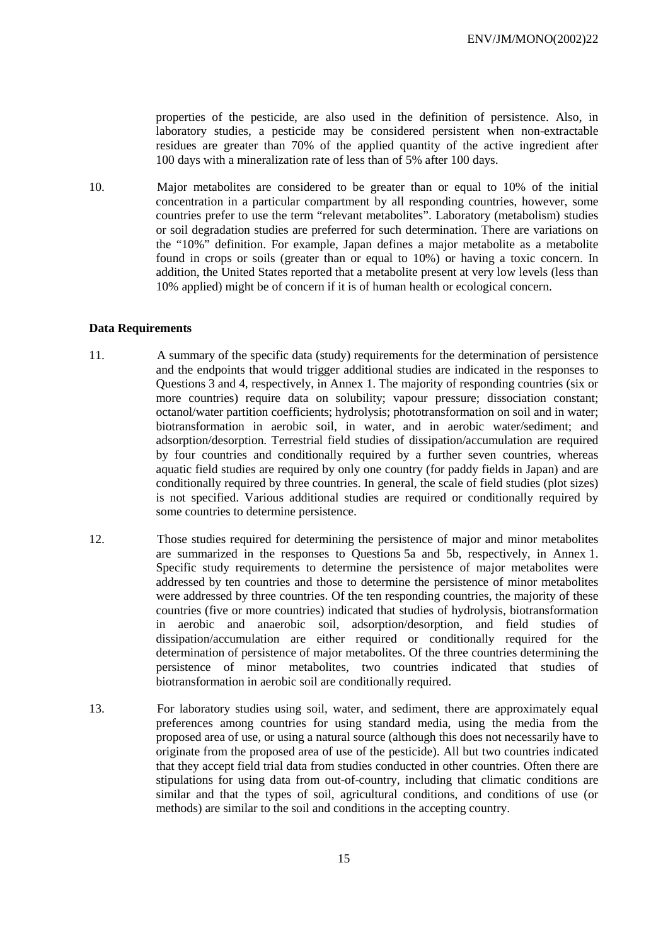properties of the pesticide, are also used in the definition of persistence. Also, in laboratory studies, a pesticide may be considered persistent when non-extractable residues are greater than 70% of the applied quantity of the active ingredient after 100 days with a mineralization rate of less than of 5% after 100 days.

10. Major metabolites are considered to be greater than or equal to 10% of the initial concentration in a particular compartment by all responding countries, however, some countries prefer to use the term "relevant metabolites". Laboratory (metabolism) studies or soil degradation studies are preferred for such determination. There are variations on the "10%" definition. For example, Japan defines a major metabolite as a metabolite found in crops or soils (greater than or equal to 10%) or having a toxic concern. In addition, the United States reported that a metabolite present at very low levels (less than 10% applied) might be of concern if it is of human health or ecological concern.

#### **Data Requirements**

- 11. A summary of the specific data (study) requirements for the determination of persistence and the endpoints that would trigger additional studies are indicated in the responses to Questions 3 and 4, respectively, in Annex 1. The majority of responding countries (six or more countries) require data on solubility; vapour pressure; dissociation constant; octanol/water partition coefficients; hydrolysis; phototransformation on soil and in water; biotransformation in aerobic soil, in water, and in aerobic water/sediment; and adsorption/desorption. Terrestrial field studies of dissipation/accumulation are required by four countries and conditionally required by a further seven countries, whereas aquatic field studies are required by only one country (for paddy fields in Japan) and are conditionally required by three countries. In general, the scale of field studies (plot sizes) is not specified. Various additional studies are required or conditionally required by some countries to determine persistence.
- 12. Those studies required for determining the persistence of major and minor metabolites are summarized in the responses to Questions 5a and 5b, respectively, in Annex 1. Specific study requirements to determine the persistence of major metabolites were addressed by ten countries and those to determine the persistence of minor metabolites were addressed by three countries. Of the ten responding countries, the majority of these countries (five or more countries) indicated that studies of hydrolysis, biotransformation in aerobic and anaerobic soil, adsorption/desorption, and field studies of dissipation/accumulation are either required or conditionally required for the determination of persistence of major metabolites. Of the three countries determining the persistence of minor metabolites, two countries indicated that studies of biotransformation in aerobic soil are conditionally required.
- 13. For laboratory studies using soil, water, and sediment, there are approximately equal preferences among countries for using standard media, using the media from the proposed area of use, or using a natural source (although this does not necessarily have to originate from the proposed area of use of the pesticide). All but two countries indicated that they accept field trial data from studies conducted in other countries. Often there are stipulations for using data from out-of-country, including that climatic conditions are similar and that the types of soil, agricultural conditions, and conditions of use (or methods) are similar to the soil and conditions in the accepting country.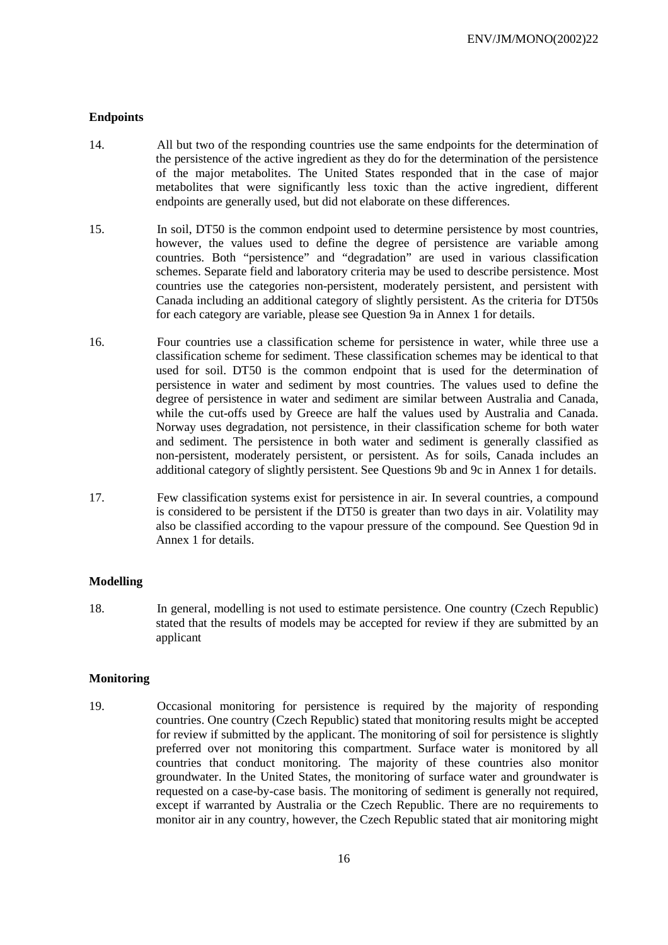#### **Endpoints**

- 14. All but two of the responding countries use the same endpoints for the determination of the persistence of the active ingredient as they do for the determination of the persistence of the major metabolites. The United States responded that in the case of major metabolites that were significantly less toxic than the active ingredient, different endpoints are generally used, but did not elaborate on these differences.
- 15. In soil, DT50 is the common endpoint used to determine persistence by most countries, however, the values used to define the degree of persistence are variable among countries. Both "persistence" and "degradation" are used in various classification schemes. Separate field and laboratory criteria may be used to describe persistence. Most countries use the categories non-persistent, moderately persistent, and persistent with Canada including an additional category of slightly persistent. As the criteria for DT50s for each category are variable, please see Question 9a in Annex 1 for details.
- 16. Four countries use a classification scheme for persistence in water, while three use a classification scheme for sediment. These classification schemes may be identical to that used for soil. DT50 is the common endpoint that is used for the determination of persistence in water and sediment by most countries. The values used to define the degree of persistence in water and sediment are similar between Australia and Canada, while the cut-offs used by Greece are half the values used by Australia and Canada. Norway uses degradation, not persistence, in their classification scheme for both water and sediment. The persistence in both water and sediment is generally classified as non-persistent, moderately persistent, or persistent. As for soils, Canada includes an additional category of slightly persistent. See Questions 9b and 9c in Annex 1 for details.
- 17. Few classification systems exist for persistence in air. In several countries, a compound is considered to be persistent if the DT50 is greater than two days in air. Volatility may also be classified according to the vapour pressure of the compound. See Question 9d in Annex 1 for details.

#### **Modelling**

18. In general, modelling is not used to estimate persistence. One country (Czech Republic) stated that the results of models may be accepted for review if they are submitted by an applicant

#### **Monitoring**

19. Occasional monitoring for persistence is required by the majority of responding countries. One country (Czech Republic) stated that monitoring results might be accepted for review if submitted by the applicant. The monitoring of soil for persistence is slightly preferred over not monitoring this compartment. Surface water is monitored by all countries that conduct monitoring. The majority of these countries also monitor groundwater. In the United States, the monitoring of surface water and groundwater is requested on a case-by-case basis. The monitoring of sediment is generally not required, except if warranted by Australia or the Czech Republic. There are no requirements to monitor air in any country, however, the Czech Republic stated that air monitoring might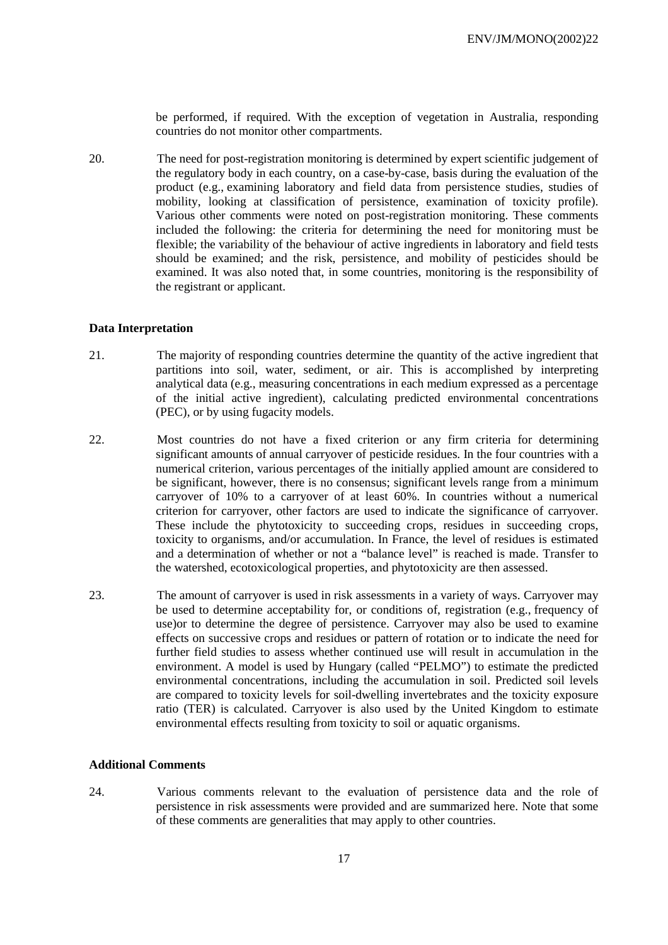be performed, if required. With the exception of vegetation in Australia, responding countries do not monitor other compartments.

20. The need for post-registration monitoring is determined by expert scientific judgement of the regulatory body in each country, on a case-by-case, basis during the evaluation of the product (e.g., examining laboratory and field data from persistence studies, studies of mobility, looking at classification of persistence, examination of toxicity profile). Various other comments were noted on post-registration monitoring. These comments included the following: the criteria for determining the need for monitoring must be flexible; the variability of the behaviour of active ingredients in laboratory and field tests should be examined; and the risk, persistence, and mobility of pesticides should be examined. It was also noted that, in some countries, monitoring is the responsibility of the registrant or applicant.

#### **Data Interpretation**

- 21. The majority of responding countries determine the quantity of the active ingredient that partitions into soil, water, sediment, or air. This is accomplished by interpreting analytical data (e.g., measuring concentrations in each medium expressed as a percentage of the initial active ingredient), calculating predicted environmental concentrations (PEC), or by using fugacity models.
- 22. Most countries do not have a fixed criterion or any firm criteria for determining significant amounts of annual carryover of pesticide residues. In the four countries with a numerical criterion, various percentages of the initially applied amount are considered to be significant, however, there is no consensus; significant levels range from a minimum carryover of 10% to a carryover of at least 60%. In countries without a numerical criterion for carryover, other factors are used to indicate the significance of carryover. These include the phytotoxicity to succeeding crops, residues in succeeding crops, toxicity to organisms, and/or accumulation. In France, the level of residues is estimated and a determination of whether or not a "balance level" is reached is made. Transfer to the watershed, ecotoxicological properties, and phytotoxicity are then assessed.
- 23. The amount of carryover is used in risk assessments in a variety of ways. Carryover may be used to determine acceptability for, or conditions of, registration (e.g., frequency of use)or to determine the degree of persistence. Carryover may also be used to examine effects on successive crops and residues or pattern of rotation or to indicate the need for further field studies to assess whether continued use will result in accumulation in the environment. A model is used by Hungary (called "PELMO") to estimate the predicted environmental concentrations, including the accumulation in soil. Predicted soil levels are compared to toxicity levels for soil-dwelling invertebrates and the toxicity exposure ratio (TER) is calculated. Carryover is also used by the United Kingdom to estimate environmental effects resulting from toxicity to soil or aquatic organisms.

#### **Additional Comments**

24. Various comments relevant to the evaluation of persistence data and the role of persistence in risk assessments were provided and are summarized here. Note that some of these comments are generalities that may apply to other countries.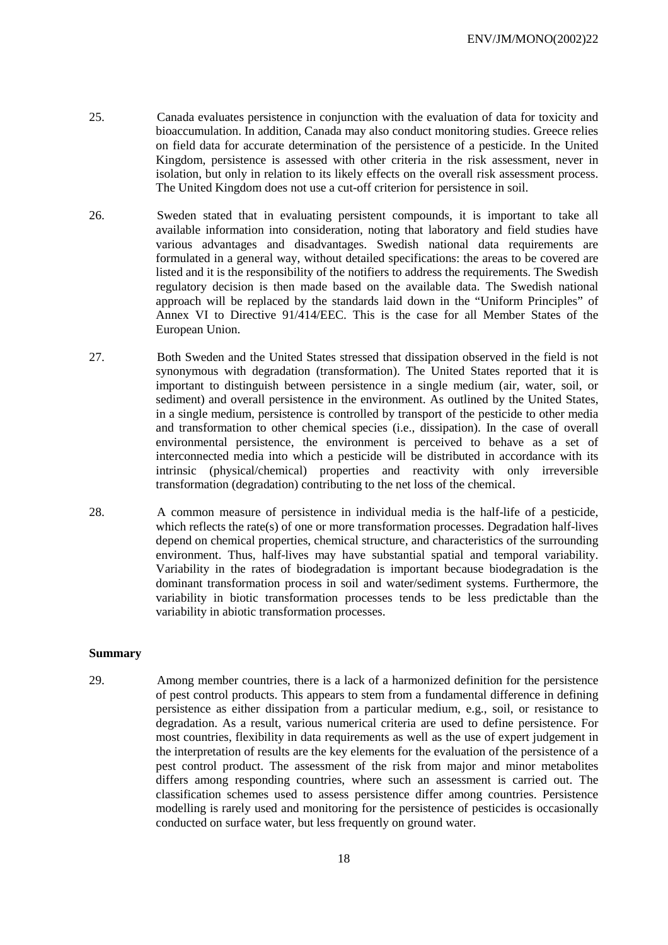- 25. Canada evaluates persistence in conjunction with the evaluation of data for toxicity and bioaccumulation. In addition, Canada may also conduct monitoring studies. Greece relies on field data for accurate determination of the persistence of a pesticide. In the United Kingdom, persistence is assessed with other criteria in the risk assessment, never in isolation, but only in relation to its likely effects on the overall risk assessment process. The United Kingdom does not use a cut-off criterion for persistence in soil.
- 26. Sweden stated that in evaluating persistent compounds, it is important to take all available information into consideration, noting that laboratory and field studies have various advantages and disadvantages. Swedish national data requirements are formulated in a general way, without detailed specifications: the areas to be covered are listed and it is the responsibility of the notifiers to address the requirements. The Swedish regulatory decision is then made based on the available data. The Swedish national approach will be replaced by the standards laid down in the "Uniform Principles" of Annex VI to Directive 91/414/EEC. This is the case for all Member States of the European Union.
- 27. Both Sweden and the United States stressed that dissipation observed in the field is not synonymous with degradation (transformation). The United States reported that it is important to distinguish between persistence in a single medium (air, water, soil, or sediment) and overall persistence in the environment. As outlined by the United States, in a single medium, persistence is controlled by transport of the pesticide to other media and transformation to other chemical species (i.e., dissipation). In the case of overall environmental persistence, the environment is perceived to behave as a set of interconnected media into which a pesticide will be distributed in accordance with its intrinsic (physical/chemical) properties and reactivity with only irreversible transformation (degradation) contributing to the net loss of the chemical.
- 28. A common measure of persistence in individual media is the half-life of a pesticide, which reflects the rate(s) of one or more transformation processes. Degradation half-lives depend on chemical properties, chemical structure, and characteristics of the surrounding environment. Thus, half-lives may have substantial spatial and temporal variability. Variability in the rates of biodegradation is important because biodegradation is the dominant transformation process in soil and water/sediment systems. Furthermore, the variability in biotic transformation processes tends to be less predictable than the variability in abiotic transformation processes.

#### **Summary**

29. Among member countries, there is a lack of a harmonized definition for the persistence of pest control products. This appears to stem from a fundamental difference in defining persistence as either dissipation from a particular medium, e.g., soil, or resistance to degradation. As a result, various numerical criteria are used to define persistence. For most countries, flexibility in data requirements as well as the use of expert judgement in the interpretation of results are the key elements for the evaluation of the persistence of a pest control product. The assessment of the risk from major and minor metabolites differs among responding countries, where such an assessment is carried out. The classification schemes used to assess persistence differ among countries. Persistence modelling is rarely used and monitoring for the persistence of pesticides is occasionally conducted on surface water, but less frequently on ground water.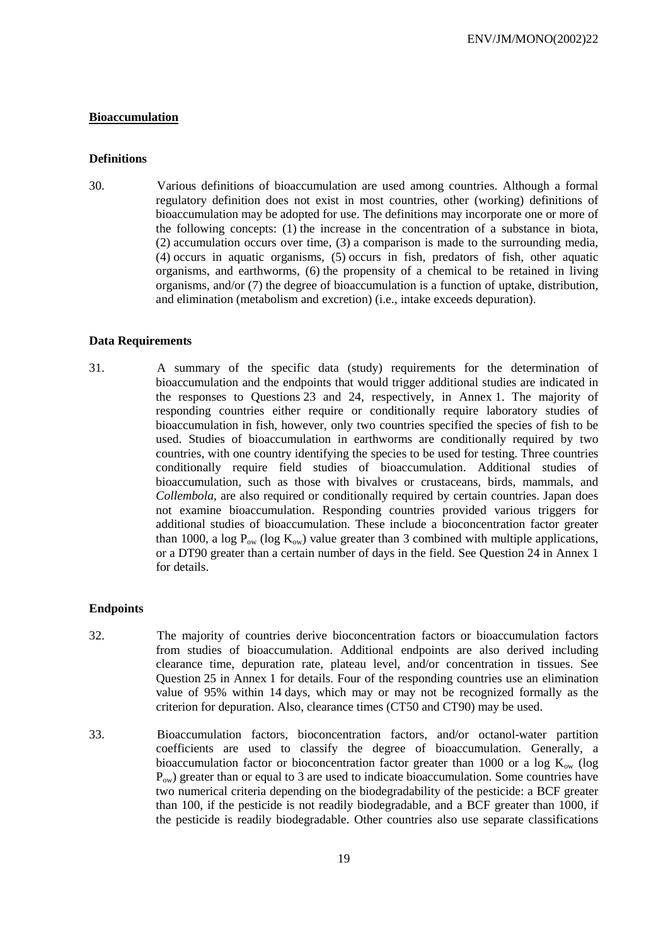#### **Bioaccumulation**

#### **Definitions**

30. Various definitions of bioaccumulation are used among countries. Although a formal regulatory definition does not exist in most countries, other (working) definitions of bioaccumulation may be adopted for use. The definitions may incorporate one or more of the following concepts: (1) the increase in the concentration of a substance in biota, (2) accumulation occurs over time, (3) a comparison is made to the surrounding media, (4) occurs in aquatic organisms, (5) occurs in fish, predators of fish, other aquatic organisms, and earthworms, (6) the propensity of a chemical to be retained in living organisms, and/or (7) the degree of bioaccumulation is a function of uptake, distribution, and elimination (metabolism and excretion) (i.e., intake exceeds depuration).

#### **Data Requirements**

31. A summary of the specific data (study) requirements for the determination of bioaccumulation and the endpoints that would trigger additional studies are indicated in the responses to Questions 23 and 24, respectively, in Annex 1. The majority of responding countries either require or conditionally require laboratory studies of bioaccumulation in fish, however, only two countries specified the species of fish to be used. Studies of bioaccumulation in earthworms are conditionally required by two countries, with one country identifying the species to be used for testing. Three countries conditionally require field studies of bioaccumulation. Additional studies of bioaccumulation, such as those with bivalves or crustaceans, birds, mammals, and *Collembola*, are also required or conditionally required by certain countries. Japan does not examine bioaccumulation. Responding countries provided various triggers for additional studies of bioaccumulation. These include a bioconcentration factor greater than 1000, a log  $P_{ow}$  (log  $K_{ow}$ ) value greater than 3 combined with multiple applications, or a DT90 greater than a certain number of days in the field. See Question 24 in Annex 1 for details.

#### **Endpoints**

- 32. The majority of countries derive bioconcentration factors or bioaccumulation factors from studies of bioaccumulation. Additional endpoints are also derived including clearance time, depuration rate, plateau level, and/or concentration in tissues. See Question 25 in Annex 1 for details. Four of the responding countries use an elimination value of 95% within 14 days, which may or may not be recognized formally as the criterion for depuration. Also, clearance times (CT50 and CT90) may be used.
- 33. Bioaccumulation factors, bioconcentration factors, and/or octanol-water partition coefficients are used to classify the degree of bioaccumulation. Generally, a bioaccumulation factor or bioconcentration factor greater than 1000 or a log  $K_{ow}$  (log  $P_{ow}$ ) greater than or equal to 3 are used to indicate bioaccumulation. Some countries have two numerical criteria depending on the biodegradability of the pesticide: a BCF greater than 100, if the pesticide is not readily biodegradable, and a BCF greater than 1000, if the pesticide is readily biodegradable. Other countries also use separate classifications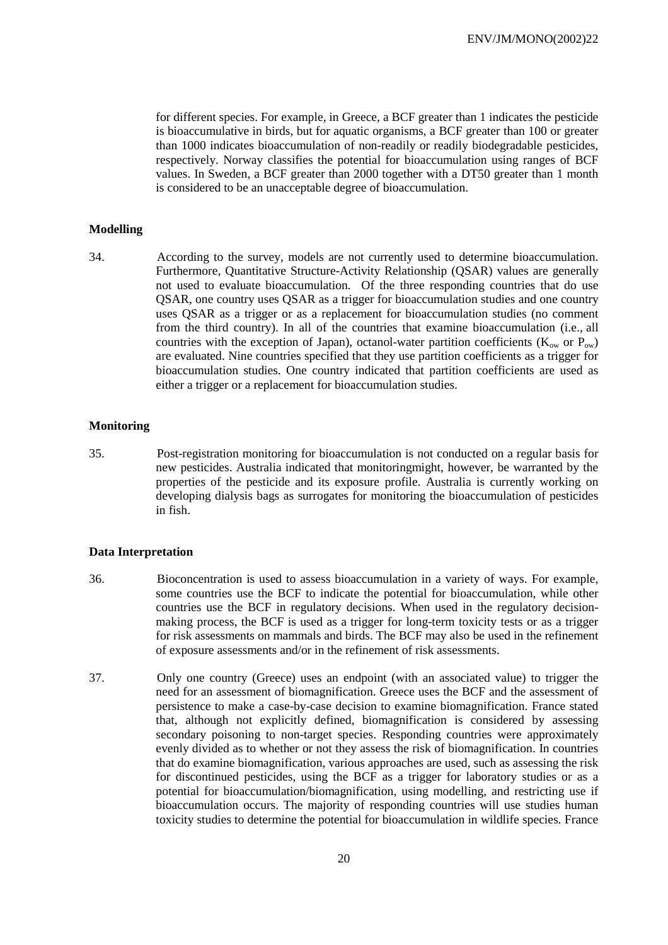for different species. For example, in Greece, a BCF greater than 1 indicates the pesticide is bioaccumulative in birds, but for aquatic organisms, a BCF greater than 100 or greater than 1000 indicates bioaccumulation of non-readily or readily biodegradable pesticides, respectively. Norway classifies the potential for bioaccumulation using ranges of BCF values. In Sweden, a BCF greater than 2000 together with a DT50 greater than 1 month is considered to be an unacceptable degree of bioaccumulation.

#### **Modelling**

34. According to the survey, models are not currently used to determine bioaccumulation. Furthermore, Quantitative Structure-Activity Relationship (QSAR) values are generally not used to evaluate bioaccumulation. Of the three responding countries that do use QSAR, one country uses QSAR as a trigger for bioaccumulation studies and one country uses QSAR as a trigger or as a replacement for bioaccumulation studies (no comment from the third country). In all of the countries that examine bioaccumulation (i.e., all countries with the exception of Japan), octanol-water partition coefficients ( $K_{ow}$  or  $P_{ow}$ ) are evaluated. Nine countries specified that they use partition coefficients as a trigger for bioaccumulation studies. One country indicated that partition coefficients are used as either a trigger or a replacement for bioaccumulation studies.

#### **Monitoring**

35. Post-registration monitoring for bioaccumulation is not conducted on a regular basis for new pesticides. Australia indicated that monitoringmight, however, be warranted by the properties of the pesticide and its exposure profile. Australia is currently working on developing dialysis bags as surrogates for monitoring the bioaccumulation of pesticides in fish.

#### **Data Interpretation**

- 36. Bioconcentration is used to assess bioaccumulation in a variety of ways. For example, some countries use the BCF to indicate the potential for bioaccumulation, while other countries use the BCF in regulatory decisions. When used in the regulatory decisionmaking process, the BCF is used as a trigger for long-term toxicity tests or as a trigger for risk assessments on mammals and birds. The BCF may also be used in the refinement of exposure assessments and/or in the refinement of risk assessments.
- 37. Only one country (Greece) uses an endpoint (with an associated value) to trigger the need for an assessment of biomagnification. Greece uses the BCF and the assessment of persistence to make a case-by-case decision to examine biomagnification. France stated that, although not explicitly defined, biomagnification is considered by assessing secondary poisoning to non-target species. Responding countries were approximately evenly divided as to whether or not they assess the risk of biomagnification. In countries that do examine biomagnification, various approaches are used, such as assessing the risk for discontinued pesticides, using the BCF as a trigger for laboratory studies or as a potential for bioaccumulation/biomagnification, using modelling, and restricting use if bioaccumulation occurs. The majority of responding countries will use studies human toxicity studies to determine the potential for bioaccumulation in wildlife species. France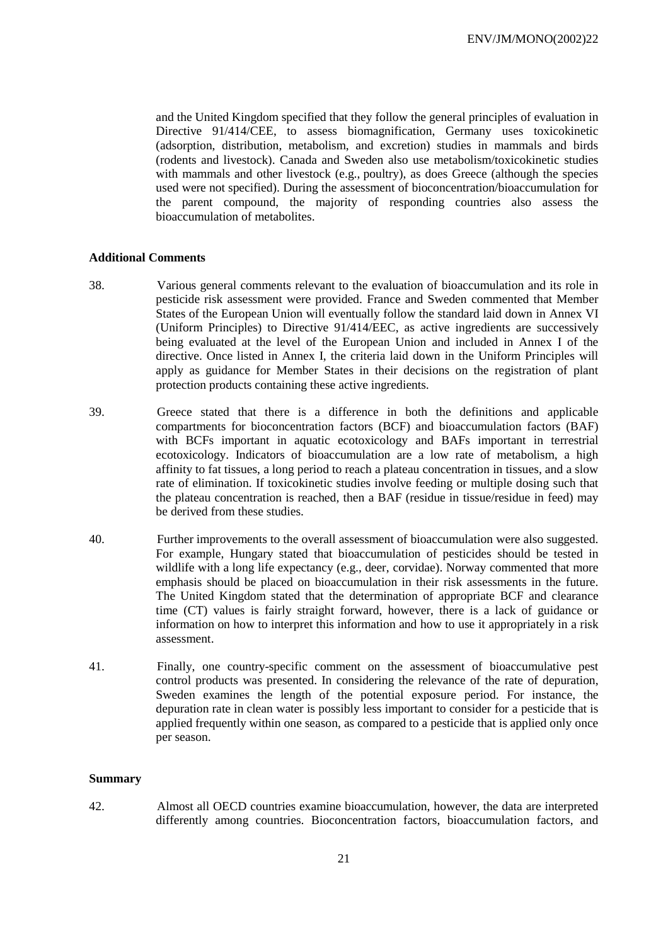and the United Kingdom specified that they follow the general principles of evaluation in Directive 91/414/CEE, to assess biomagnification, Germany uses toxicokinetic (adsorption, distribution, metabolism, and excretion) studies in mammals and birds (rodents and livestock). Canada and Sweden also use metabolism/toxicokinetic studies with mammals and other livestock (e.g., poultry), as does Greece (although the species used were not specified). During the assessment of bioconcentration/bioaccumulation for the parent compound, the majority of responding countries also assess the bioaccumulation of metabolites.

#### **Additional Comments**

- 38. Various general comments relevant to the evaluation of bioaccumulation and its role in pesticide risk assessment were provided. France and Sweden commented that Member States of the European Union will eventually follow the standard laid down in Annex VI (Uniform Principles) to Directive 91/414/EEC, as active ingredients are successively being evaluated at the level of the European Union and included in Annex I of the directive. Once listed in Annex I, the criteria laid down in the Uniform Principles will apply as guidance for Member States in their decisions on the registration of plant protection products containing these active ingredients.
- 39. Greece stated that there is a difference in both the definitions and applicable compartments for bioconcentration factors (BCF) and bioaccumulation factors (BAF) with BCFs important in aquatic ecotoxicology and BAFs important in terrestrial ecotoxicology. Indicators of bioaccumulation are a low rate of metabolism, a high affinity to fat tissues, a long period to reach a plateau concentration in tissues, and a slow rate of elimination. If toxicokinetic studies involve feeding or multiple dosing such that the plateau concentration is reached, then a BAF (residue in tissue/residue in feed) may be derived from these studies.
- 40. Further improvements to the overall assessment of bioaccumulation were also suggested. For example, Hungary stated that bioaccumulation of pesticides should be tested in wildlife with a long life expectancy (e.g., deer, corvidae). Norway commented that more emphasis should be placed on bioaccumulation in their risk assessments in the future. The United Kingdom stated that the determination of appropriate BCF and clearance time (CT) values is fairly straight forward, however, there is a lack of guidance or information on how to interpret this information and how to use it appropriately in a risk assessment.
- 41. Finally, one country-specific comment on the assessment of bioaccumulative pest control products was presented. In considering the relevance of the rate of depuration, Sweden examines the length of the potential exposure period. For instance, the depuration rate in clean water is possibly less important to consider for a pesticide that is applied frequently within one season, as compared to a pesticide that is applied only once per season.

#### **Summary**

42. Almost all OECD countries examine bioaccumulation, however, the data are interpreted differently among countries. Bioconcentration factors, bioaccumulation factors, and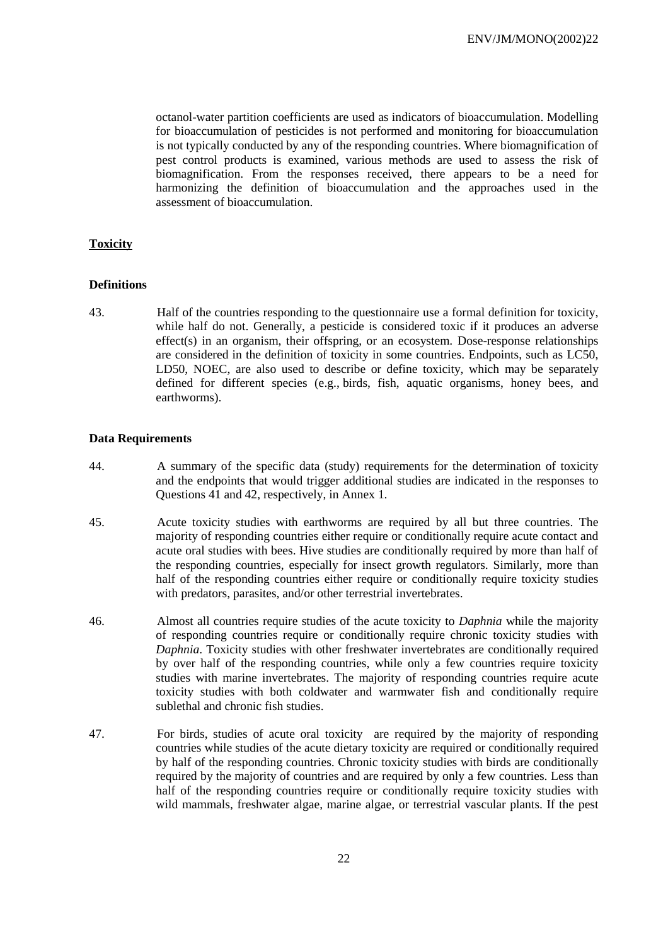octanol-water partition coefficients are used as indicators of bioaccumulation. Modelling for bioaccumulation of pesticides is not performed and monitoring for bioaccumulation is not typically conducted by any of the responding countries. Where biomagnification of pest control products is examined, various methods are used to assess the risk of biomagnification. From the responses received, there appears to be a need for harmonizing the definition of bioaccumulation and the approaches used in the assessment of bioaccumulation.

#### **Toxicity**

#### **Definitions**

43. Half of the countries responding to the questionnaire use a formal definition for toxicity, while half do not. Generally, a pesticide is considered toxic if it produces an adverse effect(s) in an organism, their offspring, or an ecosystem. Dose-response relationships are considered in the definition of toxicity in some countries. Endpoints, such as LC50, LD50, NOEC, are also used to describe or define toxicity, which may be separately defined for different species (e.g., birds, fish, aquatic organisms, honey bees, and earthworms).

#### **Data Requirements**

- 44. A summary of the specific data (study) requirements for the determination of toxicity and the endpoints that would trigger additional studies are indicated in the responses to Questions 41 and 42, respectively, in Annex 1.
- 45. Acute toxicity studies with earthworms are required by all but three countries. The majority of responding countries either require or conditionally require acute contact and acute oral studies with bees. Hive studies are conditionally required by more than half of the responding countries, especially for insect growth regulators. Similarly, more than half of the responding countries either require or conditionally require toxicity studies with predators, parasites, and/or other terrestrial invertebrates.
- 46. Almost all countries require studies of the acute toxicity to *Daphnia* while the majority of responding countries require or conditionally require chronic toxicity studies with *Daphnia*. Toxicity studies with other freshwater invertebrates are conditionally required by over half of the responding countries, while only a few countries require toxicity studies with marine invertebrates. The majority of responding countries require acute toxicity studies with both coldwater and warmwater fish and conditionally require sublethal and chronic fish studies.
- 47. For birds, studies of acute oral toxicity are required by the majority of responding countries while studies of the acute dietary toxicity are required or conditionally required by half of the responding countries. Chronic toxicity studies with birds are conditionally required by the majority of countries and are required by only a few countries. Less than half of the responding countries require or conditionally require toxicity studies with wild mammals, freshwater algae, marine algae, or terrestrial vascular plants. If the pest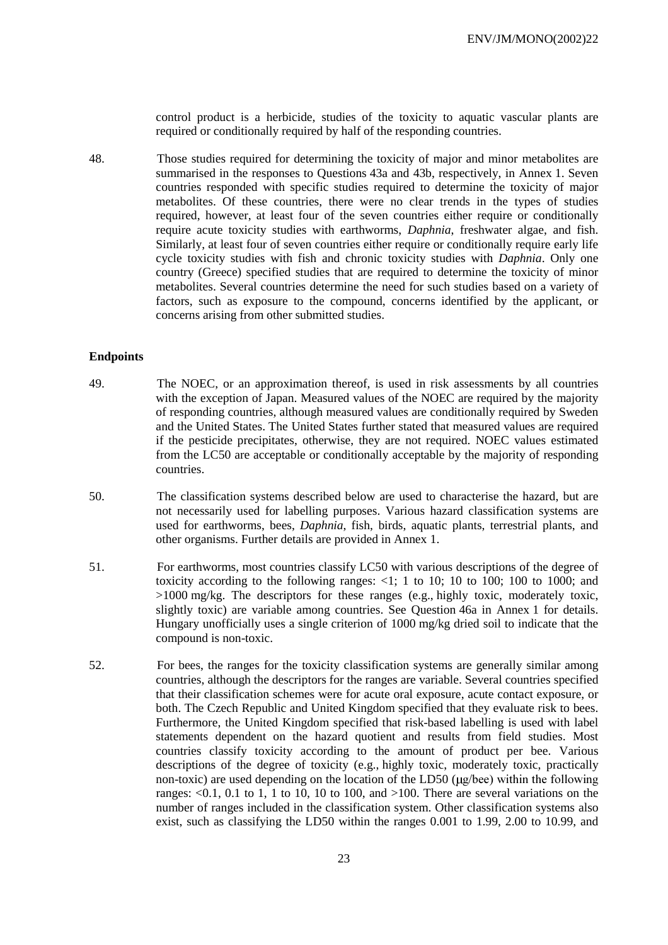control product is a herbicide, studies of the toxicity to aquatic vascular plants are required or conditionally required by half of the responding countries.

48. Those studies required for determining the toxicity of major and minor metabolites are summarised in the responses to Questions 43a and 43b, respectively, in Annex 1. Seven countries responded with specific studies required to determine the toxicity of major metabolites. Of these countries, there were no clear trends in the types of studies required, however, at least four of the seven countries either require or conditionally require acute toxicity studies with earthworms, *Daphnia*, freshwater algae, and fish. Similarly, at least four of seven countries either require or conditionally require early life cycle toxicity studies with fish and chronic toxicity studies with *Daphnia*. Only one country (Greece) specified studies that are required to determine the toxicity of minor metabolites. Several countries determine the need for such studies based on a variety of factors, such as exposure to the compound, concerns identified by the applicant, or concerns arising from other submitted studies.

#### **Endpoints**

- 49. The NOEC, or an approximation thereof, is used in risk assessments by all countries with the exception of Japan. Measured values of the NOEC are required by the majority of responding countries, although measured values are conditionally required by Sweden and the United States. The United States further stated that measured values are required if the pesticide precipitates, otherwise, they are not required. NOEC values estimated from the LC50 are acceptable or conditionally acceptable by the majority of responding countries.
- 50. The classification systems described below are used to characterise the hazard, but are not necessarily used for labelling purposes. Various hazard classification systems are used for earthworms, bees, *Daphnia*, fish, birds, aquatic plants, terrestrial plants, and other organisms. Further details are provided in Annex 1.
- 51. For earthworms, most countries classify LC50 with various descriptions of the degree of toxicity according to the following ranges:  $<$ 1; 1 to 10; 10 to 100; 100 to 1000; and >1000 mg/kg. The descriptors for these ranges (e.g., highly toxic, moderately toxic, slightly toxic) are variable among countries. See Question 46a in Annex 1 for details. Hungary unofficially uses a single criterion of 1000 mg/kg dried soil to indicate that the compound is non-toxic.
- 52. For bees, the ranges for the toxicity classification systems are generally similar among countries, although the descriptors for the ranges are variable. Several countries specified that their classification schemes were for acute oral exposure, acute contact exposure, or both. The Czech Republic and United Kingdom specified that they evaluate risk to bees. Furthermore, the United Kingdom specified that risk-based labelling is used with label statements dependent on the hazard quotient and results from field studies. Most countries classify toxicity according to the amount of product per bee. Various descriptions of the degree of toxicity (e.g., highly toxic, moderately toxic, practically non-toxic) are used depending on the location of the LD50 (µg/bee) within the following ranges:  $< 0.1$ , 0.1 to 1, 1 to 10, 10 to 100, and  $> 100$ . There are several variations on the number of ranges included in the classification system. Other classification systems also exist, such as classifying the LD50 within the ranges 0.001 to 1.99, 2.00 to 10.99, and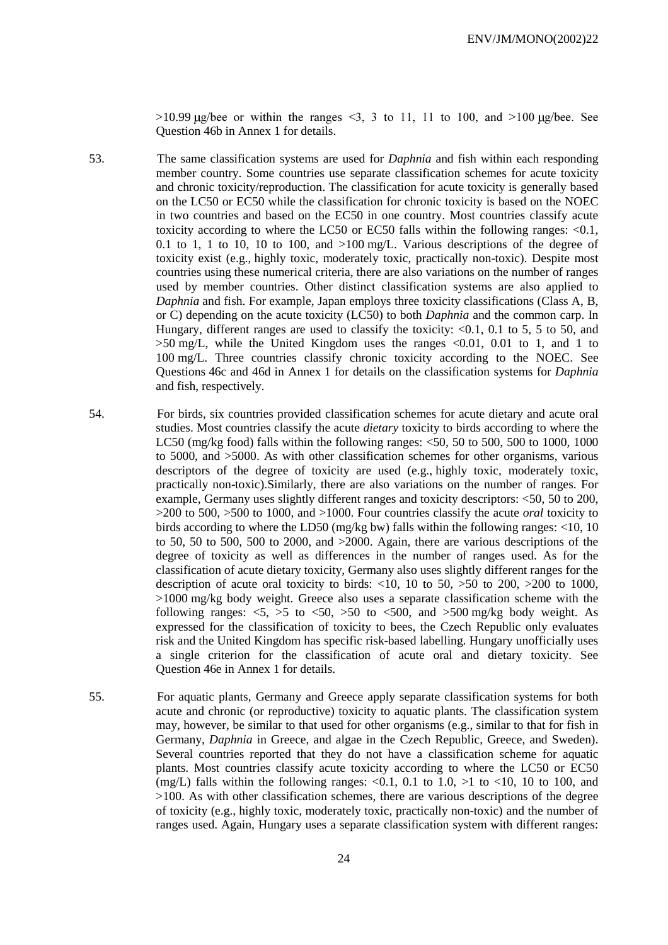$>$ 10.99 µg/bee or within the ranges <3, 3 to 11, 11 to 100, and  $>$ 100 µg/bee. See Question 46b in Annex 1 for details.

- 53. The same classification systems are used for *Daphnia* and fish within each responding member country. Some countries use separate classification schemes for acute toxicity and chronic toxicity/reproduction. The classification for acute toxicity is generally based on the LC50 or EC50 while the classification for chronic toxicity is based on the NOEC in two countries and based on the EC50 in one country. Most countries classify acute toxicity according to where the LC50 or EC50 falls within the following ranges:  $\langle 0.1, \rangle$ 0.1 to 1, 1 to 10, 10 to 100, and  $>100$  mg/L. Various descriptions of the degree of toxicity exist (e.g., highly toxic, moderately toxic, practically non-toxic). Despite most countries using these numerical criteria, there are also variations on the number of ranges used by member countries. Other distinct classification systems are also applied to *Daphnia* and fish. For example, Japan employs three toxicity classifications (Class A, B, or C) depending on the acute toxicity (LC50) to both *Daphnia* and the common carp. In Hungary, different ranges are used to classify the toxicity:  $\langle 0.1, 0.1 \rangle$  to 5, 5 to 50, and  $>50$  mg/L, while the United Kingdom uses the ranges  $< 0.01$ , 0.01 to 1, and 1 to 100 mg/L. Three countries classify chronic toxicity according to the NOEC. See Questions 46c and 46d in Annex 1 for details on the classification systems for *Daphnia* and fish, respectively.
- 54. For birds, six countries provided classification schemes for acute dietary and acute oral studies. Most countries classify the acute *dietary* toxicity to birds according to where the LC50 (mg/kg food) falls within the following ranges:  $\langle 50, 50 \rangle$  to 500, 500 to 1000, 1000 to 5000, and >5000. As with other classification schemes for other organisms, various descriptors of the degree of toxicity are used (e.g., highly toxic, moderately toxic, practically non-toxic).Similarly, there are also variations on the number of ranges. For example, Germany uses slightly different ranges and toxicity descriptors: <50, 50 to 200, >200 to 500, >500 to 1000, and >1000. Four countries classify the acute *oral* toxicity to birds according to where the LD50 (mg/kg bw) falls within the following ranges:  $\langle 10, 10 \rangle$ to 50, 50 to 500, 500 to 2000, and >2000. Again, there are various descriptions of the degree of toxicity as well as differences in the number of ranges used. As for the classification of acute dietary toxicity, Germany also uses slightly different ranges for the description of acute oral toxicity to birds:  $\langle 10, 10 \rangle$  to 50,  $\langle 50, 50 \rangle$  to 200,  $\langle 200 \rangle$  to 1000, >1000 mg/kg body weight. Greece also uses a separate classification scheme with the following ranges:  $\langle 5, \rangle$  to  $\langle 50, \rangle$  to  $\langle 500, \rangle$  and  $\langle 500 \rangle$  mg/kg body weight. As expressed for the classification of toxicity to bees, the Czech Republic only evaluates risk and the United Kingdom has specific risk-based labelling. Hungary unofficially uses a single criterion for the classification of acute oral and dietary toxicity. See Question 46e in Annex 1 for details.
- 55. For aquatic plants, Germany and Greece apply separate classification systems for both acute and chronic (or reproductive) toxicity to aquatic plants. The classification system may, however, be similar to that used for other organisms (e.g., similar to that for fish in Germany, *Daphnia* in Greece, and algae in the Czech Republic, Greece, and Sweden). Several countries reported that they do not have a classification scheme for aquatic plants. Most countries classify acute toxicity according to where the LC50 or EC50 (mg/L) falls within the following ranges:  $< 0.1$ , 0.1 to 1.0,  $> 1$  to  $< 10$ , 10 to 100, and >100. As with other classification schemes, there are various descriptions of the degree of toxicity (e.g., highly toxic, moderately toxic, practically non-toxic) and the number of ranges used. Again, Hungary uses a separate classification system with different ranges: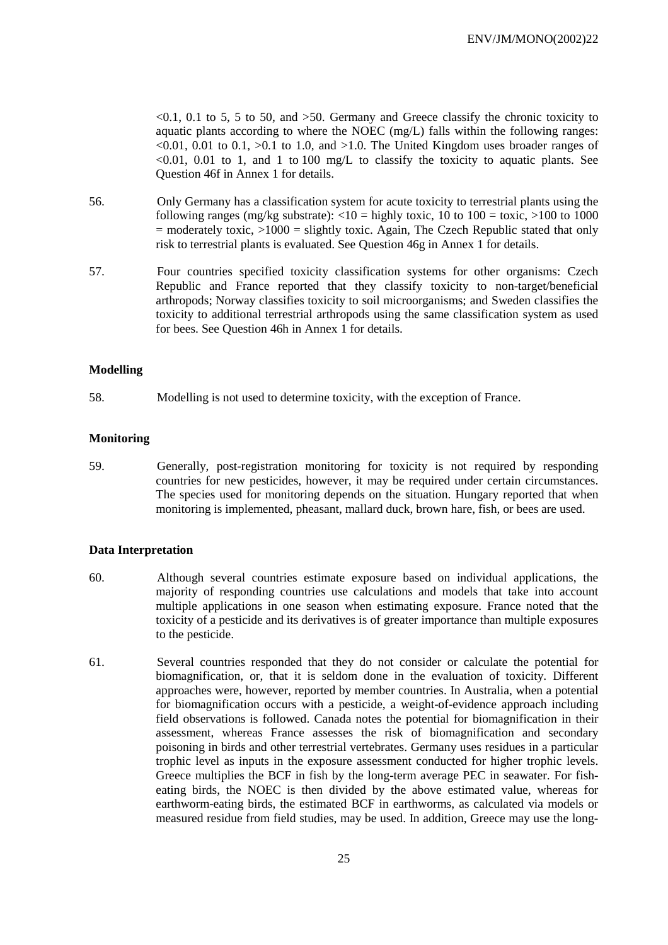$\langle 0.1, 0.1 \rangle$  to 5, 5 to 50, and  $\langle 50, 50 \rangle$  Germany and Greece classify the chronic toxicity to aquatic plants according to where the NOEC (mg/L) falls within the following ranges:  $\leq 0.01$ , 0.01 to 0.1,  $\geq 0.1$  to 1.0, and  $\geq 1.0$ . The United Kingdom uses broader ranges of  $\leq 0.01$ , 0.01 to 1, and 1 to 100 mg/L to classify the toxicity to aquatic plants. See Question 46f in Annex 1 for details.

- 56. Only Germany has a classification system for acute toxicity to terrestrial plants using the following ranges (mg/kg substrate):  $\langle 10 = \text{highly toxic}, 10 \text{ to } 100 = \text{toxic}, 100 \text{ to } 1000$  $=$  moderately toxic,  $>1000 =$  slightly toxic. Again, The Czech Republic stated that only risk to terrestrial plants is evaluated. See Question 46g in Annex 1 for details.
- 57. Four countries specified toxicity classification systems for other organisms: Czech Republic and France reported that they classify toxicity to non-target/beneficial arthropods; Norway classifies toxicity to soil microorganisms; and Sweden classifies the toxicity to additional terrestrial arthropods using the same classification system as used for bees. See Question 46h in Annex 1 for details.

#### **Modelling**

58. Modelling is not used to determine toxicity, with the exception of France.

#### **Monitoring**

59. Generally, post-registration monitoring for toxicity is not required by responding countries for new pesticides, however, it may be required under certain circumstances. The species used for monitoring depends on the situation. Hungary reported that when monitoring is implemented, pheasant, mallard duck, brown hare, fish, or bees are used.

#### **Data Interpretation**

- 60. Although several countries estimate exposure based on individual applications, the majority of responding countries use calculations and models that take into account multiple applications in one season when estimating exposure. France noted that the toxicity of a pesticide and its derivatives is of greater importance than multiple exposures to the pesticide.
- 61. Several countries responded that they do not consider or calculate the potential for biomagnification, or, that it is seldom done in the evaluation of toxicity. Different approaches were, however, reported by member countries. In Australia, when a potential for biomagnification occurs with a pesticide, a weight-of-evidence approach including field observations is followed. Canada notes the potential for biomagnification in their assessment, whereas France assesses the risk of biomagnification and secondary poisoning in birds and other terrestrial vertebrates. Germany uses residues in a particular trophic level as inputs in the exposure assessment conducted for higher trophic levels. Greece multiplies the BCF in fish by the long-term average PEC in seawater. For fisheating birds, the NOEC is then divided by the above estimated value, whereas for earthworm-eating birds, the estimated BCF in earthworms, as calculated via models or measured residue from field studies, may be used. In addition, Greece may use the long-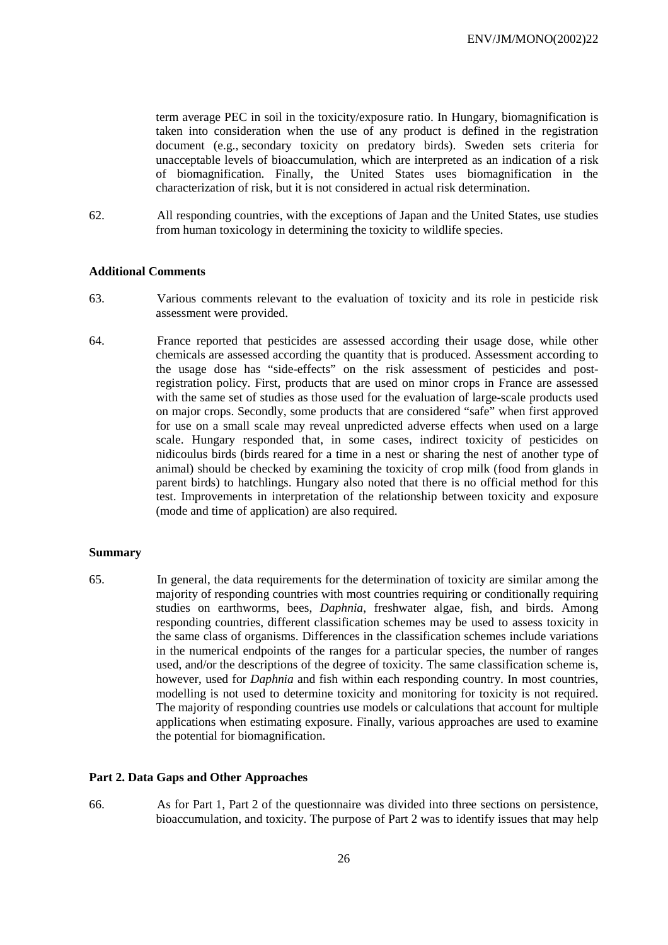term average PEC in soil in the toxicity/exposure ratio. In Hungary, biomagnification is taken into consideration when the use of any product is defined in the registration document (e.g., secondary toxicity on predatory birds). Sweden sets criteria for unacceptable levels of bioaccumulation, which are interpreted as an indication of a risk of biomagnification. Finally, the United States uses biomagnification in the characterization of risk, but it is not considered in actual risk determination.

62. All responding countries, with the exceptions of Japan and the United States, use studies from human toxicology in determining the toxicity to wildlife species.

#### **Additional Comments**

- 63. Various comments relevant to the evaluation of toxicity and its role in pesticide risk assessment were provided.
- 64. France reported that pesticides are assessed according their usage dose, while other chemicals are assessed according the quantity that is produced. Assessment according to the usage dose has "side-effects" on the risk assessment of pesticides and postregistration policy. First, products that are used on minor crops in France are assessed with the same set of studies as those used for the evaluation of large-scale products used on major crops. Secondly, some products that are considered "safe" when first approved for use on a small scale may reveal unpredicted adverse effects when used on a large scale. Hungary responded that, in some cases, indirect toxicity of pesticides on nidicoulus birds (birds reared for a time in a nest or sharing the nest of another type of animal) should be checked by examining the toxicity of crop milk (food from glands in parent birds) to hatchlings. Hungary also noted that there is no official method for this test. Improvements in interpretation of the relationship between toxicity and exposure (mode and time of application) are also required.

#### **Summary**

65. In general, the data requirements for the determination of toxicity are similar among the majority of responding countries with most countries requiring or conditionally requiring studies on earthworms, bees, *Daphnia*, freshwater algae, fish, and birds. Among responding countries, different classification schemes may be used to assess toxicity in the same class of organisms. Differences in the classification schemes include variations in the numerical endpoints of the ranges for a particular species, the number of ranges used, and/or the descriptions of the degree of toxicity. The same classification scheme is, however, used for *Daphnia* and fish within each responding country. In most countries, modelling is not used to determine toxicity and monitoring for toxicity is not required. The majority of responding countries use models or calculations that account for multiple applications when estimating exposure. Finally, various approaches are used to examine the potential for biomagnification.

#### **Part 2. Data Gaps and Other Approaches**

66. As for Part 1, Part 2 of the questionnaire was divided into three sections on persistence, bioaccumulation, and toxicity. The purpose of Part 2 was to identify issues that may help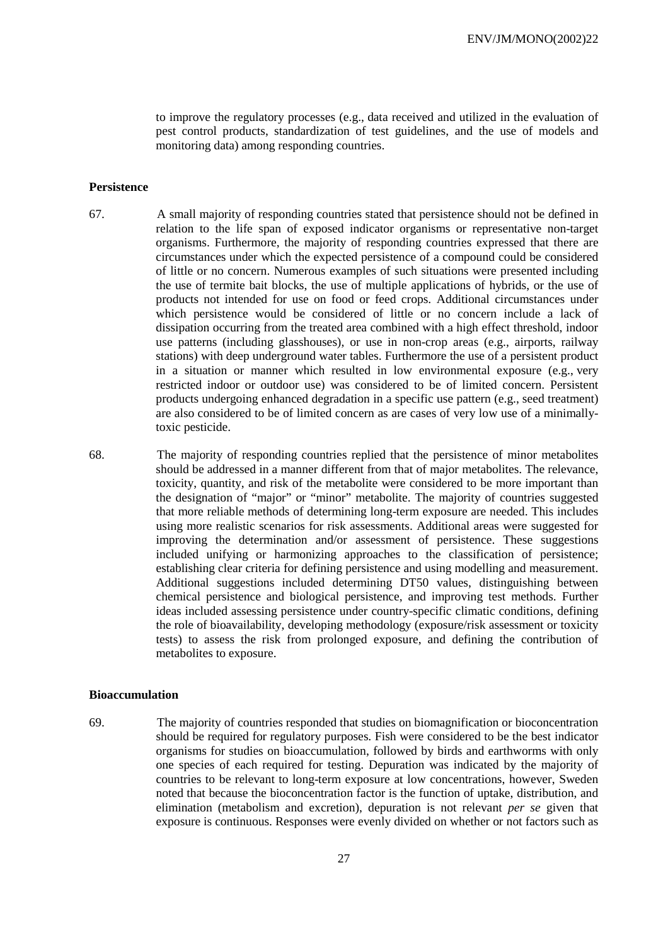to improve the regulatory processes (e.g., data received and utilized in the evaluation of pest control products, standardization of test guidelines, and the use of models and monitoring data) among responding countries.

#### **Persistence**

- 67. A small majority of responding countries stated that persistence should not be defined in relation to the life span of exposed indicator organisms or representative non-target organisms. Furthermore, the majority of responding countries expressed that there are circumstances under which the expected persistence of a compound could be considered of little or no concern. Numerous examples of such situations were presented including the use of termite bait blocks, the use of multiple applications of hybrids, or the use of products not intended for use on food or feed crops. Additional circumstances under which persistence would be considered of little or no concern include a lack of dissipation occurring from the treated area combined with a high effect threshold, indoor use patterns (including glasshouses), or use in non-crop areas (e.g., airports, railway stations) with deep underground water tables. Furthermore the use of a persistent product in a situation or manner which resulted in low environmental exposure (e.g., very restricted indoor or outdoor use) was considered to be of limited concern. Persistent products undergoing enhanced degradation in a specific use pattern (e.g., seed treatment) are also considered to be of limited concern as are cases of very low use of a minimallytoxic pesticide.
- 68. The majority of responding countries replied that the persistence of minor metabolites should be addressed in a manner different from that of major metabolites. The relevance, toxicity, quantity, and risk of the metabolite were considered to be more important than the designation of "major" or "minor" metabolite. The majority of countries suggested that more reliable methods of determining long-term exposure are needed. This includes using more realistic scenarios for risk assessments. Additional areas were suggested for improving the determination and/or assessment of persistence. These suggestions included unifying or harmonizing approaches to the classification of persistence; establishing clear criteria for defining persistence and using modelling and measurement. Additional suggestions included determining DT50 values, distinguishing between chemical persistence and biological persistence, and improving test methods. Further ideas included assessing persistence under country-specific climatic conditions, defining the role of bioavailability, developing methodology (exposure/risk assessment or toxicity tests) to assess the risk from prolonged exposure, and defining the contribution of metabolites to exposure.

#### **Bioaccumulation**

69. The majority of countries responded that studies on biomagnification or bioconcentration should be required for regulatory purposes. Fish were considered to be the best indicator organisms for studies on bioaccumulation, followed by birds and earthworms with only one species of each required for testing. Depuration was indicated by the majority of countries to be relevant to long-term exposure at low concentrations, however, Sweden noted that because the bioconcentration factor is the function of uptake, distribution, and elimination (metabolism and excretion), depuration is not relevant *per se* given that exposure is continuous. Responses were evenly divided on whether or not factors such as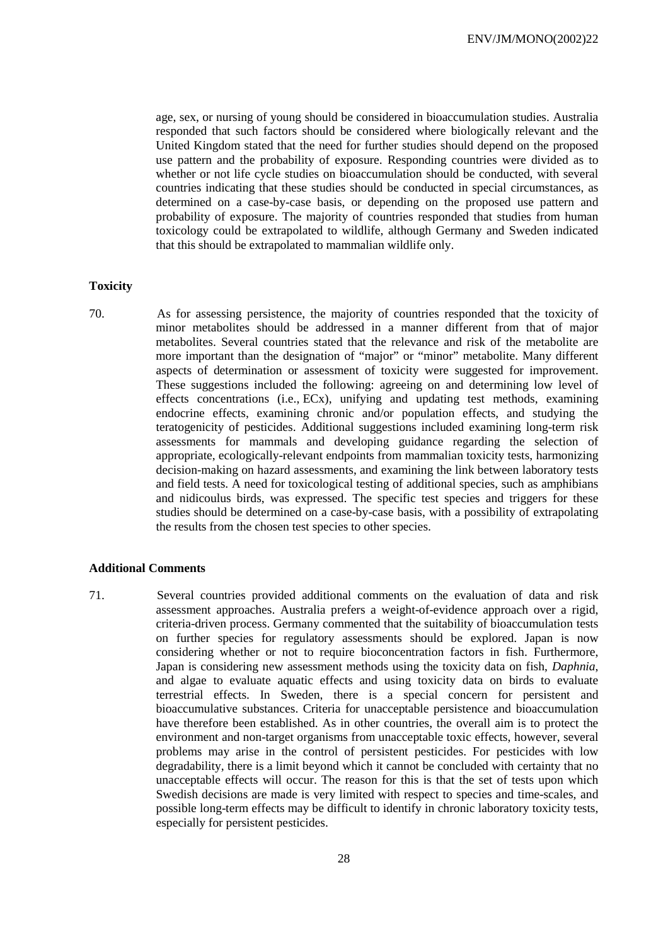age, sex, or nursing of young should be considered in bioaccumulation studies. Australia responded that such factors should be considered where biologically relevant and the United Kingdom stated that the need for further studies should depend on the proposed use pattern and the probability of exposure. Responding countries were divided as to whether or not life cycle studies on bioaccumulation should be conducted, with several countries indicating that these studies should be conducted in special circumstances, as determined on a case-by-case basis, or depending on the proposed use pattern and probability of exposure. The majority of countries responded that studies from human toxicology could be extrapolated to wildlife, although Germany and Sweden indicated that this should be extrapolated to mammalian wildlife only.

#### **Toxicity**

70. As for assessing persistence, the majority of countries responded that the toxicity of minor metabolites should be addressed in a manner different from that of major metabolites. Several countries stated that the relevance and risk of the metabolite are more important than the designation of "major" or "minor" metabolite. Many different aspects of determination or assessment of toxicity were suggested for improvement. These suggestions included the following: agreeing on and determining low level of effects concentrations (i.e., ECx), unifying and updating test methods, examining endocrine effects, examining chronic and/or population effects, and studying the teratogenicity of pesticides. Additional suggestions included examining long-term risk assessments for mammals and developing guidance regarding the selection of appropriate, ecologically-relevant endpoints from mammalian toxicity tests, harmonizing decision-making on hazard assessments, and examining the link between laboratory tests and field tests. A need for toxicological testing of additional species, such as amphibians and nidicoulus birds, was expressed. The specific test species and triggers for these studies should be determined on a case-by-case basis, with a possibility of extrapolating the results from the chosen test species to other species.

#### **Additional Comments**

71. Several countries provided additional comments on the evaluation of data and risk assessment approaches. Australia prefers a weight-of-evidence approach over a rigid, criteria-driven process. Germany commented that the suitability of bioaccumulation tests on further species for regulatory assessments should be explored. Japan is now considering whether or not to require bioconcentration factors in fish. Furthermore, Japan is considering new assessment methods using the toxicity data on fish, *Daphnia*, and algae to evaluate aquatic effects and using toxicity data on birds to evaluate terrestrial effects. In Sweden, there is a special concern for persistent and bioaccumulative substances. Criteria for unacceptable persistence and bioaccumulation have therefore been established. As in other countries, the overall aim is to protect the environment and non-target organisms from unacceptable toxic effects, however, several problems may arise in the control of persistent pesticides. For pesticides with low degradability, there is a limit beyond which it cannot be concluded with certainty that no unacceptable effects will occur. The reason for this is that the set of tests upon which Swedish decisions are made is very limited with respect to species and time-scales, and possible long-term effects may be difficult to identify in chronic laboratory toxicity tests, especially for persistent pesticides.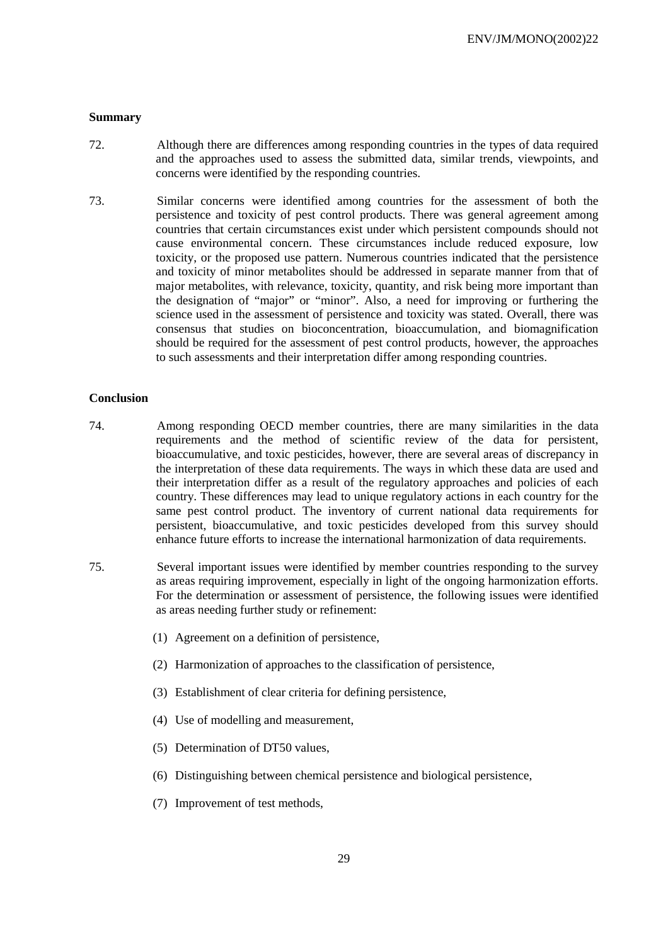#### **Summary**

- 72. Although there are differences among responding countries in the types of data required and the approaches used to assess the submitted data, similar trends, viewpoints, and concerns were identified by the responding countries.
- 73. Similar concerns were identified among countries for the assessment of both the persistence and toxicity of pest control products. There was general agreement among countries that certain circumstances exist under which persistent compounds should not cause environmental concern. These circumstances include reduced exposure, low toxicity, or the proposed use pattern. Numerous countries indicated that the persistence and toxicity of minor metabolites should be addressed in separate manner from that of major metabolites, with relevance, toxicity, quantity, and risk being more important than the designation of "major" or "minor". Also, a need for improving or furthering the science used in the assessment of persistence and toxicity was stated. Overall, there was consensus that studies on bioconcentration, bioaccumulation, and biomagnification should be required for the assessment of pest control products, however, the approaches to such assessments and their interpretation differ among responding countries.

#### **Conclusion**

- 74. Among responding OECD member countries, there are many similarities in the data requirements and the method of scientific review of the data for persistent, bioaccumulative, and toxic pesticides, however, there are several areas of discrepancy in the interpretation of these data requirements. The ways in which these data are used and their interpretation differ as a result of the regulatory approaches and policies of each country. These differences may lead to unique regulatory actions in each country for the same pest control product. The inventory of current national data requirements for persistent, bioaccumulative, and toxic pesticides developed from this survey should enhance future efforts to increase the international harmonization of data requirements.
- 75. Several important issues were identified by member countries responding to the survey as areas requiring improvement, especially in light of the ongoing harmonization efforts. For the determination or assessment of persistence, the following issues were identified as areas needing further study or refinement:
	- (1) Agreement on a definition of persistence,
	- (2) Harmonization of approaches to the classification of persistence,
	- (3) Establishment of clear criteria for defining persistence,
	- (4) Use of modelling and measurement,
	- (5) Determination of DT50 values,
	- (6) Distinguishing between chemical persistence and biological persistence,
	- (7) Improvement of test methods,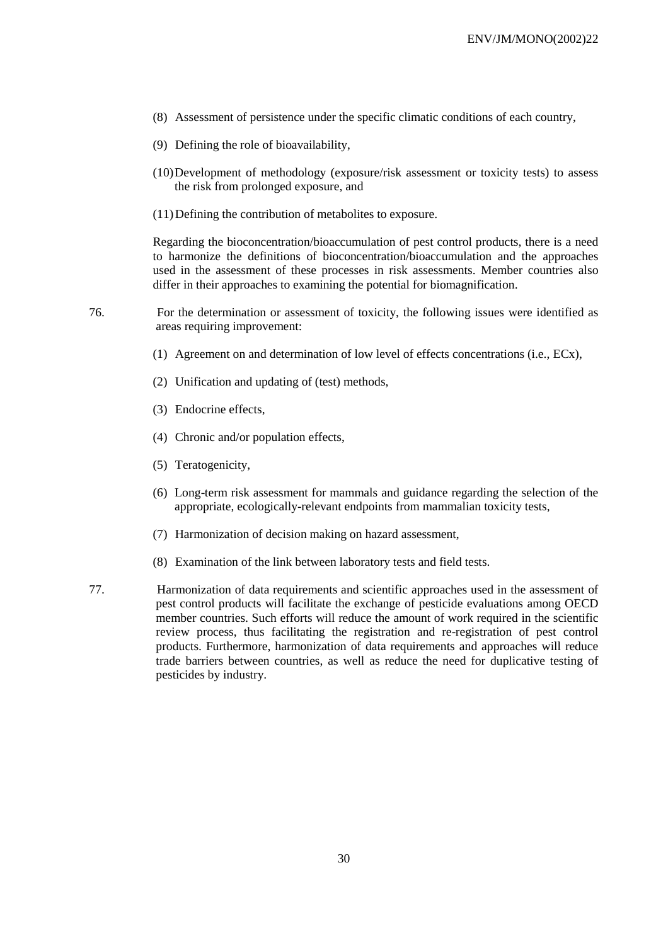- (8) Assessment of persistence under the specific climatic conditions of each country,
- (9) Defining the role of bioavailability,
- (10)Development of methodology (exposure/risk assessment or toxicity tests) to assess the risk from prolonged exposure, and
- (11)Defining the contribution of metabolites to exposure.

Regarding the bioconcentration/bioaccumulation of pest control products, there is a need to harmonize the definitions of bioconcentration/bioaccumulation and the approaches used in the assessment of these processes in risk assessments. Member countries also differ in their approaches to examining the potential for biomagnification.

#### 76. For the determination or assessment of toxicity, the following issues were identified as areas requiring improvement:

- (1) Agreement on and determination of low level of effects concentrations (i.e., ECx),
- (2) Unification and updating of (test) methods,
- (3) Endocrine effects,
- (4) Chronic and/or population effects,
- (5) Teratogenicity,
- (6) Long-term risk assessment for mammals and guidance regarding the selection of the appropriate, ecologically-relevant endpoints from mammalian toxicity tests,
- (7) Harmonization of decision making on hazard assessment,
- (8) Examination of the link between laboratory tests and field tests.
- 77. Harmonization of data requirements and scientific approaches used in the assessment of pest control products will facilitate the exchange of pesticide evaluations among OECD member countries. Such efforts will reduce the amount of work required in the scientific review process, thus facilitating the registration and re-registration of pest control products. Furthermore, harmonization of data requirements and approaches will reduce trade barriers between countries, as well as reduce the need for duplicative testing of pesticides by industry.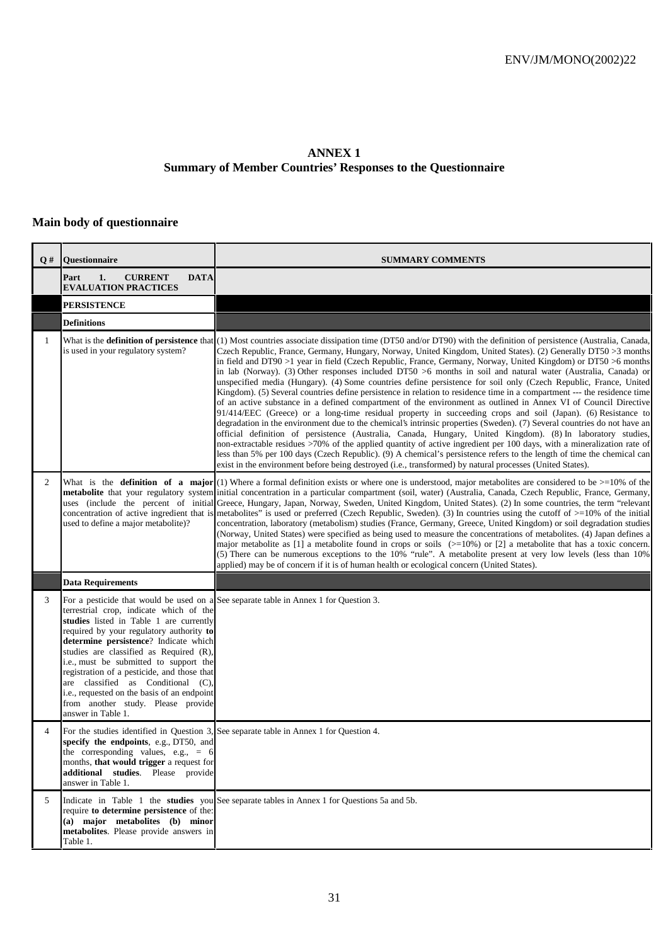#### **ANNEX 1 Summary of Member Countries' Responses to the Questionnaire**

### **Main body of questionnaire**

| $\mathbf{Q}$ # | <b>Ouestionnaire</b>                                                                                                                                                                                                                                                                                                                                                                                                                                         | <b>SUMMARY COMMENTS</b>                                                                                                                                                                                                                                                                                                                                                                                                                                                                                                                                                                                                                                                                                                                                                                                                                                                                                                                                                                                                                                                                                                                                                                                                                                                                                                                                                                                                                                                                                                                                                                                                |
|----------------|--------------------------------------------------------------------------------------------------------------------------------------------------------------------------------------------------------------------------------------------------------------------------------------------------------------------------------------------------------------------------------------------------------------------------------------------------------------|------------------------------------------------------------------------------------------------------------------------------------------------------------------------------------------------------------------------------------------------------------------------------------------------------------------------------------------------------------------------------------------------------------------------------------------------------------------------------------------------------------------------------------------------------------------------------------------------------------------------------------------------------------------------------------------------------------------------------------------------------------------------------------------------------------------------------------------------------------------------------------------------------------------------------------------------------------------------------------------------------------------------------------------------------------------------------------------------------------------------------------------------------------------------------------------------------------------------------------------------------------------------------------------------------------------------------------------------------------------------------------------------------------------------------------------------------------------------------------------------------------------------------------------------------------------------------------------------------------------------|
|                | 1.<br><b>CURRENT</b><br><b>DATA</b><br>Part<br><b>EVALUATION PRACTICES</b>                                                                                                                                                                                                                                                                                                                                                                                   |                                                                                                                                                                                                                                                                                                                                                                                                                                                                                                                                                                                                                                                                                                                                                                                                                                                                                                                                                                                                                                                                                                                                                                                                                                                                                                                                                                                                                                                                                                                                                                                                                        |
|                | PERSISTENCE                                                                                                                                                                                                                                                                                                                                                                                                                                                  |                                                                                                                                                                                                                                                                                                                                                                                                                                                                                                                                                                                                                                                                                                                                                                                                                                                                                                                                                                                                                                                                                                                                                                                                                                                                                                                                                                                                                                                                                                                                                                                                                        |
|                | <b>Definitions</b>                                                                                                                                                                                                                                                                                                                                                                                                                                           |                                                                                                                                                                                                                                                                                                                                                                                                                                                                                                                                                                                                                                                                                                                                                                                                                                                                                                                                                                                                                                                                                                                                                                                                                                                                                                                                                                                                                                                                                                                                                                                                                        |
| $\mathbf{1}$   | is used in your regulatory system?                                                                                                                                                                                                                                                                                                                                                                                                                           | What is the definition of persistence that (1) Most countries associate dissipation time (DT50 and/or DT90) with the definition of persistence (Australia, Canada,<br>Czech Republic, France, Germany, Hungary, Norway, United Kingdom, United States). (2) Generally DT50 >3 months<br>in field and DT90 >1 year in field (Czech Republic, France, Germany, Norway, United Kingdom) or DT50 >6 months<br>in lab (Norway). (3) Other responses included DT50 >6 months in soil and natural water (Australia, Canada) or<br>unspecified media (Hungary). (4) Some countries define persistence for soil only (Czech Republic, France, United<br>Kingdom). (5) Several countries define persistence in relation to residence time in a compartment --- the residence time<br>of an active substance in a defined compartment of the environment as outlined in Annex VI of Council Directive<br>91/414/EEC (Greece) or a long-time residual property in succeeding crops and soil (Japan). (6) Resistance to<br>degradation in the environment due to the chemical's intrinsic properties (Sweden). (7) Several countries do not have an<br>official definition of persistence (Australia, Canada, Hungary, United Kingdom). (8) In laboratory studies,<br>non-extractable residues >70% of the applied quantity of active ingredient per 100 days, with a mineralization rate of<br>less than 5% per 100 days (Czech Republic). (9) A chemical's persistence refers to the length of time the chemical can<br>exist in the environment before being destroyed (i.e., transformed) by natural processes (United States). |
| $\overline{2}$ | used to define a major metabolite)?                                                                                                                                                                                                                                                                                                                                                                                                                          | What is the <b>definition of a major</b> (1) Where a formal definition exists or where one is understood, major metabolites are considered to be $>=10\%$ of the<br>metabolite that your regulatory system initial concentration in a particular compartment (soil, water) (Australia, Canada, Czech Republic, France, Germany,<br>uses (include the percent of initial Greece, Hungary, Japan, Norway, Sweden, United Kingdom, United States). (2) In some countries, the term "relevant<br>concentration of active ingredient that is metabolites" is used or preferred (Czech Republic, Sweden). (3) In countries using the cutoff of $>=$ 10% of the initial<br>concentration, laboratory (metabolism) studies (France, Germany, Greece, United Kingdom) or soil degradation studies<br>(Norway, United States) were specified as being used to measure the concentrations of metabolites. (4) Japan defines a<br>major metabolite as [1] a metabolite found in crops or soils $(>=10\%)$ or [2] a metabolite that has a toxic concern.<br>(5) There can be numerous exceptions to the 10% "rule". A metabolite present at very low levels (less than 10%<br>applied) may be of concern if it is of human health or ecological concern (United States).                                                                                                                                                                                                                                                                                                                                                            |
|                | Data Requirements                                                                                                                                                                                                                                                                                                                                                                                                                                            |                                                                                                                                                                                                                                                                                                                                                                                                                                                                                                                                                                                                                                                                                                                                                                                                                                                                                                                                                                                                                                                                                                                                                                                                                                                                                                                                                                                                                                                                                                                                                                                                                        |
| 3              | terrestrial crop, indicate which of the<br>studies listed in Table 1 are currently<br>required by your regulatory authority to<br>determine persistence? Indicate which<br>studies are classified as Required (R),<br>i.e., must be submitted to support the<br>registration of a pesticide, and those that<br>are classified as Conditional (C),<br>i.e., requested on the basis of an endpoint<br>from another study. Please provide<br>answer in Table 1. | For a pesticide that would be used on a See separate table in Annex 1 for Question 3.                                                                                                                                                                                                                                                                                                                                                                                                                                                                                                                                                                                                                                                                                                                                                                                                                                                                                                                                                                                                                                                                                                                                                                                                                                                                                                                                                                                                                                                                                                                                  |
| 4              | specify the endpoints, e.g., DT50, and<br>the corresponding values, e.g., $= 6$<br>months, that would trigger a request for<br>additional studies. Please provide<br>answer in Table 1.                                                                                                                                                                                                                                                                      | For the studies identified in Question 3, See separate table in Annex 1 for Question 4.                                                                                                                                                                                                                                                                                                                                                                                                                                                                                                                                                                                                                                                                                                                                                                                                                                                                                                                                                                                                                                                                                                                                                                                                                                                                                                                                                                                                                                                                                                                                |
| 5              | require to determine persistence of the:<br>(a) major metabolites (b) minor<br>metabolites. Please provide answers in<br>Table 1.                                                                                                                                                                                                                                                                                                                            | Indicate in Table 1 the studies you See separate tables in Annex 1 for Questions 5a and 5b.                                                                                                                                                                                                                                                                                                                                                                                                                                                                                                                                                                                                                                                                                                                                                                                                                                                                                                                                                                                                                                                                                                                                                                                                                                                                                                                                                                                                                                                                                                                            |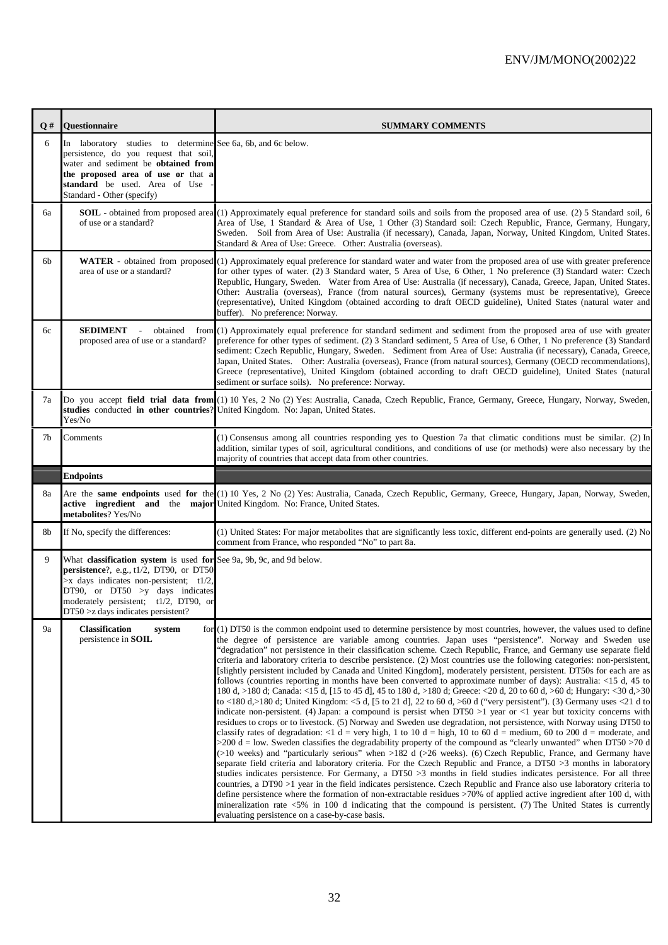| Q# | <b>Ouestionnaire</b>                                                                                                                                                                                                                                                                    | <b>SUMMARY COMMENTS</b>                                                                                                                                                                                                                                                                                                                                                                                                                                                                                                                                                                                                                                                                                                                                                                                                                                                                                                                                                                                                                                                                                                                                                                                                                                                                                                                                                                                                                                                                                                                                                                                                                                                                                                                                                                                                                                                                                                                                                                                                                                                                                                                                                                                                                                                                          |
|----|-----------------------------------------------------------------------------------------------------------------------------------------------------------------------------------------------------------------------------------------------------------------------------------------|--------------------------------------------------------------------------------------------------------------------------------------------------------------------------------------------------------------------------------------------------------------------------------------------------------------------------------------------------------------------------------------------------------------------------------------------------------------------------------------------------------------------------------------------------------------------------------------------------------------------------------------------------------------------------------------------------------------------------------------------------------------------------------------------------------------------------------------------------------------------------------------------------------------------------------------------------------------------------------------------------------------------------------------------------------------------------------------------------------------------------------------------------------------------------------------------------------------------------------------------------------------------------------------------------------------------------------------------------------------------------------------------------------------------------------------------------------------------------------------------------------------------------------------------------------------------------------------------------------------------------------------------------------------------------------------------------------------------------------------------------------------------------------------------------------------------------------------------------------------------------------------------------------------------------------------------------------------------------------------------------------------------------------------------------------------------------------------------------------------------------------------------------------------------------------------------------------------------------------------------------------------------------------------------------|
| 6  | In laboratory studies to determine See 6a, 6b, and 6c below.<br>persistence, do you request that soil,<br>water and sediment be obtained from<br>the proposed area of use or that a<br>standard be used. Area of Use<br>Standard - Other (specify)                                      |                                                                                                                                                                                                                                                                                                                                                                                                                                                                                                                                                                                                                                                                                                                                                                                                                                                                                                                                                                                                                                                                                                                                                                                                                                                                                                                                                                                                                                                                                                                                                                                                                                                                                                                                                                                                                                                                                                                                                                                                                                                                                                                                                                                                                                                                                                  |
| бa | of use or a standard?                                                                                                                                                                                                                                                                   | <b>SOIL</b> - obtained from proposed area (1) Approximately equal preference for standard soils and soils from the proposed area of use. (2) 5 Standard soil, 6<br>Area of Use, 1 Standard & Area of Use, 1 Other (3) Standard soil: Czech Republic, France, Germany, Hungary,<br>Sweden. Soil from Area of Use: Australia (if necessary), Canada, Japan, Norway, United Kingdom, United States.<br>Standard & Area of Use: Greece. Other: Australia (overseas).                                                                                                                                                                                                                                                                                                                                                                                                                                                                                                                                                                                                                                                                                                                                                                                                                                                                                                                                                                                                                                                                                                                                                                                                                                                                                                                                                                                                                                                                                                                                                                                                                                                                                                                                                                                                                                 |
| 6b | area of use or a standard?                                                                                                                                                                                                                                                              | <b>WATER</b> - obtained from proposed (1) Approximately equal preference for standard water and water from the proposed area of use with greater preference<br>for other types of water. (2) 3 Standard water, 5 Area of Use, 6 Other, 1 No preference (3) Standard water: Czech<br>Republic, Hungary, Sweden. Water from Area of Use: Australia (if necessary), Canada, Greece, Japan, United States.<br>Other: Australia (overseas), France (from natural sources), Germany (systems must be representative), Greece<br>(representative), United Kingdom (obtained according to draft OECD guideline), United States (natural water and<br>buffer). No preference: Norway.                                                                                                                                                                                                                                                                                                                                                                                                                                                                                                                                                                                                                                                                                                                                                                                                                                                                                                                                                                                                                                                                                                                                                                                                                                                                                                                                                                                                                                                                                                                                                                                                                     |
| 6с | <b>SEDIMENT</b><br>$\sim 10^{-11}$<br>obtained<br>proposed area of use or a standard?                                                                                                                                                                                                   | from (1) Approximately equal preference for standard sediment and sediment from the proposed area of use with greater<br>preference for other types of sediment. (2) 3 Standard sediment, 5 Area of Use, 6 Other, 1 No preference (3) Standard<br>sediment: Czech Republic, Hungary, Sweden. Sediment from Area of Use: Australia (if necessary), Canada, Greece,<br>Japan, United States. Other: Australia (overseas), France (from natural sources), Germany (OECD recommendations),<br>Greece (representative), United Kingdom (obtained according to draft OECD guideline), United States (natural<br>sediment or surface soils). No preference: Norway.                                                                                                                                                                                                                                                                                                                                                                                                                                                                                                                                                                                                                                                                                                                                                                                                                                                                                                                                                                                                                                                                                                                                                                                                                                                                                                                                                                                                                                                                                                                                                                                                                                     |
| 7a | Yes/No                                                                                                                                                                                                                                                                                  | Do you accept field trial data from (1) 10 Yes, 2 No (2) Yes: Australia, Canada, Czech Republic, France, Germany, Greece, Hungary, Norway, Sweden,<br>studies conducted in other countries? United Kingdom. No: Japan, United States.                                                                                                                                                                                                                                                                                                                                                                                                                                                                                                                                                                                                                                                                                                                                                                                                                                                                                                                                                                                                                                                                                                                                                                                                                                                                                                                                                                                                                                                                                                                                                                                                                                                                                                                                                                                                                                                                                                                                                                                                                                                            |
| 7b | Comments                                                                                                                                                                                                                                                                                | (1) Consensus among all countries responding yes to Question 7a that climatic conditions must be similar. (2) In<br>addition, similar types of soil, agricultural conditions, and conditions of use (or methods) were also necessary by the<br>majority of countries that accept data from other countries.                                                                                                                                                                                                                                                                                                                                                                                                                                                                                                                                                                                                                                                                                                                                                                                                                                                                                                                                                                                                                                                                                                                                                                                                                                                                                                                                                                                                                                                                                                                                                                                                                                                                                                                                                                                                                                                                                                                                                                                      |
|    | <b>Endpoints</b>                                                                                                                                                                                                                                                                        |                                                                                                                                                                                                                                                                                                                                                                                                                                                                                                                                                                                                                                                                                                                                                                                                                                                                                                                                                                                                                                                                                                                                                                                                                                                                                                                                                                                                                                                                                                                                                                                                                                                                                                                                                                                                                                                                                                                                                                                                                                                                                                                                                                                                                                                                                                  |
| 8a | metabolites? Yes/No                                                                                                                                                                                                                                                                     | Are the same endpoints used for the (1) 10 Yes, 2 No (2) Yes: Australia, Canada, Czech Republic, Germany, Greece, Hungary, Japan, Norway, Sweden,<br>active ingredient and the major United Kingdom. No: France, United States.                                                                                                                                                                                                                                                                                                                                                                                                                                                                                                                                                                                                                                                                                                                                                                                                                                                                                                                                                                                                                                                                                                                                                                                                                                                                                                                                                                                                                                                                                                                                                                                                                                                                                                                                                                                                                                                                                                                                                                                                                                                                  |
| 8b | If No, specify the differences:                                                                                                                                                                                                                                                         | (1) United States: For major metabolites that are significantly less toxic, different end-points are generally used. (2) No<br>comment from France, who responded "No" to part 8a.                                                                                                                                                                                                                                                                                                                                                                                                                                                                                                                                                                                                                                                                                                                                                                                                                                                                                                                                                                                                                                                                                                                                                                                                                                                                                                                                                                                                                                                                                                                                                                                                                                                                                                                                                                                                                                                                                                                                                                                                                                                                                                               |
| 9. | What classification system is used for See 9a, 9b, 9c, and 9d below.<br>persistence?, e.g., t1/2, DT90, or DT50<br>$>x$ days indicates non-persistent; $t1/2$ ,<br>DT90, or DT50 $>$ y days indicates<br>moderately persistent; t1/2, DT90, or<br>$DT50 > z$ days indicates persistent? |                                                                                                                                                                                                                                                                                                                                                                                                                                                                                                                                                                                                                                                                                                                                                                                                                                                                                                                                                                                                                                                                                                                                                                                                                                                                                                                                                                                                                                                                                                                                                                                                                                                                                                                                                                                                                                                                                                                                                                                                                                                                                                                                                                                                                                                                                                  |
| 9a | <b>Classification</b><br>system<br>persistence in <b>SOIL</b>                                                                                                                                                                                                                           | for $(1)$ DT50 is the common endpoint used to determine persistence by most countries, however, the values used to define<br>the degree of persistence are variable among countries. Japan uses "persistence". Norway and Sweden use<br>"degradation" not persistence in their classification scheme. Czech Republic, France, and Germany use separate field<br>criteria and laboratory criteria to describe persistence. (2) Most countries use the following categories: non-persistent,<br>[slightly persistent included by Canada and United Kingdom], moderately persistent, persistent. DT50s for each are as<br>follows (countries reporting in months have been converted to approximate number of days): Australia: <15 d, 45 to<br>180 d, >180 d; Canada: <15 d, [15 to 45 d], 45 to 180 d, >180 d; Greece: <20 d, 20 to 60 d, >60 d; Hungary: <30 d,>30<br>to <180 d,>180 d; United Kingdom: <5 d, [5 to 21 d], 22 to 60 d, >60 d ("very persistent"). (3) Germany uses <21 d to<br>indicate non-persistent. (4) Japan: a compound is persist when DT50 >1 year or <1 year but toxicity concerns with<br>residues to crops or to livestock. (5) Norway and Sweden use degradation, not persistence, with Norway using DT50 to<br>classify rates of degradation: <1 d = very high, 1 to 10 d = high, 10 to 60 d = medium, 60 to 200 d = moderate, and<br>$>$ 200 d = low. Sweden classifies the degradability property of the compound as "clearly unwanted" when DT50 $>$ 70 d<br>( $>10$ weeks) and "particularly serious" when $>182$ d ( $>26$ weeks). (6) Czech Republic, France, and Germany have<br>separate field criteria and laboratory criteria. For the Czech Republic and France, a DT50 >3 months in laboratory<br>studies indicates persistence. For Germany, a DT50 $>3$ months in field studies indicates persistence. For all three<br>countries, a DT90 >1 year in the field indicates persistence. Czech Republic and France also use laboratory criteria to<br>define persistence where the formation of non-extractable residues >70% of applied active ingredient after 100 d, with<br>mineralization rate $\lt 5\%$ in 100 d indicating that the compound is persistent. (7) The United States is currently<br>evaluating persistence on a case-by-case basis. |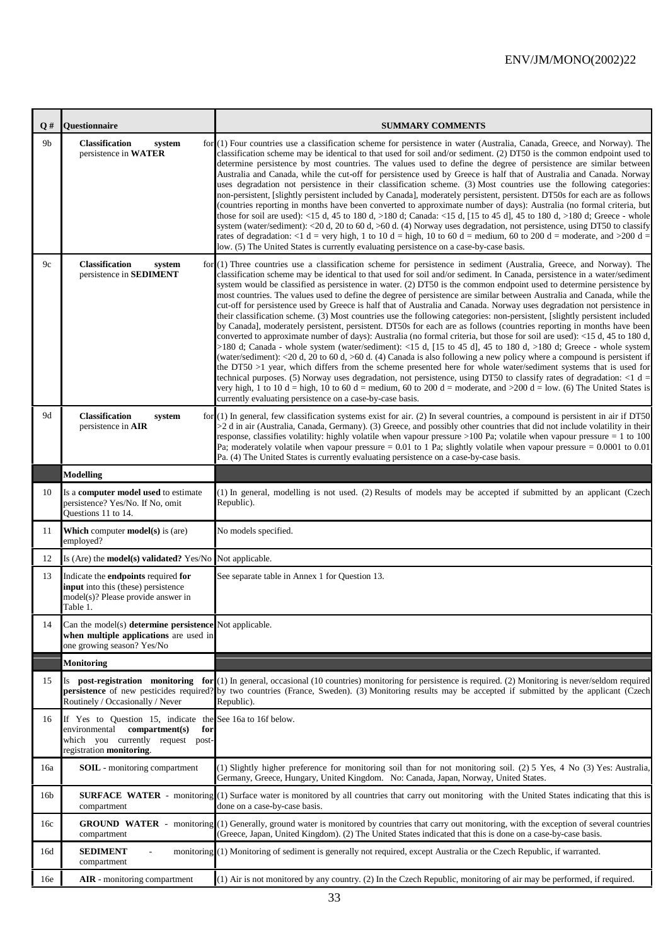| $\mathbf{Q}$ # | <b>Questionnaire</b>                                                                                                                                              | <b>SUMMARY COMMENTS</b>                                                                                                                                                                                                                                                                                                                                                                                                                                                                                                                                                                                                                                                                                                                                                                                                                                                                                                                                                                                                                                                                                                                                                                                                                                                                                                                                                                                                                                                                                                                                                                                                                                                                                               |
|----------------|-------------------------------------------------------------------------------------------------------------------------------------------------------------------|-----------------------------------------------------------------------------------------------------------------------------------------------------------------------------------------------------------------------------------------------------------------------------------------------------------------------------------------------------------------------------------------------------------------------------------------------------------------------------------------------------------------------------------------------------------------------------------------------------------------------------------------------------------------------------------------------------------------------------------------------------------------------------------------------------------------------------------------------------------------------------------------------------------------------------------------------------------------------------------------------------------------------------------------------------------------------------------------------------------------------------------------------------------------------------------------------------------------------------------------------------------------------------------------------------------------------------------------------------------------------------------------------------------------------------------------------------------------------------------------------------------------------------------------------------------------------------------------------------------------------------------------------------------------------------------------------------------------------|
| 9 <sub>b</sub> | <b>Classification</b><br>system<br>persistence in WATER                                                                                                           | for (1) Four countries use a classification scheme for persistence in water (Australia, Canada, Greece, and Norway). The<br>classification scheme may be identical to that used for soil and/or sediment. (2) DT50 is the common endpoint used to<br>determine persistence by most countries. The values used to define the degree of persistence are similar between<br>Australia and Canada, while the cut-off for persistence used by Greece is half that of Australia and Canada. Norway<br>uses degradation not persistence in their classification scheme. (3) Most countries use the following categories:<br>non-persistent, [slightly persistent included by Canada], moderately persistent, persistent. DT50s for each are as follows<br>(countries reporting in months have been converted to approximate number of days): Australia (no formal criteria, but<br>those for soil are used): <15 d, 45 to 180 d, >180 d; Canada: <15 d, [15 to 45 d], 45 to 180 d, >180 d; Greece - whole<br>system (water/sediment): <20 d, 20 to 60 d, >60 d. (4) Norway uses degradation, not persistence, using DT50 to classify<br>rates of degradation: <1 d = very high, 1 to 10 d = high, 10 to 60 d = medium, 60 to 200 d = moderate, and >200 d =<br>low. (5) The United States is currently evaluating persistence on a case-by-case basis.                                                                                                                                                                                                                                                                                                                                                                       |
| 9c             | <b>Classification</b><br>system<br>persistence in SEDIMENT                                                                                                        | for (1) Three countries use a classification scheme for persistence in sediment (Australia, Greece, and Norway). The<br>classification scheme may be identical to that used for soil and/or sediment. In Canada, persistence in a water/sediment<br>system would be classified as persistence in water. (2) DT50 is the common endpoint used to determine persistence by<br>most countries. The values used to define the degree of persistence are similar between Australia and Canada, while the<br>cut-off for persistence used by Greece is half that of Australia and Canada. Norway uses degradation not persistence in<br>their classification scheme. (3) Most countries use the following categories: non-persistent, [slightly persistent included<br>by Canada], moderately persistent, persistent. DT50s for each are as follows (countries reporting in months have been<br>converted to approximate number of days): Australia (no formal criteria, but those for soil are used): <15 d, 45 to 180 d,<br>>180 d; Canada - whole system (water/sediment): <15 d, [15 to 45 d], 45 to 180 d, >180 d; Greece - whole system<br>(water/sediment): <20 d, 20 to 60 d, >60 d. (4) Canada is also following a new policy where a compound is persistent if<br>the DT50 $>1$ year, which differs from the scheme presented here for whole water/sediment systems that is used for<br>technical purposes. (5) Norway uses degradation, not persistence, using DT50 to classify rates of degradation: $\langle 1 \rangle$ =<br>very high, 1 to 10 d = high, 10 to 60 d = medium, 60 to 200 d = moderate, and >200 d = low. (6) The United States is<br>currently evaluating persistence on a case-by-case basis. |
| 9d             | <b>Classification</b><br>system<br>persistence in AIR                                                                                                             | for $(1)$ In general, few classification systems exist for air. (2) In several countries, a compound is persistent in air if DT50<br>>2 d in air (Australia, Canada, Germany). (3) Greece, and possibly other countries that did not include volatility in their<br>response, classifies volatility: highly volatile when vapour pressure $>100$ Pa; volatile when vapour pressure = 1 to 100<br>Pa; moderately volatile when vapour pressure = 0.01 to 1 Pa; slightly volatile when vapour pressure = 0.0001 to 0.01<br>Pa. (4) The United States is currently evaluating persistence on a case-by-case basis.                                                                                                                                                                                                                                                                                                                                                                                                                                                                                                                                                                                                                                                                                                                                                                                                                                                                                                                                                                                                                                                                                                       |
|                | <b>Modelling</b>                                                                                                                                                  |                                                                                                                                                                                                                                                                                                                                                                                                                                                                                                                                                                                                                                                                                                                                                                                                                                                                                                                                                                                                                                                                                                                                                                                                                                                                                                                                                                                                                                                                                                                                                                                                                                                                                                                       |
| 10             | Is a <b>computer model used</b> to estimate<br>persistence? Yes/No. If No, omit<br>Ouestions 11 to 14.                                                            | (1) In general, modelling is not used. (2) Results of models may be accepted if submitted by an applicant (Czech<br>Republic).                                                                                                                                                                                                                                                                                                                                                                                                                                                                                                                                                                                                                                                                                                                                                                                                                                                                                                                                                                                                                                                                                                                                                                                                                                                                                                                                                                                                                                                                                                                                                                                        |
| 11             | Which computer $model(s)$ is (are)<br>employed?                                                                                                                   | No models specified.                                                                                                                                                                                                                                                                                                                                                                                                                                                                                                                                                                                                                                                                                                                                                                                                                                                                                                                                                                                                                                                                                                                                                                                                                                                                                                                                                                                                                                                                                                                                                                                                                                                                                                  |
| 12             | Is (Are) the <b>model(s)</b> validated? Yes/No Not applicable.                                                                                                    |                                                                                                                                                                                                                                                                                                                                                                                                                                                                                                                                                                                                                                                                                                                                                                                                                                                                                                                                                                                                                                                                                                                                                                                                                                                                                                                                                                                                                                                                                                                                                                                                                                                                                                                       |
| 13             | Indicate the <b>endpoints</b> required for<br>input into this (these) persistence<br>model(s)? Please provide answer in<br>Table 1.                               | See separate table in Annex 1 for Question 13.                                                                                                                                                                                                                                                                                                                                                                                                                                                                                                                                                                                                                                                                                                                                                                                                                                                                                                                                                                                                                                                                                                                                                                                                                                                                                                                                                                                                                                                                                                                                                                                                                                                                        |
| 14             | Can the model(s) determine persistence Not applicable.<br>when multiple applications are used in<br>one growing season? Yes/No                                    |                                                                                                                                                                                                                                                                                                                                                                                                                                                                                                                                                                                                                                                                                                                                                                                                                                                                                                                                                                                                                                                                                                                                                                                                                                                                                                                                                                                                                                                                                                                                                                                                                                                                                                                       |
|                | <b>Monitoring</b>                                                                                                                                                 |                                                                                                                                                                                                                                                                                                                                                                                                                                                                                                                                                                                                                                                                                                                                                                                                                                                                                                                                                                                                                                                                                                                                                                                                                                                                                                                                                                                                                                                                                                                                                                                                                                                                                                                       |
| 15             | Is<br>Routinely / Occasionally / Never                                                                                                                            | post-registration monitoring for (1) In general, occasional (10 countries) monitoring for persistence is required. (2) Monitoring is never/seldom required<br><b>persistence</b> of new pesticides required? by two countries (France, Sweden). (3) Monitoring results may be accepted if submitted by the applicant (Czech<br>Republic).                                                                                                                                                                                                                                                                                                                                                                                                                                                                                                                                                                                                                                                                                                                                                                                                                                                                                                                                                                                                                                                                                                                                                                                                                                                                                                                                                                             |
| 16             | If Yes to Question 15, indicate the See 16a to 16f below.<br>environmental compartment(s)<br>for<br>which you currently request post-<br>registration monitoring. |                                                                                                                                                                                                                                                                                                                                                                                                                                                                                                                                                                                                                                                                                                                                                                                                                                                                                                                                                                                                                                                                                                                                                                                                                                                                                                                                                                                                                                                                                                                                                                                                                                                                                                                       |
| 16a            | <b>SOIL</b> - monitoring compartment                                                                                                                              | (1) Slightly higher preference for monitoring soil than for not monitoring soil. (2) 5 Yes, 4 No (3) Yes: Australia,<br>Germany, Greece, Hungary, United Kingdom. No: Canada, Japan, Norway, United States.                                                                                                                                                                                                                                                                                                                                                                                                                                                                                                                                                                                                                                                                                                                                                                                                                                                                                                                                                                                                                                                                                                                                                                                                                                                                                                                                                                                                                                                                                                           |
| 16b            | compartment                                                                                                                                                       | <b>SURFACE WATER</b> - monitoring (1) Surface water is monitored by all countries that carry out monitoring with the United States indicating that this is<br>done on a case-by-case basis.                                                                                                                                                                                                                                                                                                                                                                                                                                                                                                                                                                                                                                                                                                                                                                                                                                                                                                                                                                                                                                                                                                                                                                                                                                                                                                                                                                                                                                                                                                                           |
| 16c            | compartment                                                                                                                                                       | <b>GROUND</b> WATER - monitoring (1) Generally, ground water is monitored by countries that carry out monitoring, with the exception of several countries<br>(Greece, Japan, United Kingdom). (2) The United States indicated that this is done on a case-by-case basis.                                                                                                                                                                                                                                                                                                                                                                                                                                                                                                                                                                                                                                                                                                                                                                                                                                                                                                                                                                                                                                                                                                                                                                                                                                                                                                                                                                                                                                              |
| 16d            | <b>SEDIMENT</b><br>compartment                                                                                                                                    | monitoring (1) Monitoring of sediment is generally not required, except Australia or the Czech Republic, if warranted.                                                                                                                                                                                                                                                                                                                                                                                                                                                                                                                                                                                                                                                                                                                                                                                                                                                                                                                                                                                                                                                                                                                                                                                                                                                                                                                                                                                                                                                                                                                                                                                                |
| 16e            | AIR - monitoring compartment                                                                                                                                      | (1) Air is not monitored by any country. (2) In the Czech Republic, monitoring of air may be performed, if required.                                                                                                                                                                                                                                                                                                                                                                                                                                                                                                                                                                                                                                                                                                                                                                                                                                                                                                                                                                                                                                                                                                                                                                                                                                                                                                                                                                                                                                                                                                                                                                                                  |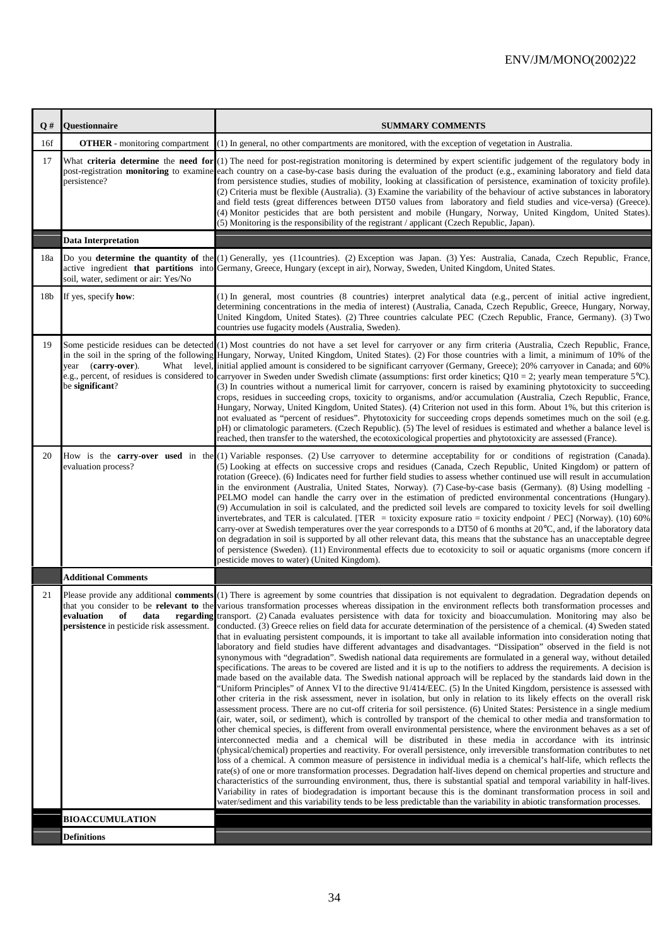| Q#  | <b>Ouestionnaire</b>                                                         | <b>SUMMARY COMMENTS</b>                                                                                                                                                                                                                                                                                                                                                                                                                                                                                                                                                                                                                                                                                                                                                                                                                                                                                                                                                                                                                                                                                                                                                                                                                                                                                                                                                                                                                                                                                                                                                                                                                                                                                                                                                                                                                                                                                                                                                                                                                                                                                                                                                                                                                                                                                                                                                                                                                                                                                                                                                                                                                                                                                                                   |
|-----|------------------------------------------------------------------------------|-------------------------------------------------------------------------------------------------------------------------------------------------------------------------------------------------------------------------------------------------------------------------------------------------------------------------------------------------------------------------------------------------------------------------------------------------------------------------------------------------------------------------------------------------------------------------------------------------------------------------------------------------------------------------------------------------------------------------------------------------------------------------------------------------------------------------------------------------------------------------------------------------------------------------------------------------------------------------------------------------------------------------------------------------------------------------------------------------------------------------------------------------------------------------------------------------------------------------------------------------------------------------------------------------------------------------------------------------------------------------------------------------------------------------------------------------------------------------------------------------------------------------------------------------------------------------------------------------------------------------------------------------------------------------------------------------------------------------------------------------------------------------------------------------------------------------------------------------------------------------------------------------------------------------------------------------------------------------------------------------------------------------------------------------------------------------------------------------------------------------------------------------------------------------------------------------------------------------------------------------------------------------------------------------------------------------------------------------------------------------------------------------------------------------------------------------------------------------------------------------------------------------------------------------------------------------------------------------------------------------------------------------------------------------------------------------------------------------------------------|
| 16f |                                                                              | <b>OTHER</b> - monitoring compartment (1) In general, no other compartments are monitored, with the exception of vegetation in Australia.                                                                                                                                                                                                                                                                                                                                                                                                                                                                                                                                                                                                                                                                                                                                                                                                                                                                                                                                                                                                                                                                                                                                                                                                                                                                                                                                                                                                                                                                                                                                                                                                                                                                                                                                                                                                                                                                                                                                                                                                                                                                                                                                                                                                                                                                                                                                                                                                                                                                                                                                                                                                 |
| 17  | persistence?                                                                 | What criteria determine the need for $(1)$ The need for post-registration monitoring is determined by expert scientific judgement of the regulatory body in<br>post-registration monitoring to examine each country on a case-by-case basis during the evaluation of the product (e.g., examining laboratory and field data<br>from persistence studies, studies of mobility, looking at classification of persistence, examination of toxicity profile).<br>(2) Criteria must be flexible (Australia). (3) Examine the variability of the behaviour of active substances in laboratory<br>and field tests (great differences between DT50 values from laboratory and field studies and vice-versa) (Greece).<br>(4) Monitor pesticides that are both persistent and mobile (Hungary, Norway, United Kingdom, United States).<br>(5) Monitoring is the responsibility of the registrant / applicant (Czech Republic, Japan).                                                                                                                                                                                                                                                                                                                                                                                                                                                                                                                                                                                                                                                                                                                                                                                                                                                                                                                                                                                                                                                                                                                                                                                                                                                                                                                                                                                                                                                                                                                                                                                                                                                                                                                                                                                                              |
|     | <b>Data Interpretation</b>                                                   |                                                                                                                                                                                                                                                                                                                                                                                                                                                                                                                                                                                                                                                                                                                                                                                                                                                                                                                                                                                                                                                                                                                                                                                                                                                                                                                                                                                                                                                                                                                                                                                                                                                                                                                                                                                                                                                                                                                                                                                                                                                                                                                                                                                                                                                                                                                                                                                                                                                                                                                                                                                                                                                                                                                                           |
| 18a | soil, water, sediment or air: Yes/No                                         | Do you determine the quantity of the (1) Generally, yes (11 countries). (2) Exception was Japan. (3) Yes: Australia, Canada, Czech Republic, France,<br>active ingredient that partitions into Germany, Greece, Hungary (except in air), Norway, Sweden, United Kingdom, United States.                                                                                                                                                                                                                                                                                                                                                                                                                                                                                                                                                                                                                                                                                                                                                                                                                                                                                                                                                                                                                                                                                                                                                                                                                                                                                                                                                                                                                                                                                                                                                                                                                                                                                                                                                                                                                                                                                                                                                                                                                                                                                                                                                                                                                                                                                                                                                                                                                                                   |
| 18b | If yes, specify how:                                                         | (1) In general, most countries (8 countries) interpret analytical data (e.g., percent of initial active ingredient,<br>determining concentrations in the media of interest) (Australia, Canada, Czech Republic, Greece, Hungary, Norway,<br>United Kingdom, United States). (2) Three countries calculate PEC (Czech Republic, France, Germany). (3) Two<br>countries use fugacity models (Australia, Sweden).                                                                                                                                                                                                                                                                                                                                                                                                                                                                                                                                                                                                                                                                                                                                                                                                                                                                                                                                                                                                                                                                                                                                                                                                                                                                                                                                                                                                                                                                                                                                                                                                                                                                                                                                                                                                                                                                                                                                                                                                                                                                                                                                                                                                                                                                                                                            |
| 19  | (carry-over).<br>year<br>What<br>be significant?                             | Some pesticide residues can be detected (1) Most countries do not have a set level for carryover or any firm criteria (Australia, Czech Republic, France,<br>in the soil in the spring of the following Hungary, Norway, United Kingdom, United States). (2) For those countries with a limit, a minimum of 10% of the<br>level, initial applied amount is considered to be significant carryover (Germany, Greece); 20% carryover in Canada; and 60%<br>e.g., percent, of residues is considered to carryover in Sweden under Swedish climate (assumptions: first order kinetics; $Q10 = 2$ ; yearly mean temperature $5^{\circ}$ C).<br>(3) In countries without a numerical limit for carryover, concern is raised by examining phytotoxicity to succeeding<br>crops, residues in succeeding crops, toxicity to organisms, and/or accumulation (Australia, Czech Republic, France,<br>Hungary, Norway, United Kingdom, United States). (4) Criterion not used in this form. About 1%, but this criterion is<br>not evaluated as "percent of residues". Phytotoxicity for succeeding crops depends sometimes much on the soil (e.g.<br>pH) or climatologic parameters. (Czech Republic). (5) The level of residues is estimated and whether a balance level is<br>reached, then transfer to the watershed, the ecotoxicological properties and phytotoxicity are assessed (France).                                                                                                                                                                                                                                                                                                                                                                                                                                                                                                                                                                                                                                                                                                                                                                                                                                                                                                                                                                                                                                                                                                                                                                                                                                                                                                                                                     |
| 20  | evaluation process?                                                          | How is the carry-over used in the (1) Variable responses. (2) Use carryover to determine acceptability for or conditions of registration (Canada).<br>(5) Looking at effects on successive crops and residues (Canada, Czech Republic, United Kingdom) or pattern of<br>rotation (Greece). (6) Indicates need for further field studies to assess whether continued use will result in accumulation<br>in the environment (Australia, United States, Norway). (7) Case-by-case basis (Germany). (8) Using modelling<br>PELMO model can handle the carry over in the estimation of predicted environmental concentrations (Hungary).<br>(9) Accumulation in soil is calculated, and the predicted soil levels are compared to toxicity levels for soil dwelling<br>invertebrates, and TER is calculated. [TER = toxicity exposure ratio = toxicity endpoint / PEC] (Norway). (10) 60%<br>carry-over at Swedish temperatures over the year corresponds to a DT50 of 6 months at 20°C, and, if the laboratory data<br>on degradation in soil is supported by all other relevant data, this means that the substance has an unacceptable degree<br>of persistence (Sweden). (11) Environmental effects due to ecotoxicity to soil or aquatic organisms (more concern if<br>pesticide moves to water) (United Kingdom).                                                                                                                                                                                                                                                                                                                                                                                                                                                                                                                                                                                                                                                                                                                                                                                                                                                                                                                                                                                                                                                                                                                                                                                                                                                                                                                                                                                                                        |
|     | <b>Additional Comments</b>                                                   |                                                                                                                                                                                                                                                                                                                                                                                                                                                                                                                                                                                                                                                                                                                                                                                                                                                                                                                                                                                                                                                                                                                                                                                                                                                                                                                                                                                                                                                                                                                                                                                                                                                                                                                                                                                                                                                                                                                                                                                                                                                                                                                                                                                                                                                                                                                                                                                                                                                                                                                                                                                                                                                                                                                                           |
| 21  | evaluation<br>of<br>data<br><b>persistence</b> in pesticide risk assessment. | Please provide any additional comments (1) There is agreement by some countries that dissipation is not equivalent to degradation. Degradation depends on<br>that you consider to be relevant to the various transformation processes whereas dissipation in the environment reflects both transformation processes and<br>regarding transport. (2) Canada evaluates persistence with data for toxicity and bioaccumulation. Monitoring may also be<br>conducted. (3) Greece relies on field data for accurate determination of the persistence of a chemical. (4) Sweden stated<br>that in evaluating persistent compounds, it is important to take all available information into consideration noting that<br>laboratory and field studies have different advantages and disadvantages. "Dissipation" observed in the field is not<br>synonymous with "degradation". Swedish national data requirements are formulated in a general way, without detailed<br>specifications. The areas to be covered are listed and it is up to the notifiers to address the requirements. A decision is<br>made based on the available data. The Swedish national approach will be replaced by the standards laid down in the<br>"Uniform Principles" of Annex VI to the directive 91/414/EEC. (5) In the United Kingdom, persistence is assessed with<br>other criteria in the risk assessment, never in isolation, but only in relation to its likely effects on the overall risk<br>assessment process. There are no cut-off criteria for soil persistence. (6) United States: Persistence in a single medium<br>(air, water, soil, or sediment), which is controlled by transport of the chemical to other media and transformation to<br>other chemical species, is different from overall environmental persistence, where the environment behaves as a set of<br>interconnected media and a chemical will be distributed in these media in accordance with its intrinsic<br>(physical/chemical) properties and reactivity. For overall persistence, only irreversible transformation contributes to net<br>loss of a chemical. A common measure of persistence in individual media is a chemical's half-life, which reflects the<br>rate(s) of one or more transformation processes. Degradation half-lives depend on chemical properties and structure and<br>characteristics of the surrounding environment, thus, there is substantial spatial and temporal variability in half-lives.<br>Variability in rates of biodegradation is important because this is the dominant transformation process in soil and<br>water/sediment and this variability tends to be less predictable than the variability in abiotic transformation processes. |
|     | <b>BIOACCUMULATION</b>                                                       |                                                                                                                                                                                                                                                                                                                                                                                                                                                                                                                                                                                                                                                                                                                                                                                                                                                                                                                                                                                                                                                                                                                                                                                                                                                                                                                                                                                                                                                                                                                                                                                                                                                                                                                                                                                                                                                                                                                                                                                                                                                                                                                                                                                                                                                                                                                                                                                                                                                                                                                                                                                                                                                                                                                                           |
|     | <b>Definitions</b>                                                           |                                                                                                                                                                                                                                                                                                                                                                                                                                                                                                                                                                                                                                                                                                                                                                                                                                                                                                                                                                                                                                                                                                                                                                                                                                                                                                                                                                                                                                                                                                                                                                                                                                                                                                                                                                                                                                                                                                                                                                                                                                                                                                                                                                                                                                                                                                                                                                                                                                                                                                                                                                                                                                                                                                                                           |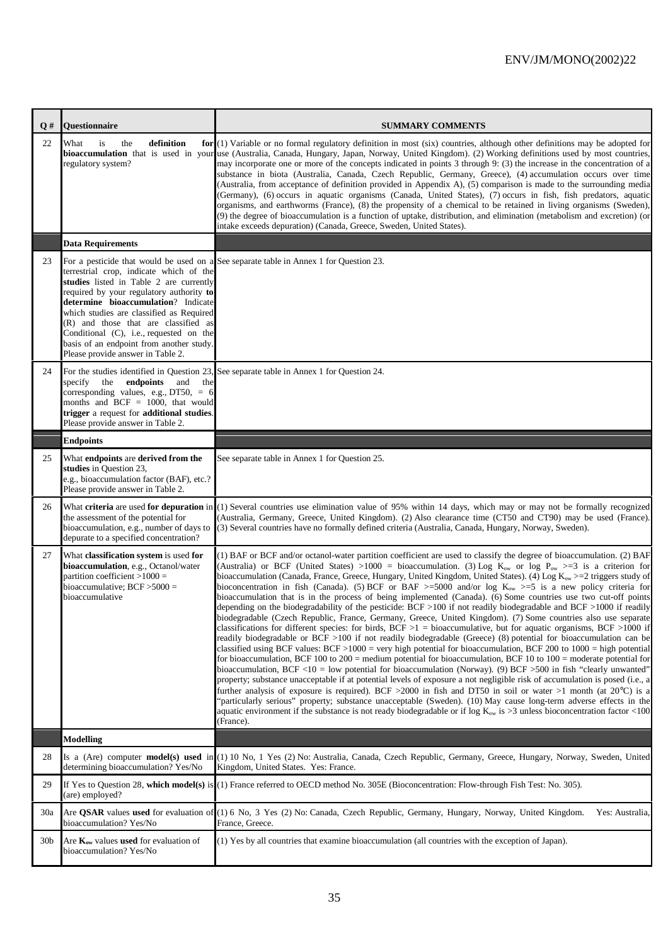| $\mathbf{Q}$ #  | <b>Ouestionnaire</b>                                                                                                                                                                                                                                                                                                                                                                  | <b>SUMMARY COMMENTS</b>                                                                                                                                                                                                                                                                                                                                                                                                                                                                                                                                                                                                                                                                                                                                                                                                                                                                                                                                                                                                                                                                                                                                                                                                                                                                                                                                                                                                                                                                                                                                                                                                                                                                                                                                                                                                                                                                                                                                                                                                         |
|-----------------|---------------------------------------------------------------------------------------------------------------------------------------------------------------------------------------------------------------------------------------------------------------------------------------------------------------------------------------------------------------------------------------|---------------------------------------------------------------------------------------------------------------------------------------------------------------------------------------------------------------------------------------------------------------------------------------------------------------------------------------------------------------------------------------------------------------------------------------------------------------------------------------------------------------------------------------------------------------------------------------------------------------------------------------------------------------------------------------------------------------------------------------------------------------------------------------------------------------------------------------------------------------------------------------------------------------------------------------------------------------------------------------------------------------------------------------------------------------------------------------------------------------------------------------------------------------------------------------------------------------------------------------------------------------------------------------------------------------------------------------------------------------------------------------------------------------------------------------------------------------------------------------------------------------------------------------------------------------------------------------------------------------------------------------------------------------------------------------------------------------------------------------------------------------------------------------------------------------------------------------------------------------------------------------------------------------------------------------------------------------------------------------------------------------------------------|
| 22              | What<br>definition<br>the<br>is<br>regulatory system?                                                                                                                                                                                                                                                                                                                                 | $for(1)$ Variable or no formal regulatory definition in most (six) countries, although other definitions may be adopted for<br>bioaccumulation that is used in your use (Australia, Canada, Hungary, Japan, Norway, United Kingdom). (2) Working definitions used by most countries,<br>may incorporate one or more of the concepts indicated in points 3 through 9: (3) the increase in the concentration of a<br>substance in biota (Australia, Canada, Czech Republic, Germany, Greece), (4) accumulation occurs over time<br>(Australia, from acceptance of definition provided in Appendix A), (5) comparison is made to the surrounding media<br>(Germany), (6) occurs in aquatic organisms (Canada, United States), (7) occurs in fish, fish predators, aquatic<br>organisms, and earthworms (France), (8) the propensity of a chemical to be retained in living organisms (Sweden),<br>(9) the degree of bioaccumulation is a function of uptake, distribution, and elimination (metabolism and excretion) (or<br>intake exceeds depuration) (Canada, Greece, Sweden, United States).                                                                                                                                                                                                                                                                                                                                                                                                                                                                                                                                                                                                                                                                                                                                                                                                                                                                                                                                   |
|                 | <b>Data Requirements</b>                                                                                                                                                                                                                                                                                                                                                              |                                                                                                                                                                                                                                                                                                                                                                                                                                                                                                                                                                                                                                                                                                                                                                                                                                                                                                                                                                                                                                                                                                                                                                                                                                                                                                                                                                                                                                                                                                                                                                                                                                                                                                                                                                                                                                                                                                                                                                                                                                 |
| 23              | terrestrial crop, indicate which of the<br>studies listed in Table 2 are currently<br>required by your regulatory authority to<br>determine bioaccumulation? Indicate<br>which studies are classified as Required<br>(R) and those that are classified as<br>Conditional (C), i.e., requested on the<br>basis of an endpoint from another study.<br>Please provide answer in Table 2. | For a pesticide that would be used on a See separate table in Annex 1 for Question 23.                                                                                                                                                                                                                                                                                                                                                                                                                                                                                                                                                                                                                                                                                                                                                                                                                                                                                                                                                                                                                                                                                                                                                                                                                                                                                                                                                                                                                                                                                                                                                                                                                                                                                                                                                                                                                                                                                                                                          |
| 24              | specify the<br>endpoints<br>and<br>the<br>corresponding values, e.g., $DT50$ , = 6<br>months and BCF $= 1000$ , that would<br>trigger a request for additional studies.<br>Please provide answer in Table 2.                                                                                                                                                                          | For the studies identified in Question 23, See separate table in Annex 1 for Question 24.                                                                                                                                                                                                                                                                                                                                                                                                                                                                                                                                                                                                                                                                                                                                                                                                                                                                                                                                                                                                                                                                                                                                                                                                                                                                                                                                                                                                                                                                                                                                                                                                                                                                                                                                                                                                                                                                                                                                       |
|                 | <b>Endpoints</b>                                                                                                                                                                                                                                                                                                                                                                      |                                                                                                                                                                                                                                                                                                                                                                                                                                                                                                                                                                                                                                                                                                                                                                                                                                                                                                                                                                                                                                                                                                                                                                                                                                                                                                                                                                                                                                                                                                                                                                                                                                                                                                                                                                                                                                                                                                                                                                                                                                 |
| 25              | What endpoints are derived from the<br>studies in Question 23,<br>e.g., bioaccumulation factor (BAF), etc.?<br>Please provide answer in Table 2.                                                                                                                                                                                                                                      | See separate table in Annex 1 for Question 25.                                                                                                                                                                                                                                                                                                                                                                                                                                                                                                                                                                                                                                                                                                                                                                                                                                                                                                                                                                                                                                                                                                                                                                                                                                                                                                                                                                                                                                                                                                                                                                                                                                                                                                                                                                                                                                                                                                                                                                                  |
| 26              | the assessment of the potential for<br>bioaccumulation, e.g., number of days to<br>depurate to a specified concentration?                                                                                                                                                                                                                                                             | What criteria are used for depuration in (1) Several countries use elimination value of 95% within 14 days, which may or may not be formally recognized<br>(Australia, Germany, Greece, United Kingdom). (2) Also clearance time (CT50 and CT90) may be used (France).<br>(3) Several countries have no formally defined criteria (Australia, Canada, Hungary, Norway, Sweden).                                                                                                                                                                                                                                                                                                                                                                                                                                                                                                                                                                                                                                                                                                                                                                                                                                                                                                                                                                                                                                                                                                                                                                                                                                                                                                                                                                                                                                                                                                                                                                                                                                                 |
| 27              | What classification system is used for<br>bioaccumulation, e.g., Octanol/water<br>partition coefficient $>1000 =$<br>bioaccumulative; $BCF > 5000 =$<br>bioaccumulative                                                                                                                                                                                                               | (1) BAF or BCF and/or octanol-water partition coefficient are used to classify the degree of bioaccumulation. (2) BAF<br>(Australia) or BCF (United States) >1000 = bioaccumulation. (3) Log $K_{ow}$ or log $P_{ow}$ >=3 is a criterion for<br>bioaccumulation (Canada, France, Greece, Hungary, United Kingdom, United States). (4) Log $K_{ow}$ >=2 triggers study of<br>bioconcentration in fish (Canada). (5) BCF or BAF >=5000 and/or log $K_{ow}$ >=5 is a new policy criteria for<br>bioaccumulation that is in the process of being implemented (Canada). (6) Some countries use two cut-off points<br>depending on the biodegradability of the pesticide: $BCF > 100$ if not readily biodegradable and $BCF > 1000$ if readily<br>biodegradable (Czech Republic, France, Germany, Greece, United Kingdom). (7) Some countries also use separate<br>classifications for different species: for birds, $BCF > 1 = bioaccumulative$ , but for aquatic organisms, $BCF > 1000$ if<br>readily biodegradable or $BCF > 100$ if not readily biodegradable (Greece) (8) potential for bioaccumulation can be<br>classified using BCF values: $BCF > 1000$ = very high potential for bioaccumulation, BCF 200 to 1000 = high potential<br>for bioaccumulation, BCF 100 to $200$ = medium potential for bioaccumulation, BCF 10 to $100$ = moderate potential for<br>bioaccumulation, $BCF < 10 =$ low potential for bioaccumulation (Norway). (9) $BCF > 500$ in fish "clearly unwanted"<br>property; substance unacceptable if at potential levels of exposure a not negligible risk of accumulation is posed (i.e., a<br>further analysis of exposure is required). BCF > 2000 in fish and DT50 in soil or water >1 month (at $20^{\circ}$ C) is a<br>"particularly serious" property; substance unacceptable (Sweden). (10) May cause long-term adverse effects in the<br>aquatic environment if the substance is not ready biodegradable or if $\log K_{\text{ow}}$ is >3 unless bioconcentration factor <100<br>(France). |
|                 | <b>Modelling</b>                                                                                                                                                                                                                                                                                                                                                                      |                                                                                                                                                                                                                                                                                                                                                                                                                                                                                                                                                                                                                                                                                                                                                                                                                                                                                                                                                                                                                                                                                                                                                                                                                                                                                                                                                                                                                                                                                                                                                                                                                                                                                                                                                                                                                                                                                                                                                                                                                                 |
| 28              | determining bioaccumulation? Yes/No                                                                                                                                                                                                                                                                                                                                                   | Is a (Are) computer <b>model(s)</b> used in (1) 10 No, 1 Yes (2) No: Australia, Canada, Czech Republic, Germany, Greece, Hungary, Norway, Sweden, United<br>Kingdom, United States. Yes: France.                                                                                                                                                                                                                                                                                                                                                                                                                                                                                                                                                                                                                                                                                                                                                                                                                                                                                                                                                                                                                                                                                                                                                                                                                                                                                                                                                                                                                                                                                                                                                                                                                                                                                                                                                                                                                                |
| 29              | (are) employed?                                                                                                                                                                                                                                                                                                                                                                       | If Yes to Question 28, which model(s) is (1) France referred to OECD method No. 305E (Bioconcentration: Flow-through Fish Test: No. 305).                                                                                                                                                                                                                                                                                                                                                                                                                                                                                                                                                                                                                                                                                                                                                                                                                                                                                                                                                                                                                                                                                                                                                                                                                                                                                                                                                                                                                                                                                                                                                                                                                                                                                                                                                                                                                                                                                       |
| 30a             | bioaccumulation? Yes/No                                                                                                                                                                                                                                                                                                                                                               | Are QSAR values used for evaluation of (1) 6 No, 3 Yes (2) No: Canada, Czech Republic, Germany, Hungary, Norway, United Kingdom.<br>Yes: Australia,<br>France, Greece.                                                                                                                                                                                                                                                                                                                                                                                                                                                                                                                                                                                                                                                                                                                                                                                                                                                                                                                                                                                                                                                                                                                                                                                                                                                                                                                                                                                                                                                                                                                                                                                                                                                                                                                                                                                                                                                          |
| 30 <sub>b</sub> | Are $\mathbf{K}_{ow}$ values used for evaluation of<br>bioaccumulation? Yes/No                                                                                                                                                                                                                                                                                                        | (1) Yes by all countries that examine bioaccumulation (all countries with the exception of Japan).                                                                                                                                                                                                                                                                                                                                                                                                                                                                                                                                                                                                                                                                                                                                                                                                                                                                                                                                                                                                                                                                                                                                                                                                                                                                                                                                                                                                                                                                                                                                                                                                                                                                                                                                                                                                                                                                                                                              |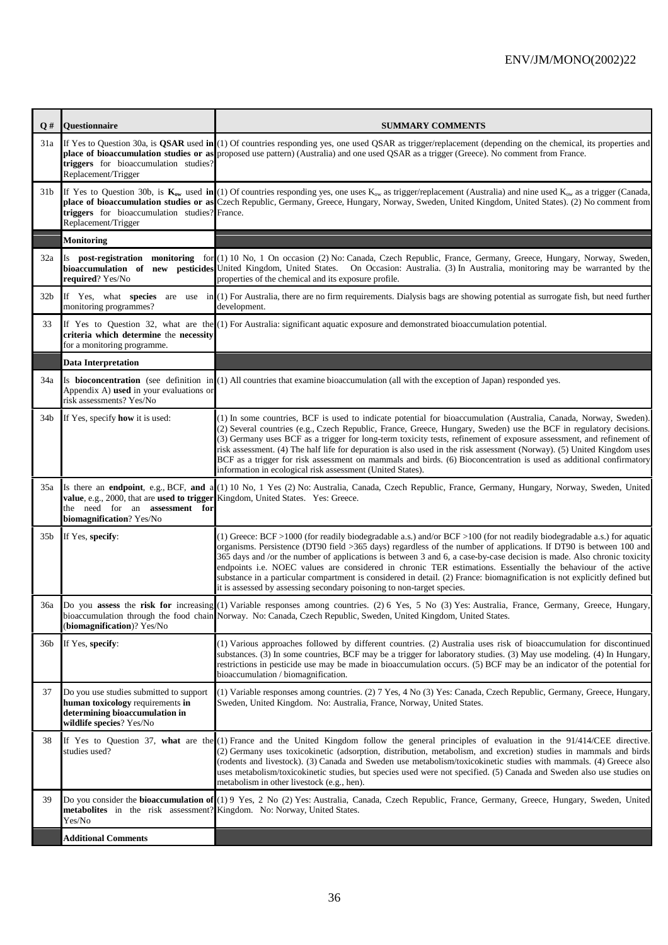| $\mathbf{Q}$ #  | Questionnaire                                                                                                                                  | <b>SUMMARY COMMENTS</b>                                                                                                                                                                                                                                                                                                                                                                                                                                                                                                                                                                                                                                                                         |
|-----------------|------------------------------------------------------------------------------------------------------------------------------------------------|-------------------------------------------------------------------------------------------------------------------------------------------------------------------------------------------------------------------------------------------------------------------------------------------------------------------------------------------------------------------------------------------------------------------------------------------------------------------------------------------------------------------------------------------------------------------------------------------------------------------------------------------------------------------------------------------------|
| 31a             | triggers for bioaccumulation studies?<br>Replacement/Trigger                                                                                   | If Yes to Question 30a, is QSAR used in (1) Of countries responding yes, one used QSAR as trigger/replacement (depending on the chemical, its properties and<br>place of bioaccumulation studies or as proposed use pattern) (Australia) and one used QSAR as a trigger (Greece). No comment from France.                                                                                                                                                                                                                                                                                                                                                                                       |
| 31 <sub>b</sub> | triggers for bioaccumulation studies? France.<br>Replacement/Trigger                                                                           | If Yes to Question 30b, is $K_{ow}$ used in (1) Of countries responding yes, one uses $K_{ow}$ as trigger/replacement (Australia) and nine used $K_{ow}$ as a trigger (Canada,<br>place of bioaccumulation studies or as Czech Republic, Germany, Greece, Hungary, Norway, Sweden, United Kingdom, United States). (2) No comment from                                                                                                                                                                                                                                                                                                                                                          |
|                 | <b>Monitoring</b>                                                                                                                              |                                                                                                                                                                                                                                                                                                                                                                                                                                                                                                                                                                                                                                                                                                 |
| 32a             | bioaccumulation of new pesticides United Kingdom, United States.<br>required? Yes/No                                                           | Is post-registration monitoring for (1) 10 No, 1 On occasion (2) No: Canada, Czech Republic, France, Germany, Greece, Hungary, Norway, Sweden,<br>On Occasion: Australia. (3) In Australia, monitoring may be warranted by the<br>properties of the chemical and its exposure profile.                                                                                                                                                                                                                                                                                                                                                                                                          |
| 32 <sub>b</sub> | monitoring programmes?                                                                                                                         | If Yes, what species are use in (1) For Australia, there are no firm requirements. Dialysis bags are showing potential as surrogate fish, but need further<br>development.                                                                                                                                                                                                                                                                                                                                                                                                                                                                                                                      |
| 33              | criteria which determine the necessity<br>for a monitoring programme.                                                                          | If Yes to Question 32, what are the $(1)$ For Australia: significant aquatic exposure and demonstrated bioaccumulation potential.                                                                                                                                                                                                                                                                                                                                                                                                                                                                                                                                                               |
|                 | <b>Data Interpretation</b>                                                                                                                     |                                                                                                                                                                                                                                                                                                                                                                                                                                                                                                                                                                                                                                                                                                 |
| 34a             | Appendix A) used in your evaluations or<br>risk assessments? Yes/No                                                                            | Is <b>bioconcentration</b> (see definition in (1) All countries that examine bioaccumulation (all with the exception of Japan) responded yes.                                                                                                                                                                                                                                                                                                                                                                                                                                                                                                                                                   |
| 34b             | If Yes, specify <b>how</b> it is used:                                                                                                         | (1) In some countries, BCF is used to indicate potential for bioaccumulation (Australia, Canada, Norway, Sweden).<br>(2) Several countries (e.g., Czech Republic, France, Greece, Hungary, Sweden) use the BCF in regulatory decisions.<br>(3) Germany uses BCF as a trigger for long-term toxicity tests, refinement of exposure assessment, and refinement of<br>risk assessment. (4) The half life for depuration is also used in the risk assessment (Norway). (5) United Kingdom uses<br>BCF as a trigger for risk assessment on mammals and birds. (6) Bioconcentration is used as additional confirmatory<br>information in ecological risk assessment (United States).                  |
| 35a             | value, e.g., 2000, that are used to trigger Kingdom, United States. Yes: Greece.<br>the need for an assessment for<br>biomagnification? Yes/No | Is there an endpoint, e.g., BCF, and a(1) 10 No, 1 Yes (2) No: Australia, Canada, Czech Republic, France, Germany, Hungary, Norway, Sweden, United                                                                                                                                                                                                                                                                                                                                                                                                                                                                                                                                              |
| 35b             | If Yes, specify:                                                                                                                               | (1) Greece: BCF >1000 (for readily biodegradable a.s.) and/or BCF >100 (for not readily biodegradable a.s.) for aquatic<br>organisms. Persistence (DT90 field >365 days) regardless of the number of applications. If DT90 is between 100 and<br>365 days and /or the number of applications is between 3 and 6, a case-by-case decision is made. Also chronic toxicity<br>endpoints i.e. NOEC values are considered in chronic TER estimations. Essentially the behaviour of the active<br>substance in a particular compartment is considered in detail. (2) France: biomagnification is not explicitly defined but<br>it is assessed by assessing secondary poisoning to non-target species. |
| 36a             | ( <b>biomagnification</b> )? Yes/No                                                                                                            | Do you assess the risk for increasing (1) Variable responses among countries. (2) 6 Yes, 5 No (3) Yes: Australia, France, Germany, Greece, Hungary,<br>bioaccumulation through the food chain Norway. No: Canada, Czech Republic, Sweden, United Kingdom, United States.                                                                                                                                                                                                                                                                                                                                                                                                                        |
| 36b             | If Yes, specify:                                                                                                                               | (1) Various approaches followed by different countries. (2) Australia uses risk of bioaccumulation for discontinued<br>substances. (3) In some countries, BCF may be a trigger for laboratory studies. (3) May use modeling. (4) In Hungary,<br>restrictions in pesticide use may be made in bioaccumulation occurs. (5) BCF may be an indicator of the potential for<br>bioaccumulation / biomagnification.                                                                                                                                                                                                                                                                                    |
| 37              | Do you use studies submitted to support<br>human toxicology requirements in<br>determining bioaccumulation in<br>wildlife species? Yes/No      | (1) Variable responses among countries. (2) 7 Yes, 4 No (3) Yes: Canada, Czech Republic, Germany, Greece, Hungary,<br>Sweden, United Kingdom. No: Australia, France, Norway, United States.                                                                                                                                                                                                                                                                                                                                                                                                                                                                                                     |
| 38              | studies used?                                                                                                                                  | If Yes to Question 37, what are the $(1)$ France and the United Kingdom follow the general principles of evaluation in the 91/414/CEE directive.<br>(2) Germany uses toxicokinetic (adsorption, distribution, metabolism, and excretion) studies in mammals and birds<br>(rodents and livestock). (3) Canada and Sweden use metabolism/toxicokinetic studies with mammals. (4) Greece also<br>uses metabolism/toxicokinetic studies, but species used were not specified. (5) Canada and Sweden also use studies on<br>metabolism in other livestock (e.g., hen).                                                                                                                               |
| 39              | <b>metabolites</b> in the risk assessment? Kingdom. No: Norway, United States.<br>Yes/No                                                       | Do you consider the <b>bioaccumulation of</b> (1) 9 Yes, 2 No (2) Yes: Australia, Canada, Czech Republic, France, Germany, Greece, Hungary, Sweden, United                                                                                                                                                                                                                                                                                                                                                                                                                                                                                                                                      |
|                 | <b>Additional Comments</b>                                                                                                                     |                                                                                                                                                                                                                                                                                                                                                                                                                                                                                                                                                                                                                                                                                                 |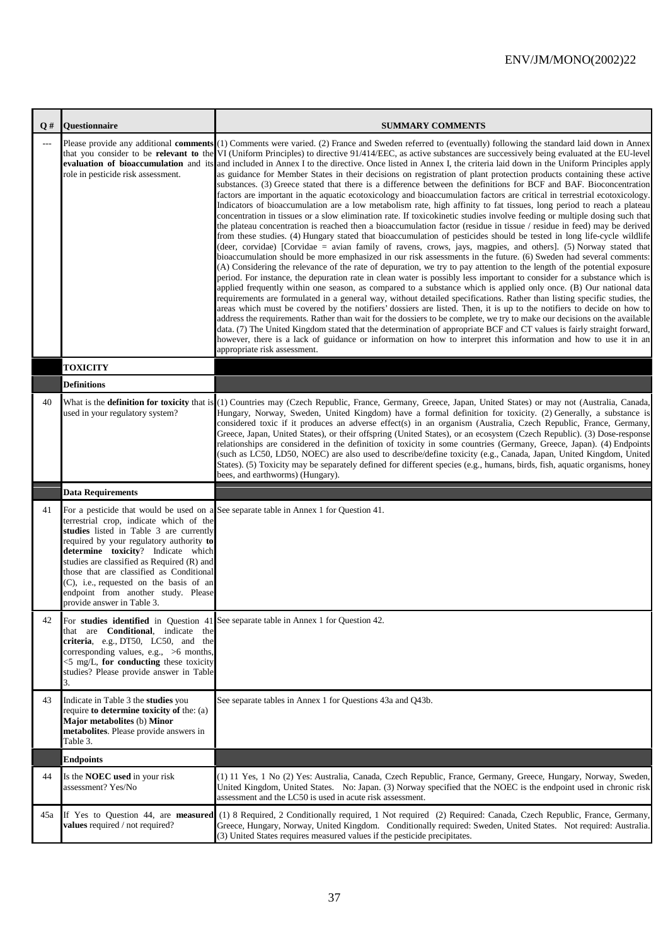| $\mathbf{Q}$ # | <b>Ouestionnaire</b>                                                                                                                                                                                                                                                                                                                                                           | <b>SUMMARY COMMENTS</b>                                                                                                                                                                                                                                                                                                                                                                                                                                                                                                                                                                                                                                                                                                                                                                                                                                                                                                                                                                                                                                                                                                                                                                                                                                                                                                                                                                                                                                                                                                                                                                                                                                                                                                                                                                                                                                                                                                                                                                                                                                                                                                                                                                                                                                                                                                                                                                                                                                                                                                                                                                                                                                                             |
|----------------|--------------------------------------------------------------------------------------------------------------------------------------------------------------------------------------------------------------------------------------------------------------------------------------------------------------------------------------------------------------------------------|-------------------------------------------------------------------------------------------------------------------------------------------------------------------------------------------------------------------------------------------------------------------------------------------------------------------------------------------------------------------------------------------------------------------------------------------------------------------------------------------------------------------------------------------------------------------------------------------------------------------------------------------------------------------------------------------------------------------------------------------------------------------------------------------------------------------------------------------------------------------------------------------------------------------------------------------------------------------------------------------------------------------------------------------------------------------------------------------------------------------------------------------------------------------------------------------------------------------------------------------------------------------------------------------------------------------------------------------------------------------------------------------------------------------------------------------------------------------------------------------------------------------------------------------------------------------------------------------------------------------------------------------------------------------------------------------------------------------------------------------------------------------------------------------------------------------------------------------------------------------------------------------------------------------------------------------------------------------------------------------------------------------------------------------------------------------------------------------------------------------------------------------------------------------------------------------------------------------------------------------------------------------------------------------------------------------------------------------------------------------------------------------------------------------------------------------------------------------------------------------------------------------------------------------------------------------------------------------------------------------------------------------------------------------------------------|
| $---$          | role in pesticide risk assessment.                                                                                                                                                                                                                                                                                                                                             | Please provide any additional <b>comments</b> (1) Comments were varied. (2) France and Sweden referred to (eventually) following the standard laid down in Annex<br>that you consider to be relevant to the VI (Uniform Principles) to directive 91/414/EEC, as active substances are successively being evaluated at the EU-level<br>evaluation of bioaccumulation and its and included in Annex I to the directive. Once listed in Annex I, the criteria laid down in the Uniform Principles apply<br>as guidance for Member States in their decisions on registration of plant protection products containing these active<br>substances. (3) Greece stated that there is a difference between the definitions for BCF and BAF. Bioconcentration<br>factors are important in the aquatic ecotoxicology and bioaccumulation factors are critical in terrestrial ecotoxicology.<br>Indicators of bioaccumulation are a low metabolism rate, high affinity to fat tissues, long period to reach a plateau<br>concentration in tissues or a slow elimination rate. If toxicokinetic studies involve feeding or multiple dosing such that<br>the plateau concentration is reached then a bioaccumulation factor (residue in tissue / residue in feed) may be derived<br>from these studies. (4) Hungary stated that bioaccumulation of pesticides should be tested in long life-cycle wildlife<br>(deer, corvidae) [Corvidae = avian family of ravens, crows, jays, magpies, and others]. (5) Norway stated that<br>bioaccumulation should be more emphasized in our risk assessments in the future. (6) Sweden had several comments:<br>(A) Considering the relevance of the rate of depuration, we try to pay attention to the length of the potential exposure<br>period. For instance, the depuration rate in clean water is possibly less important to consider for a substance which is<br>applied frequently within one season, as compared to a substance which is applied only once. (B) Our national data<br>requirements are formulated in a general way, without detailed specifications. Rather than listing specific studies, the<br>areas which must be covered by the notifiers' dossiers are listed. Then, it is up to the notifiers to decide on how to<br>address the requirements. Rather than wait for the dossiers to be complete, we try to make our decisions on the available<br>data. (7) The United Kingdom stated that the determination of appropriate BCF and CT values is fairly straight forward,<br>however, there is a lack of guidance or information on how to interpret this information and how to use it in an<br>appropriate risk assessment. |
|                | <b>TOXICITY</b>                                                                                                                                                                                                                                                                                                                                                                |                                                                                                                                                                                                                                                                                                                                                                                                                                                                                                                                                                                                                                                                                                                                                                                                                                                                                                                                                                                                                                                                                                                                                                                                                                                                                                                                                                                                                                                                                                                                                                                                                                                                                                                                                                                                                                                                                                                                                                                                                                                                                                                                                                                                                                                                                                                                                                                                                                                                                                                                                                                                                                                                                     |
|                | <b>Definitions</b>                                                                                                                                                                                                                                                                                                                                                             |                                                                                                                                                                                                                                                                                                                                                                                                                                                                                                                                                                                                                                                                                                                                                                                                                                                                                                                                                                                                                                                                                                                                                                                                                                                                                                                                                                                                                                                                                                                                                                                                                                                                                                                                                                                                                                                                                                                                                                                                                                                                                                                                                                                                                                                                                                                                                                                                                                                                                                                                                                                                                                                                                     |
| 40             | What is the definition for toxicity that is<br>used in your regulatory system?                                                                                                                                                                                                                                                                                                 | (1) Countries may (Czech Republic, France, Germany, Greece, Japan, United States) or may not (Australia, Canada,<br>Hungary, Norway, Sweden, United Kingdom) have a formal definition for toxicity. (2) Generally, a substance is<br>considered toxic if it produces an adverse effect(s) in an organism (Australia, Czech Republic, France, Germany,<br>Greece, Japan, United States), or their offspring (United States), or an ecosystem (Czech Republic). (3) Dose-response<br>relationships are considered in the definition of toxicity in some countries (Germany, Greece, Japan). (4) Endpoints<br>(such as LC50, LD50, NOEC) are also used to describe/define toxicity (e.g., Canada, Japan, United Kingdom, United<br>States). (5) Toxicity may be separately defined for different species (e.g., humans, birds, fish, aquatic organisms, honey<br>bees, and earthworms) (Hungary).                                                                                                                                                                                                                                                                                                                                                                                                                                                                                                                                                                                                                                                                                                                                                                                                                                                                                                                                                                                                                                                                                                                                                                                                                                                                                                                                                                                                                                                                                                                                                                                                                                                                                                                                                                                      |
|                | Data Requirements                                                                                                                                                                                                                                                                                                                                                              |                                                                                                                                                                                                                                                                                                                                                                                                                                                                                                                                                                                                                                                                                                                                                                                                                                                                                                                                                                                                                                                                                                                                                                                                                                                                                                                                                                                                                                                                                                                                                                                                                                                                                                                                                                                                                                                                                                                                                                                                                                                                                                                                                                                                                                                                                                                                                                                                                                                                                                                                                                                                                                                                                     |
| 41             | terrestrial crop, indicate which of the<br>studies listed in Table 3 are currently<br>required by your regulatory authority to<br>determine toxicity? Indicate which<br>studies are classified as Required (R) and<br>those that are classified as Conditional<br>(C), i.e., requested on the basis of an<br>endpoint from another study. Please<br>provide answer in Table 3. | For a pesticide that would be used on a See separate table in Annex 1 for Question 41.                                                                                                                                                                                                                                                                                                                                                                                                                                                                                                                                                                                                                                                                                                                                                                                                                                                                                                                                                                                                                                                                                                                                                                                                                                                                                                                                                                                                                                                                                                                                                                                                                                                                                                                                                                                                                                                                                                                                                                                                                                                                                                                                                                                                                                                                                                                                                                                                                                                                                                                                                                                              |
| 42             | are <b>Conditional</b> , indicate the<br>that<br>criteria, e.g., DT50, LC50, and the<br>corresponding values, e.g., >6 months,<br>$<$ 5 mg/L, for conducting these toxicity<br>studies? Please provide answer in Table<br>3.                                                                                                                                                   | For studies identified in Question 41 See separate table in Annex 1 for Question 42.                                                                                                                                                                                                                                                                                                                                                                                                                                                                                                                                                                                                                                                                                                                                                                                                                                                                                                                                                                                                                                                                                                                                                                                                                                                                                                                                                                                                                                                                                                                                                                                                                                                                                                                                                                                                                                                                                                                                                                                                                                                                                                                                                                                                                                                                                                                                                                                                                                                                                                                                                                                                |
| 43             | Indicate in Table 3 the studies you<br>require to determine toxicity of the: (a)<br>Major metabolites (b) Minor<br>metabolites. Please provide answers in<br>Table 3.                                                                                                                                                                                                          | See separate tables in Annex 1 for Questions 43a and Q43b.                                                                                                                                                                                                                                                                                                                                                                                                                                                                                                                                                                                                                                                                                                                                                                                                                                                                                                                                                                                                                                                                                                                                                                                                                                                                                                                                                                                                                                                                                                                                                                                                                                                                                                                                                                                                                                                                                                                                                                                                                                                                                                                                                                                                                                                                                                                                                                                                                                                                                                                                                                                                                          |
|                | <b>Endpoints</b>                                                                                                                                                                                                                                                                                                                                                               |                                                                                                                                                                                                                                                                                                                                                                                                                                                                                                                                                                                                                                                                                                                                                                                                                                                                                                                                                                                                                                                                                                                                                                                                                                                                                                                                                                                                                                                                                                                                                                                                                                                                                                                                                                                                                                                                                                                                                                                                                                                                                                                                                                                                                                                                                                                                                                                                                                                                                                                                                                                                                                                                                     |
| 44             | Is the NOEC used in your risk<br>assessment? Yes/No                                                                                                                                                                                                                                                                                                                            | (1) 11 Yes, 1 No (2) Yes: Australia, Canada, Czech Republic, France, Germany, Greece, Hungary, Norway, Sweden,<br>United Kingdom, United States. No: Japan. (3) Norway specified that the NOEC is the endpoint used in chronic risk<br>assessment and the LC50 is used in acute risk assessment.                                                                                                                                                                                                                                                                                                                                                                                                                                                                                                                                                                                                                                                                                                                                                                                                                                                                                                                                                                                                                                                                                                                                                                                                                                                                                                                                                                                                                                                                                                                                                                                                                                                                                                                                                                                                                                                                                                                                                                                                                                                                                                                                                                                                                                                                                                                                                                                    |
| 45a            | If Yes to Question 44, are measured<br>values required / not required?                                                                                                                                                                                                                                                                                                         | (1) 8 Required, 2 Conditionally required, 1 Not required (2) Required: Canada, Czech Republic, France, Germany,<br>Greece, Hungary, Norway, United Kingdom. Conditionally required: Sweden, United States. Not required: Australia.<br>(3) United States requires measured values if the pesticide precipitates.                                                                                                                                                                                                                                                                                                                                                                                                                                                                                                                                                                                                                                                                                                                                                                                                                                                                                                                                                                                                                                                                                                                                                                                                                                                                                                                                                                                                                                                                                                                                                                                                                                                                                                                                                                                                                                                                                                                                                                                                                                                                                                                                                                                                                                                                                                                                                                    |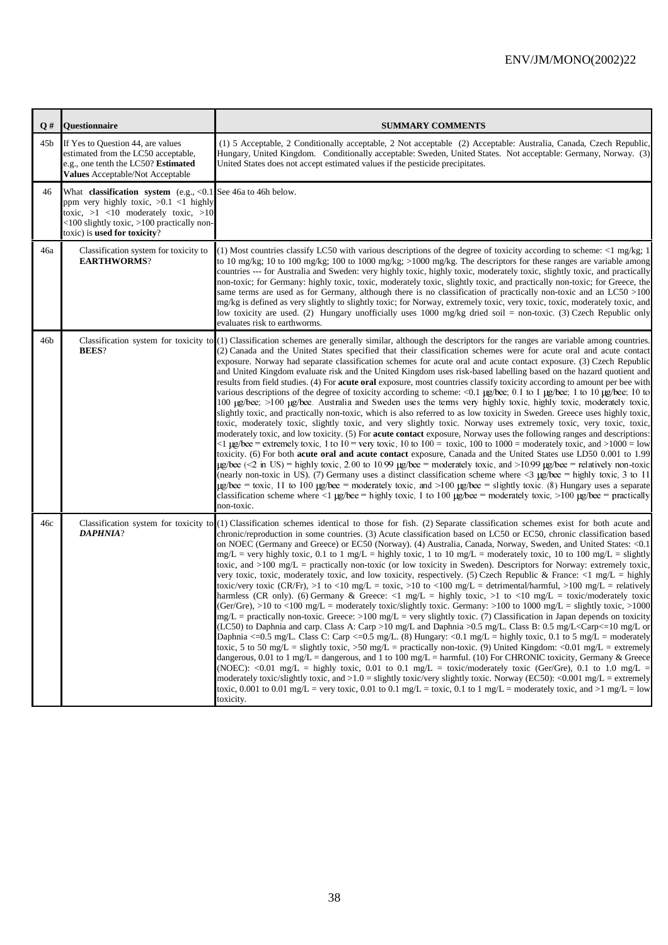| $\mathbf{Q}$ # | <b>Ouestionnaire</b>                                                                                                                                                                                                                | <b>SUMMARY COMMENTS</b>                                                                                                                                                                                                                                                                                                                                                                                                                                                                                                                                                                                                                                                                                                                                                                                                                                                                                                                                                                                                                                                                                                                                                                                                                                                                                                                                                                                                                                                                                                                                                                                                                                                                                                                                                                                                                                                                                                                                                                                                                                                                                                                                                                                                       |
|----------------|-------------------------------------------------------------------------------------------------------------------------------------------------------------------------------------------------------------------------------------|-------------------------------------------------------------------------------------------------------------------------------------------------------------------------------------------------------------------------------------------------------------------------------------------------------------------------------------------------------------------------------------------------------------------------------------------------------------------------------------------------------------------------------------------------------------------------------------------------------------------------------------------------------------------------------------------------------------------------------------------------------------------------------------------------------------------------------------------------------------------------------------------------------------------------------------------------------------------------------------------------------------------------------------------------------------------------------------------------------------------------------------------------------------------------------------------------------------------------------------------------------------------------------------------------------------------------------------------------------------------------------------------------------------------------------------------------------------------------------------------------------------------------------------------------------------------------------------------------------------------------------------------------------------------------------------------------------------------------------------------------------------------------------------------------------------------------------------------------------------------------------------------------------------------------------------------------------------------------------------------------------------------------------------------------------------------------------------------------------------------------------------------------------------------------------------------------------------------------------|
| 45b            | If Yes to Question 44, are values<br>estimated from the LC50 acceptable,<br>e.g., one tenth the LC50? <b>Estimated</b><br>Values Acceptable/Not Acceptable                                                                          | (1) 5 Acceptable, 2 Conditionally acceptable, 2 Not acceptable (2) Acceptable: Australia, Canada, Czech Republic,<br>Hungary, United Kingdom. Conditionally acceptable: Sweden, United States. Not acceptable: Germany, Norway. (3)<br>United States does not accept estimated values if the pesticide precipitates.                                                                                                                                                                                                                                                                                                                                                                                                                                                                                                                                                                                                                                                                                                                                                                                                                                                                                                                                                                                                                                                                                                                                                                                                                                                                                                                                                                                                                                                                                                                                                                                                                                                                                                                                                                                                                                                                                                          |
| 46             | What classification system $(e.g., <0.1]$ See 46a to 46h below.<br>ppm very highly toxic, $>0.1$ <1 highly<br>toxic, $>1$ <10 moderately toxic, $>10$<br><100 slightly toxic, >100 practically non-<br>toxic) is used for toxicity? |                                                                                                                                                                                                                                                                                                                                                                                                                                                                                                                                                                                                                                                                                                                                                                                                                                                                                                                                                                                                                                                                                                                                                                                                                                                                                                                                                                                                                                                                                                                                                                                                                                                                                                                                                                                                                                                                                                                                                                                                                                                                                                                                                                                                                               |
| 46a            | Classification system for toxicity to<br><b>EARTHWORMS?</b>                                                                                                                                                                         | (1) Most countries classify LC50 with various descriptions of the degree of toxicity according to scheme: $\langle 1 \text{ mg/kg}; 1 \rangle$<br>to 10 mg/kg; 10 to 100 mg/kg; 100 to 1000 mg/kg; >1000 mg/kg. The descriptors for these ranges are variable among<br>countries --- for Australia and Sweden: very highly toxic, highly toxic, moderately toxic, slightly toxic, and practically<br>non-toxic; for Germany: highly toxic, toxic, moderately toxic, slightly toxic, and practically non-toxic; for Greece, the<br>same terms are used as for Germany, although there is no classification of practically non-toxic and an LC50 >100<br>mg/kg is defined as very slightly to slightly toxic; for Norway, extremely toxic, very toxic, toxic, moderately toxic, and<br>low toxicity are used. (2) Hungary unofficially uses 1000 mg/kg dried soil = non-toxic. (3) Czech Republic only<br>evaluates risk to earthworms.                                                                                                                                                                                                                                                                                                                                                                                                                                                                                                                                                                                                                                                                                                                                                                                                                                                                                                                                                                                                                                                                                                                                                                                                                                                                                         |
| 46b            | <b>BEES?</b>                                                                                                                                                                                                                        | Classification system for toxicity to $(1)$ Classification schemes are generally similar, although the descriptors for the ranges are variable among countries.<br>(2) Canada and the United States specified that their classification schemes were for acute oral and acute contact<br>exposure. Norway had separate classification schemes for acute oral and acute contact exposure. (3) Czech Republic<br>and United Kingdom evaluate risk and the United Kingdom uses risk-based labelling based on the hazard quotient and<br>results from field studies. (4) For <b>acute oral</b> exposure, most countries classify toxicity according to amount per bee with<br>various descriptions of the degree of toxicity according to scheme: <0.1 $\mu$ g/bee; 0.1 to 1 $\mu$ g/bee; 1 to 10 $\mu$ g/bee; 10 to<br>100 µg/bee; >100 µg/bee. Australia and Sweden uses the terms very highly toxic, highly toxic, moderately toxic,<br>slightly toxic, and practically non-toxic, which is also referred to as low toxicity in Sweden. Greece uses highly toxic,<br>toxic, moderately toxic, slightly toxic, and very slightly toxic. Norway uses extremely toxic, very toxic, toxic,<br>moderately toxic, and low toxicity. (5) For <b>acute contact</b> exposure, Norway uses the following ranges and descriptions:<br>$\langle 1 \mu g / \rho \rangle$ = extremely toxic, 1 to 10 = very toxic, 10 to 100 = toxic, 100 to 1000 = moderately toxic, and $>1000$ = low<br>toxicity. (6) For both <b>acute oral and acute contact</b> exposure, Canada and the United States use LD50 0.001 to 1.99<br>$\mu$ g/bee (<2 in US) = highly toxic, 2.00 to 10.99 $\mu$ g/bee = moderately toxic, and >10.99 $\mu$ g/bee = relatively non-toxic<br>(nearly non-toxic in US). (7) Germany uses a distinct classification scheme where $\langle 3 \rangle$ ug/bee = highly toxic, 3 to 11<br>$\mu$ g/bee = toxic, 11 to 100 $\mu$ g/bee = moderately toxic, and >100 $\mu$ g/bee = slightly toxic. (8) Hungary uses a separate<br>classification scheme where <1 µg/bee = highly toxic, 1 to 100 µg/bee = moderately toxic, >100 µg/bee = practically<br>non-toxic.                                                                  |
| 46c            | DAPHNIA?                                                                                                                                                                                                                            | Classification system for toxicity to $(1)$ Classification schemes identical to those for fish. (2) Separate classification schemes exist for both acute and<br>chronic/reproduction in some countries. (3) Acute classification based on LC50 or EC50, chronic classification based<br>on NOEC (Germany and Greece) or EC50 (Norway). (4) Australia, Canada, Norway, Sweden, and United States: <0.1<br>$mg/L$ = very highly toxic, 0.1 to 1 mg/L = highly toxic, 1 to 10 mg/L = moderately toxic, 10 to 100 mg/L = slightly<br>toxic, and $>100 \text{ mg/L}$ = practically non-toxic (or low toxicity in Sweden). Descriptors for Norway: extremely toxic,<br>very toxic, toxic, moderately toxic, and low toxicity, respectively. (5) Czech Republic & France: $\langle 1 \text{ mg/L} = \text{highly}$<br>toxic/very toxic (CR/Fr), >1 to <10 mg/L = toxic, >10 to <100 mg/L = detrimental/harmful, >100 mg/L = relatively<br>harmless (CR only). (6) Germany & Greece: <1 mg/L = highly toxic, >1 to <10 mg/L = toxic/moderately toxic<br>(Ger/Gre), >10 to <100 mg/L = moderately toxic/slightly toxic. Germany: >100 to 1000 mg/L = slightly toxic, >1000<br>$mg/L$ = practically non-toxic. Greece: >100 mg/L = very slightly toxic. (7) Classification in Japan depends on toxicity<br>(LC50) to Daphnia and carp. Class A: Carp >10 mg/L and Daphnia >0.5 mg/L. Class B: 0.5 mg/L <carp<=10 l="" mg="" or<br="">Daphnia &lt;=0.5 mg/L. Class C: Carp &lt;=0.5 mg/L. (8) Hungary: &lt;0.1 mg/L = highly toxic, 0.1 to 5 mg/L = moderately<br/>toxic, 5 to 50 mg/L = slightly toxic, &gt;50 mg/L = practically non-toxic. (9) United Kingdom: &lt;0.01 mg/L = extremely<br/>dangerous, 0.01 to 1 mg/L = dangerous, and 1 to 100 mg/L = harmful. (10) For CHRONIC toxicity, Germany &amp; Greece<br/>(NOEC): &lt;0.01 mg/L = highly toxic, 0.01 to 0.1 mg/L = toxic/moderately toxic (Ger/Gre), 0.1 to 1.0 mg/L =<br/>moderately toxic/slightly toxic, and <math>&gt;1.0</math> = slightly toxic/very slightly toxic. Norway (EC50): &lt;0.001 mg/L = extremely<br/>toxic, 0.001 to 0.01 mg/L = very toxic, 0.01 to 0.1 mg/L = toxic, 0.1 to 1 mg/L = moderately toxic, and &gt;1 mg/L = low<br/>toxicity.</carp<=10> |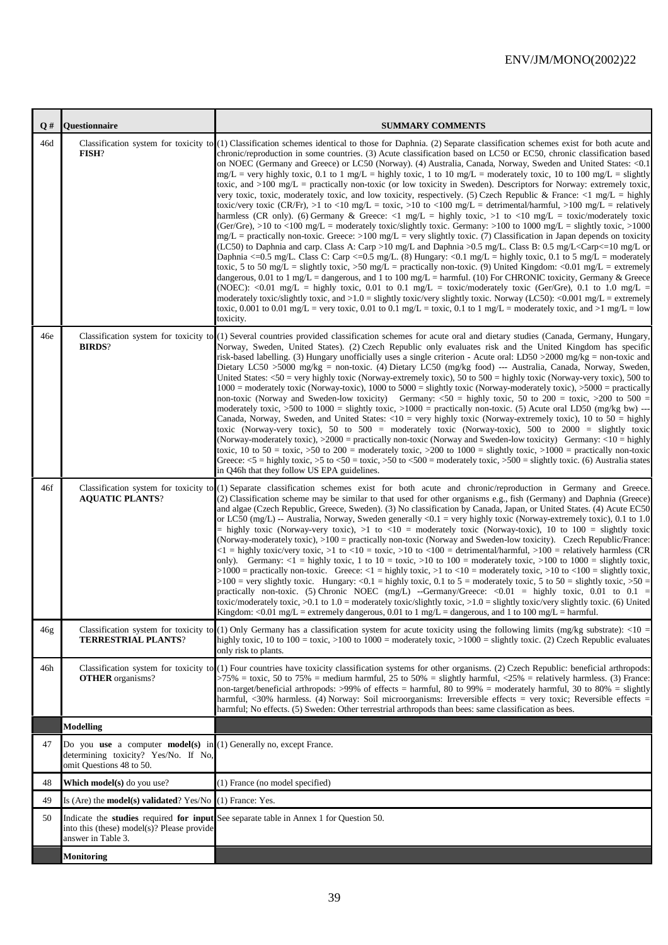| Q#  | <b>Ouestionnaire</b>                                                                                                                     | <b>SUMMARY COMMENTS</b>                                                                                                                                                                                                                                                                                                                                                                                                                                                                                                                                                                                                                                                                                                                                                                                                                                                                                                                                                                                                                                                                                                                                                                                                                                                                                                                                                                                                                                                                                                                                                                                                                                                                                                                                                                                                                                                                                                                                                                                                                                                                                                                                                                                                  |
|-----|------------------------------------------------------------------------------------------------------------------------------------------|--------------------------------------------------------------------------------------------------------------------------------------------------------------------------------------------------------------------------------------------------------------------------------------------------------------------------------------------------------------------------------------------------------------------------------------------------------------------------------------------------------------------------------------------------------------------------------------------------------------------------------------------------------------------------------------------------------------------------------------------------------------------------------------------------------------------------------------------------------------------------------------------------------------------------------------------------------------------------------------------------------------------------------------------------------------------------------------------------------------------------------------------------------------------------------------------------------------------------------------------------------------------------------------------------------------------------------------------------------------------------------------------------------------------------------------------------------------------------------------------------------------------------------------------------------------------------------------------------------------------------------------------------------------------------------------------------------------------------------------------------------------------------------------------------------------------------------------------------------------------------------------------------------------------------------------------------------------------------------------------------------------------------------------------------------------------------------------------------------------------------------------------------------------------------------------------------------------------------|
| 46d | <b>FISH?</b>                                                                                                                             | Classification system for toxicity to (1) Classification schemes identical to those for Daphnia. (2) Separate classification schemes exist for both acute and<br>chronic/reproduction in some countries. (3) Acute classification based on LC50 or EC50, chronic classification based<br>on NOEC (Germany and Greece) or LC50 (Norway). (4) Australia, Canada, Norway, Sweden and United States: <0.1<br>$mg/L$ = very highly toxic, 0.1 to 1 mg/L = highly toxic, 1 to 10 mg/L = moderately toxic, 10 to 100 mg/L = slightly<br>toxic, and $>100$ mg/L = practically non-toxic (or low toxicity in Sweden). Descriptors for Norway: extremely toxic,<br>very toxic, toxic, moderately toxic, and low toxicity, respectively. (5) Czech Republic & France: $\langle 1 \text{ mg/L} = \text{highly}$<br>toxic/very toxic (CR/Fr), >1 to <10 mg/L = toxic, >10 to <100 mg/L = detrimental/harmful, >100 mg/L = relatively<br>harmless (CR only). (6) Germany & Greece: <1 mg/L = highly toxic, >1 to <10 mg/L = toxic/moderately toxic<br>(Ger/Gre), >10 to <100 mg/L = moderately toxic/slightly toxic. Germany: >100 to 1000 mg/L = slightly toxic, >1000<br>$mg/L$ = practically non-toxic. Greece: >100 mg/L = very slightly toxic. (7) Classification in Japan depends on toxicity<br>(LC50) to Daphnia and carp. Class A: Carp >10 mg/L and Daphnia >0.5 mg/L. Class B: 0.5 mg/L <carp<=10 l="" mg="" or<br="">Daphnia &lt;= 0.5 mg/L. Class C: Carp &lt;= 0.5 mg/L. (8) Hungary: &lt; 0.1 mg/L = highly toxic, 0.1 to 5 mg/L = moderately<br/>toxic, 5 to 50 mg/L = slightly toxic, &gt;50 mg/L = practically non-toxic. (9) United Kingdom: &lt;0.01 mg/L = extremely<br/>dangerous, 0.01 to 1 mg/L = dangerous, and 1 to 100 mg/L = harmful. (10) For CHRONIC toxicity, Germany &amp; Greece<br/>(NOEC): &lt;0.01 mg/L = highly toxic, 0.01 to 0.1 mg/L = toxic/moderately toxic (Ger/Gre), 0.1 to 1.0 mg/L =<br/>moderately toxic/slightly toxic, and <math>&gt;1.0</math> = slightly toxic/very slightly toxic. Norway (LC50): &lt;0.001 mg/L = extremely<br/>toxic, 0.001 to 0.01 mg/L = very toxic, 0.01 to 0.1 mg/L = toxic, 0.1 to 1 mg/L = moderately toxic, and &gt;1 mg/L = low<br/>toxicity.</carp<=10> |
| 46e | <b>BIRDS?</b>                                                                                                                            | Classification system for toxicity to (1) Several countries provided classification schemes for acute oral and dietary studies (Canada, Germany, Hungary,<br>Norway, Sweden, United States). (2) Czech Republic only evaluates risk and the United Kingdom has specific<br>risk-based labelling. (3) Hungary unofficially uses a single criterion - Acute oral: LD50 > 2000 mg/kg = non-toxic and<br>Dietary LC50 >5000 mg/kg = non-toxic. (4) Dietary LC50 (mg/kg food) --- Australia, Canada, Norway, Sweden,<br>United States: $\leq 50$ = very highly toxic (Norway-extremely toxic), 50 to 500 = highly toxic (Norway-very toxic), 500 to<br>$1000$ = moderately toxic (Norway-toxic), 1000 to 5000 = slightly toxic (Norway-moderately toxic), >5000 = practically<br>non-toxic (Norway and Sweden-low toxicity) Germany: $\langle 50 = \text{highly toxic}, 50 \text{ to } 200 = \text{toxic}, 200 \text{ to } 500 =$<br>moderately toxic, >500 to $1000 =$ slightly toxic, >1000 = practically non-toxic. (5) Acute oral LD50 (mg/kg bw) ---<br>Canada, Norway, Sweden, and United States: $\langle 10 = \text{very highly toxic}$ (Norway-extremely toxic), 10 to 50 = highly<br>toxic (Norway-very toxic), 50 to 500 = moderately toxic (Norway-toxic), 500 to 2000 = slightly toxic<br>(Norway-moderately toxic), $>2000$ = practically non-toxic (Norway and Sweden-low toxicity) Germany: $<10$ = highly<br>toxic, 10 to 50 = toxic, >50 to 200 = moderately toxic, >200 to 1000 = slightly toxic, >1000 = practically non-toxic<br>Greece: $5 =$ highly toxic, $> 5$ to $50 =$ toxic, $> 50$ to $500 =$ moderately toxic, $> 500 =$ slightly toxic. (6) Australia states<br>in Q46h that they follow US EPA guidelines.                                                                                                                                                                                                                                                                                                                                                                                                                                                                                    |
| 46f | <b>AQUATIC PLANTS?</b>                                                                                                                   | Classification system for toxicity to (1) Separate classification schemes exist for both acute and chronic/reproduction in Germany and Greece.<br>(2) Classification scheme may be similar to that used for other organisms e.g., fish (Germany) and Daphnia (Greece)<br>and algae (Czech Republic, Greece, Sweden). (3) No classification by Canada, Japan, or United States. (4) Acute EC50<br>or LC50 (mg/L) -- Australia, Norway, Sweden generally <0.1 = very highly toxic (Norway-extremely toxic), 0.1 to 1.0<br>= highly toxic (Norway-very toxic), >1 to <10 = moderately toxic (Norway-toxic), 10 to 100 = slightly toxic<br>(Norway-moderately toxic), >100 = practically non-toxic (Norway and Sweden-low toxicity). Czech Republic/France:<br>$\langle 1 \rangle$ = highly toxic/very toxic, $>1$ to $\langle 10 \rangle$ = toxic, $>10$ to $\langle 100 \rangle$ = detrimental/harmful, $>100$ = relatively harmless (CR)<br>only). Germany: $\langle 1 =$ highly toxic, 1 to 10 = toxic, $>$ 10 to 100 = moderately toxic, $>$ 100 to 1000 = slightly toxic,<br>$>1000$ = practically non-toxic. Greece: <1 = highly toxic, >1 to <10 = moderately toxic, >10 to <100 = slightly toxic,<br>$>100$ = very slightly toxic. Hungary: <0.1 = highly toxic, 0.1 to 5 = moderately toxic, 5 to 50 = slightly toxic, $>50$ =<br>practically non-toxic. (5) Chronic NOEC (mg/L) --Germany/Greece: $< 0.01$ = highly toxic, 0.01 to 0.1 =<br>toxic/moderately toxic, $>0.1$ to $1.0$ = moderately toxic/slightly toxic, $>1.0$ = slightly toxic/very slightly toxic. (6) United<br>Kingdom: <0.01 mg/L = extremely dangerous, 0.01 to 1 mg/L = dangerous, and 1 to 100 mg/L = harmful.                                                                                                                                                                                                                                                                                                                                                                                                                                                                                                                             |
| 46g | <b>TERRESTRIAL PLANTS?</b>                                                                                                               | Classification system for toxicity to (1) Only Germany has a classification system for acute toxicity using the following limits (mg/kg substrate): <10 =<br>highly toxic, 10 to 100 = toxic, >100 to 1000 = moderately toxic, >1000 = slightly toxic. (2) Czech Republic evaluates<br>only risk to plants.                                                                                                                                                                                                                                                                                                                                                                                                                                                                                                                                                                                                                                                                                                                                                                                                                                                                                                                                                                                                                                                                                                                                                                                                                                                                                                                                                                                                                                                                                                                                                                                                                                                                                                                                                                                                                                                                                                              |
| 46h | <b>OTHER</b> organisms?                                                                                                                  | Classification system for toxicity to $(1)$ Four countries have toxicity classification systems for other organisms. (2) Czech Republic: beneficial arthropods:<br>$>75\%$ = toxic, 50 to 75% = medium harmful, 25 to 50% = slightly harmful, <25% = relatively harmless. (3) France:<br>non-target/beneficial arthropods: >99% of effects = harmful, 80 to 99% = moderately harmful, 30 to 80% = slightly<br>harmful, <30% harmless. (4) Norway: Soil microorganisms: Irreversible effects = very toxic; Reversible effects =<br>harmful; No effects. (5) Sweden: Other terrestrial arthropods than bees: same classification as bees.                                                                                                                                                                                                                                                                                                                                                                                                                                                                                                                                                                                                                                                                                                                                                                                                                                                                                                                                                                                                                                                                                                                                                                                                                                                                                                                                                                                                                                                                                                                                                                                  |
|     | <b>Modelling</b>                                                                                                                         |                                                                                                                                                                                                                                                                                                                                                                                                                                                                                                                                                                                                                                                                                                                                                                                                                                                                                                                                                                                                                                                                                                                                                                                                                                                                                                                                                                                                                                                                                                                                                                                                                                                                                                                                                                                                                                                                                                                                                                                                                                                                                                                                                                                                                          |
| 47  | Do you use a computer $model(s)$ in (1) Generally no, except France.<br>determining toxicity? Yes/No. If No,<br>omit Questions 48 to 50. |                                                                                                                                                                                                                                                                                                                                                                                                                                                                                                                                                                                                                                                                                                                                                                                                                                                                                                                                                                                                                                                                                                                                                                                                                                                                                                                                                                                                                                                                                                                                                                                                                                                                                                                                                                                                                                                                                                                                                                                                                                                                                                                                                                                                                          |
| 48  | Which model(s) do you use?                                                                                                               | (1) France (no model specified)                                                                                                                                                                                                                                                                                                                                                                                                                                                                                                                                                                                                                                                                                                                                                                                                                                                                                                                                                                                                                                                                                                                                                                                                                                                                                                                                                                                                                                                                                                                                                                                                                                                                                                                                                                                                                                                                                                                                                                                                                                                                                                                                                                                          |
| 49  | Is (Are) the <b>model(s)</b> validated? Yes/No $(1)$ France: Yes.                                                                        |                                                                                                                                                                                                                                                                                                                                                                                                                                                                                                                                                                                                                                                                                                                                                                                                                                                                                                                                                                                                                                                                                                                                                                                                                                                                                                                                                                                                                                                                                                                                                                                                                                                                                                                                                                                                                                                                                                                                                                                                                                                                                                                                                                                                                          |
| 50  | into this (these) model(s)? Please provide<br>answer in Table 3.                                                                         | Indicate the <b>studies</b> required for input See separate table in Annex 1 for Question 50.                                                                                                                                                                                                                                                                                                                                                                                                                                                                                                                                                                                                                                                                                                                                                                                                                                                                                                                                                                                                                                                                                                                                                                                                                                                                                                                                                                                                                                                                                                                                                                                                                                                                                                                                                                                                                                                                                                                                                                                                                                                                                                                            |
|     | <b>Monitoring</b>                                                                                                                        |                                                                                                                                                                                                                                                                                                                                                                                                                                                                                                                                                                                                                                                                                                                                                                                                                                                                                                                                                                                                                                                                                                                                                                                                                                                                                                                                                                                                                                                                                                                                                                                                                                                                                                                                                                                                                                                                                                                                                                                                                                                                                                                                                                                                                          |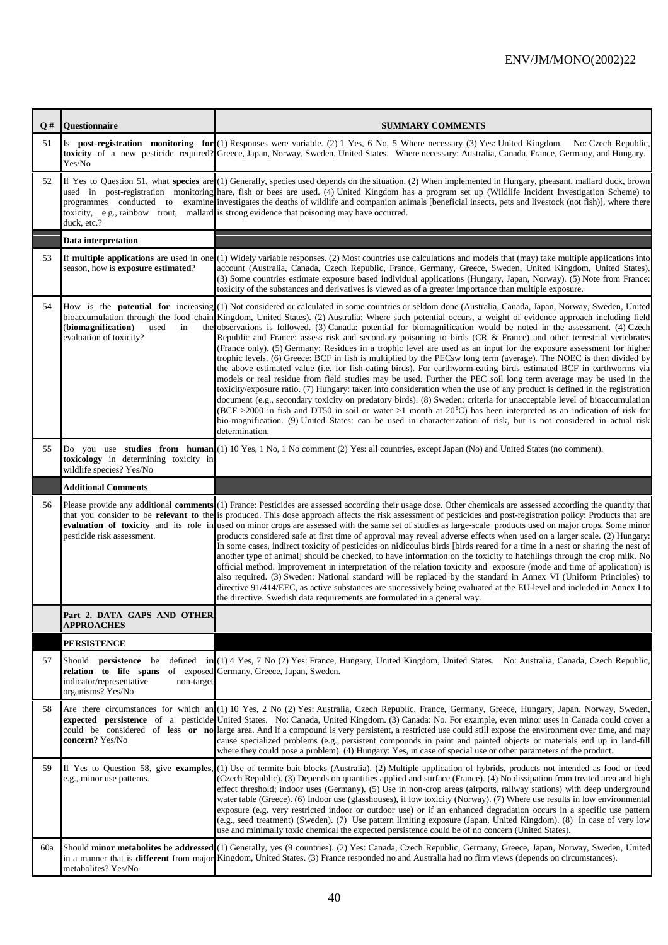| Q#  | <b>Questionnaire</b>                                                                                                  | <b>SUMMARY COMMENTS</b>                                                                                                                                                                                                                                                                                                                                                                                                                                                                                                                                                                                                                                                                                                                                                                                                                                                                                                                                                                                                                                                                                                                                                                                                                                                                                                                                                                                                                                                                                                                                                                        |
|-----|-----------------------------------------------------------------------------------------------------------------------|------------------------------------------------------------------------------------------------------------------------------------------------------------------------------------------------------------------------------------------------------------------------------------------------------------------------------------------------------------------------------------------------------------------------------------------------------------------------------------------------------------------------------------------------------------------------------------------------------------------------------------------------------------------------------------------------------------------------------------------------------------------------------------------------------------------------------------------------------------------------------------------------------------------------------------------------------------------------------------------------------------------------------------------------------------------------------------------------------------------------------------------------------------------------------------------------------------------------------------------------------------------------------------------------------------------------------------------------------------------------------------------------------------------------------------------------------------------------------------------------------------------------------------------------------------------------------------------------|
| 51  | Yes/No                                                                                                                | Is <b>post-registration monitoring for</b> $(1)$ Responses were variable. (2) 1 Yes, 6 No, 5 Where necessary (3) Yes: United Kingdom. No: Czech Republic,<br>toxicity of a new pesticide required? Greece, Japan, Norway, Sweden, United States. Where necessary: Australia, Canada, France, Germany, and Hungary.                                                                                                                                                                                                                                                                                                                                                                                                                                                                                                                                                                                                                                                                                                                                                                                                                                                                                                                                                                                                                                                                                                                                                                                                                                                                             |
| 52  | duck, etc.?                                                                                                           | If Yes to Question 51, what species are (1) Generally, species used depends on the situation. (2) When implemented in Hungary, pheasant, mallard duck, brown<br>used in post-registration monitoring hare, fish or bees are used. (4) United Kingdom has a program set up (Wildlife Incident Investigation Scheme) to<br>programmes conducted to examine investigates the deaths of wildlife and companion animals [beneficial insects, pets and livestock (not fish)], where there<br>toxicity, e.g., rainbow trout, mallard is strong evidence that poisoning may have occurred.                                                                                                                                                                                                                                                                                                                                                                                                                                                                                                                                                                                                                                                                                                                                                                                                                                                                                                                                                                                                             |
|     | Data interpretation                                                                                                   |                                                                                                                                                                                                                                                                                                                                                                                                                                                                                                                                                                                                                                                                                                                                                                                                                                                                                                                                                                                                                                                                                                                                                                                                                                                                                                                                                                                                                                                                                                                                                                                                |
| 53  | season, how is exposure estimated?                                                                                    | If <b>multiple applications</b> are used in one $(1)$ Widely variable responses. (2) Most countries use calculations and models that $(may)$ take multiple applications into<br>account (Australia, Canada, Czech Republic, France, Germany, Greece, Sweden, United Kingdom, United States).<br>(3) Some countries estimate exposure based individual applications (Hungary, Japan, Norway). (5) Note from France:<br>toxicity of the substances and derivatives is viewed as of a greater importance than multiple exposure.                                                                                                                                                                                                                                                                                                                                                                                                                                                                                                                                                                                                                                                                                                                                                                                                                                                                                                                                                                                                                                                                  |
| 54  | (biomagnification)<br>used<br>in<br>evaluation of toxicity?                                                           | How is the <b>potential for</b> increasing (1) Not considered or calculated in some countries or seldom done (Australia, Canada, Japan, Norway, Sweden, United<br>bioaccumulation through the food chain Kingdom, United States). (2) Australia: Where such potential occurs, a weight of evidence approach including field<br>the observations is followed. (3) Canada: potential for biomagnification would be noted in the assessment. (4) Czech<br>Republic and France: assess risk and secondary poisoning to birds (CR & France) and other terrestrial vertebrates<br>(France only). (5) Germany: Residues in a trophic level are used as an input for the exposure assessment for higher<br>trophic levels. (6) Greece: BCF in fish is multiplied by the PECsw long term (average). The NOEC is then divided by<br>the above estimated value (i.e. for fish-eating birds). For earthworm-eating birds estimated BCF in earthworms via<br>models or real residue from field studies may be used. Further the PEC soil long term average may be used in the<br>toxicity/exposure ratio. (7) Hungary: taken into consideration when the use of any product is defined in the registration<br>document (e.g., secondary toxicity on predatory birds). (8) Sweden: criteria for unacceptable level of bioaccumulation<br>(BCF >2000 in fish and DT50 in soil or water >1 month at $20^{\circ}$ C) has been interpreted as an indication of risk for<br>bio-magnification. (9) United States: can be used in characterization of risk, but is not considered in actual risk<br>determination. |
| 55  | toxicology in determining toxicity in<br>wildlife species? Yes/No                                                     | Do you use studies from human (1) 10 Yes, 1 No, 1 No comment (2) Yes: all countries, except Japan (No) and United States (no comment).                                                                                                                                                                                                                                                                                                                                                                                                                                                                                                                                                                                                                                                                                                                                                                                                                                                                                                                                                                                                                                                                                                                                                                                                                                                                                                                                                                                                                                                         |
|     | <b>Additional Comments</b>                                                                                            |                                                                                                                                                                                                                                                                                                                                                                                                                                                                                                                                                                                                                                                                                                                                                                                                                                                                                                                                                                                                                                                                                                                                                                                                                                                                                                                                                                                                                                                                                                                                                                                                |
| 56  | pesticide risk assessment.                                                                                            | Please provide any additional comments (1) France: Pesticides are assessed according their usage dose. Other chemicals are assessed according the quantity that<br>that you consider to be <b>relevant to</b> the is produced. This dose approach affects the risk assessment of pesticides and post-registration policy: Products that are<br>evaluation of toxicity and its role in used on minor crops are assessed with the same set of studies as large-scale products used on major crops. Some minor<br>products considered safe at first time of approval may reveal adverse effects when used on a larger scale. (2) Hungary:<br>In some cases, indirect toxicity of pesticides on nidicoulus birds [birds reared for a time in a nest or sharing the nest of<br>another type of animal] should be checked, to have information on the toxicity to hatchlings through the crop milk. No<br>official method. Improvement in interpretation of the relation toxicity and exposure (mode and time of application) is<br>also required. (3) Sweden: National standard will be replaced by the standard in Annex VI (Uniform Principles) to<br>directive 91/414/EEC, as active substances are successively being evaluated at the EU-level and included in Annex I to<br>the directive. Swedish data requirements are formulated in a general way.                                                                                                                                                                                                                                         |
|     | Part 2. DATA GAPS AND OTHER<br>APPROACHES                                                                             |                                                                                                                                                                                                                                                                                                                                                                                                                                                                                                                                                                                                                                                                                                                                                                                                                                                                                                                                                                                                                                                                                                                                                                                                                                                                                                                                                                                                                                                                                                                                                                                                |
|     | PERSISTENCE                                                                                                           |                                                                                                                                                                                                                                                                                                                                                                                                                                                                                                                                                                                                                                                                                                                                                                                                                                                                                                                                                                                                                                                                                                                                                                                                                                                                                                                                                                                                                                                                                                                                                                                                |
| 57  | Should <b>persistence</b> be<br>relation to life spans<br>indicator/representative<br>non-target<br>organisms? Yes/No | defined $\ln(1)$ 4 Yes, 7 No (2) Yes: France, Hungary, United Kingdom, United States. No: Australia, Canada, Czech Republic,<br>of exposed Germany, Greece, Japan, Sweden.                                                                                                                                                                                                                                                                                                                                                                                                                                                                                                                                                                                                                                                                                                                                                                                                                                                                                                                                                                                                                                                                                                                                                                                                                                                                                                                                                                                                                     |
| 58  | concern? Yes/No                                                                                                       | Are there circumstances for which an(1) 10 Yes, 2 No (2) Yes: Australia, Czech Republic, France, Germany, Greece, Hungary, Japan, Norway, Sweden,<br>expected persistence of a pesticide United States. No: Canada, United Kingdom. (3) Canada: No. For example, even minor uses in Canada could cover a<br>could be considered of less or no large area. And if a compound is very persistent, a restricted use could still expose the environment over time, and may<br>cause specialized problems (e.g., persistent compounds in paint and painted objects or materials end up in land-fill<br>where they could pose a problem). (4) Hungary: Yes, in case of special use or other parameters of the product.                                                                                                                                                                                                                                                                                                                                                                                                                                                                                                                                                                                                                                                                                                                                                                                                                                                                               |
| 59  | e.g., minor use patterns.                                                                                             | If Yes to Question 58, give examples, (1) Use of termite bait blocks (Australia). (2) Multiple application of hybrids, products not intended as food or feed<br>(Czech Republic). (3) Depends on quantities applied and surface (France). (4) No dissipation from treated area and high<br>effect threshold; indoor uses (Germany). (5) Use in non-crop areas (airports, railway stations) with deep underground<br>water table (Greece). (6) Indoor use (glasshouses), if low toxicity (Norway). (7) Where use results in low environmental<br>exposure (e.g. very restricted indoor or outdoor use) or if an enhanced degradation occurs in a specific use pattern<br>(e.g., seed treatment) (Sweden). (7) Use pattern limiting exposure (Japan, United Kingdom). (8) In case of very low<br>use and minimally toxic chemical the expected persistence could be of no concern (United States).                                                                                                                                                                                                                                                                                                                                                                                                                                                                                                                                                                                                                                                                                               |
| 60a | metabolites? Yes/No                                                                                                   | Should minor metabolites be addressed (1) Generally, yes (9 countries). (2) Yes: Canada, Czech Republic, Germany, Greece, Japan, Norway, Sweden, United<br>in a manner that is <b>different</b> from major Kingdom, United States. (3) France responded no and Australia had no firm views (depends on circumstances).                                                                                                                                                                                                                                                                                                                                                                                                                                                                                                                                                                                                                                                                                                                                                                                                                                                                                                                                                                                                                                                                                                                                                                                                                                                                         |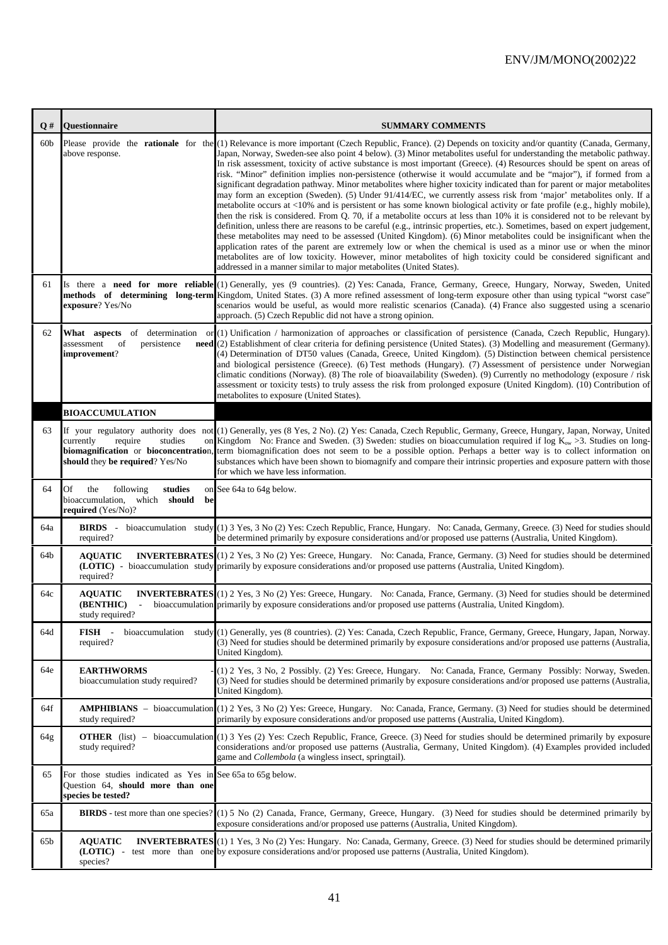| $\mathbf{Q}$ #  | <b>Ouestionnaire</b>                                                                                                   | <b>SUMMARY COMMENTS</b>                                                                                                                                                                                                                                                                                                                                                                                                                                                                                                                                                                                                                                                                                                                                                                                                                                                                                                                                                                                                                                                                                                                                                                                                                                                                                                                                                                                                                                                                                                                                                                                          |
|-----------------|------------------------------------------------------------------------------------------------------------------------|------------------------------------------------------------------------------------------------------------------------------------------------------------------------------------------------------------------------------------------------------------------------------------------------------------------------------------------------------------------------------------------------------------------------------------------------------------------------------------------------------------------------------------------------------------------------------------------------------------------------------------------------------------------------------------------------------------------------------------------------------------------------------------------------------------------------------------------------------------------------------------------------------------------------------------------------------------------------------------------------------------------------------------------------------------------------------------------------------------------------------------------------------------------------------------------------------------------------------------------------------------------------------------------------------------------------------------------------------------------------------------------------------------------------------------------------------------------------------------------------------------------------------------------------------------------------------------------------------------------|
| 60 <sub>b</sub> | above response.                                                                                                        | Please provide the <b>rationale</b> for the (1) Relevance is more important (Czech Republic, France). (2) Depends on toxicity and/or quantity (Canada, Germany,<br>Japan, Norway, Sweden-see also point 4 below). (3) Minor metabolites useful for understanding the metabolic pathway.<br>In risk assessment, toxicity of active substance is most important (Greece). (4) Resources should be spent on areas of<br>risk. "Minor" definition implies non-persistence (otherwise it would accumulate and be "major"), if formed from a<br>significant degradation pathway. Minor metabolites where higher toxicity indicated than for parent or major metabolites<br>may form an exception (Sweden). (5) Under 91/414/EC, we currently assess risk from 'major' metabolites only. If a<br>metabolite occurs at <10% and is persistent or has some known biological activity or fate profile (e.g., highly mobile),<br>then the risk is considered. From Q. 70, if a metabolite occurs at less than 10% it is considered not to be relevant by<br>definition, unless there are reasons to be careful (e.g., intrinsic properties, etc.). Sometimes, based on expert judgement,<br>these metabolites may need to be assessed (United Kingdom). (6) Minor metabolites could be insignificant when the<br>application rates of the parent are extremely low or when the chemical is used as a minor use or when the minor<br>metabolites are of low toxicity. However, minor metabolites of high toxicity could be considered significant and<br>addressed in a manner similar to major metabolites (United States). |
| 61              | exposure? Yes/No                                                                                                       | Is there a need for more reliable (1) Generally, yes (9 countries). (2) Yes: Canada, France, Germany, Greece, Hungary, Norway, Sweden, United<br>methods of determining long-term Kingdom, United States. (3) A more refined assessment of long-term exposure other than using typical "worst case"<br>scenarios would be useful, as would more realistic scenarios (Canada). (4) France also suggested using a scenario<br>approach. (5) Czech Republic did not have a strong opinion.                                                                                                                                                                                                                                                                                                                                                                                                                                                                                                                                                                                                                                                                                                                                                                                                                                                                                                                                                                                                                                                                                                                          |
| 62              | assessment<br>of<br>persistence<br>improvement?                                                                        | What aspects of determination or (1) Unification / harmonization of approaches or classification of persistence (Canada, Czech Republic, Hungary)<br>$need(2)$ Establishment of clear criteria for defining persistence (United States). (3) Modelling and measurement (Germany).<br>(4) Determination of DT50 values (Canada, Greece, United Kingdom). (5) Distinction between chemical persistence<br>and biological persistence (Greece). (6) Test methods (Hungary). (7) Assessment of persistence under Norwegian<br>climatic conditions (Norway). (8) The role of bioavailability (Sweden). (9) Currently no methodology (exposure / risk<br>assessment or toxicity tests) to truly assess the risk from prolonged exposure (United Kingdom). (10) Contribution of<br>metabolites to exposure (United States).                                                                                                                                                                                                                                                                                                                                                                                                                                                                                                                                                                                                                                                                                                                                                                                             |
|                 | <b>BIOACCUMULATION</b>                                                                                                 |                                                                                                                                                                                                                                                                                                                                                                                                                                                                                                                                                                                                                                                                                                                                                                                                                                                                                                                                                                                                                                                                                                                                                                                                                                                                                                                                                                                                                                                                                                                                                                                                                  |
| 63              | currently<br>require<br>studies<br>should they be required? Yes/No                                                     | If your regulatory authority does not (1) Generally, yes (8 Yes, 2 No). (2) Yes: Canada, Czech Republic, Germany, Greece, Hungary, Japan, Norway, United<br>on Kingdom No: France and Sweden. (3) Sweden: studies on bioaccumulation required if $\log K_{ow} > 3$ . Studies on long-<br>biomagnification or bioconcentration, term biomagnification does not seem to be a possible option. Perhaps a better way is to collect information on<br>substances which have been shown to biomagnify and compare their intrinsic properties and exposure pattern with those<br>for which we have less information.                                                                                                                                                                                                                                                                                                                                                                                                                                                                                                                                                                                                                                                                                                                                                                                                                                                                                                                                                                                                    |
| 64              | the<br>Of<br>following<br>studies<br>bioaccumulation,<br>should<br>which<br>be<br>required (Yes/No)?                   | on See 64a to 64g below.                                                                                                                                                                                                                                                                                                                                                                                                                                                                                                                                                                                                                                                                                                                                                                                                                                                                                                                                                                                                                                                                                                                                                                                                                                                                                                                                                                                                                                                                                                                                                                                         |
| 64a             | <b>BIRDS</b> -<br>required?                                                                                            | bioaccumulation study (1) 3 Yes, 3 No (2) Yes: Czech Republic, France, Hungary. No: Canada, Germany, Greece. (3) Need for studies should<br>be determined primarily by exposure considerations and/or proposed use patterns (Australia, United Kingdom).                                                                                                                                                                                                                                                                                                                                                                                                                                                                                                                                                                                                                                                                                                                                                                                                                                                                                                                                                                                                                                                                                                                                                                                                                                                                                                                                                         |
| 64b             | <b>AQUATIC</b><br>required?                                                                                            | <b>INVERTEBRATES</b> $(1)$ 2 Yes, 3 No (2) Yes: Greece, Hungary. No: Canada, France, Germany. (3) Need for studies should be determined<br>(LOTIC) - bioaccumulation study primarily by exposure considerations and/or proposed use patterns (Australia, United Kingdom).                                                                                                                                                                                                                                                                                                                                                                                                                                                                                                                                                                                                                                                                                                                                                                                                                                                                                                                                                                                                                                                                                                                                                                                                                                                                                                                                        |
| 64c             | <b>AOUATIC</b><br>(BENTHIC)<br>study required?                                                                         | <b>INVERTEBRATES</b> (1) 2 Yes, 3 No (2) Yes: Greece, Hungary. No: Canada, France, Germany. (3) Need for studies should be determined<br>- bioaccumulation primarily by exposure considerations and/or proposed use patterns (Australia, United Kingdom).                                                                                                                                                                                                                                                                                                                                                                                                                                                                                                                                                                                                                                                                                                                                                                                                                                                                                                                                                                                                                                                                                                                                                                                                                                                                                                                                                        |
| 64d             | <b>FISH</b><br>$\sim$<br>bioaccumulation<br>required?                                                                  | study (1) Generally, yes (8 countries). (2) Yes: Canada, Czech Republic, France, Germany, Greece, Hungary, Japan, Norway.<br>(3) Need for studies should be determined primarily by exposure considerations and/or proposed use patterns (Australia,<br>United Kingdom).                                                                                                                                                                                                                                                                                                                                                                                                                                                                                                                                                                                                                                                                                                                                                                                                                                                                                                                                                                                                                                                                                                                                                                                                                                                                                                                                         |
| 64e             | <b>EARTHWORMS</b><br>bioaccumulation study required?                                                                   | (1) 2 Yes, 3 No, 2 Possibly. (2) Yes: Greece, Hungary. No: Canada, France, Germany Possibly: Norway, Sweden.<br>(3) Need for studies should be determined primarily by exposure considerations and/or proposed use patterns (Australia,<br>United Kingdom).                                                                                                                                                                                                                                                                                                                                                                                                                                                                                                                                                                                                                                                                                                                                                                                                                                                                                                                                                                                                                                                                                                                                                                                                                                                                                                                                                      |
| 64f             | study required?                                                                                                        | <b>AMPHIBIANS</b> – bioaccumulation (1) 2 Yes, 3 No (2) Yes: Greece, Hungary. No: Canada, France, Germany. (3) Need for studies should be determined<br>primarily by exposure considerations and/or proposed use patterns (Australia, United Kingdom).                                                                                                                                                                                                                                                                                                                                                                                                                                                                                                                                                                                                                                                                                                                                                                                                                                                                                                                                                                                                                                                                                                                                                                                                                                                                                                                                                           |
| 64g             | study required?                                                                                                        | <b>OTHER</b> (list) – bioaccumulation (1) 3 Yes (2) Yes: Czech Republic, France, Greece. (3) Need for studies should be determined primarily by exposure<br>considerations and/or proposed use patterns (Australia, Germany, United Kingdom). (4) Examples provided included<br>game and <i>Collembola</i> (a wingless insect, springtail).                                                                                                                                                                                                                                                                                                                                                                                                                                                                                                                                                                                                                                                                                                                                                                                                                                                                                                                                                                                                                                                                                                                                                                                                                                                                      |
| 65              | For those studies indicated as Yes in See 65a to 65g below.<br>Question 64, should more than one<br>species be tested? |                                                                                                                                                                                                                                                                                                                                                                                                                                                                                                                                                                                                                                                                                                                                                                                                                                                                                                                                                                                                                                                                                                                                                                                                                                                                                                                                                                                                                                                                                                                                                                                                                  |
| 65a             |                                                                                                                        | BIRDS - test more than one species? (1) 5 No (2) Canada, France, Germany, Greece, Hungary. (3) Need for studies should be determined primarily by<br>exposure considerations and/or proposed use patterns (Australia, United Kingdom).                                                                                                                                                                                                                                                                                                                                                                                                                                                                                                                                                                                                                                                                                                                                                                                                                                                                                                                                                                                                                                                                                                                                                                                                                                                                                                                                                                           |
| 65b             | <b>AQUATIC</b><br>$(LOTIC) -$<br>species?                                                                              | <b>INVERTEBRATES</b> (1) 1 Yes, 3 No (2) Yes: Hungary. No: Canada, Germany, Greece. (3) Need for studies should be determined primarily<br>test more than one by exposure considerations and/or proposed use patterns (Australia, United Kingdom).                                                                                                                                                                                                                                                                                                                                                                                                                                                                                                                                                                                                                                                                                                                                                                                                                                                                                                                                                                                                                                                                                                                                                                                                                                                                                                                                                               |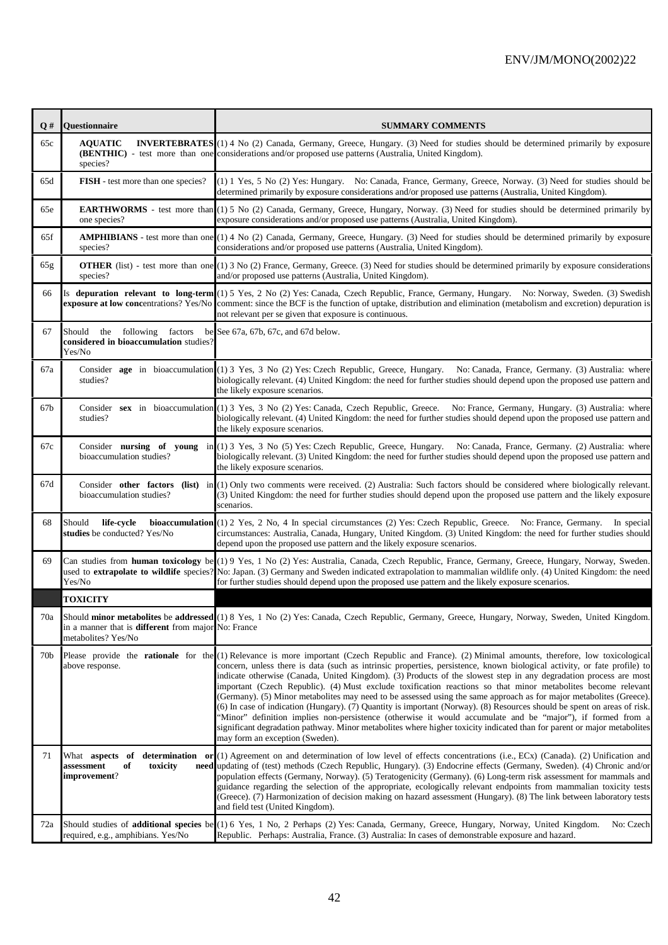| Q#              | <b>Ouestionnaire</b>                                                                   | <b>SUMMARY COMMENTS</b>                                                                                                                                                                                                                                                                                                                                                                                                                                                                                                                                                                                                                                                                                                                                                                                                                                                                                                                                                                                                                                      |
|-----------------|----------------------------------------------------------------------------------------|--------------------------------------------------------------------------------------------------------------------------------------------------------------------------------------------------------------------------------------------------------------------------------------------------------------------------------------------------------------------------------------------------------------------------------------------------------------------------------------------------------------------------------------------------------------------------------------------------------------------------------------------------------------------------------------------------------------------------------------------------------------------------------------------------------------------------------------------------------------------------------------------------------------------------------------------------------------------------------------------------------------------------------------------------------------|
| 65c             | <b>AOUATIC</b><br>species?                                                             | <b>INVERTEBRATES</b> (1) 4 No (2) Canada, Germany, Greece, Hungary. (3) Need for studies should be determined primarily by exposure<br><b>(BENTHIC)</b> - test more than one considerations and/or proposed use patterns (Australia, United Kingdom).                                                                                                                                                                                                                                                                                                                                                                                                                                                                                                                                                                                                                                                                                                                                                                                                        |
| 65d             | <b>FISH</b> - test more than one species?                                              | (1) 1 Yes, 5 No (2) Yes: Hungary. No: Canada, France, Germany, Greece, Norway. (3) Need for studies should be<br>determined primarily by exposure considerations and/or proposed use patterns (Australia, United Kingdom).                                                                                                                                                                                                                                                                                                                                                                                                                                                                                                                                                                                                                                                                                                                                                                                                                                   |
| 65e             | one species?                                                                           | <b>EARTHWORMS</b> - test more than (1) 5 No (2) Canada, Germany, Greece, Hungary, Norway. (3) Need for studies should be determined primarily by<br>exposure considerations and/or proposed use patterns (Australia, United Kingdom).                                                                                                                                                                                                                                                                                                                                                                                                                                                                                                                                                                                                                                                                                                                                                                                                                        |
| 65f             | species?                                                                               | AMPHIBIANS - test more than one (1) 4 No (2) Canada, Germany, Greece, Hungary. (3) Need for studies should be determined primarily by exposure<br>considerations and/or proposed use patterns (Australia, United Kingdom).                                                                                                                                                                                                                                                                                                                                                                                                                                                                                                                                                                                                                                                                                                                                                                                                                                   |
| 65g             | species?                                                                               | <b>OTHER</b> (list) - test more than one (1) 3 No (2) France, Germany, Greece. (3) Need for studies should be determined primarily by exposure considerations<br>and/or proposed use patterns (Australia, United Kingdom).                                                                                                                                                                                                                                                                                                                                                                                                                                                                                                                                                                                                                                                                                                                                                                                                                                   |
| 66              |                                                                                        | Is depuration relevant to long-term (1) 5 Yes, 2 No (2) Yes: Canada, Czech Republic, France, Germany, Hungary. No: Norway, Sweden. (3) Swedish<br>exposure at low concentrations? Yes/No comment: since the BCF is the function of uptake, distribution and elimination (metabolism and excretion) depuration is<br>not relevant per se given that exposure is continuous.                                                                                                                                                                                                                                                                                                                                                                                                                                                                                                                                                                                                                                                                                   |
| 67              | the following<br>factors<br>Should<br>considered in bioaccumulation studies?<br>Yes/No | be See 67a, 67b, 67c, and 67d below.                                                                                                                                                                                                                                                                                                                                                                                                                                                                                                                                                                                                                                                                                                                                                                                                                                                                                                                                                                                                                         |
| 67a             | studies?                                                                               | Consider age in bioaccumulation (1) 3 Yes, 3 No (2) Yes: Czech Republic, Greece, Hungary.<br>No: Canada, France, Germany. (3) Australia: where<br>biologically relevant. (4) United Kingdom: the need for further studies should depend upon the proposed use pattern and<br>the likely exposure scenarios.                                                                                                                                                                                                                                                                                                                                                                                                                                                                                                                                                                                                                                                                                                                                                  |
| 67 <sub>b</sub> | studies?                                                                               | Consider sex in bioaccumulation (1) 3 Yes, 3 No (2) Yes: Canada, Czech Republic, Greece.<br>No: France, Germany, Hungary. (3) Australia: where<br>biologically relevant. (4) United Kingdom: the need for further studies should depend upon the proposed use pattern and<br>the likely exposure scenarios.                                                                                                                                                                                                                                                                                                                                                                                                                                                                                                                                                                                                                                                                                                                                                  |
| 67c             | bioaccumulation studies?                                                               | Consider nursing of young $in(1)$ 3 Yes, 3 No (5) Yes: Czech Republic, Greece, Hungary. No: Canada, France, Germany. (2) Australia: where<br>biologically relevant. (3) United Kingdom: the need for further studies should depend upon the proposed use pattern and<br>the likely exposure scenarios.                                                                                                                                                                                                                                                                                                                                                                                                                                                                                                                                                                                                                                                                                                                                                       |
| 67d             | bioaccumulation studies?                                                               | Consider other factors (list) in $(1)$ Only two comments were received. (2) Australia: Such factors should be considered where biologically relevant.<br>(3) United Kingdom: the need for further studies should depend upon the proposed use pattern and the likely exposure<br>scenarios.                                                                                                                                                                                                                                                                                                                                                                                                                                                                                                                                                                                                                                                                                                                                                                  |
| 68              | Should<br>life-cycle<br>studies be conducted? Yes/No                                   | <b>bioaccumulation</b> (1) 2 Yes, 2 No, 4 In special circumstances (2) Yes: Czech Republic, Greece. No: France, Germany. In special<br>circumstances: Australia, Canada, Hungary, United Kingdom. (3) United Kingdom: the need for further studies should<br>depend upon the proposed use pattern and the likely exposure scenarios.                                                                                                                                                                                                                                                                                                                                                                                                                                                                                                                                                                                                                                                                                                                         |
| 69              | Yes/No                                                                                 | Can studies from human toxicology be (1) 9 Yes, 1 No (2) Yes: Australia, Canada, Czech Republic, France, Germany, Greece, Hungary, Norway, Sweden.<br>used to extrapolate to wildlife species? No: Japan. (3) Germany and Sweden indicated extrapolation to mammalian wildlife only. (4) United Kingdom: the need<br>for further studies should depend upon the proposed use pattern and the likely exposure scenarios.                                                                                                                                                                                                                                                                                                                                                                                                                                                                                                                                                                                                                                      |
|                 | TOXICITY                                                                               |                                                                                                                                                                                                                                                                                                                                                                                                                                                                                                                                                                                                                                                                                                                                                                                                                                                                                                                                                                                                                                                              |
| 70a             | in a manner that is different from major No: France<br>metabolites? Yes/No             | Should minor metabolites be addressed (1) 8 Yes, 1 No (2) Yes: Canada, Czech Republic, Germany, Greece, Hungary, Norway, Sweden, United Kingdom.                                                                                                                                                                                                                                                                                                                                                                                                                                                                                                                                                                                                                                                                                                                                                                                                                                                                                                             |
| 70b             | above response.                                                                        | Please provide the <b>rationale</b> for the (1) Relevance is more important (Czech Republic and France). (2) Minimal amounts, therefore, low toxicological<br>concern, unless there is data (such as intrinsic properties, persistence, known biological activity, or fate profile) to<br>indicate otherwise (Canada, United Kingdom). (3) Products of the slowest step in any degradation process are most<br>important (Czech Republic). (4) Must exclude toxification reactions so that minor metabolites become relevant<br>(Germany). (5) Minor metabolites may need to be assessed using the same approach as for major metabolites (Greece).<br>(6) In case of indication (Hungary). (7) Quantity is important (Norway). (8) Resources should be spent on areas of risk.<br>"Minor" definition implies non-persistence (otherwise it would accumulate and be "major"), if formed from a<br>significant degradation pathway. Minor metabolites where higher toxicity indicated than for parent or major metabolites<br>may form an exception (Sweden). |
| 71              | of<br>assessment<br>toxicity<br>improvement?                                           | What <b>aspects</b> of determination $or(1)$ Agreement on and determination of low level of effects concentrations (i.e., ECx) (Canada). (2) Unification and<br>need updating of (test) methods (Czech Republic, Hungary). (3) Endocrine effects (Germany, Sweden). (4) Chronic and/or<br>population effects (Germany, Norway). (5) Teratogenicity (Germany). (6) Long-term risk assessment for mammals and<br>guidance regarding the selection of the appropriate, ecologically relevant endpoints from mammalian toxicity tests<br>(Greece). (7) Harmonization of decision making on hazard assessment (Hungary). (8) The link between laboratory tests<br>and field test (United Kingdom).                                                                                                                                                                                                                                                                                                                                                                |
| 72a             | required, e.g., amphibians. Yes/No                                                     | Should studies of additional species be(1) 6 Yes, 1 No, 2 Perhaps (2) Yes: Canada, Germany, Greece, Hungary, Norway, United Kingdom.<br>No: Czech<br>Republic. Perhaps: Australia, France. (3) Australia: In cases of demonstrable exposure and hazard.                                                                                                                                                                                                                                                                                                                                                                                                                                                                                                                                                                                                                                                                                                                                                                                                      |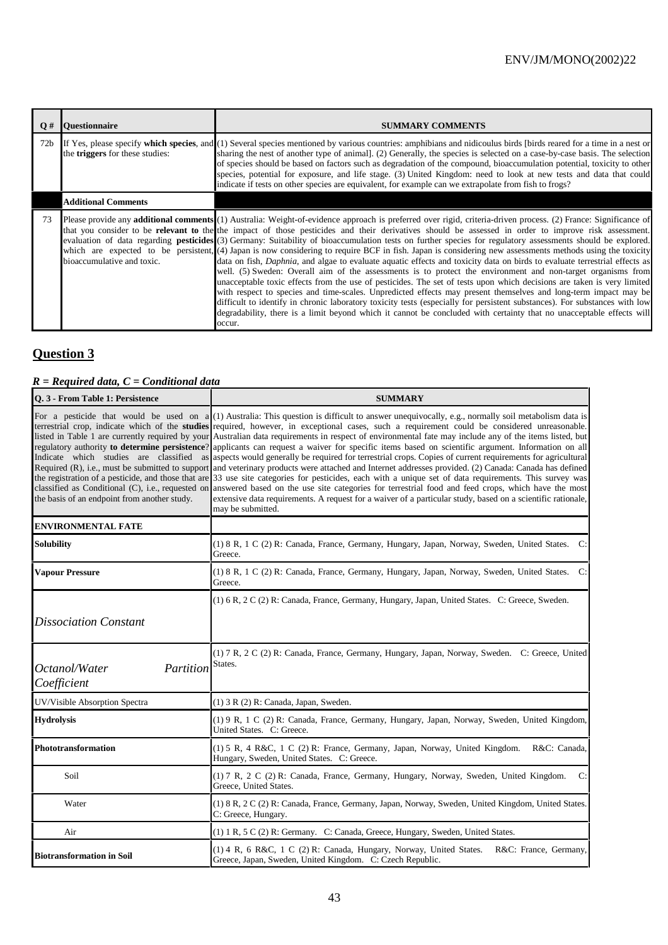|    | <b>O</b> # <b>Ouestionnaire</b>        | <b>SUMMARY COMMENTS</b>                                                                                                                                                                                                                                                                                                                                                                                                                                                                                                                                                                                                                                                                                                                                                                                                                                                                                                                                                                                                                                                                                                                                                                                                                                                                                                                                                                                                                |
|----|----------------------------------------|----------------------------------------------------------------------------------------------------------------------------------------------------------------------------------------------------------------------------------------------------------------------------------------------------------------------------------------------------------------------------------------------------------------------------------------------------------------------------------------------------------------------------------------------------------------------------------------------------------------------------------------------------------------------------------------------------------------------------------------------------------------------------------------------------------------------------------------------------------------------------------------------------------------------------------------------------------------------------------------------------------------------------------------------------------------------------------------------------------------------------------------------------------------------------------------------------------------------------------------------------------------------------------------------------------------------------------------------------------------------------------------------------------------------------------------|
|    | the <b>triggers</b> for these studies: | 72b If Yes, please specify which species, and (1) Several species mentioned by various countries: amphibians and nidicoulus birds (birds reared for a time in a nest or<br>sharing the nest of another type of animal. (2) Generally, the species is selected on a case-by-case basis. The selection<br>of species should be based on factors such as degradation of the compound, bioaccumulation potential, toxicity to other<br>species, potential for exposure, and life stage. (3) United Kingdom: need to look at new tests and data that could<br>indicate if tests on other species are equivalent, for example can we extrapolate from fish to frogs?                                                                                                                                                                                                                                                                                                                                                                                                                                                                                                                                                                                                                                                                                                                                                                         |
|    | <b>Additional Comments</b>             |                                                                                                                                                                                                                                                                                                                                                                                                                                                                                                                                                                                                                                                                                                                                                                                                                                                                                                                                                                                                                                                                                                                                                                                                                                                                                                                                                                                                                                        |
| 73 | bioaccumulative and toxic.             | Please provide any <b>additional comments</b> (1) Australia: Weight-of-evidence approach is preferred over rigid, criteria-driven process. (2) France: Significance of<br>that you consider to be relevant to the the impact of those pesticides and their derivatives should be assessed in order to improve risk assessment.<br>evaluation of data regarding <b>pesticides</b> (3) Germany: Suitability of bioaccumulation tests on further species for regulatory assessments should be explored.<br>which are expected to be persistent, $(4)$ Japan is now considering to require BCF in fish. Japan is considering new assessments methods using the toxicity<br>data on fish, <i>Daphnia</i> , and algae to evaluate aquatic effects and toxicity data on birds to evaluate terrestrial effects as<br>well. (5) Sweden: Overall aim of the assessments is to protect the environment and non-target organisms from<br>unacceptable toxic effects from the use of pesticides. The set of tests upon which decisions are taken is very limited<br>with respect to species and time-scales. Unpredicted effects may present themselves and long-term impact may be<br>difficult to identify in chronic laboratory toxicity tests (especially for persistent substances). For substances with low<br>degradability, there is a limit beyond which it cannot be concluded with certainty that no unacceptable effects will<br>occur. |

### *R = Required data, C = Conditional data*

| Q. 3 - From Table 1: Persistence                                                                     | <b>SUMMARY</b>                                                                                                                                                                                                                                                                                                                                                                                                                                                                                                                                                                                                                                                                                                                                                                                                                                                                                                                                                                                                                                                                                                                                                                                                                                                                                                                                   |
|------------------------------------------------------------------------------------------------------|--------------------------------------------------------------------------------------------------------------------------------------------------------------------------------------------------------------------------------------------------------------------------------------------------------------------------------------------------------------------------------------------------------------------------------------------------------------------------------------------------------------------------------------------------------------------------------------------------------------------------------------------------------------------------------------------------------------------------------------------------------------------------------------------------------------------------------------------------------------------------------------------------------------------------------------------------------------------------------------------------------------------------------------------------------------------------------------------------------------------------------------------------------------------------------------------------------------------------------------------------------------------------------------------------------------------------------------------------|
| classified as Conditional $(C)$ , i.e., requested on<br>the basis of an endpoint from another study. | For a pesticide that would be used on a (1) Australia: This question is difficult to answer unequivocally, e.g., normally soil metabolism data is<br>terrestrial crop, indicate which of the <b>studies</b> required, however, in exceptional cases, such a requirement could be considered unreasonable.<br>listed in Table 1 are currently required by your Australian data requirements in respect of environmental fate may include any of the items listed, but<br>regulatory authority to determine persistence? applicants can request a waiver for specific items based on scientific argument. Information on all<br>Indicate which studies are classified as aspects would generally be required for terrestrial crops. Copies of current requirements for agricultural<br>Required (R), i.e., must be submitted to support and veterinary products were attached and Internet addresses provided. (2) Canada: Canada has defined<br>the registration of a pesticide, and those that are 33 use site categories for pesticides, each with a unique set of data requirements. This survey was<br>answered based on the use site categories for terrestrial food and feed crops, which have the most<br>extensive data requirements. A request for a waiver of a particular study, based on a scientific rationale,<br>may be submitted. |
| <b>ENVIRONMENTAL FATE</b>                                                                            |                                                                                                                                                                                                                                                                                                                                                                                                                                                                                                                                                                                                                                                                                                                                                                                                                                                                                                                                                                                                                                                                                                                                                                                                                                                                                                                                                  |
| <b>Solubility</b>                                                                                    | (1) 8 R, 1 C (2) R: Canada, France, Germany, Hungary, Japan, Norway, Sweden, United States. C:<br>Greece.                                                                                                                                                                                                                                                                                                                                                                                                                                                                                                                                                                                                                                                                                                                                                                                                                                                                                                                                                                                                                                                                                                                                                                                                                                        |
| <b>Vapour Pressure</b>                                                                               | (1) 8 R, 1 C (2) R: Canada, France, Germany, Hungary, Japan, Norway, Sweden, United States. C:<br>Greece.                                                                                                                                                                                                                                                                                                                                                                                                                                                                                                                                                                                                                                                                                                                                                                                                                                                                                                                                                                                                                                                                                                                                                                                                                                        |
| <b>Dissociation Constant</b>                                                                         | (1) 6 R, 2 C (2) R: Canada, France, Germany, Hungary, Japan, United States. C: Greece, Sweden.                                                                                                                                                                                                                                                                                                                                                                                                                                                                                                                                                                                                                                                                                                                                                                                                                                                                                                                                                                                                                                                                                                                                                                                                                                                   |
| Partition<br>Octanol/Water<br>Coefficient                                                            | (1) 7 R, 2 C (2) R: Canada, France, Germany, Hungary, Japan, Norway, Sweden. C: Greece, United<br>States.                                                                                                                                                                                                                                                                                                                                                                                                                                                                                                                                                                                                                                                                                                                                                                                                                                                                                                                                                                                                                                                                                                                                                                                                                                        |
| <b>UV/Visible Absorption Spectra</b>                                                                 | $(1)$ 3 R $(2)$ R: Canada, Japan, Sweden.                                                                                                                                                                                                                                                                                                                                                                                                                                                                                                                                                                                                                                                                                                                                                                                                                                                                                                                                                                                                                                                                                                                                                                                                                                                                                                        |
| <b>Hydrolysis</b>                                                                                    | (1) 9 R, 1 C (2) R: Canada, France, Germany, Hungary, Japan, Norway, Sweden, United Kingdom,<br>United States. C: Greece.                                                                                                                                                                                                                                                                                                                                                                                                                                                                                                                                                                                                                                                                                                                                                                                                                                                                                                                                                                                                                                                                                                                                                                                                                        |
| Phototransformation                                                                                  | (1) 5 R, 4 R&C, 1 C (2) R: France, Germany, Japan, Norway, United Kingdom. R&C: Canada,<br>Hungary, Sweden, United States. C: Greece.                                                                                                                                                                                                                                                                                                                                                                                                                                                                                                                                                                                                                                                                                                                                                                                                                                                                                                                                                                                                                                                                                                                                                                                                            |
| Soil                                                                                                 | (1) 7 R, 2 C (2) R: Canada, France, Germany, Hungary, Norway, Sweden, United Kingdom.<br>C:<br>Greece, United States.                                                                                                                                                                                                                                                                                                                                                                                                                                                                                                                                                                                                                                                                                                                                                                                                                                                                                                                                                                                                                                                                                                                                                                                                                            |
| Water                                                                                                | (1) 8 R, 2 C (2) R: Canada, France, Germany, Japan, Norway, Sweden, United Kingdom, United States.<br>C: Greece, Hungary.                                                                                                                                                                                                                                                                                                                                                                                                                                                                                                                                                                                                                                                                                                                                                                                                                                                                                                                                                                                                                                                                                                                                                                                                                        |
| Air                                                                                                  | (1) 1 R, 5 C (2) R: Germany. C: Canada, Greece, Hungary, Sweden, United States.                                                                                                                                                                                                                                                                                                                                                                                                                                                                                                                                                                                                                                                                                                                                                                                                                                                                                                                                                                                                                                                                                                                                                                                                                                                                  |
| <b>Biotransformation in Soil</b>                                                                     | $(1)$ 4 R, 6 R&C, 1 C $(2)$ R: Canada, Hungary, Norway, United States.<br>R&C: France, Germany,<br>Greece, Japan, Sweden, United Kingdom. C: Czech Republic.                                                                                                                                                                                                                                                                                                                                                                                                                                                                                                                                                                                                                                                                                                                                                                                                                                                                                                                                                                                                                                                                                                                                                                                     |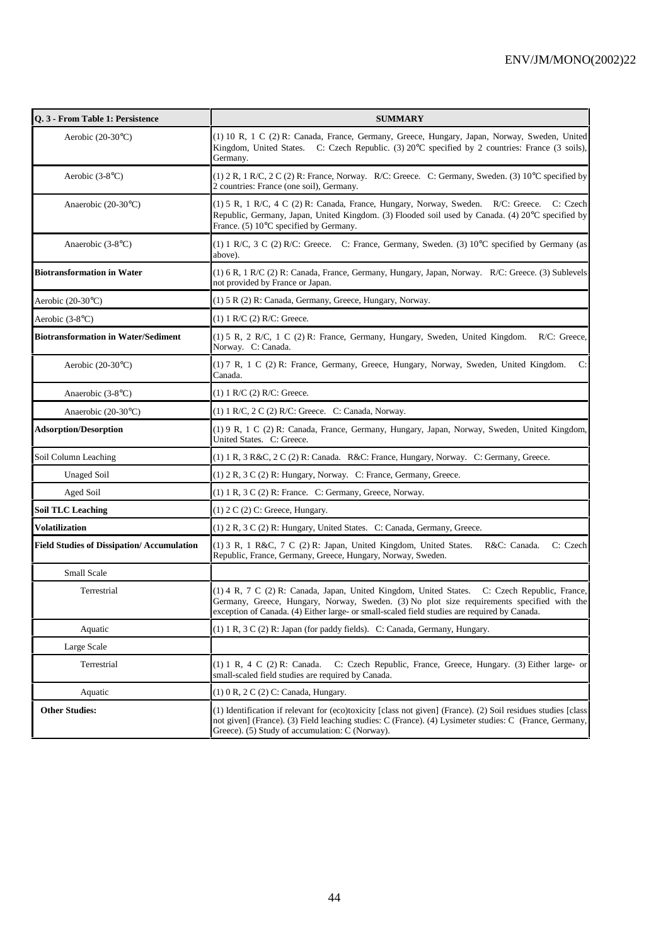| Q. 3 - From Table 1: Persistence                  | <b>SUMMARY</b>                                                                                                                                                                                                                                                                             |
|---------------------------------------------------|--------------------------------------------------------------------------------------------------------------------------------------------------------------------------------------------------------------------------------------------------------------------------------------------|
| Aerobic $(20-30^{\circ}C)$                        | (1) 10 R, 1 C (2) R: Canada, France, Germany, Greece, Hungary, Japan, Norway, Sweden, United<br>Kingdom, United States. C: Czech Republic. (3) 20°C specified by 2 countries: France (3 soils),<br>Germany.                                                                                |
| Aerobic $(3-8^{\circ}C)$                          | (1) $2 R$ , $1 R/C$ , $2 C$ (2) $R$ : France, Norway. R/C: Greece. C: Germany, Sweden. (3) $10^{\circ}$ C specified by<br>2 countries: France (one soil), Germany.                                                                                                                         |
| Anaerobic $(20-30^{\circ}C)$                      | (1) 5 R, 1 R/C, 4 C (2) R: Canada, France, Hungary, Norway, Sweden. R/C: Greece. C: Czech<br>Republic, Germany, Japan, United Kingdom. (3) Flooded soil used by Canada. (4) 20°C specified by<br>France. (5) 10°C specified by Germany.                                                    |
| Anaerobic (3-8°C)                                 | (1) 1 R/C, 3 C (2) R/C: Greece. C: France, Germany, Sweden. (3) $10^{\circ}$ C specified by Germany (as<br>above).                                                                                                                                                                         |
| <b>Biotransformation in Water</b>                 | (1) 6 R, 1 R/C (2) R: Canada, France, Germany, Hungary, Japan, Norway. R/C: Greece. (3) Sublevels<br>not provided by France or Japan.                                                                                                                                                      |
| Aerobic (20-30°C)                                 | (1) 5 R (2) R: Canada, Germany, Greece, Hungary, Norway.                                                                                                                                                                                                                                   |
| Aerobic (3-8°C)                                   | $(1)$ 1 R/C $(2)$ R/C: Greece.                                                                                                                                                                                                                                                             |
| <b>Biotransformation in Water/Sediment</b>        | $(1)$ 5 R, 2 R/C, 1 C $(2)$ R: France, Germany, Hungary, Sweden, United Kingdom.<br>R/C: Greece,<br>Norway. C: Canada.                                                                                                                                                                     |
| Aerobic $(20-30^{\circ}C)$                        | (1) 7 R, 1 C (2) R: France, Germany, Greece, Hungary, Norway, Sweden, United Kingdom.<br>C:<br>Canada.                                                                                                                                                                                     |
| Anaerobic $(3-8^{\circ}C)$                        | $(1)$ 1 R/C $(2)$ R/C: Greece.                                                                                                                                                                                                                                                             |
| Anaerobic (20-30°C)                               | $(1)$ 1 R/C, 2 C $(2)$ R/C: Greece. C: Canada, Norway.                                                                                                                                                                                                                                     |
| <b>Adsorption/Desorption</b>                      | (1) 9 R, 1 C (2) R: Canada, France, Germany, Hungary, Japan, Norway, Sweden, United Kingdom,<br>United States. C: Greece.                                                                                                                                                                  |
| Soil Column Leaching                              | (1) 1 R, 3 R&C, 2 C (2) R: Canada. R&C: France, Hungary, Norway. C: Germany, Greece.                                                                                                                                                                                                       |
| Unaged Soil                                       | (1) 2 R, 3 C (2) R: Hungary, Norway. C: France, Germany, Greece.                                                                                                                                                                                                                           |
| Aged Soil                                         | (1) 1 R, 3 C (2) R: France. C: Germany, Greece, Norway.                                                                                                                                                                                                                                    |
| <b>Soil TLC Leaching</b>                          | $(1)$ 2 C $(2)$ C: Greece, Hungary.                                                                                                                                                                                                                                                        |
| <b>Volatilization</b>                             | (1) 2 R, 3 C (2) R: Hungary, United States. C: Canada, Germany, Greece.                                                                                                                                                                                                                    |
| <b>Field Studies of Dissipation/ Accumulation</b> | $(1)$ 3 R, 1 R&C, 7 C $(2)$ R: Japan, United Kingdom, United States.<br>C: Czech<br>R&C: Canada.<br>Republic, France, Germany, Greece, Hungary, Norway, Sweden.                                                                                                                            |
| Small Scale                                       |                                                                                                                                                                                                                                                                                            |
| Terrestrial                                       | (1) 4 R, 7 C (2) R: Canada, Japan, United Kingdom, United States. C: Czech Republic, France,<br>Germany, Greece, Hungary, Norway, Sweden. (3) No plot size requirements specified with the<br>exception of Canada. (4) Either large- or small-scaled field studies are required by Canada. |
| Aquatic                                           | (1) 1 R, 3 C (2) R: Japan (for paddy fields). C: Canada, Germany, Hungary.                                                                                                                                                                                                                 |
| Large Scale                                       |                                                                                                                                                                                                                                                                                            |
| Terrestrial                                       | C: Czech Republic, France, Greece, Hungary. (3) Either large- or<br>(1) 1 R, 4 C (2) R: Canada.<br>small-scaled field studies are required by Canada.                                                                                                                                      |
| Aquatic                                           | (1) 0 R, 2 C (2) C: Canada, Hungary.                                                                                                                                                                                                                                                       |
| <b>Other Studies:</b>                             | (1) Identification if relevant for (eco)toxicity [class not given] (France). (2) Soil residues studies [class<br>not given] (France). (3) Field leaching studies: C (France). (4) Lysimeter studies: C (France, Germany,<br>Greece). (5) Study of accumulation: C (Norway).                |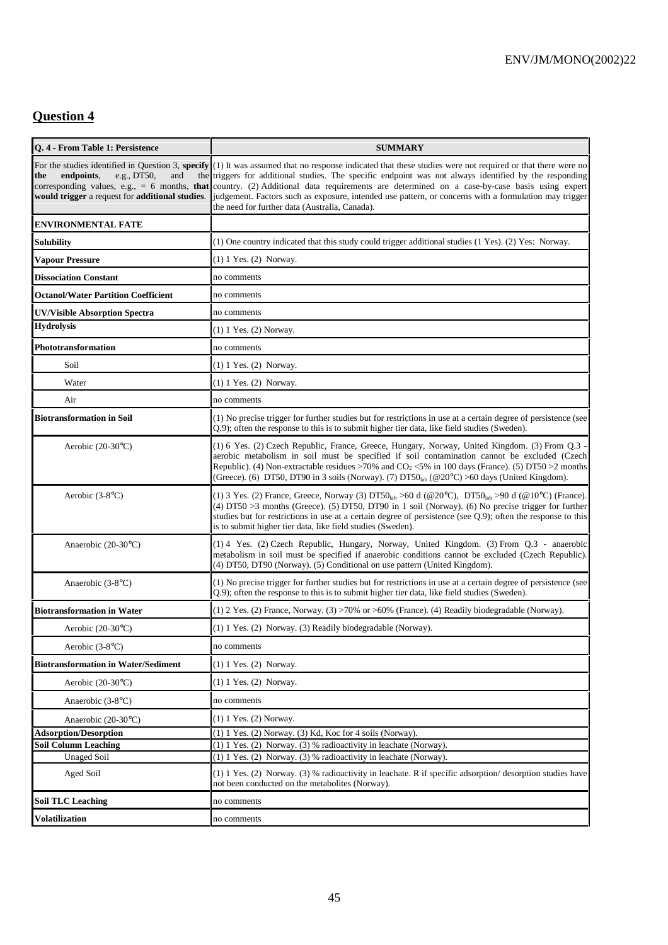| Q. 4 - From Table 1: Persistence                                                                                                             | <b>SUMMARY</b>                                                                                                                                                                                                                                                                                                                                                                                                                                                                                                                     |
|----------------------------------------------------------------------------------------------------------------------------------------------|------------------------------------------------------------------------------------------------------------------------------------------------------------------------------------------------------------------------------------------------------------------------------------------------------------------------------------------------------------------------------------------------------------------------------------------------------------------------------------------------------------------------------------|
| endpoints.<br>e.g., DT50,<br>and<br>the<br>corresponding values, e.g., $= 6$ months, that<br>would trigger a request for additional studies. | For the studies identified in Question 3, specify $(1)$ It was assumed that no response indicated that these studies were not required or that there were no<br>the triggers for additional studies. The specific endpoint was not always identified by the responding<br>country. (2) Additional data requirements are determined on a case-by-case basis using expert<br>judgement. Factors such as exposure, intended use pattern, or concerns with a formulation may trigger<br>the need for further data (Australia, Canada). |
| <b>ENVIRONMENTAL FATE</b>                                                                                                                    |                                                                                                                                                                                                                                                                                                                                                                                                                                                                                                                                    |
| <b>Solubility</b>                                                                                                                            | (1) One country indicated that this study could trigger additional studies (1 Yes). (2) Yes: Norway.                                                                                                                                                                                                                                                                                                                                                                                                                               |
| <b>Vapour Pressure</b>                                                                                                                       | $(1)$ 1 Yes. $(2)$ Norway.                                                                                                                                                                                                                                                                                                                                                                                                                                                                                                         |
| <b>Dissociation Constant</b>                                                                                                                 | no comments                                                                                                                                                                                                                                                                                                                                                                                                                                                                                                                        |
| <b>Octanol/Water Partition Coefficient</b>                                                                                                   | no comments                                                                                                                                                                                                                                                                                                                                                                                                                                                                                                                        |
| <b>UV/Visible Absorption Spectra</b>                                                                                                         | no comments                                                                                                                                                                                                                                                                                                                                                                                                                                                                                                                        |
| <b>Hydrolysis</b>                                                                                                                            | $(1)$ 1 Yes. $(2)$ Norway.                                                                                                                                                                                                                                                                                                                                                                                                                                                                                                         |
| Phototransformation                                                                                                                          | no comments                                                                                                                                                                                                                                                                                                                                                                                                                                                                                                                        |
| Soil                                                                                                                                         | $(1)$ 1 Yes. $(2)$ Norway.                                                                                                                                                                                                                                                                                                                                                                                                                                                                                                         |
| Water                                                                                                                                        | $(1)$ 1 Yes. $(2)$ Norway.                                                                                                                                                                                                                                                                                                                                                                                                                                                                                                         |
| Air                                                                                                                                          | no comments                                                                                                                                                                                                                                                                                                                                                                                                                                                                                                                        |
| <b>Biotransformation in Soil</b>                                                                                                             | (1) No precise trigger for further studies but for restrictions in use at a certain degree of persistence (see<br>Q.9); often the response to this is to submit higher tier data, like field studies (Sweden).                                                                                                                                                                                                                                                                                                                     |
| Aerobic $(20-30^{\circ}C)$                                                                                                                   | (1) 6 Yes. (2) Czech Republic, France, Greece, Hungary, Norway, United Kingdom. (3) From Q.3<br>aerobic metabolism in soil must be specified if soil contamination cannot be excluded (Czech<br>Republic). (4) Non-extractable residues >70% and $CO2 < 5%$ in 100 days (France). (5) DT50 >2 months<br>(Greece). (6) DT50, DT90 in 3 soils (Norway). (7) DT50 $_{lab}$ (@20°C) >60 days (United Kingdom).                                                                                                                         |
| Aerobic $(3-8\degree C)$                                                                                                                     | (1) 3 Yes. (2) France, Greece, Norway (3) DT50 <sub>lab</sub> >60 d (@20°C), DT50 <sub>lab</sub> >90 d (@10°C) (France).<br>$(4) DT50 > 3$ months (Greece). (5) DT50, DT90 in 1 soil (Norway). (6) No precise trigger for further<br>studies but for restrictions in use at a certain degree of persistence (see Q.9); often the response to this<br>is to submit higher tier data, like field studies (Sweden).                                                                                                                   |
| Anaerobic (20-30°C)                                                                                                                          | (1) 4 Yes. (2) Czech Republic, Hungary, Norway, United Kingdom. (3) From Q.3 - anaerobic<br>metabolism in soil must be specified if anaerobic conditions cannot be excluded (Czech Republic).<br>(4) DT50, DT90 (Norway). (5) Conditional on use pattern (United Kingdom).                                                                                                                                                                                                                                                         |
| Anaerobic $(3-8^{\circ}C)$                                                                                                                   | (1) No precise trigger for further studies but for restrictions in use at a certain degree of persistence (see<br>Q.9); often the response to this is to submit higher tier data, like field studies (Sweden).                                                                                                                                                                                                                                                                                                                     |
| <b>Biotransformation in Water</b>                                                                                                            | (1) 2 Yes. (2) France, Norway. (3) >70% or >60% (France). (4) Readily biodegradable (Norway).                                                                                                                                                                                                                                                                                                                                                                                                                                      |
| Aerobic $(20-30^{\circ}C)$                                                                                                                   | (1) 1 Yes. (2) Norway. (3) Readily biodegradable (Norway).                                                                                                                                                                                                                                                                                                                                                                                                                                                                         |
| Aerobic (3-8°C)                                                                                                                              | no comments                                                                                                                                                                                                                                                                                                                                                                                                                                                                                                                        |
| <b>Biotransformation in Water/Sediment</b>                                                                                                   | $(1)$ 1 Yes. $(2)$ Norway.                                                                                                                                                                                                                                                                                                                                                                                                                                                                                                         |
| Aerobic $(20-30^{\circ}C)$                                                                                                                   | (1) 1 Yes. (2) Norway.                                                                                                                                                                                                                                                                                                                                                                                                                                                                                                             |
| Anaerobic $(3-8^{\circ}C)$                                                                                                                   | no comments                                                                                                                                                                                                                                                                                                                                                                                                                                                                                                                        |
| Anaerobic (20-30°C)                                                                                                                          | $(1)$ 1 Yes. $(2)$ Norway.                                                                                                                                                                                                                                                                                                                                                                                                                                                                                                         |
| <b>Adsorption/Desorption</b>                                                                                                                 | $(1)$ 1 Yes. $(2)$ Norway. $(3)$ Kd, Koc for 4 soils (Norway).                                                                                                                                                                                                                                                                                                                                                                                                                                                                     |
| <b>Soil Column Leaching</b>                                                                                                                  | (1) 1 Yes. (2) Norway. (3) % radioactivity in leachate (Norway).                                                                                                                                                                                                                                                                                                                                                                                                                                                                   |
| <b>Unaged Soil</b>                                                                                                                           | (1) 1 Yes. (2) Norway. (3) % radioactivity in leachate (Norway).                                                                                                                                                                                                                                                                                                                                                                                                                                                                   |
| Aged Soil                                                                                                                                    | (1) 1 Yes. (2) Norway. (3) % radioactivity in leachate. R if specific adsorption/desorption studies have<br>not been conducted on the metabolites (Norway).                                                                                                                                                                                                                                                                                                                                                                        |
| <b>Soil TLC Leaching</b>                                                                                                                     | no comments                                                                                                                                                                                                                                                                                                                                                                                                                                                                                                                        |
| <b>Volatilization</b>                                                                                                                        | no comments                                                                                                                                                                                                                                                                                                                                                                                                                                                                                                                        |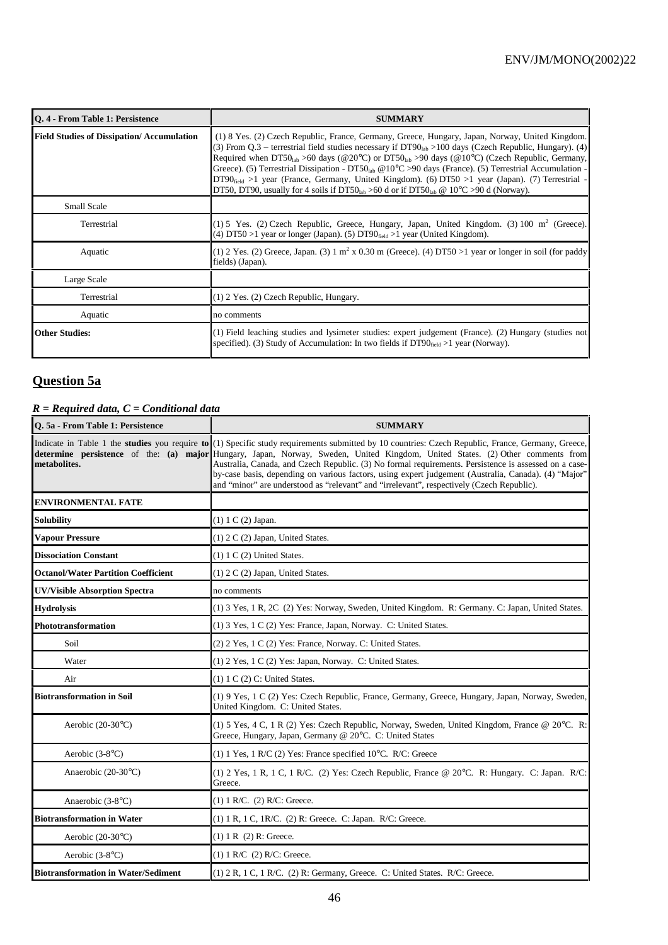| Q. 4 - From Table 1: Persistence                  | <b>SUMMARY</b>                                                                                                                                                                                                                                                                                                                                                                                                                                                                                                                                                                                                                                                                                                    |
|---------------------------------------------------|-------------------------------------------------------------------------------------------------------------------------------------------------------------------------------------------------------------------------------------------------------------------------------------------------------------------------------------------------------------------------------------------------------------------------------------------------------------------------------------------------------------------------------------------------------------------------------------------------------------------------------------------------------------------------------------------------------------------|
| <b>Field Studies of Dissipation/ Accumulation</b> | (1) 8 Yes. (2) Czech Republic, France, Germany, Greece, Hungary, Japan, Norway, United Kingdom.<br>(3) From Q.3 – terrestrial field studies necessary if DT90 $_{\text{lab}}$ >100 days (Czech Republic, Hungary). (4)<br>Required when DT50 <sub>lab</sub> >60 days (@20°C) or DT50 <sub>lab</sub> >90 days (@10°C) (Czech Republic, Germany,<br>Greece). (5) Terrestrial Dissipation - DT50 <sub>lab</sub> @10°C >90 days (France). (5) Terrestrial Accumulation -<br>$DT90_{\text{field}} > 1$ year (France, Germany, United Kingdom). (6) DT50 >1 year (Japan). (7) Terrestrial<br>DT50, DT90, usually for 4 soils if DT50 <sub>lab</sub> >60 d or if DT50 <sub>lab</sub> @ 10 <sup>o</sup> C >90 d (Norway). |
| <b>Small Scale</b>                                |                                                                                                                                                                                                                                                                                                                                                                                                                                                                                                                                                                                                                                                                                                                   |
| Terrestrial                                       | (1) 5 Yes. (2) Czech Republic, Greece, Hungary, Japan, United Kingdom. (3) 100 m <sup>2</sup> (Greece).<br>(4) DT50 >1 year or longer (Japan). (5) DT90 $_{\text{field}}$ >1 year (United Kingdom).                                                                                                                                                                                                                                                                                                                                                                                                                                                                                                               |
| Aquatic                                           | (1) 2 Yes. (2) Greece, Japan. (3) 1 m <sup>2</sup> x 0.30 m (Greece). (4) DT50 >1 year or longer in soil (for paddy<br>fields) (Japan).                                                                                                                                                                                                                                                                                                                                                                                                                                                                                                                                                                           |
| Large Scale                                       |                                                                                                                                                                                                                                                                                                                                                                                                                                                                                                                                                                                                                                                                                                                   |
| Terrestrial                                       | $(1)$ 2 Yes. $(2)$ Czech Republic, Hungary.                                                                                                                                                                                                                                                                                                                                                                                                                                                                                                                                                                                                                                                                       |
| Aquatic                                           | no comments                                                                                                                                                                                                                                                                                                                                                                                                                                                                                                                                                                                                                                                                                                       |
| <b>Other Studies:</b>                             | (1) Field leaching studies and lysimeter studies: expert judgement (France). (2) Hungary (studies not<br>specified). (3) Study of Accumulation: In two fields if $DT90_{field} > 1$ year (Norway).                                                                                                                                                                                                                                                                                                                                                                                                                                                                                                                |

### **Question 5a**

#### *R = Required data, C = Conditional data*

| Q. 5a - From Table 1: Persistence          | <b>SUMMARY</b>                                                                                                                                                                                                                                                                                                                                                                                                                                                                                                                                                                                            |
|--------------------------------------------|-----------------------------------------------------------------------------------------------------------------------------------------------------------------------------------------------------------------------------------------------------------------------------------------------------------------------------------------------------------------------------------------------------------------------------------------------------------------------------------------------------------------------------------------------------------------------------------------------------------|
| metabolites.                               | Indicate in Table 1 the <b>studies</b> you require to (1) Specific study requirements submitted by 10 countries: Czech Republic, France, Germany, Greece,<br>determine persistence of the: (a) major Hungary, Japan, Norway, Sweden, United Kingdom, United States. (2) Other comments from<br>Australia, Canada, and Czech Republic. (3) No formal requirements. Persistence is assessed on a case-<br>by-case basis, depending on various factors, using expert judgement (Australia, Canada). (4) "Major"<br>and "minor" are understood as "relevant" and "irrelevant", respectively (Czech Republic). |
| <b>ENVIRONMENTAL FATE</b>                  |                                                                                                                                                                                                                                                                                                                                                                                                                                                                                                                                                                                                           |
| Solubility                                 | (1) 1 C (2) Japan.                                                                                                                                                                                                                                                                                                                                                                                                                                                                                                                                                                                        |
| <b>Vapour Pressure</b>                     | $(1)$ 2 C $(2)$ Japan, United States.                                                                                                                                                                                                                                                                                                                                                                                                                                                                                                                                                                     |
| <b>Dissociation Constant</b>               | $(1)$ 1 C $(2)$ United States.                                                                                                                                                                                                                                                                                                                                                                                                                                                                                                                                                                            |
| <b>Octanol/Water Partition Coefficient</b> | (1) 2 C (2) Japan, United States.                                                                                                                                                                                                                                                                                                                                                                                                                                                                                                                                                                         |
| <b>UV/Visible Absorption Spectra</b>       | no comments                                                                                                                                                                                                                                                                                                                                                                                                                                                                                                                                                                                               |
| <b>Hydrolysis</b>                          | (1) 3 Yes, 1 R, 2C (2) Yes: Norway, Sweden, United Kingdom. R: Germany. C: Japan, United States.                                                                                                                                                                                                                                                                                                                                                                                                                                                                                                          |
| Phototransformation                        | (1) 3 Yes, 1 C (2) Yes: France, Japan, Norway. C: United States.                                                                                                                                                                                                                                                                                                                                                                                                                                                                                                                                          |
| Soil                                       | (2) 2 Yes, 1 C (2) Yes: France, Norway. C: United States.                                                                                                                                                                                                                                                                                                                                                                                                                                                                                                                                                 |
| Water                                      | (1) 2 Yes, 1 C (2) Yes: Japan, Norway. C: United States.                                                                                                                                                                                                                                                                                                                                                                                                                                                                                                                                                  |
| Air                                        | $(1)$ 1 C $(2)$ C: United States.                                                                                                                                                                                                                                                                                                                                                                                                                                                                                                                                                                         |
| <b>Biotransformation in Soil</b>           | (1) 9 Yes, 1 C (2) Yes: Czech Republic, France, Germany, Greece, Hungary, Japan, Norway, Sweden,<br>United Kingdom. C: United States.                                                                                                                                                                                                                                                                                                                                                                                                                                                                     |
| Aerobic $(20-30^{\circ}\text{C})$          | (1) 5 Yes, 4 C, 1 R (2) Yes: Czech Republic, Norway, Sweden, United Kingdom, France @ 20°C. R:<br>Greece, Hungary, Japan, Germany @ 20°C. C: United States                                                                                                                                                                                                                                                                                                                                                                                                                                                |
| Aerobic $(3-8\degree C)$                   | $(1)$ 1 Yes, 1 R/C $(2)$ Yes: France specified 10 <sup>o</sup> C. R/C: Greece                                                                                                                                                                                                                                                                                                                                                                                                                                                                                                                             |
| Anaerobic (20-30°C)                        | (1) 2 Yes, 1 R, 1 C, 1 R/C. (2) Yes: Czech Republic, France @ 20°C. R: Hungary. C: Japan. R/C:<br>Greece.                                                                                                                                                                                                                                                                                                                                                                                                                                                                                                 |
| Anaerobic $(3-8^{\circ}C)$                 | $(1)$ 1 R/C. $(2)$ R/C: Greece.                                                                                                                                                                                                                                                                                                                                                                                                                                                                                                                                                                           |
| <b>Biotransformation in Water</b>          | (1) 1 R, 1 C, 1 R/C. (2) R: Greece. C: Japan. R/C: Greece.                                                                                                                                                                                                                                                                                                                                                                                                                                                                                                                                                |
| Aerobic $(20-30^{\circ}C)$                 | $(1)$ 1 R $(2)$ R: Greece.                                                                                                                                                                                                                                                                                                                                                                                                                                                                                                                                                                                |
| Aerobic $(3-8\degree C)$                   | $(1)$ 1 R/C $(2)$ R/C: Greece.                                                                                                                                                                                                                                                                                                                                                                                                                                                                                                                                                                            |
| <b>Biotransformation in Water/Sediment</b> | (1) 2 R, 1 C, 1 R/C. (2) R: Germany, Greece. C: United States. R/C: Greece.                                                                                                                                                                                                                                                                                                                                                                                                                                                                                                                               |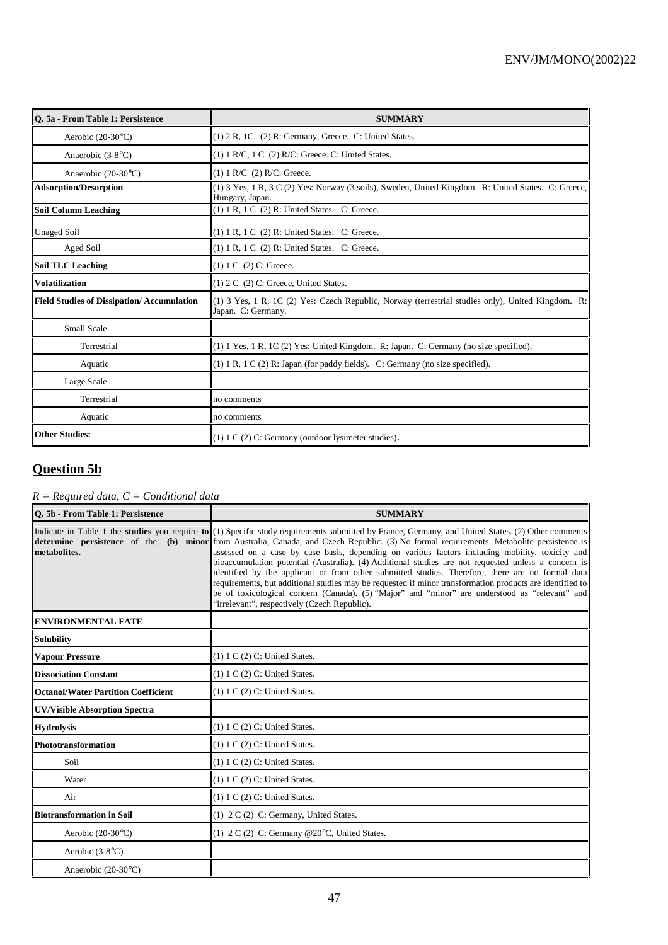| O. 5a - From Table 1: Persistence                | <b>SUMMARY</b>                                                                                                          |
|--------------------------------------------------|-------------------------------------------------------------------------------------------------------------------------|
| Aerobic $(20-30^{\circ}C)$                       | $(1)$ 2 R, 1C. $(2)$ R: Germany, Greece. C: United States.                                                              |
| Anaerobic $(3-8^{\circ}C)$                       | $(1)$ 1 R/C, 1 C $(2)$ R/C: Greece. C: United States.                                                                   |
| Anaerobic (20-30°C)                              | $(1)$ 1 R/C $(2)$ R/C: Greece.                                                                                          |
| <b>Adsorption/Desorption</b>                     | (1) 3 Yes, 1 R, 3 C (2) Yes: Norway (3 soils), Sweden, United Kingdom. R: United States. C: Greece,<br>Hungary, Japan.  |
| <b>Soil Column Leaching</b>                      | $(1)$ 1 R, 1 C $(2)$ R: United States. C: Greece.                                                                       |
| <b>Unaged Soil</b>                               | $(1)$ 1 R, 1 C $(2)$ R: United States. C: Greece.                                                                       |
| Aged Soil                                        | (1) 1 R, 1 C (2) R: United States. C: Greece.                                                                           |
| <b>Soil TLC Leaching</b>                         | $(1) 1 C (2) C$ : Greece.                                                                                               |
| <b>Volatilization</b>                            | $(1)$ 2 C $(2)$ C: Greece, United States.                                                                               |
| <b>Field Studies of Dissipation/Accumulation</b> | (1) 3 Yes, 1 R, 1C (2) Yes: Czech Republic, Norway (terrestrial studies only), United Kingdom. R:<br>Japan. C: Germany. |
| <b>Small Scale</b>                               |                                                                                                                         |
| Terrestrial                                      | (1) 1 Yes, 1 R, 1C (2) Yes: United Kingdom. R: Japan. C: Germany (no size specified).                                   |
| Aquatic                                          | $(1)$ 1 R, 1 C $(2)$ R: Japan (for paddy fields). C: Germany (no size specified).                                       |
| Large Scale                                      |                                                                                                                         |
| Terrestrial                                      | no comments                                                                                                             |
| Aquatic                                          | no comments                                                                                                             |
| <b>Other Studies:</b>                            | $(1)$ 1 C $(2)$ C: Germany (outdoor lysimeter studies).                                                                 |

### **Question 5b**

*R = Required data, C = Conditional data*

| Q. 5b - From Table 1: Persistence          | <b>SUMMARY</b>                                                                                                                                                                                                                                                                                                                                                                                                                                                                                                                                                                                                                                                                                                                                                                                                                                                              |
|--------------------------------------------|-----------------------------------------------------------------------------------------------------------------------------------------------------------------------------------------------------------------------------------------------------------------------------------------------------------------------------------------------------------------------------------------------------------------------------------------------------------------------------------------------------------------------------------------------------------------------------------------------------------------------------------------------------------------------------------------------------------------------------------------------------------------------------------------------------------------------------------------------------------------------------|
| metabolites.                               | Indicate in Table 1 the studies you require to (1) Specific study requirements submitted by France, Germany, and United States. (2) Other comments<br>determine persistence of the: (b) minor from Australia, Canada, and Czech Republic. (3) No formal requirements. Metabolite persistence is<br>assessed on a case by case basis, depending on various factors including mobility, toxicity and<br>bioaccumulation potential (Australia). (4) Additional studies are not requested unless a concern is<br>identified by the applicant or from other submitted studies. Therefore, there are no formal data<br>requirements, but additional studies may be requested if minor transformation products are identified to<br>be of toxicological concern (Canada). (5) "Major" and "minor" are understood as "relevant" and<br>"irrelevant", respectively (Czech Republic). |
| <b>ENVIRONMENTAL FATE</b>                  |                                                                                                                                                                                                                                                                                                                                                                                                                                                                                                                                                                                                                                                                                                                                                                                                                                                                             |
| <b>Solubility</b>                          |                                                                                                                                                                                                                                                                                                                                                                                                                                                                                                                                                                                                                                                                                                                                                                                                                                                                             |
| <b>Vapour Pressure</b>                     | $(1)$ 1 C $(2)$ C: United States.                                                                                                                                                                                                                                                                                                                                                                                                                                                                                                                                                                                                                                                                                                                                                                                                                                           |
| <b>Dissociation Constant</b>               | $(1)$ 1 C $(2)$ C: United States.                                                                                                                                                                                                                                                                                                                                                                                                                                                                                                                                                                                                                                                                                                                                                                                                                                           |
| <b>Octanol/Water Partition Coefficient</b> | $(1)$ 1 C $(2)$ C: United States.                                                                                                                                                                                                                                                                                                                                                                                                                                                                                                                                                                                                                                                                                                                                                                                                                                           |
| <b>UV/Visible Absorption Spectra</b>       |                                                                                                                                                                                                                                                                                                                                                                                                                                                                                                                                                                                                                                                                                                                                                                                                                                                                             |
| <b>Hydrolysis</b>                          | $(1)$ 1 C $(2)$ C: United States.                                                                                                                                                                                                                                                                                                                                                                                                                                                                                                                                                                                                                                                                                                                                                                                                                                           |
| Phototransformation                        | $(1)$ 1 C $(2)$ C: United States.                                                                                                                                                                                                                                                                                                                                                                                                                                                                                                                                                                                                                                                                                                                                                                                                                                           |
| Soil                                       | $(1)$ 1 C $(2)$ C: United States.                                                                                                                                                                                                                                                                                                                                                                                                                                                                                                                                                                                                                                                                                                                                                                                                                                           |
| Water                                      | $(1)$ 1 C $(2)$ C: United States.                                                                                                                                                                                                                                                                                                                                                                                                                                                                                                                                                                                                                                                                                                                                                                                                                                           |
| Air                                        | $(1)$ 1 C $(2)$ C: United States.                                                                                                                                                                                                                                                                                                                                                                                                                                                                                                                                                                                                                                                                                                                                                                                                                                           |
| <b>Biotransformation in Soil</b>           | $(1)$ 2 C $(2)$ C: Germany, United States.                                                                                                                                                                                                                                                                                                                                                                                                                                                                                                                                                                                                                                                                                                                                                                                                                                  |
| Aerobic $(20-30^{\circ}C)$                 | (1) $2 C (2) C$ : Germany @20 $^{\circ}$ C, United States.                                                                                                                                                                                                                                                                                                                                                                                                                                                                                                                                                                                                                                                                                                                                                                                                                  |
| Aerobic $(3-8\degree C)$                   |                                                                                                                                                                                                                                                                                                                                                                                                                                                                                                                                                                                                                                                                                                                                                                                                                                                                             |
| Anaerobic (20-30°C)                        |                                                                                                                                                                                                                                                                                                                                                                                                                                                                                                                                                                                                                                                                                                                                                                                                                                                                             |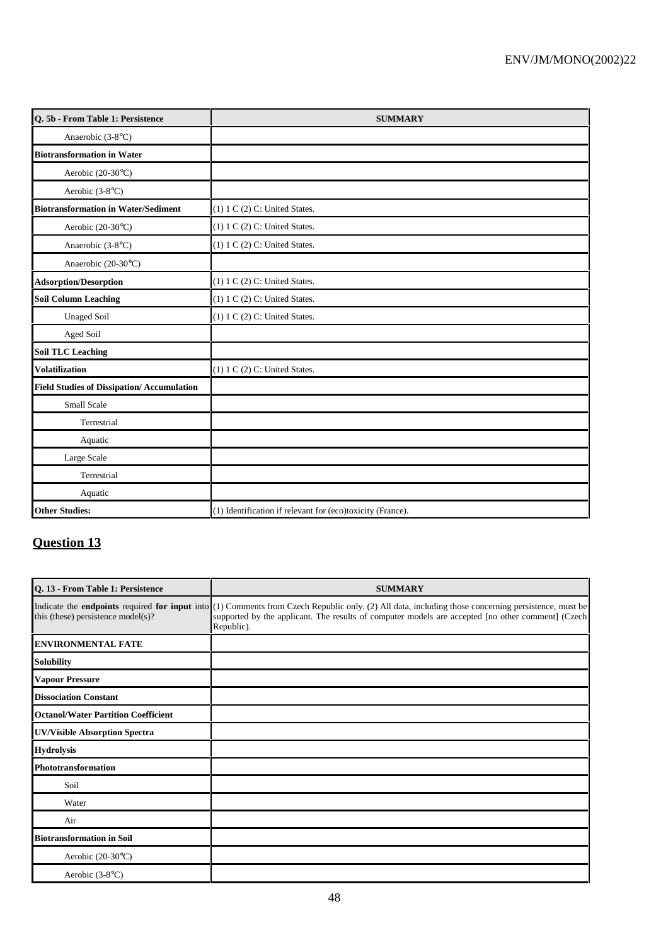| Q. 5b - From Table 1: Persistence          | <b>SUMMARY</b>                                             |
|--------------------------------------------|------------------------------------------------------------|
| Anaerobic (3-8°C)                          |                                                            |
| <b>Biotransformation in Water</b>          |                                                            |
| Aerobic (20-30°C)                          |                                                            |
| Aerobic (3-8°C)                            |                                                            |
| <b>Biotransformation in Water/Sediment</b> | $(1)$ 1 C $(2)$ C: United States.                          |
| Aerobic $(20-30^{\circ}\text{C})$          | $(1)$ 1 C $(2)$ C: United States.                          |
| Anaerobic (3-8°C)                          | $(1)$ 1 C $(2)$ C: United States.                          |
| Anaerobic (20-30°C)                        |                                                            |
| <b>Adsorption/Desorption</b>               | $(1)$ 1 C $(2)$ C: United States.                          |
| <b>Soil Column Leaching</b>                | $(1)$ 1 C $(2)$ C: United States.                          |
| <b>Unaged Soil</b>                         | $(1)$ 1 C $(2)$ C: United States.                          |
| Aged Soil                                  |                                                            |
| <b>Soil TLC Leaching</b>                   |                                                            |
| <b>Volatilization</b>                      | $(1)$ 1 C $(2)$ C: United States.                          |
| Field Studies of Dissipation/ Accumulation |                                                            |
| Small Scale                                |                                                            |
| Terrestrial                                |                                                            |
| Aquatic                                    |                                                            |
| Large Scale                                |                                                            |
| Terrestrial                                |                                                            |
| Aquatic                                    |                                                            |
| <b>Other Studies:</b>                      | (1) Identification if relevant for (eco)toxicity (France). |

| Q. 13 - From Table 1: Persistence          | <b>SUMMARY</b>                                                                                                                                                                                                                                                         |
|--------------------------------------------|------------------------------------------------------------------------------------------------------------------------------------------------------------------------------------------------------------------------------------------------------------------------|
| this (these) persistence model(s)?         | Indicate the endpoints required for input into (1) Comments from Czech Republic only. (2) All data, including those concerning persistence, must be<br>supported by the applicant. The results of computer models are accepted [no other comment] (Czech<br>Republic). |
| <b>ENVIRONMENTAL FATE</b>                  |                                                                                                                                                                                                                                                                        |
| <b>Solubility</b>                          |                                                                                                                                                                                                                                                                        |
| <b>Vapour Pressure</b>                     |                                                                                                                                                                                                                                                                        |
| <b>Dissociation Constant</b>               |                                                                                                                                                                                                                                                                        |
| <b>Octanol/Water Partition Coefficient</b> |                                                                                                                                                                                                                                                                        |
| <b>UV/Visible Absorption Spectra</b>       |                                                                                                                                                                                                                                                                        |
| <b>Hydrolysis</b>                          |                                                                                                                                                                                                                                                                        |
| <b>Phototransformation</b>                 |                                                                                                                                                                                                                                                                        |
| Soil                                       |                                                                                                                                                                                                                                                                        |
| Water                                      |                                                                                                                                                                                                                                                                        |
| Air                                        |                                                                                                                                                                                                                                                                        |
| <b>Biotransformation in Soil</b>           |                                                                                                                                                                                                                                                                        |
| Aerobic $(20-30^{\circ}C)$                 |                                                                                                                                                                                                                                                                        |
| Aerobic $(3-8\degree C)$                   |                                                                                                                                                                                                                                                                        |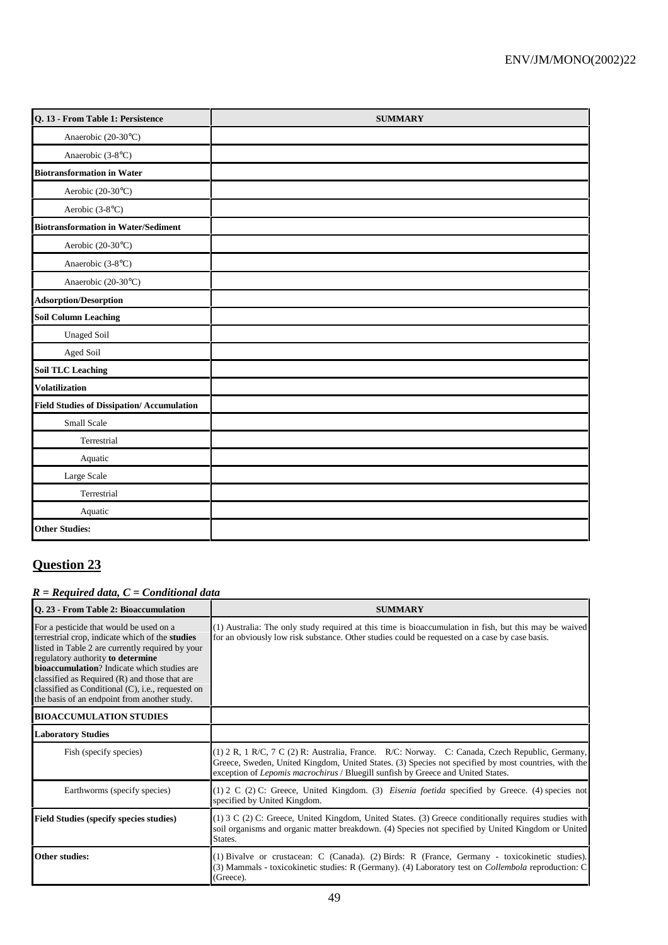| Q. 13 - From Table 1: Persistence                 | <b>SUMMARY</b> |
|---------------------------------------------------|----------------|
| Anaerobic (20-30°C)                               |                |
| Anaerobic (3-8°C)                                 |                |
| <b>Biotransformation in Water</b>                 |                |
| Aerobic (20-30°C)                                 |                |
| Aerobic (3-8°C)                                   |                |
| <b>Biotransformation in Water/Sediment</b>        |                |
| Aerobic (20-30°C)                                 |                |
| Anaerobic (3-8°C)                                 |                |
| Anaerobic (20-30°C)                               |                |
| Adsorption/Desorption                             |                |
| <b>Soil Column Leaching</b>                       |                |
| <b>Unaged Soil</b>                                |                |
| Aged Soil                                         |                |
| <b>Soil TLC Leaching</b>                          |                |
| <b>Volatilization</b>                             |                |
| <b>Field Studies of Dissipation/ Accumulation</b> |                |
| Small Scale                                       |                |
| Terrestrial                                       |                |
| Aquatic                                           |                |
| Large Scale                                       |                |
| Terrestrial                                       |                |
| Aquatic                                           |                |
| <b>Other Studies:</b>                             |                |

#### *R = Required data, C = Conditional data*

| <b>O. 23 - From Table 2: Bioaccumulation</b>                                                                                                                                                                                                                                                                                                                                             | <b>SUMMARY</b>                                                                                                                                                                                                                                                                                    |
|------------------------------------------------------------------------------------------------------------------------------------------------------------------------------------------------------------------------------------------------------------------------------------------------------------------------------------------------------------------------------------------|---------------------------------------------------------------------------------------------------------------------------------------------------------------------------------------------------------------------------------------------------------------------------------------------------|
| For a pesticide that would be used on a<br>terrestrial crop, indicate which of the studies<br>listed in Table 2 are currently required by your<br>regulatory authority to determine<br>bioaccumulation? Indicate which studies are<br>classified as Required (R) and those that are<br>classified as Conditional (C), i.e., requested on<br>the basis of an endpoint from another study. | (1) Australia: The only study required at this time is bioaccumulation in fish, but this may be waived<br>for an obviously low risk substance. Other studies could be requested on a case by case basis.                                                                                          |
| <b>BIOACCUMULATION STUDIES</b>                                                                                                                                                                                                                                                                                                                                                           |                                                                                                                                                                                                                                                                                                   |
| <b>Laboratory Studies</b>                                                                                                                                                                                                                                                                                                                                                                |                                                                                                                                                                                                                                                                                                   |
| Fish (specify species)                                                                                                                                                                                                                                                                                                                                                                   | (1) 2 R, 1 R/C, 7 C (2) R: Australia, France. R/C: Norway. C: Canada, Czech Republic, Germany,<br>Greece, Sweden, United Kingdom, United States. (3) Species not specified by most countries, with the<br>exception of <i>Lepomis macrochirus</i> / Bluegill sunfish by Greece and United States. |
| Earthworms (specify species)                                                                                                                                                                                                                                                                                                                                                             | (1) 2 C (2) C: Greece, United Kingdom. (3) Eisenia foetida specified by Greece. (4) species not<br>specified by United Kingdom.                                                                                                                                                                   |
| <b>Field Studies (specify species studies)</b>                                                                                                                                                                                                                                                                                                                                           | (1) 3 C (2) C: Greece, United Kingdom, United States. (3) Greece conditionally requires studies with<br>soil organisms and organic matter breakdown. (4) Species not specified by United Kingdom or United<br>States.                                                                             |
| Other studies:                                                                                                                                                                                                                                                                                                                                                                           | (1) Bivalve or crustacean: C (Canada). (2) Birds: R (France, Germany - toxicokinetic studies).<br>(3) Mammals - toxicokinetic studies: R (Germany). (4) Laboratory test on <i>Collembola</i> reproduction: C<br>(Greece).                                                                         |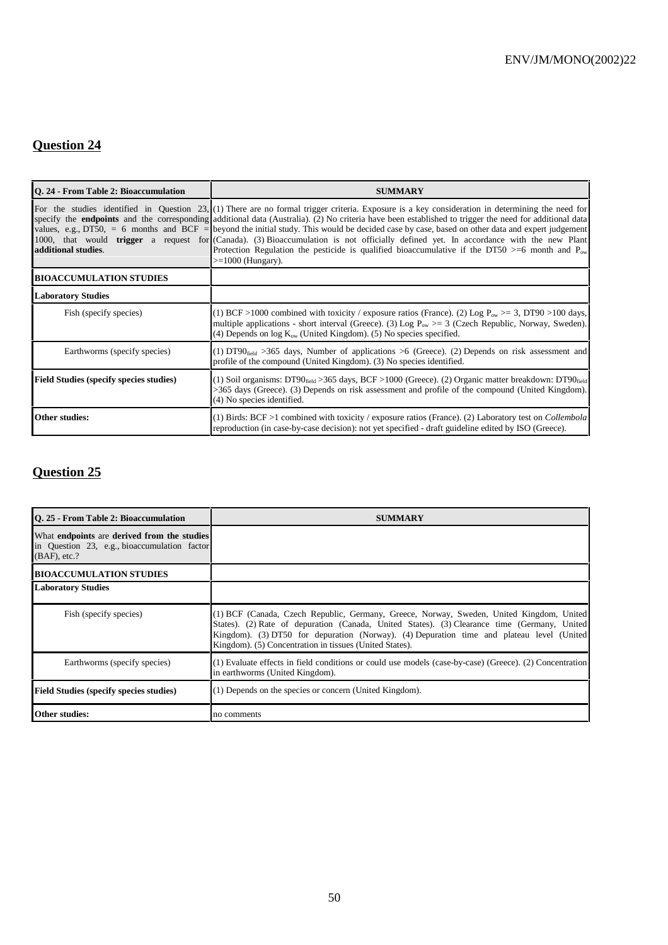| Q. 24 - From Table 2: Bioaccumulation          | <b>SUMMARY</b>                                                                                                                                                                                                                                                                                                                                                                                                                                                                                                                                                                                                                                                                                                                                |
|------------------------------------------------|-----------------------------------------------------------------------------------------------------------------------------------------------------------------------------------------------------------------------------------------------------------------------------------------------------------------------------------------------------------------------------------------------------------------------------------------------------------------------------------------------------------------------------------------------------------------------------------------------------------------------------------------------------------------------------------------------------------------------------------------------|
| additional studies.                            | For the studies identified in Question 23, (1) There are no formal trigger criteria. Exposure is a key consideration in determining the need for<br>specify the endpoints and the corresponding additional data (Australia). (2) No criteria have been established to trigger the need for additional data<br>values, e.g., DT50, = 6 months and BCF = beyond the initial study. This would be decided case by case, based on other data and expert judgement<br>1000, that would trigger a request for (Canada). (3) Bioaccumulation is not officially defined yet. In accordance with the new Plant<br>Protection Regulation the pesticide is qualified bioaccumulative if the DT50 $>=$ 6 month and P <sub>ow</sub><br>$>=1000$ (Hungary). |
| <b>BIOACCUMULATION STUDIES</b>                 |                                                                                                                                                                                                                                                                                                                                                                                                                                                                                                                                                                                                                                                                                                                                               |
| <b>Laboratory Studies</b>                      |                                                                                                                                                                                                                                                                                                                                                                                                                                                                                                                                                                                                                                                                                                                                               |
| Fish (specify species)                         | (1) BCF >1000 combined with toxicity / exposure ratios (France). (2) Log $P_{ow}$ >= 3, DT90 >100 days,<br>multiple applications - short interval (Greece). (3) Log $P_{ow} \ge 3$ (Czech Republic, Norway, Sweden).<br>(4) Depends on $log K_{ow}$ (United Kingdom). (5) No species specified.                                                                                                                                                                                                                                                                                                                                                                                                                                               |
| Earthworms (specify species)                   | (1) $DT90_{field} > 365$ days, Number of applications $>6$ (Greece). (2) Depends on risk assessment and<br>profile of the compound (United Kingdom). (3) No species identified.                                                                                                                                                                                                                                                                                                                                                                                                                                                                                                                                                               |
| <b>Field Studies (specify species studies)</b> | (1) Soil organisms: $DT90_{field} > 365$ days, BCF > 1000 (Greece). (2) Organic matter breakdown: $DT90_{field}$<br>>365 days (Greece). (3) Depends on risk assessment and profile of the compound (United Kingdom).<br>(4) No species identified.                                                                                                                                                                                                                                                                                                                                                                                                                                                                                            |
| Other studies:                                 | (1) Birds: BCF >1 combined with toxicity / exposure ratios (France). (2) Laboratory test on <i>Collembola</i><br>reproduction (in case-by-case decision): not yet specified - draft guideline edited by ISO (Greece).                                                                                                                                                                                                                                                                                                                                                                                                                                                                                                                         |

### **Question 25**

| O. 25 - From Table 2: Bioaccumulation                                                                          | <b>SUMMARY</b>                                                                                                                                                                                                                                                                                                                                   |
|----------------------------------------------------------------------------------------------------------------|--------------------------------------------------------------------------------------------------------------------------------------------------------------------------------------------------------------------------------------------------------------------------------------------------------------------------------------------------|
| What endpoints are derived from the studies<br>in Question 23, e.g., bioaccumulation factor<br>$(BAF)$ , etc.? |                                                                                                                                                                                                                                                                                                                                                  |
| <b>BIOACCUMULATION STUDIES</b>                                                                                 |                                                                                                                                                                                                                                                                                                                                                  |
| <b>Laboratory Studies</b>                                                                                      |                                                                                                                                                                                                                                                                                                                                                  |
| Fish (specify species)                                                                                         | (1) BCF (Canada, Czech Republic, Germany, Greece, Norway, Sweden, United Kingdom, United<br>States). (2) Rate of depuration (Canada, United States). (3) Clearance time (Germany, United<br>Kingdom). (3) DT50 for depuration (Norway). (4) Depuration time and plateau level (United<br>Kingdom). (5) Concentration in tissues (United States). |
| Earthworms (specify species)                                                                                   | (1) Evaluate effects in field conditions or could use models (case-by-case) (Greece). (2) Concentration<br>in earthworms (United Kingdom).                                                                                                                                                                                                       |
| <b>Field Studies (specify species studies)</b>                                                                 | (1) Depends on the species or concern (United Kingdom).                                                                                                                                                                                                                                                                                          |
| Other studies:                                                                                                 | no comments                                                                                                                                                                                                                                                                                                                                      |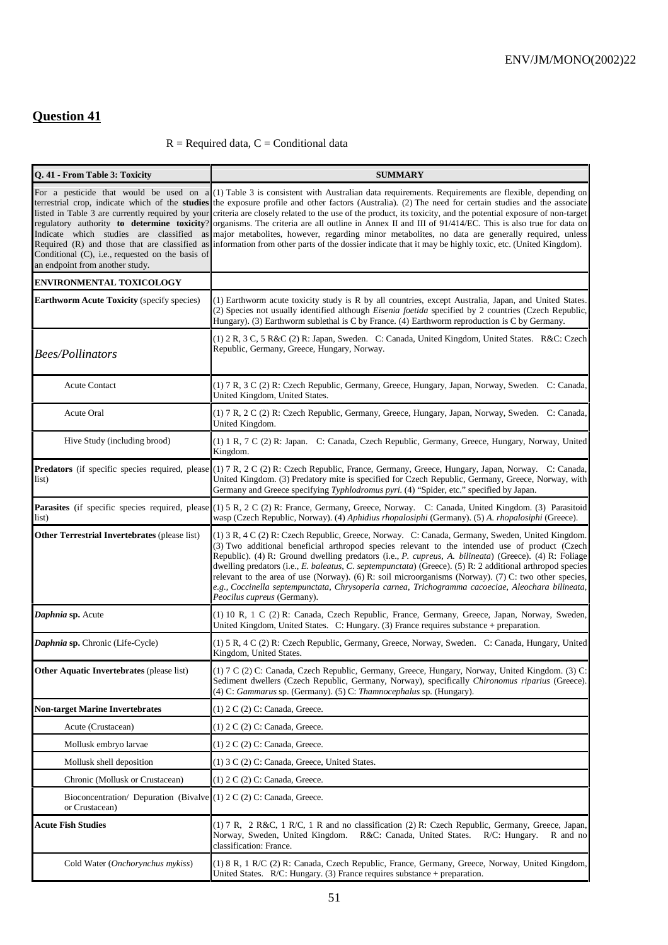### $R = Required data, C = Conditional data$

| O. 41 - From Table 3: Toxicity                                                            | <b>SUMMARY</b>                                                                                                                                                                                                                                                                                                                                                                                                                                                                                                                                                                                                                                                                                                                                                                                                                                                                                                                             |
|-------------------------------------------------------------------------------------------|--------------------------------------------------------------------------------------------------------------------------------------------------------------------------------------------------------------------------------------------------------------------------------------------------------------------------------------------------------------------------------------------------------------------------------------------------------------------------------------------------------------------------------------------------------------------------------------------------------------------------------------------------------------------------------------------------------------------------------------------------------------------------------------------------------------------------------------------------------------------------------------------------------------------------------------------|
| Conditional (C), i.e., requested on the basis of<br>an endpoint from another study.       | For a pesticide that would be used on $a(1)$ Table 3 is consistent with Australian data requirements. Requirements are flexible, depending on<br>terrestrial crop, indicate which of the studies the exposure profile and other factors (Australia). (2) The need for certain studies and the associate<br>listed in Table 3 are currently required by your criteria are closely related to the use of the product, its toxicity, and the potential exposure of non-target<br>regulatory authority to determine toxicity? organisms. The criteria are all outline in Annex II and III of $91/414/EC$ . This is also true for data on<br>Indicate which studies are classified as major metabolites, however, regarding minor metabolites, no data are generally required, unless<br>Required (R) and those that are classified as information from other parts of the dossier indicate that it may be highly toxic, etc. (United Kingdom). |
| <b>ENVIRONMENTAL TOXICOLOGY</b>                                                           |                                                                                                                                                                                                                                                                                                                                                                                                                                                                                                                                                                                                                                                                                                                                                                                                                                                                                                                                            |
| <b>Earthworm Acute Toxicity (specify species)</b>                                         | (1) Earthworm acute toxicity study is R by all countries, except Australia, Japan, and United States.<br>(2) Species not usually identified although Eisenia foetida specified by 2 countries (Czech Republic,<br>Hungary). (3) Earthworm sublethal is C by France. (4) Earthworm reproduction is C by Germany.                                                                                                                                                                                                                                                                                                                                                                                                                                                                                                                                                                                                                            |
| <b>Bees/Pollinators</b>                                                                   | (1) 2 R, 3 C, 5 R&C (2) R: Japan, Sweden. C: Canada, United Kingdom, United States. R&C: Czech<br>Republic, Germany, Greece, Hungary, Norway.                                                                                                                                                                                                                                                                                                                                                                                                                                                                                                                                                                                                                                                                                                                                                                                              |
| <b>Acute Contact</b>                                                                      | (1) 7 R, 3 C (2) R: Czech Republic, Germany, Greece, Hungary, Japan, Norway, Sweden. C: Canada,<br>United Kingdom, United States.                                                                                                                                                                                                                                                                                                                                                                                                                                                                                                                                                                                                                                                                                                                                                                                                          |
| Acute Oral                                                                                | (1) 7 R, 2 C (2) R: Czech Republic, Germany, Greece, Hungary, Japan, Norway, Sweden. C: Canada,<br>United Kingdom.                                                                                                                                                                                                                                                                                                                                                                                                                                                                                                                                                                                                                                                                                                                                                                                                                         |
| Hive Study (including brood)                                                              | (1) 1 R, 7 C (2) R: Japan. C: Canada, Czech Republic, Germany, Greece, Hungary, Norway, United<br>Kingdom.                                                                                                                                                                                                                                                                                                                                                                                                                                                                                                                                                                                                                                                                                                                                                                                                                                 |
| Predators (if specific species required, please<br>list)                                  | (1) 7 R, 2 C (2) R: Czech Republic, France, Germany, Greece, Hungary, Japan, Norway. C: Canada,<br>United Kingdom. (3) Predatory mite is specified for Czech Republic, Germany, Greece, Norway, with<br>Germany and Greece specifying Typhlodromus pyri. (4) "Spider, etc." specified by Japan.                                                                                                                                                                                                                                                                                                                                                                                                                                                                                                                                                                                                                                            |
| list)                                                                                     | Parasites (if specific species required, please (1) 5 R, 2 C (2) R: France, Germany, Greece, Norway. C: Canada, United Kingdom. (3) Parasitoid<br>wasp (Czech Republic, Norway). (4) Aphidius rhopalosiphi (Germany). (5) A. rhopalosiphi (Greece).                                                                                                                                                                                                                                                                                                                                                                                                                                                                                                                                                                                                                                                                                        |
| Other Terrestrial Invertebrates (please list)                                             | (1) 3 R, 4 C (2) R: Czech Republic, Greece, Norway. C: Canada, Germany, Sweden, United Kingdom.<br>(3) Two additional beneficial arthropod species relevant to the intended use of product (Czech<br>Republic). (4) R: Ground dwelling predators (i.e., P. cupreus, A. bilineata) (Greece). (4) R: Foliage<br>dwelling predators (i.e., E. baleatus, C. septempunctata) (Greece). (5) R: 2 additional arthropod species<br>relevant to the area of use (Norway). (6) R: soil microorganisms (Norway). (7) C: two other species,<br>e.g., Coccinella septempunctata, Chrysoperla carnea, Trichogramma cacoeciae, Aleochara bilineata,<br>Peocilus cupreus (Germany).                                                                                                                                                                                                                                                                        |
| Daphnia sp. Acute                                                                         | (1) 10 R, 1 C (2) R: Canada, Czech Republic, France, Germany, Greece, Japan, Norway, Sweden,<br>United Kingdom, United States. C: Hungary. (3) France requires substance + preparation.                                                                                                                                                                                                                                                                                                                                                                                                                                                                                                                                                                                                                                                                                                                                                    |
| Daphnia sp. Chronic (Life-Cycle)                                                          | (1) 5 R, 4 C (2) R: Czech Republic, Germany, Greece, Norway, Sweden. C: Canada, Hungary, United<br>Kingdom, United States.                                                                                                                                                                                                                                                                                                                                                                                                                                                                                                                                                                                                                                                                                                                                                                                                                 |
| <b>Other Aquatic Invertebrates</b> (please list)                                          | (1) 7 C (2) C: Canada, Czech Republic, Germany, Greece, Hungary, Norway, United Kingdom. (3) C:<br>Sediment dwellers (Czech Republic, Germany, Norway), specifically Chironomus riparius (Greece).<br>(4) C: Gammarus sp. (Germany). (5) C: Thamnocephalus sp. (Hungary).                                                                                                                                                                                                                                                                                                                                                                                                                                                                                                                                                                                                                                                                  |
| <b>Non-target Marine Invertebrates</b>                                                    | $(1)$ 2 C $(2)$ C: Canada, Greece.                                                                                                                                                                                                                                                                                                                                                                                                                                                                                                                                                                                                                                                                                                                                                                                                                                                                                                         |
| Acute (Crustacean)                                                                        | $(1)$ 2 C $(2)$ C: Canada, Greece.                                                                                                                                                                                                                                                                                                                                                                                                                                                                                                                                                                                                                                                                                                                                                                                                                                                                                                         |
| Mollusk embryo larvae                                                                     | (1) 2 C (2) C: Canada, Greece.                                                                                                                                                                                                                                                                                                                                                                                                                                                                                                                                                                                                                                                                                                                                                                                                                                                                                                             |
| Mollusk shell deposition                                                                  | (1) 3 C (2) C: Canada, Greece, United States.                                                                                                                                                                                                                                                                                                                                                                                                                                                                                                                                                                                                                                                                                                                                                                                                                                                                                              |
| Chronic (Mollusk or Crustacean)                                                           | $(1)$ 2 C $(2)$ C: Canada, Greece.                                                                                                                                                                                                                                                                                                                                                                                                                                                                                                                                                                                                                                                                                                                                                                                                                                                                                                         |
| Bioconcentration/ Depuration (Bivalve (1) $2 C (2) C$ : Canada, Greece.<br>or Crustacean) |                                                                                                                                                                                                                                                                                                                                                                                                                                                                                                                                                                                                                                                                                                                                                                                                                                                                                                                                            |
| <b>Acute Fish Studies</b>                                                                 | (1) 7 R, 2 R&C, 1 R/C, 1 R and no classification (2) R: Czech Republic, Germany, Greece, Japan,<br>R&C: Canada, United States.<br>Norway, Sweden, United Kingdom.<br>$R/C$ : Hungary.<br>R and no<br>classification: France.                                                                                                                                                                                                                                                                                                                                                                                                                                                                                                                                                                                                                                                                                                               |
| Cold Water (Onchorynchus mykiss)                                                          | (1) 8 R, 1 R/C (2) R: Canada, Czech Republic, France, Germany, Greece, Norway, United Kingdom,<br>United States. $R/C$ : Hungary. (3) France requires substance + preparation.                                                                                                                                                                                                                                                                                                                                                                                                                                                                                                                                                                                                                                                                                                                                                             |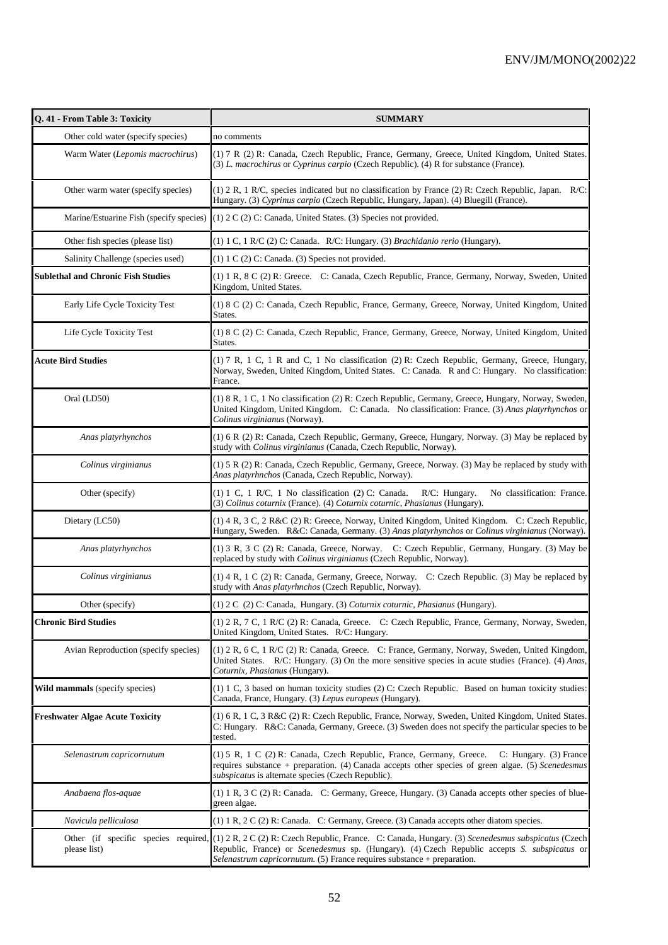| Q. 41 - From Table 3: Toxicity            | <b>SUMMARY</b>                                                                                                                                                                                                                                                                                                                     |
|-------------------------------------------|------------------------------------------------------------------------------------------------------------------------------------------------------------------------------------------------------------------------------------------------------------------------------------------------------------------------------------|
| Other cold water (specify species)        | no comments                                                                                                                                                                                                                                                                                                                        |
| Warm Water (Lepomis macrochirus)          | (1) 7 R (2) R: Canada, Czech Republic, France, Germany, Greece, United Kingdom, United States.<br>(3) L. macrochirus or Cyprinus carpio (Czech Republic). (4) R for substance (France).                                                                                                                                            |
| Other warm water (specify species)        | (1) 2 R, 1 R/C, species indicated but no classification by France (2) R: Czech Republic, Japan. R/C:<br>Hungary. (3) Cyprinus carpio (Czech Republic, Hungary, Japan). (4) Bluegill (France).                                                                                                                                      |
| Marine/Estuarine Fish (specify species)   | $(1)$ 2 C $(2)$ C: Canada, United States. (3) Species not provided.                                                                                                                                                                                                                                                                |
| Other fish species (please list)          | (1) 1 C, 1 R/C (2) C: Canada. R/C: Hungary. (3) Brachidanio rerio (Hungary).                                                                                                                                                                                                                                                       |
| Salinity Challenge (species used)         | $(1)$ 1 C $(2)$ C: Canada. $(3)$ Species not provided.                                                                                                                                                                                                                                                                             |
| <b>Sublethal and Chronic Fish Studies</b> | (1) 1 R, 8 C (2) R: Greece. C: Canada, Czech Republic, France, Germany, Norway, Sweden, United<br>Kingdom, United States.                                                                                                                                                                                                          |
| Early Life Cycle Toxicity Test            | (1) 8 C (2) C: Canada, Czech Republic, France, Germany, Greece, Norway, United Kingdom, United<br>States.                                                                                                                                                                                                                          |
| Life Cycle Toxicity Test                  | (1) 8 C (2) C: Canada, Czech Republic, France, Germany, Greece, Norway, United Kingdom, United<br>States.                                                                                                                                                                                                                          |
| <b>Acute Bird Studies</b>                 | (1) 7 R, 1 C, 1 R and C, 1 No classification (2) R: Czech Republic, Germany, Greece, Hungary,<br>Norway, Sweden, United Kingdom, United States. C: Canada. R and C: Hungary. No classification:<br>France.                                                                                                                         |
| Oral (LD50)                               | (1) 8 R, 1 C, 1 No classification (2) R: Czech Republic, Germany, Greece, Hungary, Norway, Sweden,<br>United Kingdom, United Kingdom. C: Canada. No classification: France. (3) Anas platyrhynchos or<br>Colinus virginianus (Norway).                                                                                             |
| Anas platyrhynchos                        | (1) 6 R (2) R: Canada, Czech Republic, Germany, Greece, Hungary, Norway. (3) May be replaced by<br>study with Colinus virginianus (Canada, Czech Republic, Norway).                                                                                                                                                                |
| Colinus virginianus                       | (1) 5 R (2) R: Canada, Czech Republic, Germany, Greece, Norway. (3) May be replaced by study with<br>Anas platyrhnchos (Canada, Czech Republic, Norway).                                                                                                                                                                           |
| Other (specify)                           | $(1) 1 C$ , 1 R/C, 1 No classification $(2) C$ : Canada.<br>R/C: Hungary.<br>No classification: France.<br>(3) Colinus coturnix (France). (4) Coturnix coturnic, Phasianus (Hungary).                                                                                                                                              |
| Dietary (LC50)                            | (1) 4 R, 3 C, 2 R&C (2) R: Greece, Norway, United Kingdom, United Kingdom. C: Czech Republic,<br>Hungary, Sweden. R&C: Canada, Germany. (3) Anas platyrhynchos or Colinus virginianus (Norway).                                                                                                                                    |
| Anas platyrhynchos                        | (1) 3 R, 3 C (2) R: Canada, Greece, Norway. C: Czech Republic, Germany, Hungary. (3) May be<br>replaced by study with Colinus virginianus (Czech Republic, Norway).                                                                                                                                                                |
| Colinus virginianus                       | (1) 4 R, 1 C (2) R: Canada, Germany, Greece, Norway. C: Czech Republic. (3) May be replaced by<br>study with Anas platyrhnchos (Czech Republic, Norway).                                                                                                                                                                           |
| Other (specify)                           | (1) 2 C (2) C: Canada, Hungary. (3) Coturnix coturnic, Phasianus (Hungary).                                                                                                                                                                                                                                                        |
| <b>Chronic Bird Studies</b>               | (1) 2 R, 7 C, 1 R/C (2) R: Canada, Greece. C: Czech Republic, France, Germany, Norway, Sweden,<br>United Kingdom, United States. R/C: Hungary.                                                                                                                                                                                     |
| Avian Reproduction (specify species)      | (1) 2 R, 6 C, 1 R/C (2) R: Canada, Greece. C: France, Germany, Norway, Sweden, United Kingdom,<br>United States. $R/C$ : Hungary. (3) On the more sensitive species in acute studies (France). (4) Anas,<br>Coturnix, Phasianus (Hungary).                                                                                         |
| Wild mammals (specify species)            | (1) 1 C, 3 based on human toxicity studies (2) C: Czech Republic. Based on human toxicity studies:<br>Canada, France, Hungary. (3) Lepus europeus (Hungary).                                                                                                                                                                       |
| <b>Freshwater Algae Acute Toxicity</b>    | (1) 6 R, 1 C, 3 R&C (2) R: Czech Republic, France, Norway, Sweden, United Kingdom, United States.<br>C: Hungary. R&C: Canada, Germany, Greece. (3) Sweden does not specify the particular species to be<br>tested.                                                                                                                 |
| Selenastrum capricornutum                 | (1) 5 R, 1 C (2) R: Canada, Czech Republic, France, Germany, Greece. C: Hungary. (3) France<br>requires substance + preparation. (4) Canada accepts other species of green algae. (5) Scenedesmus<br>subspicatus is alternate species (Czech Republic).                                                                            |
| Anabaena flos-aquae                       | (1) 1 R, 3 C (2) R: Canada. C: Germany, Greece, Hungary. (3) Canada accepts other species of blue-<br>green algae.                                                                                                                                                                                                                 |
| Navicula pelliculosa                      | (1) 1 R, 2 C (2) R: Canada. C: Germany, Greece. (3) Canada accepts other diatom species.                                                                                                                                                                                                                                           |
| please list)                              | Other (if specific species required, $(1)$ 2 R, 2 C (2) R: Czech Republic, France. C: Canada, Hungary. (3) Scenedesmus subspicatus (Czech<br>Republic, France) or <i>Scenedesmus</i> sp. (Hungary). (4) Czech Republic accepts <i>S. subspicatus</i> or<br>Selenastrum capricornutum. (5) France requires substance + preparation. |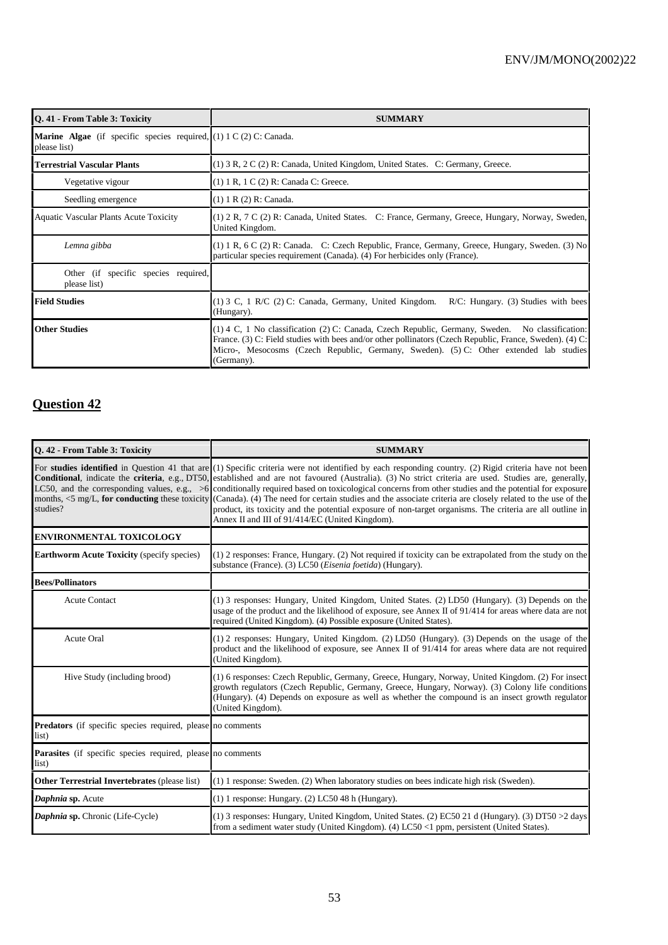| Q. 41 - From Table 3: Toxicity                                                               | <b>SUMMARY</b>                                                                                                                                                                                                                                                                                                        |
|----------------------------------------------------------------------------------------------|-----------------------------------------------------------------------------------------------------------------------------------------------------------------------------------------------------------------------------------------------------------------------------------------------------------------------|
| <b>Marine Algae</b> (if specific species required, $(1) 1 C (2) C$ : Canada.<br>please list) |                                                                                                                                                                                                                                                                                                                       |
| <b>Terrestrial Vascular Plants</b>                                                           | $(1)$ 3 R, 2 C $(2)$ R: Canada, United Kingdom, United States. C: Germany, Greece.                                                                                                                                                                                                                                    |
| Vegetative vigour                                                                            | $(1)$ 1 R, 1 C $(2)$ R: Canada C: Greece.                                                                                                                                                                                                                                                                             |
| Seedling emergence                                                                           | $(1) 1 R (2) R$ : Canada.                                                                                                                                                                                                                                                                                             |
| <b>Aquatic Vascular Plants Acute Toxicity</b>                                                | $(1)$ 2 R, 7 C $(2)$ R: Canada, United States. C: France, Germany, Greece, Hungary, Norway, Sweden,<br>United Kingdom.                                                                                                                                                                                                |
| Lemna gibba                                                                                  | $(1)$ 1 R, 6 C $(2)$ R: Canada. C: Czech Republic, France, Germany, Greece, Hungary, Sweden. (3) No<br>particular species requirement (Canada). (4) For herbicides only (France).                                                                                                                                     |
| Other (if specific species required,<br>please list)                                         |                                                                                                                                                                                                                                                                                                                       |
| <b>Field Studies</b>                                                                         | $(1)$ 3 C, 1 R/C $(2)$ C: Canada, Germany, United Kingdom.<br>$R/C$ : Hungary. (3) Studies with bees<br>(Hungary).                                                                                                                                                                                                    |
| <b>Other Studies</b>                                                                         | $(1)$ 4 C, 1 No classification (2) C: Canada, Czech Republic, Germany, Sweden. No classification:<br>France. (3) C: Field studies with bees and/or other pollinators (Czech Republic, France, Sweden). (4) C:<br>Micro-, Mesocosms (Czech Republic, Germany, Sweden). (5) C: Other extended lab studies<br>(Germany). |

| Q. 42 - From Table 3: Toxicity                                              | <b>SUMMARY</b>                                                                                                                                                                                                                                                                                                                                                                                                                                                                                                                                                                                                                                                                                                                                                                                                                            |
|-----------------------------------------------------------------------------|-------------------------------------------------------------------------------------------------------------------------------------------------------------------------------------------------------------------------------------------------------------------------------------------------------------------------------------------------------------------------------------------------------------------------------------------------------------------------------------------------------------------------------------------------------------------------------------------------------------------------------------------------------------------------------------------------------------------------------------------------------------------------------------------------------------------------------------------|
| studies?                                                                    | For <b>studies identified</b> in Question 41 that are $(1)$ Specific criteria were not identified by each responding country. (2) Rigid criteria have not been<br>Conditional, indicate the criteria, e.g., DT50, established and are not favoured (Australia). (3) No strict criteria are used. Studies are, generally,<br>LC50, and the corresponding values, e.g., $\rightarrow$ 6 conditionally required based on toxicological concerns from other studies and the potential for exposure<br>months, $\leq 5$ mg/L, <b>for conducting</b> these toxicity (Canada). (4) The need for certain studies and the associate criteria are closely related to the use of the<br>product, its toxicity and the potential exposure of non-target organisms. The criteria are all outline in<br>Annex II and III of 91/414/EC (United Kingdom). |
| <b>ENVIRONMENTAL TOXICOLOGY</b>                                             |                                                                                                                                                                                                                                                                                                                                                                                                                                                                                                                                                                                                                                                                                                                                                                                                                                           |
| <b>Earthworm Acute Toxicity (specify species)</b>                           | (1) 2 responses: France, Hungary. (2) Not required if toxicity can be extrapolated from the study on the<br>substance (France). (3) LC50 (Eisenia foetida) (Hungary).                                                                                                                                                                                                                                                                                                                                                                                                                                                                                                                                                                                                                                                                     |
| <b>Bees/Pollinators</b>                                                     |                                                                                                                                                                                                                                                                                                                                                                                                                                                                                                                                                                                                                                                                                                                                                                                                                                           |
| <b>Acute Contact</b>                                                        | (1) 3 responses: Hungary, United Kingdom, United States. (2) LD50 (Hungary). (3) Depends on the<br>usage of the product and the likelihood of exposure, see Annex II of $91/414$ for areas where data are not<br>required (United Kingdom). (4) Possible exposure (United States).                                                                                                                                                                                                                                                                                                                                                                                                                                                                                                                                                        |
| Acute Oral                                                                  | (1) 2 responses: Hungary, United Kingdom. (2) LD50 (Hungary). (3) Depends on the usage of the<br>product and the likelihood of exposure, see Annex II of 91/414 for areas where data are not required<br>(United Kingdom).                                                                                                                                                                                                                                                                                                                                                                                                                                                                                                                                                                                                                |
| Hive Study (including brood)                                                | (1) 6 responses: Czech Republic, Germany, Greece, Hungary, Norway, United Kingdom. (2) For insect<br>growth regulators (Czech Republic, Germany, Greece, Hungary, Norway). (3) Colony life conditions<br>(Hungary). (4) Depends on exposure as well as whether the compound is an insect growth regulator<br>(United Kingdom).                                                                                                                                                                                                                                                                                                                                                                                                                                                                                                            |
| <b>Predators</b> (if specific species required, please no comments<br>list) |                                                                                                                                                                                                                                                                                                                                                                                                                                                                                                                                                                                                                                                                                                                                                                                                                                           |
| <b>Parasites</b> (if specific species required, please no comments<br>list) |                                                                                                                                                                                                                                                                                                                                                                                                                                                                                                                                                                                                                                                                                                                                                                                                                                           |
| Other Terrestrial Invertebrates (please list)                               | (1) 1 response: Sweden. (2) When laboratory studies on bees indicate high risk (Sweden).                                                                                                                                                                                                                                                                                                                                                                                                                                                                                                                                                                                                                                                                                                                                                  |
| Daphnia sp. Acute                                                           | (1) 1 response: Hungary. (2) LC50 48 h (Hungary).                                                                                                                                                                                                                                                                                                                                                                                                                                                                                                                                                                                                                                                                                                                                                                                         |
| Daphnia sp. Chronic (Life-Cycle)                                            | (1) 3 responses: Hungary, United Kingdom, United States. (2) EC50 21 d (Hungary). (3) DT50 > 2 days<br>from a sediment water study (United Kingdom). (4) LC50 <1 ppm, persistent (United States).                                                                                                                                                                                                                                                                                                                                                                                                                                                                                                                                                                                                                                         |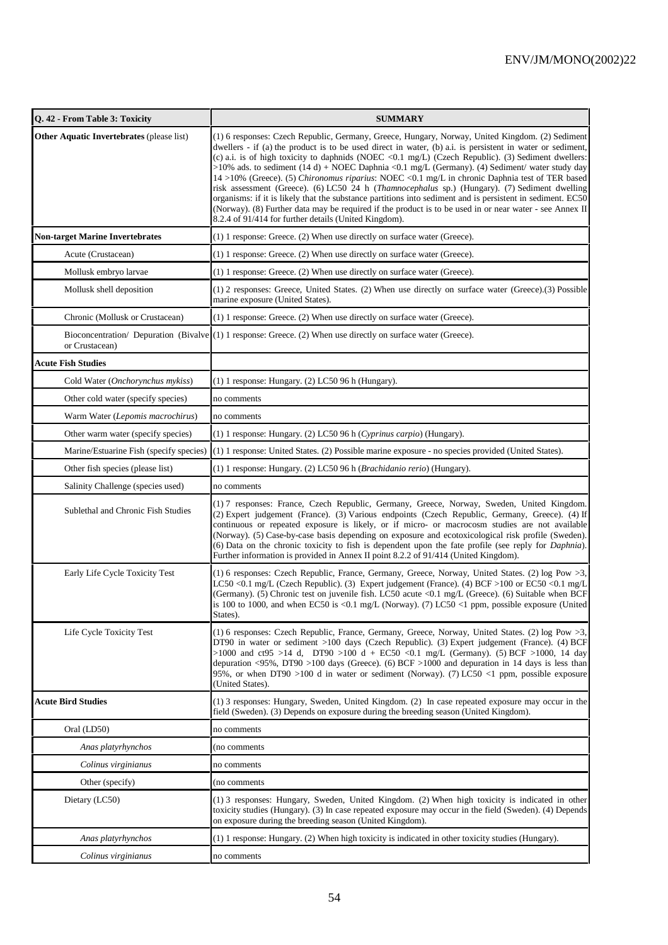| Q. 42 - From Table 3: Toxicity                   | <b>SUMMARY</b>                                                                                                                                                                                                                                                                                                                                                                                                                                                                                                                                                                                                                                                                                                                                                                                                                                                                                                        |
|--------------------------------------------------|-----------------------------------------------------------------------------------------------------------------------------------------------------------------------------------------------------------------------------------------------------------------------------------------------------------------------------------------------------------------------------------------------------------------------------------------------------------------------------------------------------------------------------------------------------------------------------------------------------------------------------------------------------------------------------------------------------------------------------------------------------------------------------------------------------------------------------------------------------------------------------------------------------------------------|
| <b>Other Aquatic Invertebrates (please list)</b> | (1) 6 responses: Czech Republic, Germany, Greece, Hungary, Norway, United Kingdom. (2) Sediment<br>dwellers - if (a) the product is to be used direct in water, (b) a.i. is persistent in water or sediment,<br>(c) a.i. is of high toxicity to daphnids (NOEC < $0.1 \text{ mg/L}$ ) (Czech Republic). (3) Sediment dwellers:<br>>10% ads. to sediment (14 d) + NOEC Daphnia <0.1 mg/L (Germany). (4) Sediment/ water study day<br>14 >10% (Greece). (5) Chironomus riparius: NOEC <0.1 mg/L in chronic Daphnia test of TER based<br>risk assessment (Greece). (6) LC50 24 h (Thamnocephalus sp.) (Hungary). (7) Sediment dwelling<br>organisms: if it is likely that the substance partitions into sediment and is persistent in sediment. EC50<br>(Norway). (8) Further data may be required if the product is to be used in or near water - see Annex II<br>8.2.4 of 91/414 for further details (United Kingdom). |
| <b>Non-target Marine Invertebrates</b>           | (1) 1 response: Greece. (2) When use directly on surface water (Greece).                                                                                                                                                                                                                                                                                                                                                                                                                                                                                                                                                                                                                                                                                                                                                                                                                                              |
| Acute (Crustacean)                               | (1) 1 response: Greece. (2) When use directly on surface water (Greece).                                                                                                                                                                                                                                                                                                                                                                                                                                                                                                                                                                                                                                                                                                                                                                                                                                              |
| Mollusk embryo larvae                            | (1) 1 response: Greece. (2) When use directly on surface water (Greece).                                                                                                                                                                                                                                                                                                                                                                                                                                                                                                                                                                                                                                                                                                                                                                                                                                              |
| Mollusk shell deposition                         | (1) 2 responses: Greece, United States. (2) When use directly on surface water (Greece).(3) Possible<br>marine exposure (United States).                                                                                                                                                                                                                                                                                                                                                                                                                                                                                                                                                                                                                                                                                                                                                                              |
| Chronic (Mollusk or Crustacean)                  | (1) 1 response: Greece. (2) When use directly on surface water (Greece).                                                                                                                                                                                                                                                                                                                                                                                                                                                                                                                                                                                                                                                                                                                                                                                                                                              |
| or Crustacean)                                   | Bioconcentration/ Depuration (Bivalve (1) 1 response: Greece. (2) When use directly on surface water (Greece).                                                                                                                                                                                                                                                                                                                                                                                                                                                                                                                                                                                                                                                                                                                                                                                                        |
| <b>Acute Fish Studies</b>                        |                                                                                                                                                                                                                                                                                                                                                                                                                                                                                                                                                                                                                                                                                                                                                                                                                                                                                                                       |
| Cold Water (Onchorynchus mykiss)                 | $(1)$ 1 response: Hungary. $(2)$ LC50 96 h (Hungary).                                                                                                                                                                                                                                                                                                                                                                                                                                                                                                                                                                                                                                                                                                                                                                                                                                                                 |
| Other cold water (specify species)               | no comments                                                                                                                                                                                                                                                                                                                                                                                                                                                                                                                                                                                                                                                                                                                                                                                                                                                                                                           |
| Warm Water (Lepomis macrochirus)                 | no comments                                                                                                                                                                                                                                                                                                                                                                                                                                                                                                                                                                                                                                                                                                                                                                                                                                                                                                           |
| Other warm water (specify species)               | (1) 1 response: Hungary. (2) LC50 96 h (Cyprinus carpio) (Hungary).                                                                                                                                                                                                                                                                                                                                                                                                                                                                                                                                                                                                                                                                                                                                                                                                                                                   |
| Marine/Estuarine Fish (specify species)          | (1) 1 response: United States. (2) Possible marine exposure - no species provided (United States).                                                                                                                                                                                                                                                                                                                                                                                                                                                                                                                                                                                                                                                                                                                                                                                                                    |
| Other fish species (please list)                 | (1) 1 response: Hungary. (2) LC50 96 h (Brachidanio rerio) (Hungary).                                                                                                                                                                                                                                                                                                                                                                                                                                                                                                                                                                                                                                                                                                                                                                                                                                                 |
| Salinity Challenge (species used)                | no comments                                                                                                                                                                                                                                                                                                                                                                                                                                                                                                                                                                                                                                                                                                                                                                                                                                                                                                           |
| Sublethal and Chronic Fish Studies               | (1) 7 responses: France, Czech Republic, Germany, Greece, Norway, Sweden, United Kingdom.<br>(2) Expert judgement (France). (3) Various endpoints (Czech Republic, Germany, Greece). (4) If<br>continuous or repeated exposure is likely, or if micro- or macrocosm studies are not available<br>(Norway). (5) Case-by-case basis depending on exposure and ecotoxicological risk profile (Sweden).<br>(6) Data on the chronic toxicity to fish is dependent upon the fate profile (see reply for <i>Daphnia</i> ).<br>Further information is provided in Annex II point 8.2.2 of 91/414 (United Kingdom).                                                                                                                                                                                                                                                                                                            |
| Early Life Cycle Toxicity Test                   | (1) 6 responses: Czech Republic, France, Germany, Greece, Norway, United States. (2) log Pow >3,<br>LC50 <0.1 mg/L (Czech Republic). (3) Expert judgement (France). (4) BCF >100 or EC50 <0.1 mg/L<br>(Germany). (5) Chronic test on juvenile fish. LC50 acute <0.1 mg/L (Greece). (6) Suitable when BCF<br>is 100 to 1000, and when EC50 is <0.1 mg/L (Norway). (7) LC50 <1 ppm, possible exposure (United<br>States).                                                                                                                                                                                                                                                                                                                                                                                                                                                                                               |
| Life Cycle Toxicity Test                         | (1) 6 responses: Czech Republic, France, Germany, Greece, Norway, United States. (2) log Pow >3,<br>DT90 in water or sediment >100 days (Czech Republic). (3) Expert judgement (France). (4) BCF<br>>1000 and ct95 >14 d, DT90 >100 d + EC50 <0.1 mg/L (Germany). (5) BCF >1000, 14 day<br>depuration $\langle 95\%, \text{DT90} \rangle$ = 100 days (Greece). (6) BCF > 1000 and depuration in 14 days is less than<br>95%, or when DT90 >100 d in water or sediment (Norway). (7) LC50 <1 ppm, possible exposure<br>(United States).                                                                                                                                                                                                                                                                                                                                                                                |
| <b>Acute Bird Studies</b>                        | (1) 3 responses: Hungary, Sweden, United Kingdom. (2) In case repeated exposure may occur in the<br>field (Sweden). (3) Depends on exposure during the breeding season (United Kingdom).                                                                                                                                                                                                                                                                                                                                                                                                                                                                                                                                                                                                                                                                                                                              |
| Oral (LD50)                                      | no comments                                                                                                                                                                                                                                                                                                                                                                                                                                                                                                                                                                                                                                                                                                                                                                                                                                                                                                           |
| Anas platyrhynchos                               | (no comments                                                                                                                                                                                                                                                                                                                                                                                                                                                                                                                                                                                                                                                                                                                                                                                                                                                                                                          |
| Colinus virginianus                              | no comments                                                                                                                                                                                                                                                                                                                                                                                                                                                                                                                                                                                                                                                                                                                                                                                                                                                                                                           |
| Other (specify)                                  | (no comments                                                                                                                                                                                                                                                                                                                                                                                                                                                                                                                                                                                                                                                                                                                                                                                                                                                                                                          |
| Dietary (LC50)                                   | (1) 3 responses: Hungary, Sweden, United Kingdom. (2) When high toxicity is indicated in other<br>toxicity studies (Hungary). (3) In case repeated exposure may occur in the field (Sweden). (4) Depends<br>on exposure during the breeding season (United Kingdom).                                                                                                                                                                                                                                                                                                                                                                                                                                                                                                                                                                                                                                                  |
| Anas platyrhynchos                               | (1) 1 response: Hungary. (2) When high toxicity is indicated in other toxicity studies (Hungary).                                                                                                                                                                                                                                                                                                                                                                                                                                                                                                                                                                                                                                                                                                                                                                                                                     |
| Colinus virginianus                              | no comments                                                                                                                                                                                                                                                                                                                                                                                                                                                                                                                                                                                                                                                                                                                                                                                                                                                                                                           |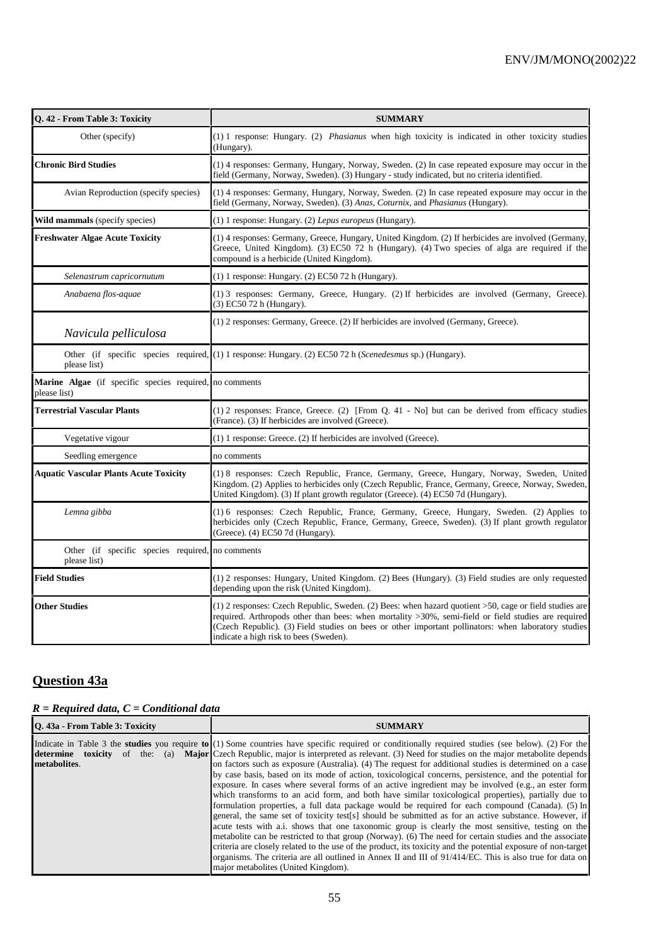| O. 42 - From Table 3: Toxicity                                                 | <b>SUMMARY</b>                                                                                                                                                                                                                                                                                                                                                   |
|--------------------------------------------------------------------------------|------------------------------------------------------------------------------------------------------------------------------------------------------------------------------------------------------------------------------------------------------------------------------------------------------------------------------------------------------------------|
| Other (specify)                                                                | (1) 1 response: Hungary. (2) <i>Phasianus</i> when high toxicity is indicated in other toxicity studies<br>(Hungary).                                                                                                                                                                                                                                            |
| <b>Chronic Bird Studies</b>                                                    | (1) 4 responses: Germany, Hungary, Norway, Sweden. (2) In case repeated exposure may occur in the<br>field (Germany, Norway, Sweden). (3) Hungary - study indicated, but no criteria identified.                                                                                                                                                                 |
| Avian Reproduction (specify species)                                           | (1) 4 responses: Germany, Hungary, Norway, Sweden. (2) In case repeated exposure may occur in the<br>field (Germany, Norway, Sweden). (3) Anas, Coturnix, and Phasianus (Hungary).                                                                                                                                                                               |
| Wild mammals (specify species)                                                 | (1) 1 response: Hungary. (2) Lepus europeus (Hungary).                                                                                                                                                                                                                                                                                                           |
| <b>Freshwater Algae Acute Toxicity</b>                                         | (1) 4 responses: Germany, Greece, Hungary, United Kingdom. (2) If herbicides are involved (Germany,<br>Greece, United Kingdom). (3) EC50 72 h (Hungary). (4) Two species of alga are required if the<br>compound is a herbicide (United Kingdom).                                                                                                                |
| Selenastrum capricornutum                                                      | $(1)$ 1 response: Hungary. $(2)$ EC50 72 h (Hungary).                                                                                                                                                                                                                                                                                                            |
| Anabaena flos-aquae                                                            | (1) 3 responses: Germany, Greece, Hungary. (2) If herbicides are involved (Germany, Greece).<br>(3) EC50 72 h (Hungary).                                                                                                                                                                                                                                         |
| Navicula pelliculosa                                                           | (1) 2 responses: Germany, Greece. (2) If herbicides are involved (Germany, Greece).                                                                                                                                                                                                                                                                              |
| please list)                                                                   | Other (if specific species required, (1) 1 response: Hungary. (2) EC50 72 h (Scenedesmus sp.) (Hungary).                                                                                                                                                                                                                                                         |
| <b>Marine Algae</b> (if specific species required, no comments<br>please list) |                                                                                                                                                                                                                                                                                                                                                                  |
| <b>Terrestrial Vascular Plants</b>                                             | (1) 2 responses: France, Greece. (2) [From Q. 41 - No] but can be derived from efficacy studies<br>(France). (3) If herbicides are involved (Greece).                                                                                                                                                                                                            |
| Vegetative vigour                                                              | (1) 1 response: Greece. (2) If herbicides are involved (Greece).                                                                                                                                                                                                                                                                                                 |
| Seedling emergence                                                             | no comments                                                                                                                                                                                                                                                                                                                                                      |
| Aquatic Vascular Plants Acute Toxicity                                         | (1) 8 responses: Czech Republic, France, Germany, Greece, Hungary, Norway, Sweden, United<br>Kingdom. (2) Applies to herbicides only (Czech Republic, France, Germany, Greece, Norway, Sweden,<br>United Kingdom). (3) If plant growth regulator (Greece). (4) EC50 7d (Hungary).                                                                                |
| Lemna gibba                                                                    | (1) 6 responses: Czech Republic, France, Germany, Greece, Hungary, Sweden. (2) Applies to<br>herbicides only (Czech Republic, France, Germany, Greece, Sweden). (3) If plant growth regulator<br>(Greece). (4) EC50 7d (Hungary).                                                                                                                                |
| Other (if specific species required, no comments<br>please list)               |                                                                                                                                                                                                                                                                                                                                                                  |
| <b>Field Studies</b>                                                           | (1) 2 responses: Hungary, United Kingdom. (2) Bees (Hungary). (3) Field studies are only requested<br>depending upon the risk (United Kingdom).                                                                                                                                                                                                                  |
| <b>Other Studies</b>                                                           | $(1)$ 2 responses: Czech Republic, Sweden. (2) Bees: when hazard quotient >50, cage or field studies are<br>required. Arthropods other than bees: when mortality >30%, semi-field or field studies are required<br>(Czech Republic). (3) Field studies on bees or other important pollinators: when laboratory studies<br>indicate a high risk to bees (Sweden). |

### **Question 43a**

### *R = Required data, C = Conditional data*

| Q. 43a - From Table 3: Toxicity | <b>SUMMARY</b>                                                                                                                                                                                                                                                                                                                                                                                                                                                                                                                                                                                                                                                                                                                                                                                                                                                                                                                                                                                                                                                                                                                                                                                                                                                                                                                                                                                                                                   |
|---------------------------------|--------------------------------------------------------------------------------------------------------------------------------------------------------------------------------------------------------------------------------------------------------------------------------------------------------------------------------------------------------------------------------------------------------------------------------------------------------------------------------------------------------------------------------------------------------------------------------------------------------------------------------------------------------------------------------------------------------------------------------------------------------------------------------------------------------------------------------------------------------------------------------------------------------------------------------------------------------------------------------------------------------------------------------------------------------------------------------------------------------------------------------------------------------------------------------------------------------------------------------------------------------------------------------------------------------------------------------------------------------------------------------------------------------------------------------------------------|
| metabolites.                    | Indicate in Table 3 the <b>studies</b> you require to $(1)$ Some countries have specific required or conditionally required studies (see below). (2) For the<br>determine toxicity of the: (a) Major Czech Republic, major is interpreted as relevant. (3) Need for studies on the major metabolite depends<br>on factors such as exposure (Australia). (4) The request for additional studies is determined on a case<br>by case basis, based on its mode of action, toxicological concerns, persistence, and the potential for<br>exposure. In cases where several forms of an active ingredient may be involved (e.g., an ester form<br>which transforms to an acid form, and both have similar toxicological properties), partially due to<br>formulation properties, a full data package would be required for each compound (Canada). (5) In<br>general, the same set of toxicity test[s] should be submitted as for an active substance. However, if<br>acute tests with a.i. shows that one taxonomic group is clearly the most sensitive, testing on the<br>metabolite can be restricted to that group (Norway). (6) The need for certain studies and the associate<br>criteria are closely related to the use of the product, its toxicity and the potential exposure of non-target<br>organisms. The criteria are all outlined in Annex II and III of 91/414/EC. This is also true for data on<br>major metabolites (United Kingdom). |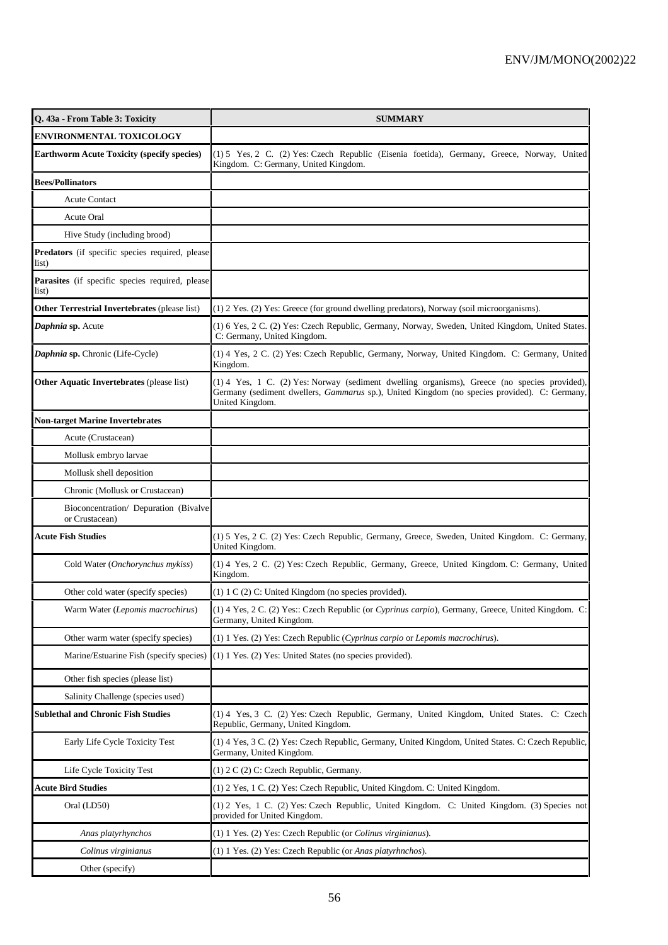| <b>O. 43a - From Table 3: Toxicity</b>                   | <b>SUMMARY</b>                                                                                                                                                                                                  |  |
|----------------------------------------------------------|-----------------------------------------------------------------------------------------------------------------------------------------------------------------------------------------------------------------|--|
| ENVIRONMENTAL TOXICOLOGY                                 |                                                                                                                                                                                                                 |  |
| <b>Earthworm Acute Toxicity (specify species)</b>        | (1) 5 Yes, 2 C. (2) Yes: Czech Republic (Eisenia foetida), Germany, Greece, Norway, United<br>Kingdom. C: Germany, United Kingdom.                                                                              |  |
| <b>Bees/Pollinators</b>                                  |                                                                                                                                                                                                                 |  |
| <b>Acute Contact</b>                                     |                                                                                                                                                                                                                 |  |
| Acute Oral                                               |                                                                                                                                                                                                                 |  |
| Hive Study (including brood)                             |                                                                                                                                                                                                                 |  |
| Predators (if specific species required, please<br>list) |                                                                                                                                                                                                                 |  |
| Parasites (if specific species required, please<br>list) |                                                                                                                                                                                                                 |  |
| Other Terrestrial Invertebrates (please list)            | (1) 2 Yes. (2) Yes: Greece (for ground dwelling predators), Norway (soil microorganisms).                                                                                                                       |  |
| Daphnia sp. Acute                                        | (1) 6 Yes, 2 C. (2) Yes: Czech Republic, Germany, Norway, Sweden, United Kingdom, United States.<br>C: Germany, United Kingdom.                                                                                 |  |
| Daphnia sp. Chronic (Life-Cycle)                         | (1) 4 Yes, 2 C. (2) Yes: Czech Republic, Germany, Norway, United Kingdom. C: Germany, United<br>Kingdom.                                                                                                        |  |
| Other Aquatic Invertebrates (please list)                | (1) 4 Yes, 1 C. (2) Yes: Norway (sediment dwelling organisms), Greece (no species provided),<br>Germany (sediment dwellers, Gammarus sp.), United Kingdom (no species provided). C: Germany,<br>United Kingdom. |  |
| <b>Non-target Marine Invertebrates</b>                   |                                                                                                                                                                                                                 |  |
| Acute (Crustacean)                                       |                                                                                                                                                                                                                 |  |
| Mollusk embryo larvae                                    |                                                                                                                                                                                                                 |  |
| Mollusk shell deposition                                 |                                                                                                                                                                                                                 |  |
| Chronic (Mollusk or Crustacean)                          |                                                                                                                                                                                                                 |  |
| Bioconcentration/ Depuration (Bivalve<br>or Crustacean)  |                                                                                                                                                                                                                 |  |
| <b>Acute Fish Studies</b>                                | (1) 5 Yes, 2 C. (2) Yes: Czech Republic, Germany, Greece, Sweden, United Kingdom. C: Germany,<br>United Kingdom.                                                                                                |  |
| Cold Water (Onchorynchus mykiss)                         | (1) 4 Yes, 2 C. (2) Yes: Czech Republic, Germany, Greece, United Kingdom. C: Germany, United<br>Kingdom.                                                                                                        |  |
| Other cold water (specify species)                       | $(1)$ 1 C $(2)$ C: United Kingdom (no species provided).                                                                                                                                                        |  |
| Warm Water (Lepomis macrochirus)                         | (1) 4 Yes, 2 C. (2) Yes:: Czech Republic (or Cyprinus carpio), Germany, Greece, United Kingdom. C:<br>Germany, United Kingdom.                                                                                  |  |
| Other warm water (specify species)                       | (1) 1 Yes. (2) Yes: Czech Republic (Cyprinus carpio or Lepomis macrochirus).                                                                                                                                    |  |
| Marine/Estuarine Fish (specify species)                  | (1) 1 Yes. (2) Yes: United States (no species provided).                                                                                                                                                        |  |
| Other fish species (please list)                         |                                                                                                                                                                                                                 |  |
| Salinity Challenge (species used)                        |                                                                                                                                                                                                                 |  |
| <b>Sublethal and Chronic Fish Studies</b>                | (1) 4 Yes, 3 C. (2) Yes: Czech Republic, Germany, United Kingdom, United States. C: Czech<br>Republic, Germany, United Kingdom.                                                                                 |  |
| Early Life Cycle Toxicity Test                           | (1) 4 Yes, 3 C. (2) Yes: Czech Republic, Germany, United Kingdom, United States. C: Czech Republic,<br>Germany, United Kingdom.                                                                                 |  |
| Life Cycle Toxicity Test                                 | $(1)$ 2 C $(2)$ C: Czech Republic, Germany.                                                                                                                                                                     |  |
| <b>Acute Bird Studies</b>                                | (1) 2 Yes, 1 C. (2) Yes: Czech Republic, United Kingdom. C: United Kingdom.                                                                                                                                     |  |
| Oral (LD50)                                              | (1) 2 Yes, 1 C. (2) Yes: Czech Republic, United Kingdom. C: United Kingdom. (3) Species not<br>provided for United Kingdom.                                                                                     |  |
| Anas platyrhynchos                                       | (1) 1 Yes. (2) Yes: Czech Republic (or Colinus virginianus).                                                                                                                                                    |  |
| Colinus virginianus                                      | (1) 1 Yes. (2) Yes: Czech Republic (or Anas platyrhnchos).                                                                                                                                                      |  |
| Other (specify)                                          |                                                                                                                                                                                                                 |  |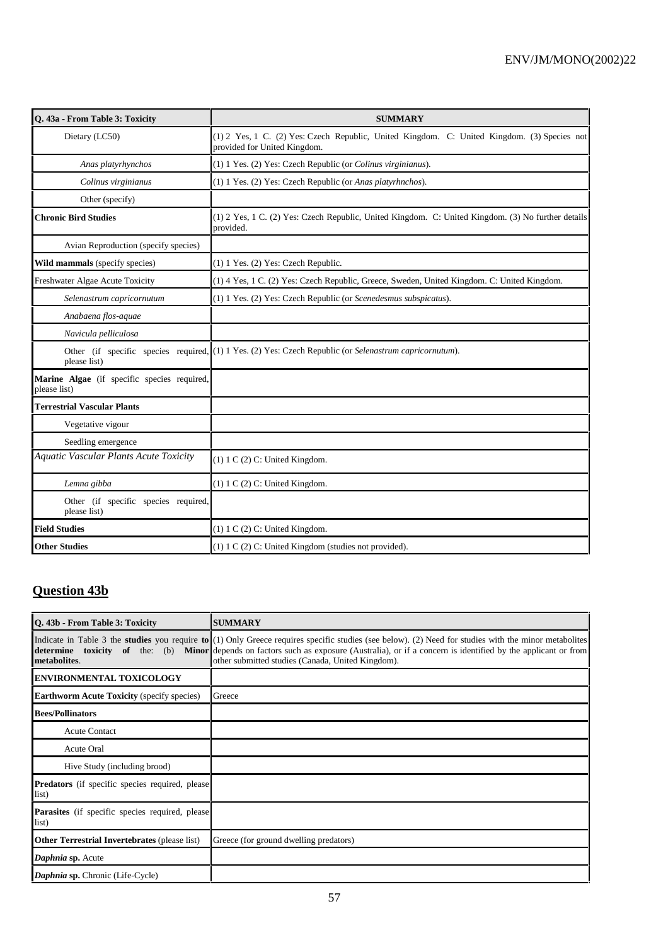| Q. 43a - From Table 3: Toxicity                             | <b>SUMMARY</b>                                                                                                              |  |
|-------------------------------------------------------------|-----------------------------------------------------------------------------------------------------------------------------|--|
| Dietary (LC50)                                              | (1) 2 Yes, 1 C. (2) Yes: Czech Republic, United Kingdom. C: United Kingdom. (3) Species not<br>provided for United Kingdom. |  |
| Anas platyrhynchos                                          | (1) 1 Yes. (2) Yes: Czech Republic (or Colinus virginianus).                                                                |  |
| Colinus virginianus                                         | (1) 1 Yes. (2) Yes: Czech Republic (or Anas platyrhnchos).                                                                  |  |
| Other (specify)                                             |                                                                                                                             |  |
| <b>Chronic Bird Studies</b>                                 | (1) 2 Yes, 1 C. (2) Yes: Czech Republic, United Kingdom. C: United Kingdom. (3) No further details<br>provided.             |  |
| Avian Reproduction (specify species)                        |                                                                                                                             |  |
| Wild mammals (specify species)                              | (1) 1 Yes. (2) Yes: Czech Republic.                                                                                         |  |
| Freshwater Algae Acute Toxicity                             | (1) 4 Yes, 1 C. (2) Yes: Czech Republic, Greece, Sweden, United Kingdom. C: United Kingdom.                                 |  |
| Selenastrum capricornutum                                   | (1) 1 Yes. (2) Yes: Czech Republic (or Scenedesmus subspicatus).                                                            |  |
| Anabaena flos-aquae                                         |                                                                                                                             |  |
| Navicula pelliculosa                                        |                                                                                                                             |  |
| please list)                                                | Other (if specific species required, $(1)$ 1 Yes. (2) Yes: Czech Republic (or Selenastrum capricornutum).                   |  |
| Marine Algae (if specific species required,<br>please list) |                                                                                                                             |  |
| <b>Terrestrial Vascular Plants</b>                          |                                                                                                                             |  |
| Vegetative vigour                                           |                                                                                                                             |  |
| Seedling emergence                                          |                                                                                                                             |  |
| Aquatic Vascular Plants Acute Toxicity                      | $(1)$ 1 C $(2)$ C: United Kingdom.                                                                                          |  |
| Lemna gibba                                                 | $(1)$ 1 C $(2)$ C: United Kingdom.                                                                                          |  |
| Other (if specific species required,<br>please list)        |                                                                                                                             |  |
| <b>Field Studies</b>                                        | $(1)$ 1 C $(2)$ C: United Kingdom.                                                                                          |  |
| <b>Other Studies</b>                                        | (1) 1 C (2) C: United Kingdom (studies not provided).                                                                       |  |

### **Question 43b**

| Q. 43b - From Table 3: Toxicity                                  | <b>SUMMARY</b>                                                                                                                                                                                                                                                                                                                                                      |
|------------------------------------------------------------------|---------------------------------------------------------------------------------------------------------------------------------------------------------------------------------------------------------------------------------------------------------------------------------------------------------------------------------------------------------------------|
| metabolites.                                                     | Indicate in Table 3 the <b>studies</b> you require to $(1)$ Only Greece requires specific studies (see below). (2) Need for studies with the minor metabolites<br>determine toxicity of the: (b) Minor depends on factors such as exposure (Australia), or if a concern is identified by the applicant or from<br>other submitted studies (Canada, United Kingdom). |
| <b>ENVIRONMENTAL TOXICOLOGY</b>                                  |                                                                                                                                                                                                                                                                                                                                                                     |
| <b>Earthworm Acute Toxicity (specify species)</b>                | Greece                                                                                                                                                                                                                                                                                                                                                              |
| <b>Bees/Pollinators</b>                                          |                                                                                                                                                                                                                                                                                                                                                                     |
| <b>Acute Contact</b>                                             |                                                                                                                                                                                                                                                                                                                                                                     |
| Acute Oral                                                       |                                                                                                                                                                                                                                                                                                                                                                     |
| Hive Study (including brood)                                     |                                                                                                                                                                                                                                                                                                                                                                     |
| <b>Predators</b> (if specific species required, please)<br>list) |                                                                                                                                                                                                                                                                                                                                                                     |
| <b>Parasites</b> (if specific species required, please)<br>list) |                                                                                                                                                                                                                                                                                                                                                                     |
| <b>Other Terrestrial Invertebrates (please list)</b>             | Greece (for ground dwelling predators)                                                                                                                                                                                                                                                                                                                              |
| Daphnia sp. Acute                                                |                                                                                                                                                                                                                                                                                                                                                                     |
| Daphnia sp. Chronic (Life-Cycle)                                 |                                                                                                                                                                                                                                                                                                                                                                     |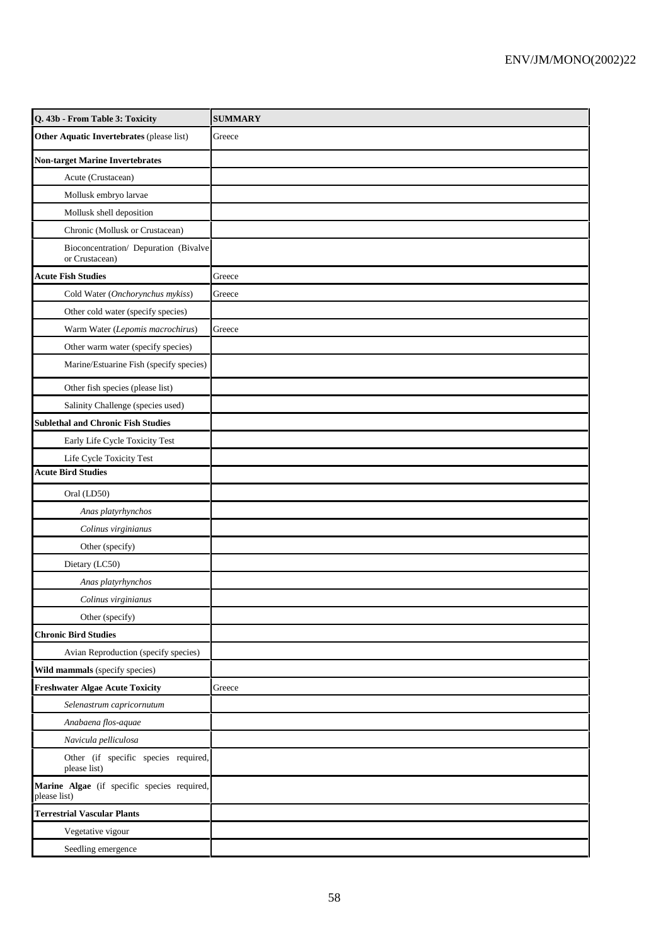| Q. 43b - From Table 3: Toxicity                             | <b>SUMMARY</b> |
|-------------------------------------------------------------|----------------|
| Other Aquatic Invertebrates (please list)                   | Greece         |
| <b>Non-target Marine Invertebrates</b>                      |                |
| Acute (Crustacean)                                          |                |
| Mollusk embryo larvae                                       |                |
| Mollusk shell deposition                                    |                |
| Chronic (Mollusk or Crustacean)                             |                |
| Bioconcentration/ Depuration (Bivalve<br>or Crustacean)     |                |
| <b>Acute Fish Studies</b>                                   | Greece         |
| Cold Water (Onchorynchus mykiss)                            | Greece         |
| Other cold water (specify species)                          |                |
| Warm Water (Lepomis macrochirus)                            | Greece         |
| Other warm water (specify species)                          |                |
| Marine/Estuarine Fish (specify species)                     |                |
| Other fish species (please list)                            |                |
| Salinity Challenge (species used)                           |                |
| <b>Sublethal and Chronic Fish Studies</b>                   |                |
| Early Life Cycle Toxicity Test                              |                |
| Life Cycle Toxicity Test                                    |                |
| <b>Acute Bird Studies</b>                                   |                |
| Oral (LD50)                                                 |                |
| Anas platyrhynchos                                          |                |
| Colinus virginianus                                         |                |
| Other (specify)                                             |                |
| Dietary (LC50)                                              |                |
| Anas platyrhynchos                                          |                |
| Colinus virginianus                                         |                |
| Other (specify)                                             |                |
| <b>Chronic Bird Studies</b>                                 |                |
| Avian Reproduction (specify species)                        |                |
| Wild mammals (specify species)                              |                |
| <b>Freshwater Algae Acute Toxicity</b>                      | Greece         |
| Selenastrum capricornutum                                   |                |
| Anabaena flos-aquae                                         |                |
| Navicula pelliculosa                                        |                |
| Other (if specific species required,<br>please list)        |                |
| Marine Algae (if specific species required,<br>please list) |                |
| <b>Terrestrial Vascular Plants</b>                          |                |
| Vegetative vigour                                           |                |
| Seedling emergence                                          |                |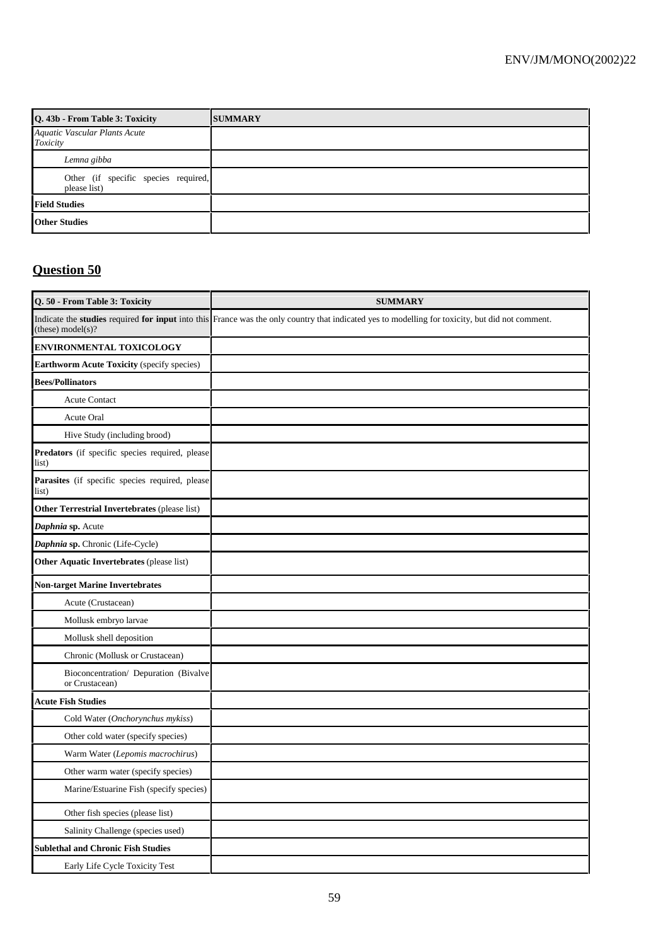| Q. 43b - From Table 3: Toxicity                      | <b>SUMMARY</b> |
|------------------------------------------------------|----------------|
| Aquatic Vascular Plants Acute<br>Toxicity            |                |
| Lemna gibba                                          |                |
| Other (if specific species required,<br>please list) |                |
| <b>Field Studies</b>                                 |                |
| <b>Other Studies</b>                                 |                |

| Q. 50 - From Table 3: Toxicity                           | <b>SUMMARY</b>                                                                                                                                   |
|----------------------------------------------------------|--------------------------------------------------------------------------------------------------------------------------------------------------|
| (these) model(s)?                                        | Indicate the studies required for input into this France was the only country that indicated yes to modelling for toxicity, but did not comment. |
| ENVIRONMENTAL TOXICOLOGY                                 |                                                                                                                                                  |
| <b>Earthworm Acute Toxicity (specify species)</b>        |                                                                                                                                                  |
| <b>Bees/Pollinators</b>                                  |                                                                                                                                                  |
| <b>Acute Contact</b>                                     |                                                                                                                                                  |
| Acute Oral                                               |                                                                                                                                                  |
| Hive Study (including brood)                             |                                                                                                                                                  |
| Predators (if specific species required, please<br>list) |                                                                                                                                                  |
| Parasites (if specific species required, please<br>list) |                                                                                                                                                  |
| Other Terrestrial Invertebrates (please list)            |                                                                                                                                                  |
| Daphnia sp. Acute                                        |                                                                                                                                                  |
| Daphnia sp. Chronic (Life-Cycle)                         |                                                                                                                                                  |
| Other Aquatic Invertebrates (please list)                |                                                                                                                                                  |
| <b>Non-target Marine Invertebrates</b>                   |                                                                                                                                                  |
| Acute (Crustacean)                                       |                                                                                                                                                  |
| Mollusk embryo larvae                                    |                                                                                                                                                  |
| Mollusk shell deposition                                 |                                                                                                                                                  |
| Chronic (Mollusk or Crustacean)                          |                                                                                                                                                  |
| Bioconcentration/ Depuration (Bivalve<br>or Crustacean)  |                                                                                                                                                  |
| <b>Acute Fish Studies</b>                                |                                                                                                                                                  |
| Cold Water (Onchorynchus mykiss)                         |                                                                                                                                                  |
| Other cold water (specify species)                       |                                                                                                                                                  |
| Warm Water (Lepomis macrochirus)                         |                                                                                                                                                  |
| Other warm water (specify species)                       |                                                                                                                                                  |
| Marine/Estuarine Fish (specify species)                  |                                                                                                                                                  |
| Other fish species (please list)                         |                                                                                                                                                  |
| Salinity Challenge (species used)                        |                                                                                                                                                  |
| <b>Sublethal and Chronic Fish Studies</b>                |                                                                                                                                                  |
| Early Life Cycle Toxicity Test                           |                                                                                                                                                  |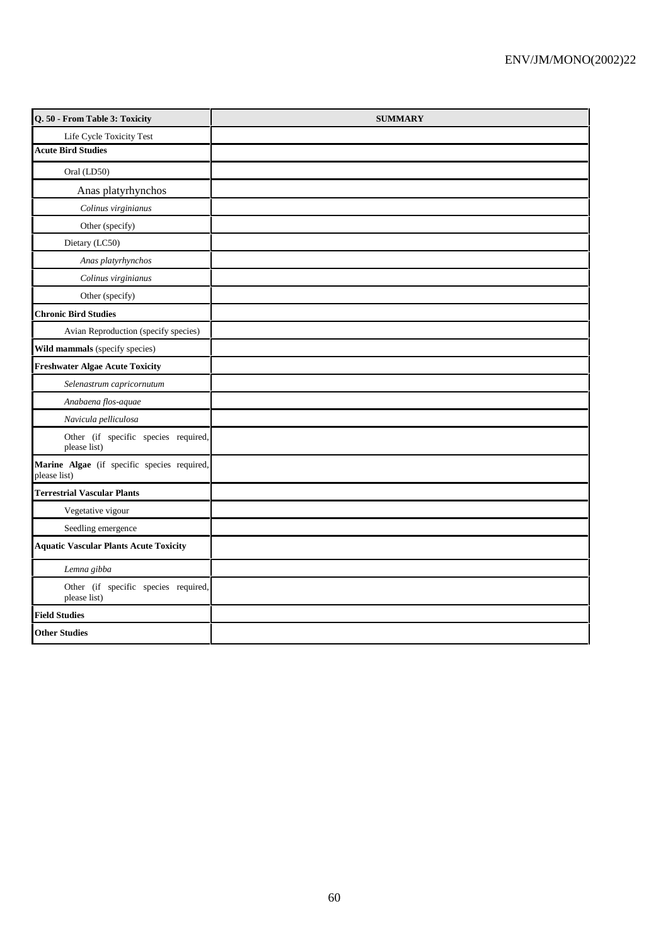| Q. 50 - From Table 3: Toxicity                              | <b>SUMMARY</b> |
|-------------------------------------------------------------|----------------|
| Life Cycle Toxicity Test                                    |                |
| <b>Acute Bird Studies</b>                                   |                |
| Oral (LD50)                                                 |                |
| Anas platyrhynchos                                          |                |
| Colinus virginianus                                         |                |
| Other (specify)                                             |                |
| Dietary (LC50)                                              |                |
| Anas platyrhynchos                                          |                |
| Colinus virginianus                                         |                |
| Other (specify)                                             |                |
| <b>Chronic Bird Studies</b>                                 |                |
| Avian Reproduction (specify species)                        |                |
| Wild mammals (specify species)                              |                |
| <b>Freshwater Algae Acute Toxicity</b>                      |                |
| Selenastrum capricornutum                                   |                |
| Anabaena flos-aquae                                         |                |
| Navicula pelliculosa                                        |                |
| Other (if specific species required,<br>please list)        |                |
| Marine Algae (if specific species required,<br>please list) |                |
| <b>Terrestrial Vascular Plants</b>                          |                |
| Vegetative vigour                                           |                |
| Seedling emergence                                          |                |
| <b>Aquatic Vascular Plants Acute Toxicity</b>               |                |
| Lemna gibba                                                 |                |
| Other (if specific species required,<br>please list)        |                |
| <b>Field Studies</b>                                        |                |
| <b>Other Studies</b>                                        |                |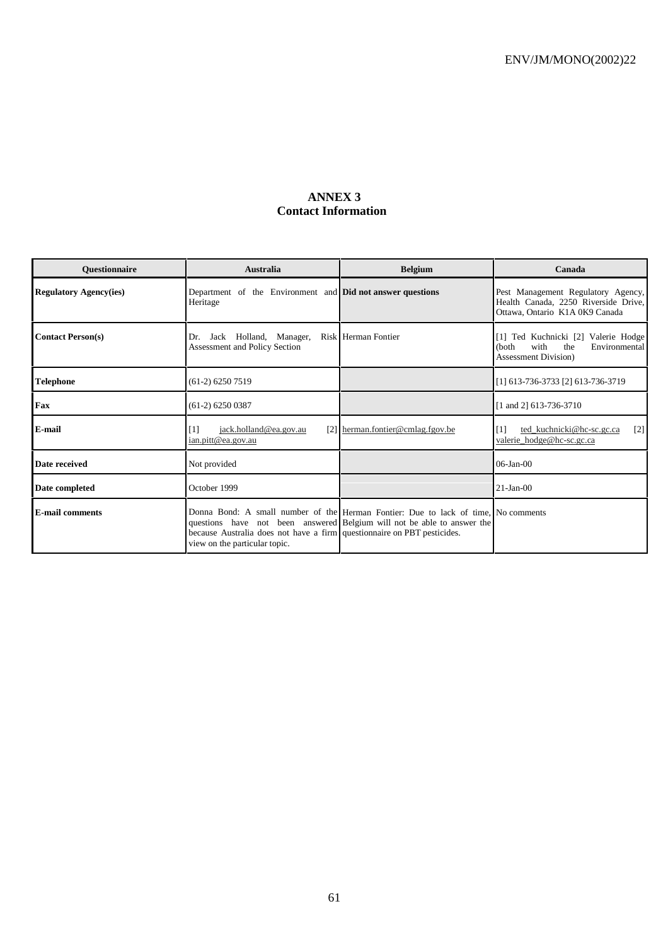#### **ANNEX 3 Contact Information**

| <b>Questionnaire</b>          | <b>Australia</b>                                                                                         | <b>Belgium</b>                                                                                                                                                | Canada                                                                                                       |
|-------------------------------|----------------------------------------------------------------------------------------------------------|---------------------------------------------------------------------------------------------------------------------------------------------------------------|--------------------------------------------------------------------------------------------------------------|
| <b>Regulatory Agency(ies)</b> | Department of the Environment and Did not answer questions<br>Heritage                                   |                                                                                                                                                               | Pest Management Regulatory Agency,<br>Health Canada, 2250 Riverside Drive,<br>Ottawa, Ontario K1A 0K9 Canada |
| <b>Contact Person(s)</b>      | Dr. Jack Holland, Manager,<br><b>Assessment and Policy Section</b>                                       | Risk Herman Fontier                                                                                                                                           | [1] Ted Kuchnicki [2] Valerie Hodge<br>with<br>the<br>Environmental<br>(both<br><b>Assessment Division</b> ) |
| <b>Telephone</b>              | $(61-2)$ 6250 7519                                                                                       |                                                                                                                                                               | [1] 613-736-3733 [2] 613-736-3719                                                                            |
| Fax                           | $(61-2)$ 6250 0387                                                                                       |                                                                                                                                                               | $[1$ and 2] 613-736-3710                                                                                     |
| E-mail                        | jack.holland@ea.gov.au<br>[1]<br>ian.pitt@ea.gov.au                                                      | [2] herman.fontier@cmlag.fgov.be                                                                                                                              | ted_kuchnicki@hc-sc.gc.ca<br>[1]<br>[2]<br>valerie_hodge@hc-sc.gc.ca                                         |
| Date received                 | Not provided                                                                                             |                                                                                                                                                               | $06$ -Jan- $00$                                                                                              |
| Date completed                | October 1999                                                                                             |                                                                                                                                                               | $21$ -Jan- $00$                                                                                              |
| <b>E-mail comments</b>        | because Australia does not have a firm questionnaire on PBT pesticides.<br>view on the particular topic. | Donna Bond: A small number of the Herman Fontier: Due to lack of time, No comments<br>questions have not been answered Belgium will not be able to answer the |                                                                                                              |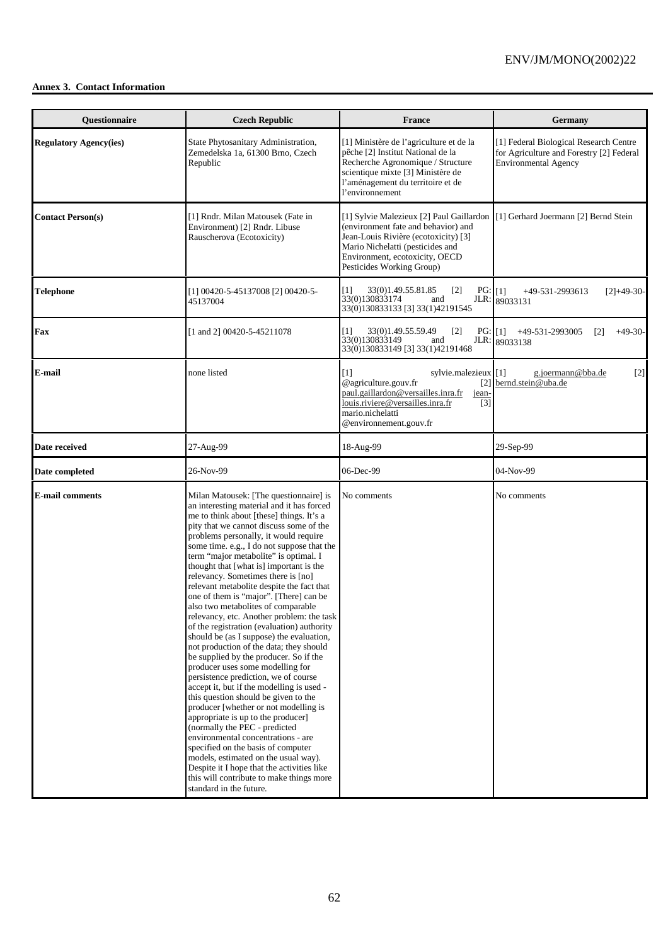| Questionnaire                 | <b>Czech Republic</b>                                                                                                                                                                                                                                                                                                                                                                                                                                                                                                                                                                                                                                                                                                                                                                                                                                                                                                                                                                                                                                                                                                                                                                                                                                                          | <b>France</b>                                                                                                                                                                                                                                                   | Germany                                                                                                           |
|-------------------------------|--------------------------------------------------------------------------------------------------------------------------------------------------------------------------------------------------------------------------------------------------------------------------------------------------------------------------------------------------------------------------------------------------------------------------------------------------------------------------------------------------------------------------------------------------------------------------------------------------------------------------------------------------------------------------------------------------------------------------------------------------------------------------------------------------------------------------------------------------------------------------------------------------------------------------------------------------------------------------------------------------------------------------------------------------------------------------------------------------------------------------------------------------------------------------------------------------------------------------------------------------------------------------------|-----------------------------------------------------------------------------------------------------------------------------------------------------------------------------------------------------------------------------------------------------------------|-------------------------------------------------------------------------------------------------------------------|
| <b>Regulatory Agency(ies)</b> | State Phytosanitary Administration,<br>Zemedelska 1a, 61300 Brno, Czech<br>Republic                                                                                                                                                                                                                                                                                                                                                                                                                                                                                                                                                                                                                                                                                                                                                                                                                                                                                                                                                                                                                                                                                                                                                                                            | [1] Ministère de l'agriculture et de la<br>pêche [2] Institut National de la<br>Recherche Agronomique / Structure<br>scientique mixte [3] Ministère de<br>l'aménagement du territoire et de<br>l'environnement                                                  | [1] Federal Biological Research Centre<br>for Agriculture and Forestry [2] Federal<br><b>Environmental Agency</b> |
| <b>Contact Person(s)</b>      | [1] Rndr. Milan Matousek (Fate in<br>Environment) [2] Rndr. Libuse<br>Rauscherova (Ecotoxicity)                                                                                                                                                                                                                                                                                                                                                                                                                                                                                                                                                                                                                                                                                                                                                                                                                                                                                                                                                                                                                                                                                                                                                                                | [1] Sylvie Malezieux [2] Paul Gaillardon [1] Gerhard Joermann [2] Bernd Stein<br>(environment fate and behavior) and<br>Jean-Louis Rivière (ecotoxicity) [3]<br>Mario Nichelatti (pesticides and<br>Environment, ecotoxicity, OECD<br>Pesticides Working Group) |                                                                                                                   |
| <b>Telephone</b>              | [1] 00420-5-45137008 [2] 00420-5-<br>45137004                                                                                                                                                                                                                                                                                                                                                                                                                                                                                                                                                                                                                                                                                                                                                                                                                                                                                                                                                                                                                                                                                                                                                                                                                                  | 33(0)1.49.55.81.85<br>$\lceil 2 \rceil$<br>[1]<br>$PG:$ [1]<br>33(0)130833174<br>and<br>33(0)130833133 [3] 33(1)42191545                                                                                                                                        | $[2]+49-30-$<br>+49-531-2993613<br>JLR: 89033131                                                                  |
| Fax                           | [1 and 2] 00420-5-45211078                                                                                                                                                                                                                                                                                                                                                                                                                                                                                                                                                                                                                                                                                                                                                                                                                                                                                                                                                                                                                                                                                                                                                                                                                                                     | [1]<br>33(0)1.49.55.59.49<br>$[2]$<br>33(0)130833149<br>and<br>33(0)130833149 [3] 33(1)42191468                                                                                                                                                                 | PG: $[1]$ +49-531-2993005<br>$+49-30-$<br>$\lceil 2 \rceil$<br>JLR: 89033138                                      |
| E-mail                        | none listed                                                                                                                                                                                                                                                                                                                                                                                                                                                                                                                                                                                                                                                                                                                                                                                                                                                                                                                                                                                                                                                                                                                                                                                                                                                                    | sylvie.malezieux [1]<br>@agriculture.gouv.fr<br>paul.gaillardon@versailles.inra.fr<br>jean-<br>louis.riviere@versailles.inra.fr<br>$[3]$<br>mario.nichelatti<br>@environnement.gouv.fr                                                                          | g.joermann@bba.de<br>$[2]$<br>[2] bernd.stein@uba.de                                                              |
| Date received                 | 27-Aug-99                                                                                                                                                                                                                                                                                                                                                                                                                                                                                                                                                                                                                                                                                                                                                                                                                                                                                                                                                                                                                                                                                                                                                                                                                                                                      | 18-Aug-99                                                                                                                                                                                                                                                       | 29-Sep-99                                                                                                         |
| Date completed                | 26-Nov-99                                                                                                                                                                                                                                                                                                                                                                                                                                                                                                                                                                                                                                                                                                                                                                                                                                                                                                                                                                                                                                                                                                                                                                                                                                                                      | 06-Dec-99                                                                                                                                                                                                                                                       | 04-Nov-99                                                                                                         |
| <b>E-mail comments</b>        | Milan Matousek: [The questionnaire] is<br>an interesting material and it has forced<br>me to think about [these] things. It's a<br>pity that we cannot discuss some of the<br>problems personally, it would require<br>some time. e.g., I do not suppose that the<br>term "major metabolite" is optimal. I<br>thought that [what is] important is the<br>relevancy. Sometimes there is [no]<br>relevant metabolite despite the fact that<br>one of them is "major". [There] can be<br>also two metabolites of comparable<br>relevancy, etc. Another problem: the task<br>of the registration (evaluation) authority<br>should be (as I suppose) the evaluation,<br>not production of the data; they should<br>be supplied by the producer. So if the<br>producer uses some modelling for<br>persistence prediction, we of course<br>accept it, but if the modelling is used -<br>this question should be given to the<br>producer [whether or not modelling is<br>appropriate is up to the producer]<br>(normally the PEC - predicted<br>environmental concentrations - are<br>specified on the basis of computer<br>models, estimated on the usual way).<br>Despite it I hope that the activities like<br>this will contribute to make things more<br>standard in the future. | No comments                                                                                                                                                                                                                                                     | No comments                                                                                                       |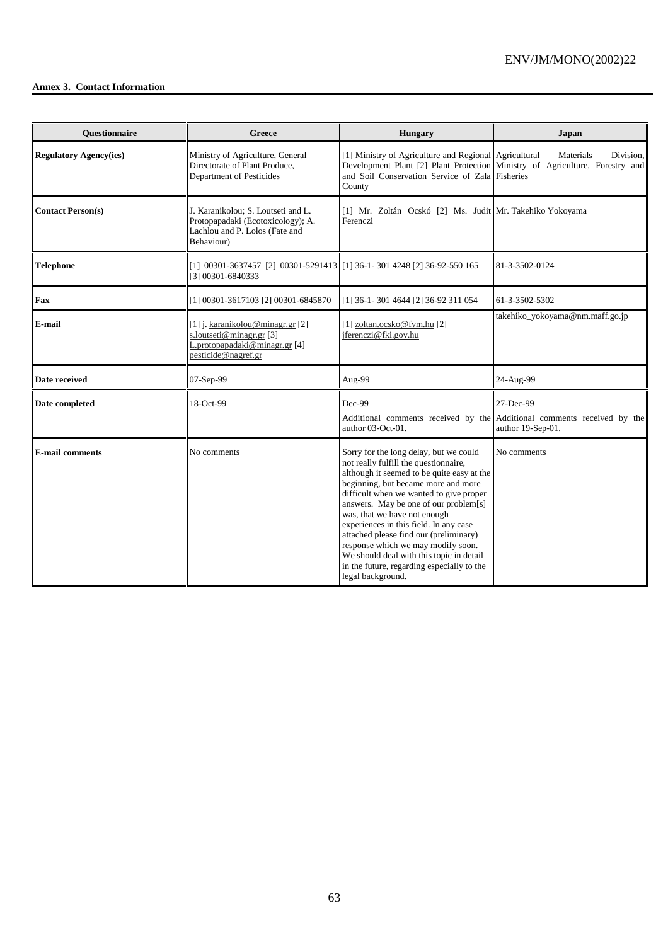| <b>Ouestionnaire</b>          | Greece                                                                                                                  | <b>Hungary</b>                                                                                                                                                                                                                                                                                                                                                                                                                                                                                                                    | Japan                                                                                                     |
|-------------------------------|-------------------------------------------------------------------------------------------------------------------------|-----------------------------------------------------------------------------------------------------------------------------------------------------------------------------------------------------------------------------------------------------------------------------------------------------------------------------------------------------------------------------------------------------------------------------------------------------------------------------------------------------------------------------------|-----------------------------------------------------------------------------------------------------------|
| <b>Regulatory Agency(ies)</b> | Ministry of Agriculture, General<br>Directorate of Plant Produce,<br>Department of Pesticides                           | [1] Ministry of Agriculture and Regional Agricultural<br>and Soil Conservation Service of Zala Fisheries<br>County                                                                                                                                                                                                                                                                                                                                                                                                                | Division.<br>Materials<br>Development Plant [2] Plant Protection Ministry of Agriculture, Forestry and    |
| <b>Contact Person(s)</b>      | J. Karanikolou; S. Loutseti and L.<br>Protopapadaki (Ecotoxicology); A.<br>Lachlou and P. Lolos (Fate and<br>Behaviour) | [1] Mr. Zoltán Ocskó [2] Ms. Judit Mr. Takehiko Yokoyama<br>Ferenczi                                                                                                                                                                                                                                                                                                                                                                                                                                                              |                                                                                                           |
| <b>Telephone</b>              | [1] 00301-3637457 [2] 00301-5291413 [1] 36-1-301 4248 [2] 36-92-550 165<br>[3] 00301-6840333                            |                                                                                                                                                                                                                                                                                                                                                                                                                                                                                                                                   | 81-3-3502-0124                                                                                            |
| Fax                           | [1] 00301-3617103 [2] 00301-6845870                                                                                     | [1] 36-1-301 4644 [2] 36-92 311 054                                                                                                                                                                                                                                                                                                                                                                                                                                                                                               | 61-3-3502-5302                                                                                            |
| E-mail                        | [1] j. karanikolou@minagr.gr [2]<br>s.loutseti@minagr.gr [3]<br>L.protopapadaki@minagr.gr [4]<br>pesticide@nagref.gr    | [1] zoltan.ocsko@fvm.hu [2]<br>jferenczi@fki.gov.hu                                                                                                                                                                                                                                                                                                                                                                                                                                                                               | takehiko_yokoyama@nm.maff.go.jp                                                                           |
| Date received                 | 07-Sep-99                                                                                                               | Aug-99                                                                                                                                                                                                                                                                                                                                                                                                                                                                                                                            | 24-Aug-99                                                                                                 |
| Date completed                | 18-Oct-99                                                                                                               | Dec-99<br>author 03-Oct-01.                                                                                                                                                                                                                                                                                                                                                                                                                                                                                                       | 27-Dec-99<br>Additional comments received by the Additional comments received by the<br>author 19-Sep-01. |
| <b>E-mail comments</b>        | No comments                                                                                                             | Sorry for the long delay, but we could<br>not really fulfill the questionnaire,<br>although it seemed to be quite easy at the<br>beginning, but became more and more<br>difficult when we wanted to give proper<br>answers. May be one of our problem[s]<br>was, that we have not enough<br>experiences in this field. In any case<br>attached please find our (preliminary)<br>response which we may modify soon.<br>We should deal with this topic in detail<br>in the future, regarding especially to the<br>legal background. | No comments                                                                                               |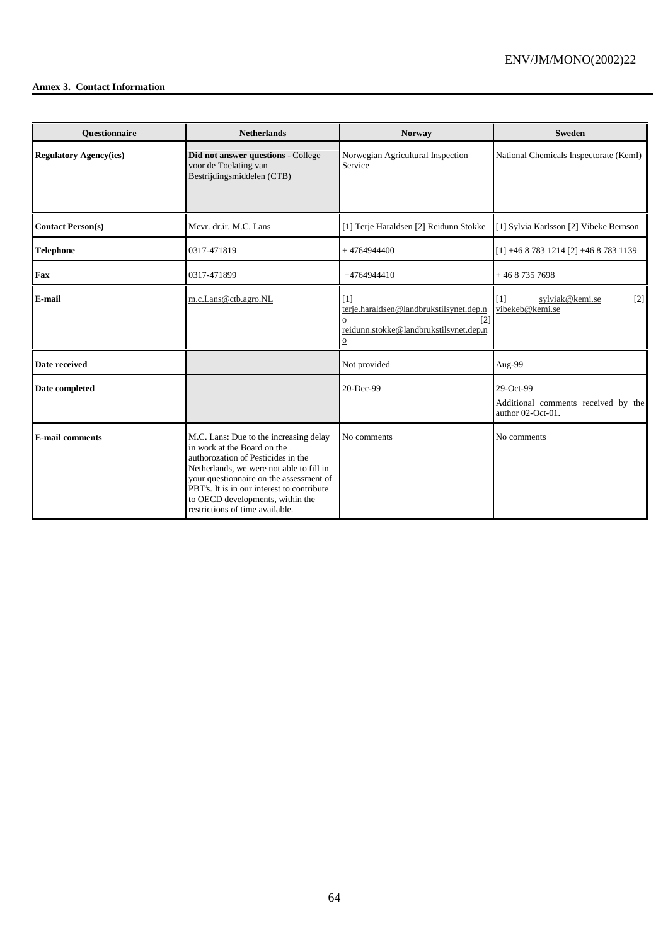| Questionnaire                 | <b>Netherlands</b>                                                                                                                                                                                                                                                                                                      | <b>Norway</b>                                                                                          | <b>Sweden</b>                                                         |
|-------------------------------|-------------------------------------------------------------------------------------------------------------------------------------------------------------------------------------------------------------------------------------------------------------------------------------------------------------------------|--------------------------------------------------------------------------------------------------------|-----------------------------------------------------------------------|
| <b>Regulatory Agency(ies)</b> | Did not answer questions - College<br>voor de Toelating van<br>Bestrijdingsmiddelen (CTB)                                                                                                                                                                                                                               | Norwegian Agricultural Inspection<br>Service                                                           | National Chemicals Inspectorate (KemI)                                |
| <b>Contact Person(s)</b>      | Mevr. dr.ir. M.C. Lans                                                                                                                                                                                                                                                                                                  | [1] Terje Haraldsen [2] Reidunn Stokke                                                                 | [1] Sylvia Karlsson [2] Vibeke Bernson                                |
| <b>Telephone</b>              | 0317-471819                                                                                                                                                                                                                                                                                                             | +4764944400                                                                                            | $[1] + 4687831214[2] + 4687831139$                                    |
| Fax                           | 0317-471899                                                                                                                                                                                                                                                                                                             | +4764944410                                                                                            | $+4687357698$                                                         |
| E-mail                        | m.c.Lans@ctb.agro.NL                                                                                                                                                                                                                                                                                                    | [1]<br>terje.haraldsen@landbrukstilsynet.dep.n<br>$[2]$<br>reidunn.stokke@landbrukstilsynet.dep.n<br>0 | sylviak@kemi.se<br>$[2]$<br>$\lceil 1 \rceil$<br>vibekeb@kemi.se      |
| Date received                 |                                                                                                                                                                                                                                                                                                                         | Not provided                                                                                           | Aug-99                                                                |
| Date completed                |                                                                                                                                                                                                                                                                                                                         | 20-Dec-99                                                                                              | 29-Oct-99<br>Additional comments received by the<br>author 02-Oct-01. |
| <b>E-mail comments</b>        | M.C. Lans: Due to the increasing delay<br>in work at the Board on the<br>authorozation of Pesticides in the<br>Netherlands, we were not able to fill in<br>your questionnaire on the assessment of<br>PBT's. It is in our interest to contribute<br>to OECD developments, within the<br>restrictions of time available. | No comments                                                                                            | No comments                                                           |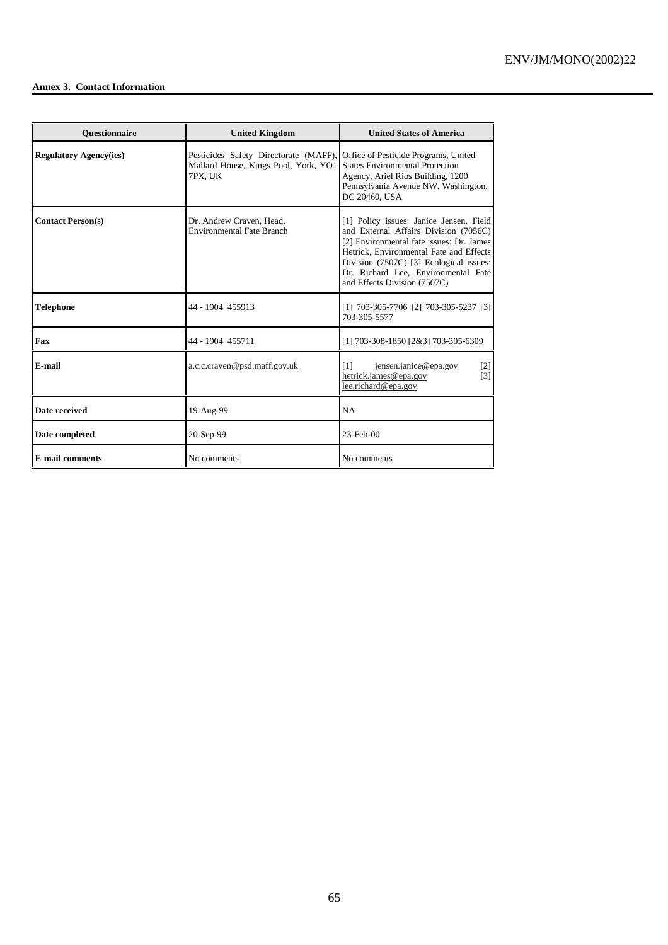| <b>Ouestionnaire</b>          | <b>United Kingdom</b>                                                                    | <b>United States of America</b>                                                                                                                                                                                                                                                           |
|-------------------------------|------------------------------------------------------------------------------------------|-------------------------------------------------------------------------------------------------------------------------------------------------------------------------------------------------------------------------------------------------------------------------------------------|
| <b>Regulatory Agency(ies)</b> | Pesticides Safety Directorate (MAFF),<br>Mallard House, Kings Pool, York, YO1<br>7PX. UK | Office of Pesticide Programs, United<br><b>States Environmental Protection</b><br>Agency, Ariel Rios Building, 1200<br>Pennsylvania Avenue NW, Washington,<br>DC 20460, USA                                                                                                               |
| <b>Contact Person(s)</b>      | Dr. Andrew Craven, Head,<br><b>Environmental Fate Branch</b>                             | [1] Policy issues: Janice Jensen, Field<br>and External Affairs Division (7056C)<br>[2] Environmental fate issues: Dr. James<br>Hetrick, Environmental Fate and Effects<br>Division (7507C) [3] Ecological issues:<br>Dr. Richard Lee, Environmental Fate<br>and Effects Division (7507C) |
| <b>Telephone</b>              | 44 - 1904 455913                                                                         | [1] 703-305-7706 [2] 703-305-5237 [3]<br>703-305-5577                                                                                                                                                                                                                                     |
| Fax                           | 44 - 1904 455711                                                                         | [1] 703-308-1850 [2&3] 703-305-6309                                                                                                                                                                                                                                                       |
| E-mail                        | a.c.c.craven@psd.maff.gov.uk                                                             | [1]<br>[2]<br>jensen.janice@epa.gov<br>hetrick.james@epa.gov<br>[3]<br>lee.richard@epa.gov                                                                                                                                                                                                |
| Date received                 | 19-Aug-99                                                                                | <b>NA</b>                                                                                                                                                                                                                                                                                 |
| Date completed                | 20-Sep-99                                                                                | 23-Feb-00                                                                                                                                                                                                                                                                                 |
| <b>E-mail comments</b>        | No comments                                                                              | No comments                                                                                                                                                                                                                                                                               |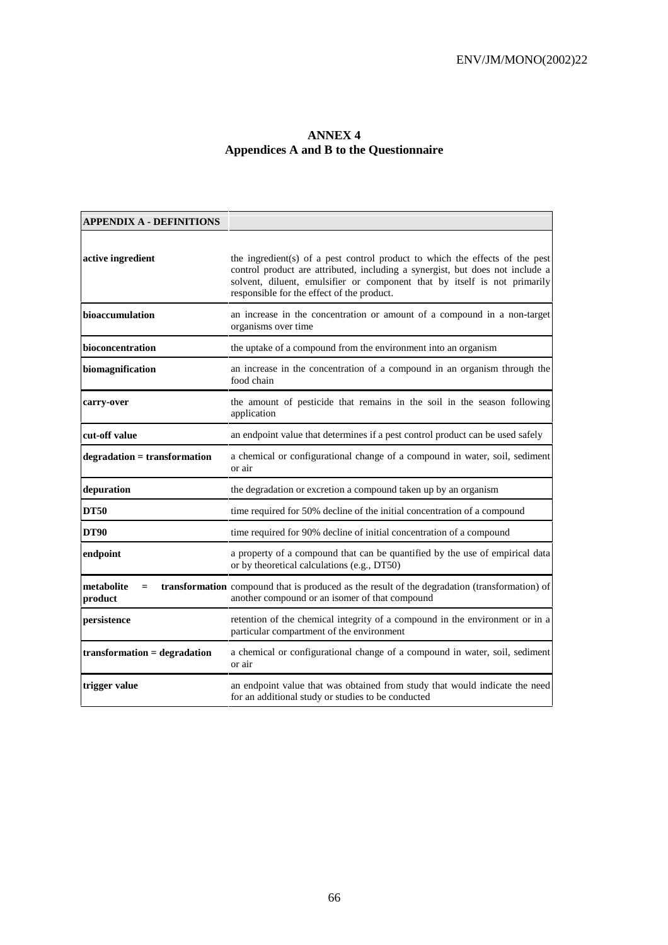#### **ANNEX 4 Appendices A and B to the Questionnaire**

| <b>APPENDIX A - DEFINITIONS</b> |                                                                                                                                                                                                                                                                                          |
|---------------------------------|------------------------------------------------------------------------------------------------------------------------------------------------------------------------------------------------------------------------------------------------------------------------------------------|
| active ingredient               | the ingredient(s) of a pest control product to which the effects of the pest<br>control product are attributed, including a synergist, but does not include a<br>solvent, diluent, emulsifier or component that by itself is not primarily<br>responsible for the effect of the product. |
| bioaccumulation                 | an increase in the concentration or amount of a compound in a non-target<br>organisms over time                                                                                                                                                                                          |
| bioconcentration                | the uptake of a compound from the environment into an organism                                                                                                                                                                                                                           |
| biomagnification                | an increase in the concentration of a compound in an organism through the<br>food chain                                                                                                                                                                                                  |
| carry-over                      | the amount of pesticide that remains in the soil in the season following<br>application                                                                                                                                                                                                  |
| cut-off value                   | an endpoint value that determines if a pest control product can be used safely                                                                                                                                                                                                           |
| degradation = transformation    | a chemical or configurational change of a compound in water, soil, sediment<br>or air                                                                                                                                                                                                    |
| depuration                      | the degradation or excretion a compound taken up by an organism                                                                                                                                                                                                                          |
| <b>DT50</b>                     | time required for 50% decline of the initial concentration of a compound                                                                                                                                                                                                                 |
| <b>DT90</b>                     | time required for 90% decline of initial concentration of a compound                                                                                                                                                                                                                     |
| endpoint                        | a property of a compound that can be quantified by the use of empirical data<br>or by theoretical calculations (e.g., DT50)                                                                                                                                                              |
| metabolite<br>$=$<br>product    | transformation compound that is produced as the result of the degradation (transformation) of<br>another compound or an isomer of that compound                                                                                                                                          |
| persistence                     | retention of the chemical integrity of a compound in the environment or in a<br>particular compartment of the environment                                                                                                                                                                |
| transformation = degradation    | a chemical or configurational change of a compound in water, soil, sediment<br>or air                                                                                                                                                                                                    |
| trigger value                   | an endpoint value that was obtained from study that would indicate the need<br>for an additional study or studies to be conducted                                                                                                                                                        |